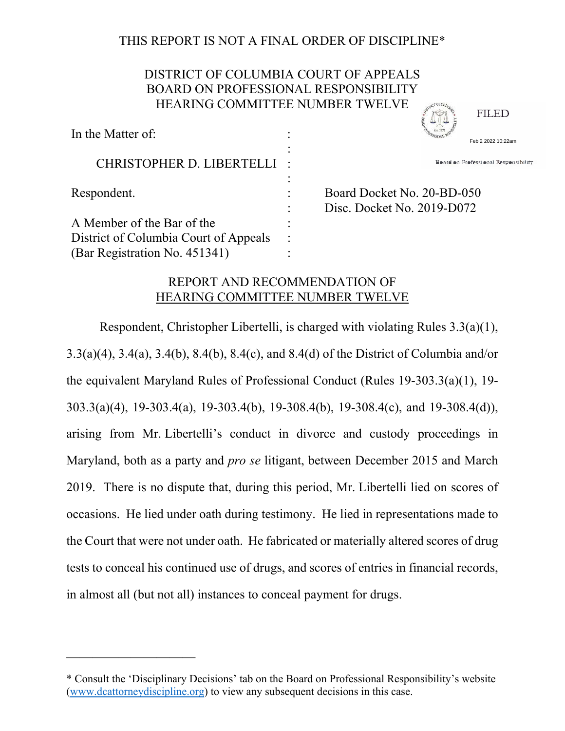# THIS REPORT IS NOT A FINAL ORDER OF DISCIPLINE\*

## DISTRICT OF COLUMBIA COURT OF APPEALS BOARD ON PROFESSIONAL RESPONSIBILITY HEARING COMMITTEE NUMBER TWELVE **SOUTHERN ASSESS**

| In the Matter of:                     | Feb 2 2022 10:22am                                       |
|---------------------------------------|----------------------------------------------------------|
| CHRISTOPHER D. LIBERTELLI             | Board on Professional Responsibility                     |
| Respondent.                           | Board Docket No. 20-BD-050<br>Disc. Docket No. 2019-D072 |
| A Member of the Bar of the            |                                                          |
| District of Columbia Court of Appeals |                                                          |
| (Bar Registration No. 451341)         |                                                          |

**FILED** 

# REPORT AND RECOMMENDATION OF HEARING COMMITTEE NUMBER TWELVE

Respondent, Christopher Libertelli, is charged with violating Rules 3.3(a)(1), 3.3(a)(4), 3.4(a), 3.4(b), 8.4(b), 8.4(c), and 8.4(d) of the District of Columbia and/or the equivalent Maryland Rules of Professional Conduct (Rules 19-303.3(a)(1), 19- 303.3(a)(4), 19-303.4(a), 19-303.4(b), 19-308.4(b), 19-308.4(c), and 19-308.4(d)), arising from Mr. Libertelli's conduct in divorce and custody proceedings in Maryland, both as a party and *pro se* litigant, between December 2015 and March 2019. There is no dispute that, during this period, Mr. Libertelli lied on scores of occasions. He lied under oath during testimony. He lied in representations made to the Court that were not under oath. He fabricated or materially altered scores of drug tests to conceal his continued use of drugs, and scores of entries in financial records, in almost all (but not all) instances to conceal payment for drugs.

——————————

<sup>\*</sup> Consult the 'Disciplinary Decisions' tab on the Board on Professional Responsibility's website (www.dcattorneydiscipline.org) to view any subsequent decisions in this case.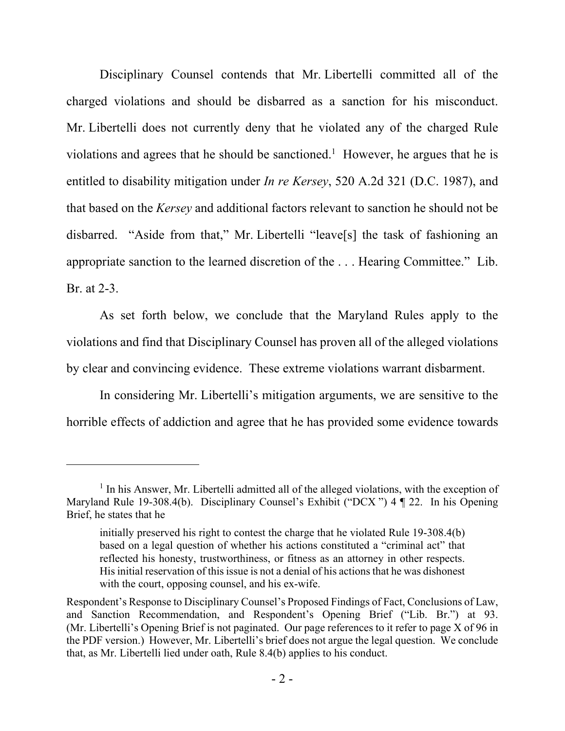Disciplinary Counsel contends that Mr. Libertelli committed all of the charged violations and should be disbarred as a sanction for his misconduct. Mr. Libertelli does not currently deny that he violated any of the charged Rule violations and agrees that he should be sanctioned.<sup>1</sup> However, he argues that he is entitled to disability mitigation under *In re Kersey*, 520 A.2d 321 (D.C. 1987), and that based on the *Kersey* and additional factors relevant to sanction he should not be disbarred. "Aside from that," Mr. Libertelli "leave[s] the task of fashioning an appropriate sanction to the learned discretion of the . . . Hearing Committee." Lib. Br. at 2-3.

As set forth below, we conclude that the Maryland Rules apply to the violations and find that Disciplinary Counsel has proven all of the alleged violations by clear and convincing evidence. These extreme violations warrant disbarment.

In considering Mr. Libertelli's mitigation arguments, we are sensitive to the horrible effects of addiction and agree that he has provided some evidence towards

<sup>&</sup>lt;sup>1</sup> In his Answer, Mr. Libertelli admitted all of the alleged violations, with the exception of Maryland Rule 19-308.4(b). Disciplinary Counsel's Exhibit ("DCX ") 4 ¶ 22. In his Opening Brief, he states that he

initially preserved his right to contest the charge that he violated Rule 19-308.4(b) based on a legal question of whether his actions constituted a "criminal act" that reflected his honesty, trustworthiness, or fitness as an attorney in other respects. His initial reservation of this issue is not a denial of his actions that he was dishonest with the court, opposing counsel, and his ex-wife.

Respondent's Response to Disciplinary Counsel's Proposed Findings of Fact, Conclusions of Law, and Sanction Recommendation, and Respondent's Opening Brief ("Lib. Br.") at 93. (Mr. Libertelli's Opening Brief is not paginated. Our page references to it refer to page X of 96 in the PDF version.) However, Mr. Libertelli's brief does not argue the legal question. We conclude that, as Mr. Libertelli lied under oath, Rule 8.4(b) applies to his conduct.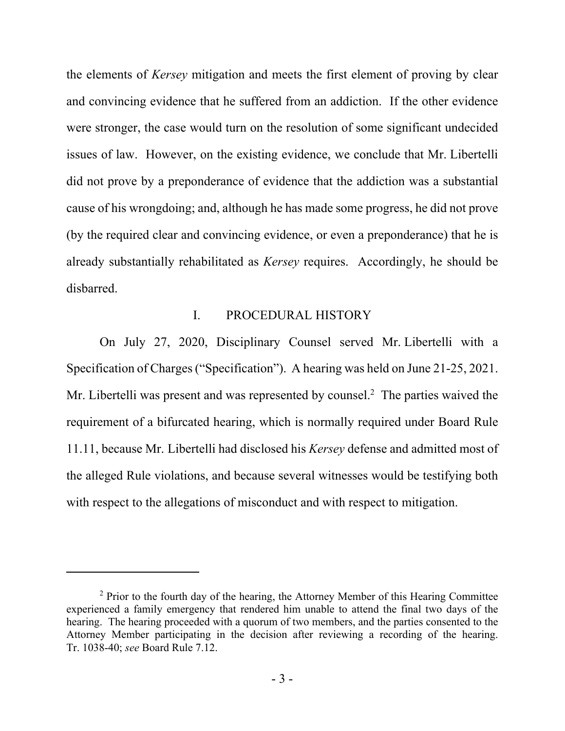the elements of *Kersey* mitigation and meets the first element of proving by clear and convincing evidence that he suffered from an addiction. If the other evidence were stronger, the case would turn on the resolution of some significant undecided issues of law. However, on the existing evidence, we conclude that Mr. Libertelli did not prove by a preponderance of evidence that the addiction was a substantial cause of his wrongdoing; and, although he has made some progress, he did not prove (by the required clear and convincing evidence, or even a preponderance) that he is already substantially rehabilitated as *Kersey* requires. Accordingly, he should be disbarred.

## I. PROCEDURAL HISTORY

On July 27, 2020, Disciplinary Counsel served Mr. Libertelli with a Specification of Charges ("Specification"). A hearing was held on June 21-25, 2021. Mr. Libertelli was present and was represented by counsel.<sup>2</sup> The parties waived the requirement of a bifurcated hearing, which is normally required under Board Rule 11.11, because Mr. Libertelli had disclosed his *Kersey* defense and admitted most of the alleged Rule violations, and because several witnesses would be testifying both with respect to the allegations of misconduct and with respect to mitigation.

 $2$  Prior to the fourth day of the hearing, the Attorney Member of this Hearing Committee experienced a family emergency that rendered him unable to attend the final two days of the hearing. The hearing proceeded with a quorum of two members, and the parties consented to the Attorney Member participating in the decision after reviewing a recording of the hearing. Tr. 1038-40; *see* Board Rule 7.12.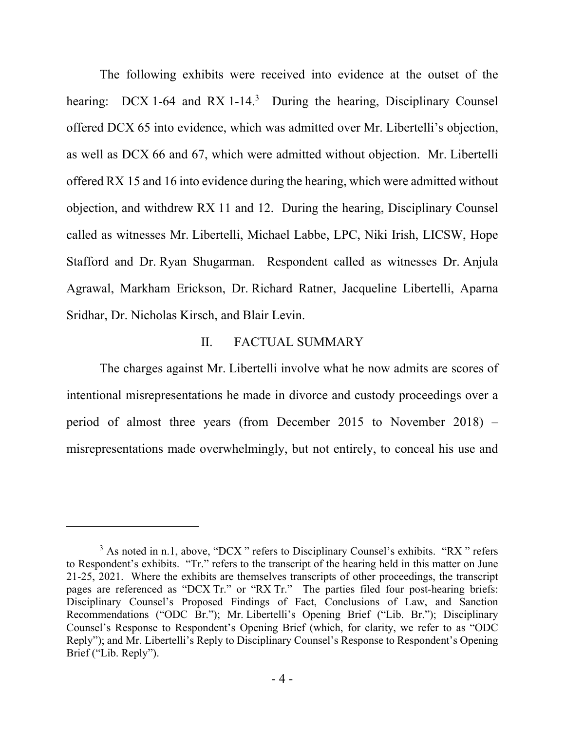The following exhibits were received into evidence at the outset of the hearing: DCX 1-64 and RX 1-14.<sup>3</sup> During the hearing, Disciplinary Counsel offered DCX 65 into evidence, which was admitted over Mr. Libertelli's objection, as well as DCX 66 and 67, which were admitted without objection. Mr. Libertelli offered RX 15 and 16 into evidence during the hearing, which were admitted without objection, and withdrew RX 11 and 12. During the hearing, Disciplinary Counsel called as witnesses Mr. Libertelli, Michael Labbe, LPC, Niki Irish, LICSW, Hope Stafford and Dr. Ryan Shugarman. Respondent called as witnesses Dr. Anjula Agrawal, Markham Erickson, Dr. Richard Ratner, Jacqueline Libertelli, Aparna Sridhar, Dr. Nicholas Kirsch, and Blair Levin.

## II. FACTUAL SUMMARY

The charges against Mr. Libertelli involve what he now admits are scores of intentional misrepresentations he made in divorce and custody proceedings over a period of almost three years (from December 2015 to November 2018) – misrepresentations made overwhelmingly, but not entirely, to conceal his use and

 $3$  As noted in n.1, above, "DCX" refers to Disciplinary Counsel's exhibits. "RX" refers to Respondent's exhibits. "Tr." refers to the transcript of the hearing held in this matter on June 21-25, 2021. Where the exhibits are themselves transcripts of other proceedings, the transcript pages are referenced as "DCX Tr." or "RX Tr." The parties filed four post-hearing briefs: Disciplinary Counsel's Proposed Findings of Fact, Conclusions of Law, and Sanction Recommendations ("ODC Br."); Mr. Libertelli's Opening Brief ("Lib. Br."); Disciplinary Counsel's Response to Respondent's Opening Brief (which, for clarity, we refer to as "ODC Reply"); and Mr. Libertelli's Reply to Disciplinary Counsel's Response to Respondent's Opening Brief ("Lib. Reply").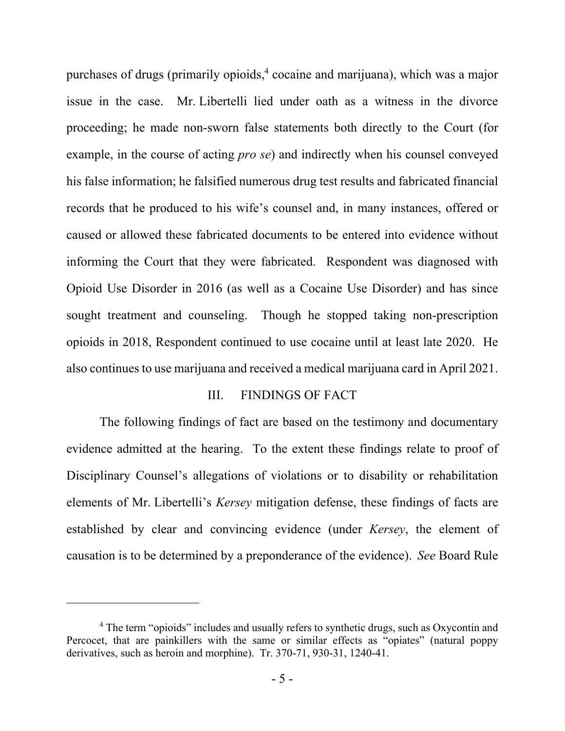purchases of drugs (primarily opioids,<sup>4</sup> cocaine and marijuana), which was a major issue in the case. Mr. Libertelli lied under oath as a witness in the divorce proceeding; he made non-sworn false statements both directly to the Court (for example, in the course of acting *pro se*) and indirectly when his counsel conveyed his false information; he falsified numerous drug test results and fabricated financial records that he produced to his wife's counsel and, in many instances, offered or caused or allowed these fabricated documents to be entered into evidence without informing the Court that they were fabricated. Respondent was diagnosed with Opioid Use Disorder in 2016 (as well as a Cocaine Use Disorder) and has since sought treatment and counseling. Though he stopped taking non-prescription opioids in 2018, Respondent continued to use cocaine until at least late 2020. He also continues to use marijuana and received a medical marijuana card in April 2021.

#### III. FINDINGS OF FACT

The following findings of fact are based on the testimony and documentary evidence admitted at the hearing. To the extent these findings relate to proof of Disciplinary Counsel's allegations of violations or to disability or rehabilitation elements of Mr. Libertelli's *Kersey* mitigation defense, these findings of facts are established by clear and convincing evidence (under *Kersey*, the element of causation is to be determined by a preponderance of the evidence). *See* Board Rule

<sup>&</sup>lt;sup>4</sup> The term "opioids" includes and usually refers to synthetic drugs, such as Oxycontin and Percocet, that are painkillers with the same or similar effects as "opiates" (natural poppy derivatives, such as heroin and morphine). Tr. 370-71, 930-31, 1240-41.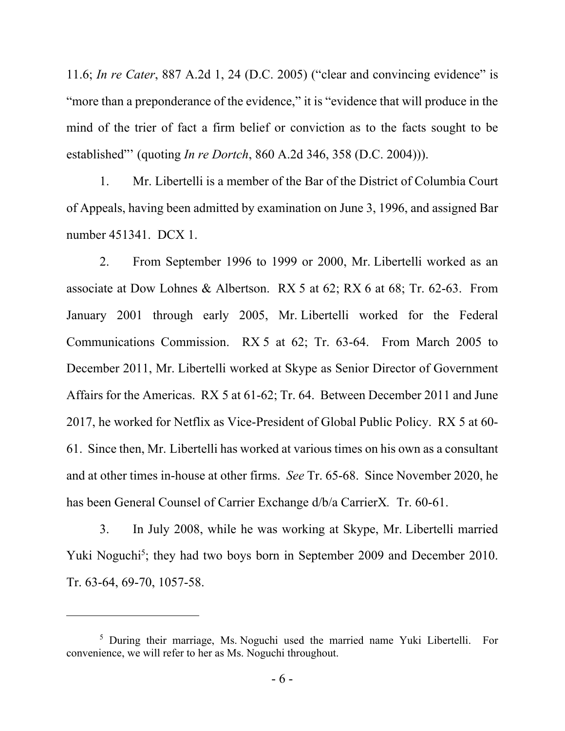11.6; *In re Cater*, 887 A.2d 1, 24 (D.C. 2005) ("clear and convincing evidence" is "more than a preponderance of the evidence," it is "evidence that will produce in the mind of the trier of fact a firm belief or conviction as to the facts sought to be established"' (quoting *In re Dortch*, 860 A.2d 346, 358 (D.C. 2004))).

1. Mr. Libertelli is a member of the Bar of the District of Columbia Court of Appeals, having been admitted by examination on June 3, 1996, and assigned Bar number 451341. DCX 1.

2. From September 1996 to 1999 or 2000, Mr. Libertelli worked as an associate at Dow Lohnes & Albertson. RX 5 at 62; RX 6 at 68; Tr. 62-63. From January 2001 through early 2005, Mr. Libertelli worked for the Federal Communications Commission. RX 5 at 62; Tr. 63-64. From March 2005 to December 2011, Mr. Libertelli worked at Skype as Senior Director of Government Affairs for the Americas. RX 5 at 61-62; Tr. 64. Between December 2011 and June 2017, he worked for Netflix as Vice-President of Global Public Policy. RX 5 at 60- 61. Since then, Mr. Libertelli has worked at various times on his own as a consultant and at other times in-house at other firms. *See* Tr. 65-68. Since November 2020, he has been General Counsel of Carrier Exchange d/b/a CarrierX*.* Tr. 60-61.

3. In July 2008, while he was working at Skype, Mr. Libertelli married Yuki Noguchi<sup>5</sup>; they had two boys born in September 2009 and December 2010. Tr. 63-64, 69-70, 1057-58.

<sup>&</sup>lt;sup>5</sup> During their marriage, Ms. Noguchi used the married name Yuki Libertelli. For convenience, we will refer to her as Ms. Noguchi throughout.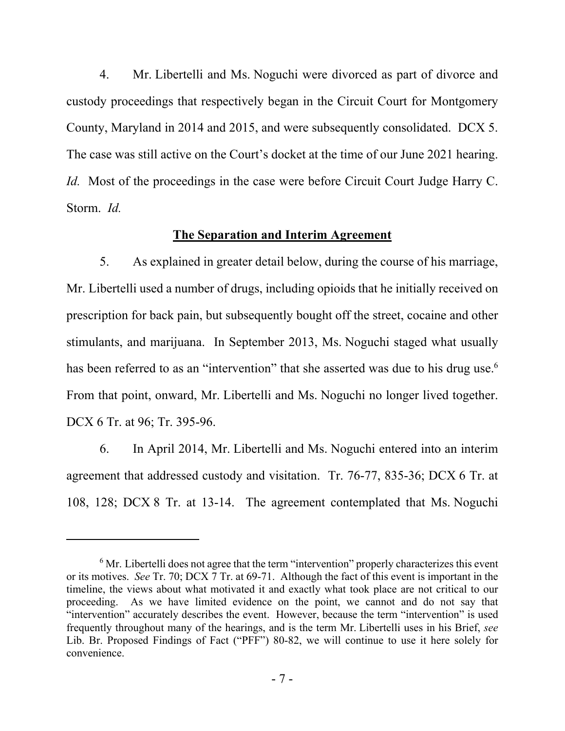4. Mr. Libertelli and Ms. Noguchi were divorced as part of divorce and custody proceedings that respectively began in the Circuit Court for Montgomery County, Maryland in 2014 and 2015, and were subsequently consolidated. DCX 5. The case was still active on the Court's docket at the time of our June 2021 hearing. *Id.* Most of the proceedings in the case were before Circuit Court Judge Harry C. Storm. *Id.*

### **The Separation and Interim Agreement**

5. As explained in greater detail below, during the course of his marriage, Mr. Libertelli used a number of drugs, including opioids that he initially received on prescription for back pain, but subsequently bought off the street, cocaine and other stimulants, and marijuana. In September 2013, Ms. Noguchi staged what usually has been referred to as an "intervention" that she asserted was due to his drug use.<sup>6</sup> From that point, onward, Mr. Libertelli and Ms. Noguchi no longer lived together. DCX 6 Tr. at 96; Tr. 395-96.

6. In April 2014, Mr. Libertelli and Ms. Noguchi entered into an interim agreement that addressed custody and visitation. Tr. 76-77, 835-36; DCX 6 Tr. at 108, 128; DCX 8 Tr. at 13-14. The agreement contemplated that Ms. Noguchi

 $6$  Mr. Libertelli does not agree that the term "intervention" properly characterizes this event or its motives. *See* Tr. 70; DCX 7 Tr. at 69-71. Although the fact of this event is important in the timeline, the views about what motivated it and exactly what took place are not critical to our proceeding. As we have limited evidence on the point, we cannot and do not say that "intervention" accurately describes the event. However, because the term "intervention" is used frequently throughout many of the hearings, and is the term Mr. Libertelli uses in his Brief, *see*  Lib. Br. Proposed Findings of Fact ("PFF") 80-82, we will continue to use it here solely for convenience.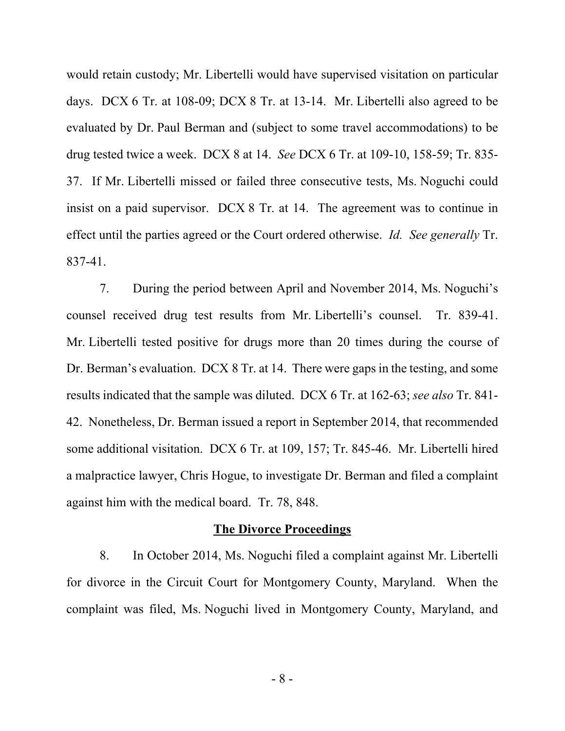would retain custody; Mr. Libertelli would have supervised visitation on particular days. DCX 6 Tr. at 108-09; DCX 8 Tr. at 13-14. Mr. Libertelli also agreed to be evaluated by Dr. Paul Berman and (subject to some travel accommodations) to be drug tested twice a week. DCX 8 at 14. *See* DCX 6 Tr. at 109-10, 158-59; Tr. 835- 37. If Mr. Libertelli missed or failed three consecutive tests, Ms. Noguchi could insist on a paid supervisor. DCX 8 Tr. at 14. The agreement was to continue in effect until the parties agreed or the Court ordered otherwise. *Id. See generally* Tr. 837-41.

7. During the period between April and November 2014, Ms. Noguchi's counsel received drug test results from Mr. Libertelli's counsel. Tr. 839-41. Mr. Libertelli tested positive for drugs more than 20 times during the course of Dr. Berman's evaluation. DCX 8 Tr. at 14. There were gaps in the testing, and some results indicated that the sample was diluted. DCX 6 Tr. at 162-63; *see also* Tr. 841- 42. Nonetheless, Dr. Berman issued a report in September 2014, that recommended some additional visitation. DCX 6 Tr. at 109, 157; Tr. 845-46. Mr. Libertelli hired a malpractice lawyer, Chris Hogue, to investigate Dr. Berman and filed a complaint against him with the medical board. Tr. 78, 848.

### **The Divorce Proceedings**

8. In October 2014, Ms. Noguchi filed a complaint against Mr. Libertelli for divorce in the Circuit Court for Montgomery County, Maryland. When the complaint was filed, Ms. Noguchi lived in Montgomery County, Maryland, and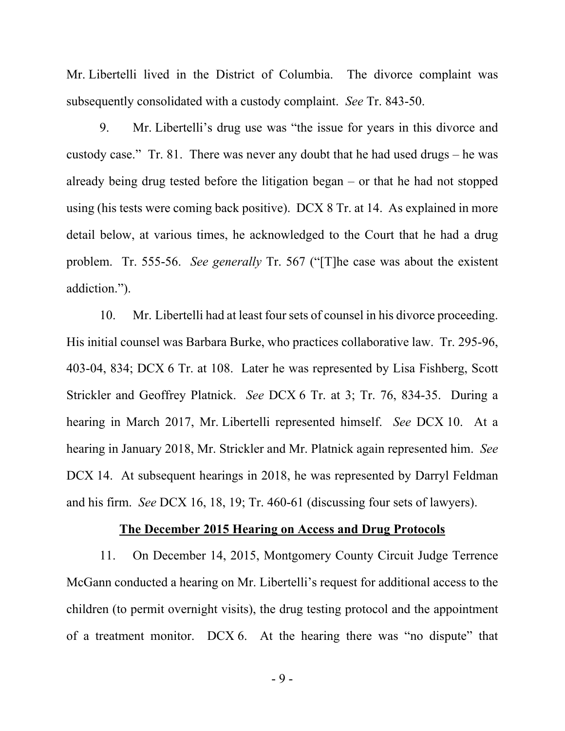Mr. Libertelli lived in the District of Columbia. The divorce complaint was subsequently consolidated with a custody complaint. *See* Tr. 843-50.

9. Mr. Libertelli's drug use was "the issue for years in this divorce and custody case." Tr. 81. There was never any doubt that he had used drugs – he was already being drug tested before the litigation began – or that he had not stopped using (his tests were coming back positive). DCX 8 Tr. at 14. As explained in more detail below, at various times, he acknowledged to the Court that he had a drug problem. Tr. 555-56. *See generally* Tr. 567 ("[T]he case was about the existent addiction.").

10. Mr. Libertelli had at least four sets of counsel in his divorce proceeding. His initial counsel was Barbara Burke, who practices collaborative law. Tr. 295-96, 403-04, 834; DCX 6 Tr. at 108. Later he was represented by Lisa Fishberg, Scott Strickler and Geoffrey Platnick. *See* DCX 6 Tr. at 3; Tr. 76, 834-35. During a hearing in March 2017, Mr. Libertelli represented himself. *See* DCX 10. At a hearing in January 2018, Mr. Strickler and Mr. Platnick again represented him. *See*  DCX 14. At subsequent hearings in 2018, he was represented by Darryl Feldman and his firm. *See* DCX 16, 18, 19; Tr. 460-61 (discussing four sets of lawyers).

### **The December 2015 Hearing on Access and Drug Protocols**

11. On December 14, 2015, Montgomery County Circuit Judge Terrence McGann conducted a hearing on Mr. Libertelli's request for additional access to the children (to permit overnight visits), the drug testing protocol and the appointment of a treatment monitor. DCX 6. At the hearing there was "no dispute" that

- 9 -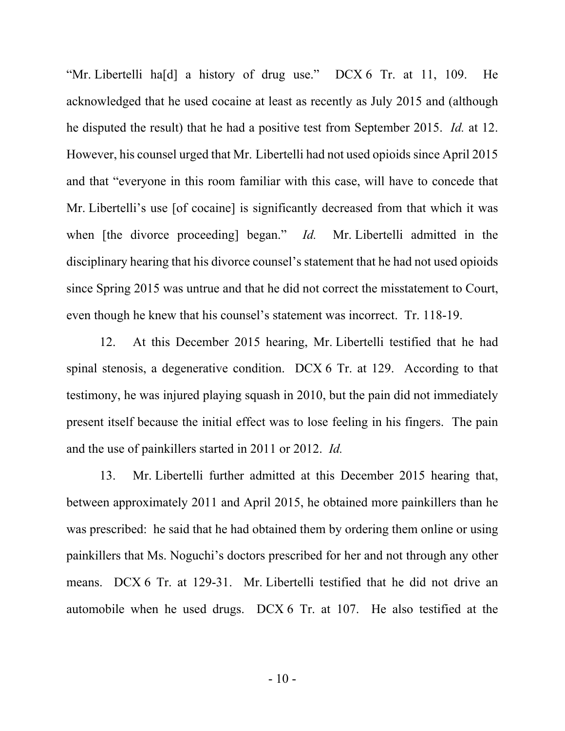"Mr. Libertelli ha[d] a history of drug use." DCX 6 Tr. at 11, 109. He acknowledged that he used cocaine at least as recently as July 2015 and (although he disputed the result) that he had a positive test from September 2015. *Id.* at 12. However, his counsel urged that Mr. Libertelli had not used opioids since April 2015 and that "everyone in this room familiar with this case, will have to concede that Mr. Libertelli's use [of cocaine] is significantly decreased from that which it was when [the divorce proceeding] began." *Id.* Mr. Libertelli admitted in the disciplinary hearing that his divorce counsel's statement that he had not used opioids since Spring 2015 was untrue and that he did not correct the misstatement to Court, even though he knew that his counsel's statement was incorrect. Tr. 118-19.

12. At this December 2015 hearing, Mr. Libertelli testified that he had spinal stenosis, a degenerative condition. DCX 6 Tr. at 129. According to that testimony, he was injured playing squash in 2010, but the pain did not immediately present itself because the initial effect was to lose feeling in his fingers. The pain and the use of painkillers started in 2011 or 2012. *Id.* 

13. Mr. Libertelli further admitted at this December 2015 hearing that, between approximately 2011 and April 2015, he obtained more painkillers than he was prescribed: he said that he had obtained them by ordering them online or using painkillers that Ms. Noguchi's doctors prescribed for her and not through any other means. DCX 6 Tr. at 129-31. Mr. Libertelli testified that he did not drive an automobile when he used drugs. DCX 6 Tr. at 107. He also testified at the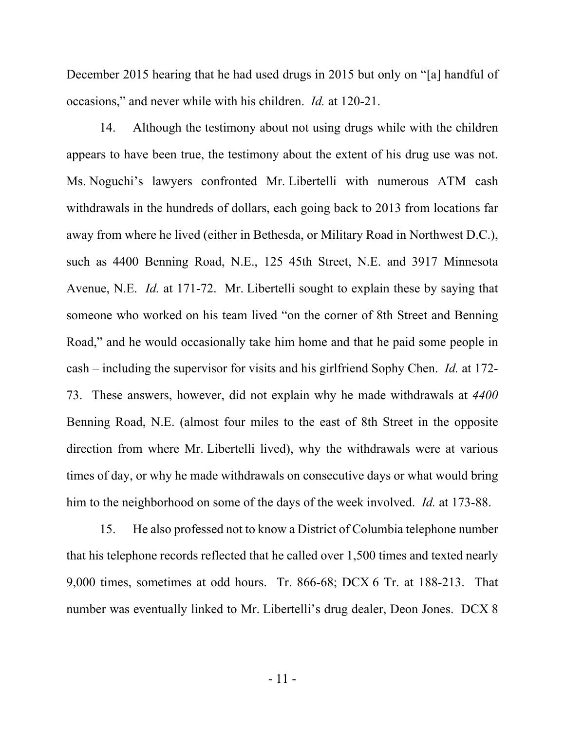December 2015 hearing that he had used drugs in 2015 but only on "[a] handful of occasions," and never while with his children. *Id.* at 120-21.

14. Although the testimony about not using drugs while with the children appears to have been true, the testimony about the extent of his drug use was not. Ms. Noguchi's lawyers confronted Mr. Libertelli with numerous ATM cash withdrawals in the hundreds of dollars, each going back to 2013 from locations far away from where he lived (either in Bethesda, or Military Road in Northwest D.C.), such as 4400 Benning Road, N.E., 125 45th Street, N.E. and 3917 Minnesota Avenue, N.E. *Id.* at 171-72. Mr. Libertelli sought to explain these by saying that someone who worked on his team lived "on the corner of 8th Street and Benning Road," and he would occasionally take him home and that he paid some people in cash – including the supervisor for visits and his girlfriend Sophy Chen. *Id.* at 172- 73. These answers, however, did not explain why he made withdrawals at *4400*  Benning Road, N.E. (almost four miles to the east of 8th Street in the opposite direction from where Mr. Libertelli lived), why the withdrawals were at various times of day, or why he made withdrawals on consecutive days or what would bring him to the neighborhood on some of the days of the week involved. *Id.* at 173-88.

15. He also professed not to know a District of Columbia telephone number that his telephone records reflected that he called over 1,500 times and texted nearly 9,000 times, sometimes at odd hours. Tr. 866-68; DCX 6 Tr. at 188-213. That number was eventually linked to Mr. Libertelli's drug dealer, Deon Jones. DCX 8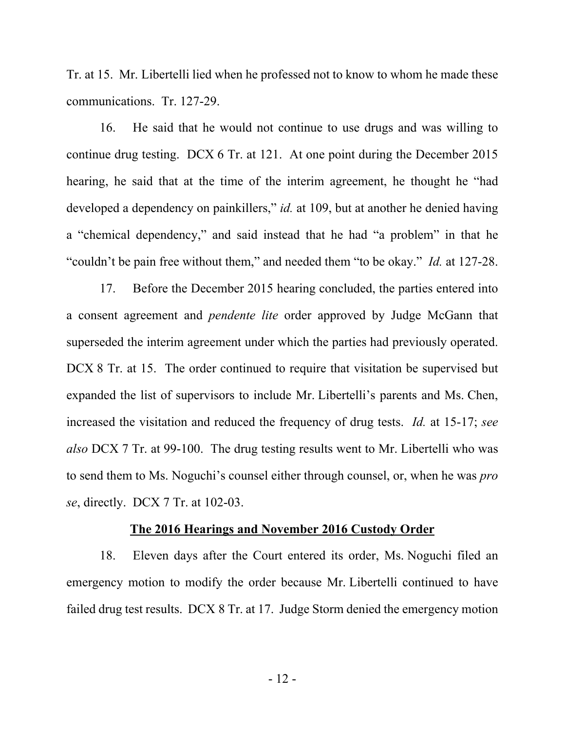Tr. at 15. Mr. Libertelli lied when he professed not to know to whom he made these communications. Tr. 127-29.

16. He said that he would not continue to use drugs and was willing to continue drug testing. DCX 6 Tr. at 121. At one point during the December 2015 hearing, he said that at the time of the interim agreement, he thought he "had developed a dependency on painkillers," *id.* at 109, but at another he denied having a "chemical dependency," and said instead that he had "a problem" in that he "couldn't be pain free without them," and needed them "to be okay." *Id.* at 127-28.

17. Before the December 2015 hearing concluded, the parties entered into a consent agreement and *pendente lite* order approved by Judge McGann that superseded the interim agreement under which the parties had previously operated. DCX 8 Tr. at 15. The order continued to require that visitation be supervised but expanded the list of supervisors to include Mr. Libertelli's parents and Ms. Chen, increased the visitation and reduced the frequency of drug tests. *Id.* at 15-17; *see also* DCX 7 Tr. at 99-100. The drug testing results went to Mr. Libertelli who was to send them to Ms. Noguchi's counsel either through counsel, or, when he was *pro se*, directly. DCX 7 Tr. at 102-03.

## **The 2016 Hearings and November 2016 Custody Order**

18. Eleven days after the Court entered its order, Ms. Noguchi filed an emergency motion to modify the order because Mr. Libertelli continued to have failed drug test results. DCX 8 Tr. at 17. Judge Storm denied the emergency motion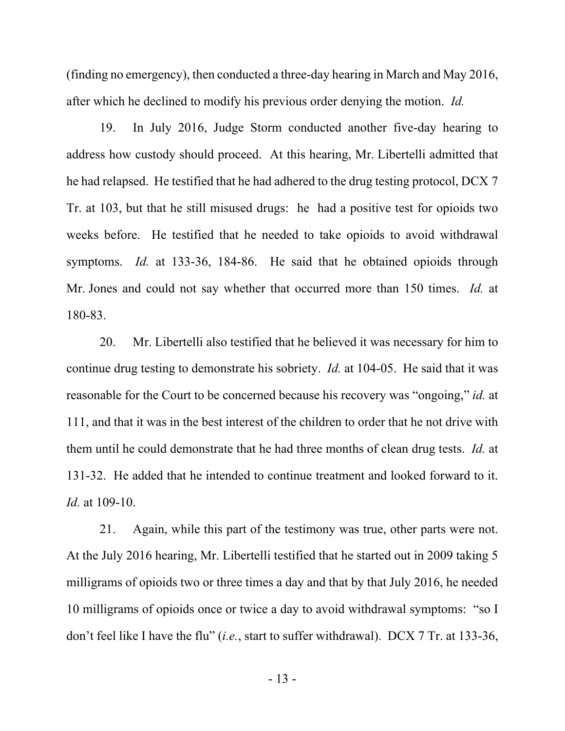(finding no emergency), then conducted a three-day hearing in March and May 2016, after which he declined to modify his previous order denying the motion. *Id.*

19. In July 2016, Judge Storm conducted another five-day hearing to address how custody should proceed. At this hearing, Mr. Libertelli admitted that he had relapsed. He testified that he had adhered to the drug testing protocol, DCX 7 Tr. at 103, but that he still misused drugs: he had a positive test for opioids two weeks before. He testified that he needed to take opioids to avoid withdrawal symptoms. *Id.* at 133-36, 184-86. He said that he obtained opioids through Mr. Jones and could not say whether that occurred more than 150 times. *Id.* at 180-83.

20. Mr. Libertelli also testified that he believed it was necessary for him to continue drug testing to demonstrate his sobriety. *Id.* at 104-05. He said that it was reasonable for the Court to be concerned because his recovery was "ongoing," *id.* at 111, and that it was in the best interest of the children to order that he not drive with them until he could demonstrate that he had three months of clean drug tests. *Id.* at 131-32. He added that he intended to continue treatment and looked forward to it. *Id.* at 109-10.

21. Again, while this part of the testimony was true, other parts were not. At the July 2016 hearing, Mr. Libertelli testified that he started out in 2009 taking 5 milligrams of opioids two or three times a day and that by that July 2016, he needed 10 milligrams of opioids once or twice a day to avoid withdrawal symptoms: "so I don't feel like I have the flu" (*i.e.*, start to suffer withdrawal). DCX 7 Tr. at 133-36,

- 13 -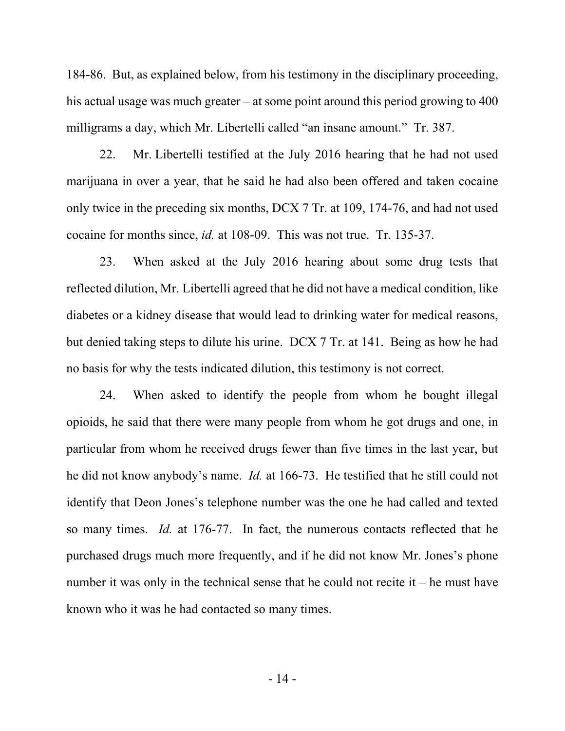184-86. But, as explained below, from his testimony in the disciplinary proceeding, his actual usage was much greater – at some point around this period growing to 400 milligrams a day, which Mr. Libertelli called "an insane amount."Tr. 387.

22. Mr. Libertelli testified at the July 2016 hearing that he had not used marijuana in over a year, that he said he had also been offered and taken cocaine only twice in the preceding six months, DCX 7 Tr. at 109, 174-76, and had not used cocaine for months since, *id.* at 108-09. This was not true. Tr. 135-37.

23. When asked at the July 2016 hearing about some drug tests that reflected dilution, Mr. Libertelli agreed that he did not have a medical condition, like diabetes or a kidney disease that would lead to drinking water for medical reasons, but denied taking steps to dilute his urine. DCX 7 Tr. at 141. Being as how he had no basis for why the tests indicated dilution, this testimony is not correct.

24. When asked to identify the people from whom he bought illegal opioids, he said that there were many people from whom he got drugs and one, in particular from whom he received drugs fewer than five times in the last year, but he did not know anybody's name. *Id.* at 166-73. He testified that he still could not identify that Deon Jones's telephone number was the one he had called and texted so many times. *Id.* at 176-77. In fact, the numerous contacts reflected that he purchased drugs much more frequently, and if he did not know Mr. Jones's phone number it was only in the technical sense that he could not recite it  $-$  he must have known who it was he had contacted so many times.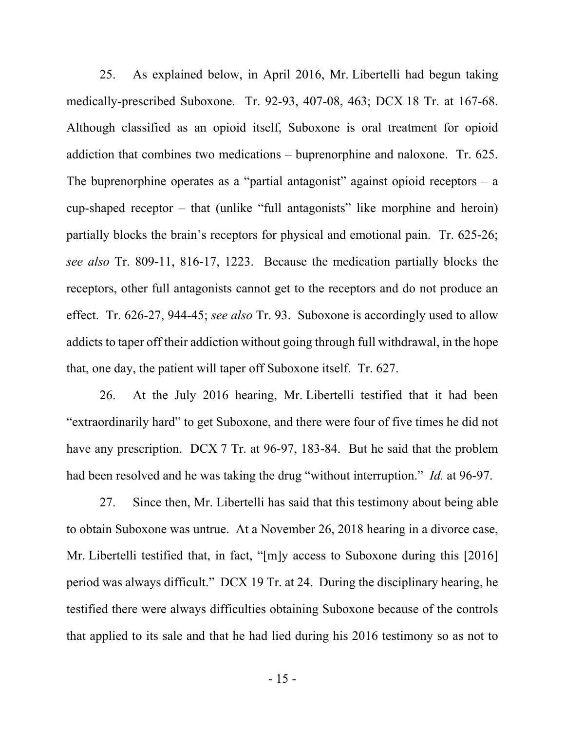25. As explained below, in April 2016, Mr. Libertelli had begun taking medically-prescribed Suboxone. Tr. 92-93, 407-08, 463; DCX 18 Tr. at 167-68. Although classified as an opioid itself, Suboxone is oral treatment for opioid addiction that combines two medications – buprenorphine and naloxone. Tr. 625. The buprenorphine operates as a "partial antagonist" against opioid receptors  $-$  a cup-shaped receptor – that (unlike "full antagonists" like morphine and heroin) partially blocks the brain's receptors for physical and emotional pain. Tr. 625-26; *see also* Tr. 809-11, 816-17, 1223. Because the medication partially blocks the receptors, other full antagonists cannot get to the receptors and do not produce an effect. Tr. 626-27, 944-45; *see also* Tr. 93. Suboxone is accordingly used to allow addicts to taper off their addiction without going through full withdrawal, in the hope that, one day, the patient will taper off Suboxone itself. Tr. 627.

26. At the July 2016 hearing, Mr. Libertelli testified that it had been "extraordinarily hard" to get Suboxone, and there were four of five times he did not have any prescription. DCX 7 Tr. at 96-97, 183-84. But he said that the problem had been resolved and he was taking the drug "without interruption." *Id.* at 96-97.

27. Since then, Mr. Libertelli has said that this testimony about being able to obtain Suboxone was untrue. At a November 26, 2018 hearing in a divorce case, Mr. Libertelli testified that, in fact, "[m]y access to Suboxone during this [2016] period was always difficult." DCX 19 Tr. at 24. During the disciplinary hearing, he testified there were always difficulties obtaining Suboxone because of the controls that applied to its sale and that he had lied during his 2016 testimony so as not to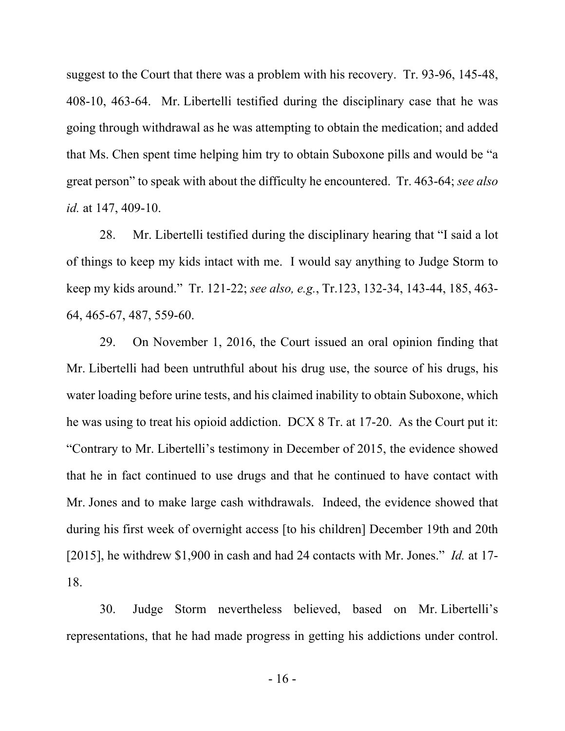suggest to the Court that there was a problem with his recovery. Tr. 93-96, 145-48, 408-10, 463-64. Mr. Libertelli testified during the disciplinary case that he was going through withdrawal as he was attempting to obtain the medication; and added that Ms. Chen spent time helping him try to obtain Suboxone pills and would be "a great person" to speak with about the difficulty he encountered. Tr. 463-64; *see also id.* at 147, 409-10.

28. Mr. Libertelli testified during the disciplinary hearing that "I said a lot of things to keep my kids intact with me. I would say anything to Judge Storm to keep my kids around." Tr. 121-22; *see also, e.g.*, Tr.123, 132-34, 143-44, 185, 463- 64, 465-67, 487, 559-60.

29. On November 1, 2016, the Court issued an oral opinion finding that Mr. Libertelli had been untruthful about his drug use, the source of his drugs, his water loading before urine tests, and his claimed inability to obtain Suboxone, which he was using to treat his opioid addiction. DCX 8 Tr. at 17-20. As the Court put it: "Contrary to Mr. Libertelli's testimony in December of 2015, the evidence showed that he in fact continued to use drugs and that he continued to have contact with Mr. Jones and to make large cash withdrawals. Indeed, the evidence showed that during his first week of overnight access [to his children] December 19th and 20th [2015], he withdrew \$1,900 in cash and had 24 contacts with Mr. Jones." *Id.* at 17- 18.

30. Judge Storm nevertheless believed, based on Mr. Libertelli's representations, that he had made progress in getting his addictions under control.

- 16 -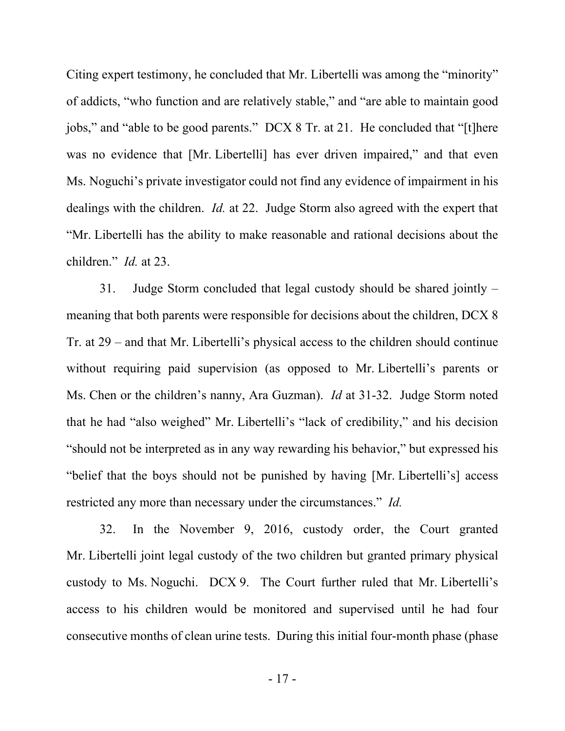Citing expert testimony, he concluded that Mr. Libertelli was among the "minority" of addicts, "who function and are relatively stable," and "are able to maintain good jobs," and "able to be good parents." DCX 8 Tr. at 21. He concluded that "[t]here was no evidence that [Mr. Libertelli] has ever driven impaired," and that even Ms. Noguchi's private investigator could not find any evidence of impairment in his dealings with the children. *Id.* at 22. Judge Storm also agreed with the expert that "Mr. Libertelli has the ability to make reasonable and rational decisions about the children." *Id.* at 23.

31. Judge Storm concluded that legal custody should be shared jointly – meaning that both parents were responsible for decisions about the children, DCX 8 Tr. at 29 – and that Mr. Libertelli's physical access to the children should continue without requiring paid supervision (as opposed to Mr. Libertelli's parents or Ms. Chen or the children's nanny, Ara Guzman). *Id* at 31-32. Judge Storm noted that he had "also weighed" Mr. Libertelli's "lack of credibility," and his decision "should not be interpreted as in any way rewarding his behavior," but expressed his "belief that the boys should not be punished by having [Mr. Libertelli's] access restricted any more than necessary under the circumstances." *Id.*

32. In the November 9, 2016, custody order, the Court granted Mr. Libertelli joint legal custody of the two children but granted primary physical custody to Ms. Noguchi. DCX 9. The Court further ruled that Mr. Libertelli's access to his children would be monitored and supervised until he had four consecutive months of clean urine tests. During this initial four-month phase (phase

- 17 -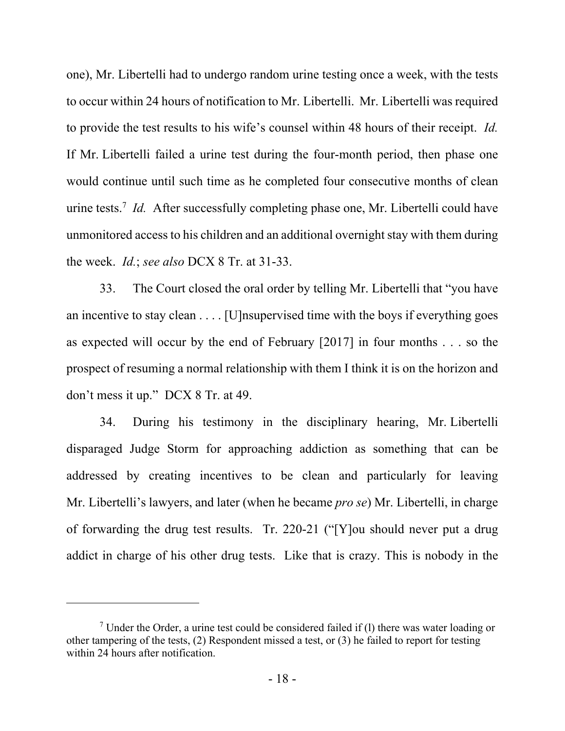one), Mr. Libertelli had to undergo random urine testing once a week, with the tests to occur within 24 hours of notification to Mr. Libertelli. Mr. Libertelli was required to provide the test results to his wife's counsel within 48 hours of their receipt. *Id.*  If Mr. Libertelli failed a urine test during the four-month period, then phase one would continue until such time as he completed four consecutive months of clean urine tests.<sup>7</sup> *Id.* After successfully completing phase one, Mr. Libertelli could have unmonitored access to his children and an additional overnight stay with them during the week. *Id.*; *see also* DCX 8 Tr. at 31-33.

33. The Court closed the oral order by telling Mr. Libertelli that "you have an incentive to stay clean  $\dots$  [U]nsupervised time with the boys if everything goes as expected will occur by the end of February [2017] in four months . . . so the prospect of resuming a normal relationship with them I think it is on the horizon and don't mess it up." DCX 8 Tr. at 49.

34. During his testimony in the disciplinary hearing, Mr. Libertelli disparaged Judge Storm for approaching addiction as something that can be addressed by creating incentives to be clean and particularly for leaving Mr. Libertelli's lawyers, and later (when he became *pro se*) Mr. Libertelli, in charge of forwarding the drug test results. Tr. 220-21 ("[Y]ou should never put a drug addict in charge of his other drug tests. Like that is crazy. This is nobody in the

<sup>&</sup>lt;sup>7</sup> Under the Order, a urine test could be considered failed if (1) there was water loading or other tampering of the tests, (2) Respondent missed a test, or (3) he failed to report for testing within 24 hours after notification.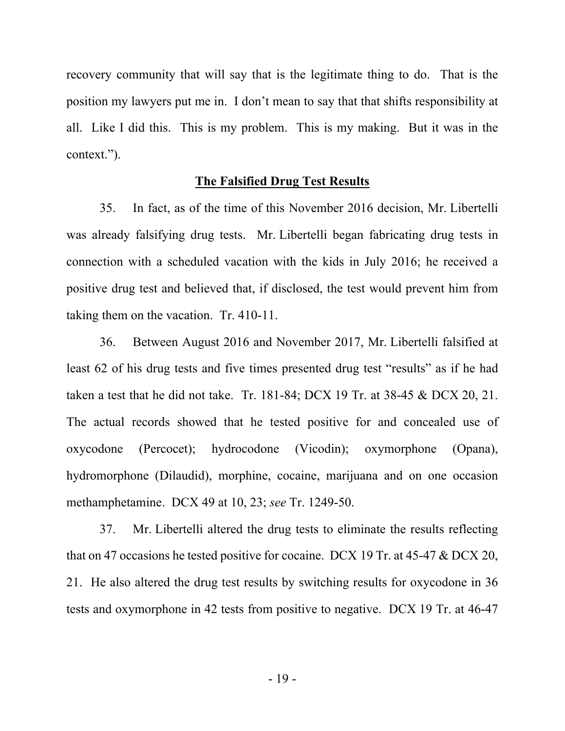recovery community that will say that is the legitimate thing to do. That is the position my lawyers put me in. I don't mean to say that that shifts responsibility at all. Like I did this. This is my problem. This is my making. But it was in the context.").

## **The Falsified Drug Test Results**

35. In fact, as of the time of this November 2016 decision, Mr. Libertelli was already falsifying drug tests. Mr. Libertelli began fabricating drug tests in connection with a scheduled vacation with the kids in July 2016; he received a positive drug test and believed that, if disclosed, the test would prevent him from taking them on the vacation. Tr. 410-11.

36. Between August 2016 and November 2017, Mr. Libertelli falsified at least 62 of his drug tests and five times presented drug test "results" as if he had taken a test that he did not take. Tr. 181-84; DCX 19 Tr. at 38-45 & DCX 20, 21. The actual records showed that he tested positive for and concealed use of oxycodone (Percocet); hydrocodone (Vicodin); oxymorphone (Opana), hydromorphone (Dilaudid), morphine, cocaine, marijuana and on one occasion methamphetamine. DCX 49 at 10, 23; *see* Tr. 1249-50.

37. Mr. Libertelli altered the drug tests to eliminate the results reflecting that on 47 occasions he tested positive for cocaine. DCX 19 Tr. at 45-47 & DCX 20, 21. He also altered the drug test results by switching results for oxycodone in 36 tests and oxymorphone in 42 tests from positive to negative. DCX 19 Tr. at 46-47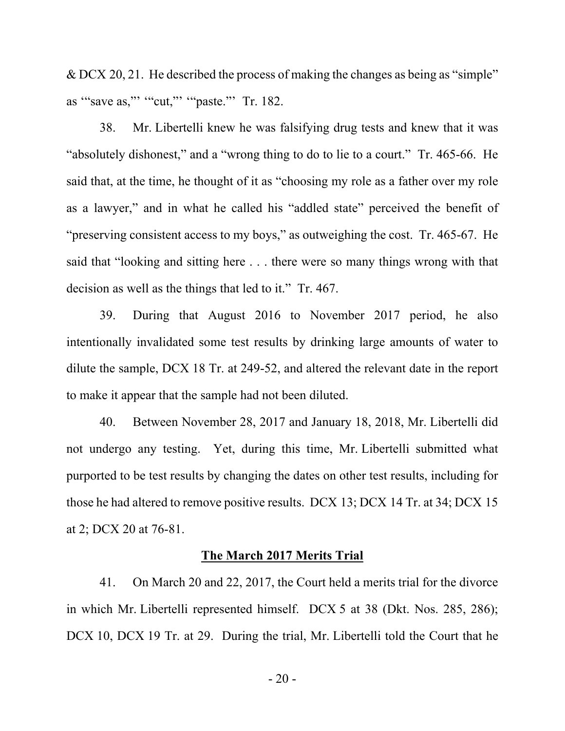& DCX 20, 21. He described the process of making the changes as being as "simple" as '"save as,"' '"cut,"' '"paste."' Tr. 182.

38. Mr. Libertelli knew he was falsifying drug tests and knew that it was "absolutely dishonest," and a "wrong thing to do to lie to a court." Tr. 465-66. He said that, at the time, he thought of it as "choosing my role as a father over my role as a lawyer," and in what he called his "addled state" perceived the benefit of "preserving consistent access to my boys," as outweighing the cost. Tr. 465-67. He said that "looking and sitting here . . . there were so many things wrong with that decision as well as the things that led to it." Tr. 467.

39. During that August 2016 to November 2017 period, he also intentionally invalidated some test results by drinking large amounts of water to dilute the sample, DCX 18 Tr. at 249-52, and altered the relevant date in the report to make it appear that the sample had not been diluted.

40. Between November 28, 2017 and January 18, 2018, Mr. Libertelli did not undergo any testing. Yet, during this time, Mr. Libertelli submitted what purported to be test results by changing the dates on other test results, including for those he had altered to remove positive results. DCX 13; DCX 14 Tr. at 34; DCX 15 at 2; DCX 20 at 76-81.

## **The March 2017 Merits Trial**

41. On March 20 and 22, 2017, the Court held a merits trial for the divorce in which Mr. Libertelli represented himself. DCX 5 at 38 (Dkt. Nos. 285, 286); DCX 10, DCX 19 Tr. at 29. During the trial, Mr. Libertelli told the Court that he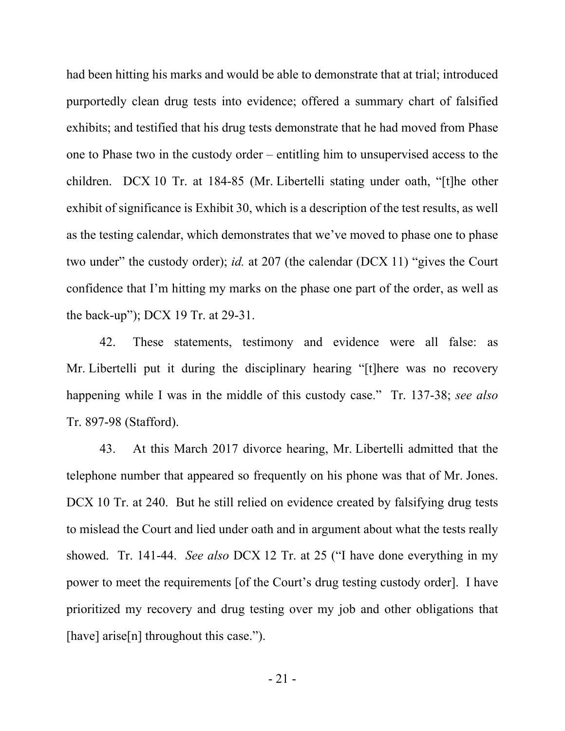had been hitting his marks and would be able to demonstrate that at trial; introduced purportedly clean drug tests into evidence; offered a summary chart of falsified exhibits; and testified that his drug tests demonstrate that he had moved from Phase one to Phase two in the custody order – entitling him to unsupervised access to the children. DCX 10 Tr. at 184-85 (Mr. Libertelli stating under oath, "[t]he other exhibit of significance is Exhibit 30, which is a description of the test results, as well as the testing calendar, which demonstrates that we've moved to phase one to phase two under" the custody order); *id.* at 207 (the calendar (DCX 11) "gives the Court confidence that I'm hitting my marks on the phase one part of the order, as well as the back-up"); DCX 19 Tr. at 29-31.

42. These statements, testimony and evidence were all false: as Mr. Libertelli put it during the disciplinary hearing "[t]here was no recovery happening while I was in the middle of this custody case." Tr. 137-38; *see also* Tr. 897-98 (Stafford).

43. At this March 2017 divorce hearing, Mr. Libertelli admitted that the telephone number that appeared so frequently on his phone was that of Mr. Jones. DCX 10 Tr. at 240. But he still relied on evidence created by falsifying drug tests to mislead the Court and lied under oath and in argument about what the tests really showed. Tr. 141-44. *See also* DCX 12 Tr. at 25 ("I have done everything in my power to meet the requirements [of the Court's drug testing custody order]. I have prioritized my recovery and drug testing over my job and other obligations that [have] arise[n] throughout this case.").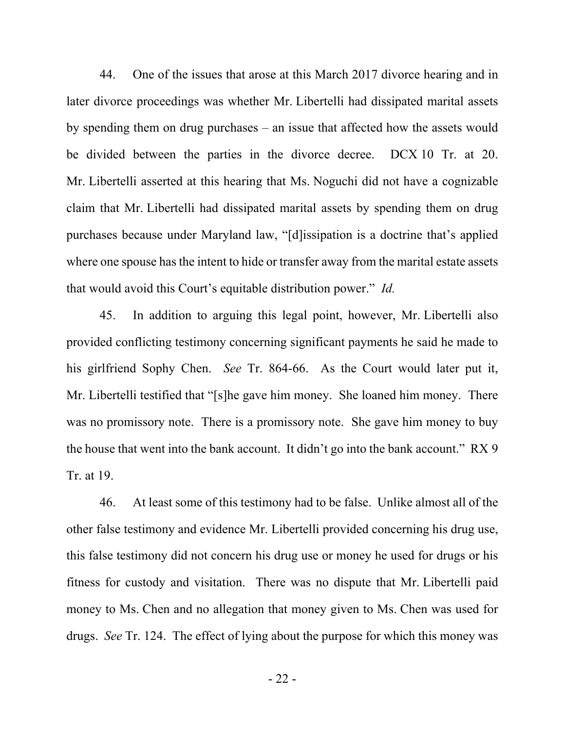44. One of the issues that arose at this March 2017 divorce hearing and in later divorce proceedings was whether Mr. Libertelli had dissipated marital assets by spending them on drug purchases – an issue that affected how the assets would be divided between the parties in the divorce decree. DCX 10 Tr. at 20. Mr. Libertelli asserted at this hearing that Ms. Noguchi did not have a cognizable claim that Mr. Libertelli had dissipated marital assets by spending them on drug purchases because under Maryland law, "[d]issipation is a doctrine that's applied where one spouse has the intent to hide or transfer away from the marital estate assets that would avoid this Court's equitable distribution power." *Id.*

45. In addition to arguing this legal point, however, Mr. Libertelli also provided conflicting testimony concerning significant payments he said he made to his girlfriend Sophy Chen. *See* Tr. 864-66. As the Court would later put it, Mr. Libertelli testified that "[s]he gave him money. She loaned him money. There was no promissory note. There is a promissory note. She gave him money to buy the house that went into the bank account. It didn't go into the bank account." RX 9 Tr. at 19.

46. At least some of this testimony had to be false. Unlike almost all of the other false testimony and evidence Mr. Libertelli provided concerning his drug use, this false testimony did not concern his drug use or money he used for drugs or his fitness for custody and visitation. There was no dispute that Mr. Libertelli paid money to Ms. Chen and no allegation that money given to Ms. Chen was used for drugs. *See* Tr. 124. The effect of lying about the purpose for which this money was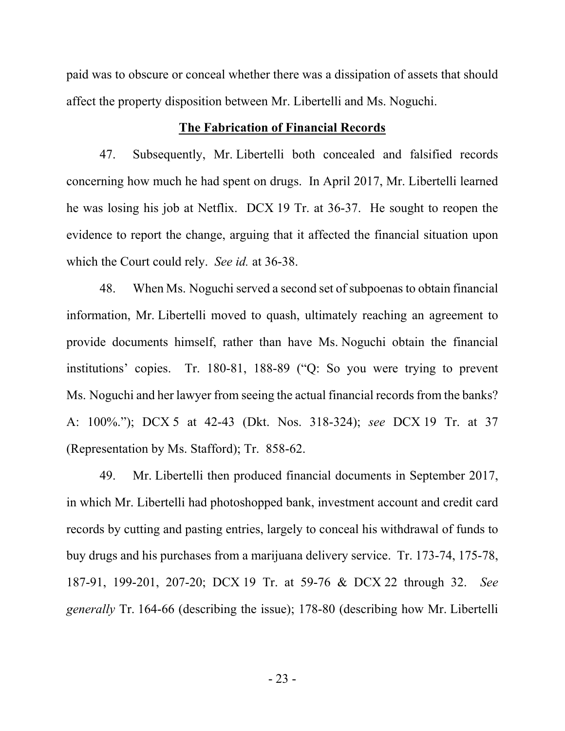paid was to obscure or conceal whether there was a dissipation of assets that should affect the property disposition between Mr. Libertelli and Ms. Noguchi.

# **The Fabrication of Financial Records**

47. Subsequently, Mr. Libertelli both concealed and falsified records concerning how much he had spent on drugs. In April 2017, Mr. Libertelli learned he was losing his job at Netflix. DCX 19 Tr. at 36-37. He sought to reopen the evidence to report the change, arguing that it affected the financial situation upon which the Court could rely. *See id.* at 36-38.

48. When Ms. Noguchi served a second set of subpoenas to obtain financial information, Mr. Libertelli moved to quash, ultimately reaching an agreement to provide documents himself, rather than have Ms. Noguchi obtain the financial institutions' copies. Tr. 180-81, 188-89 ("Q: So you were trying to prevent Ms. Noguchi and her lawyer from seeing the actual financial records from the banks? A: 100%."); DCX 5 at 42-43 (Dkt. Nos. 318-324); *see* DCX 19 Tr. at 37 (Representation by Ms. Stafford); Tr. 858-62.

49. Mr. Libertelli then produced financial documents in September 2017, in which Mr. Libertelli had photoshopped bank, investment account and credit card records by cutting and pasting entries, largely to conceal his withdrawal of funds to buy drugs and his purchases from a marijuana delivery service. Tr. 173-74, 175-78, 187-91, 199-201, 207-20; DCX 19 Tr. at 59-76 & DCX 22 through 32. *See generally* Tr. 164-66 (describing the issue); 178-80 (describing how Mr. Libertelli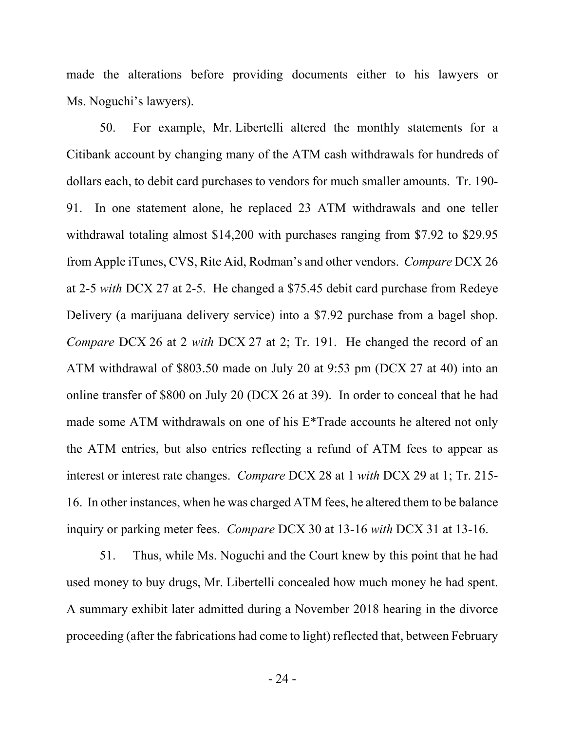made the alterations before providing documents either to his lawyers or Ms. Noguchi's lawyers).

50. For example, Mr. Libertelli altered the monthly statements for a Citibank account by changing many of the ATM cash withdrawals for hundreds of dollars each, to debit card purchases to vendors for much smaller amounts. Tr. 190- 91. In one statement alone, he replaced 23 ATM withdrawals and one teller withdrawal totaling almost \$14,200 with purchases ranging from \$7.92 to \$29.95 from Apple iTunes, CVS, Rite Aid, Rodman's and other vendors. *Compare* DCX 26 at 2-5 *with* DCX 27 at 2-5. He changed a \$75.45 debit card purchase from Redeye Delivery (a marijuana delivery service) into a \$7.92 purchase from a bagel shop. *Compare* DCX 26 at 2 *with* DCX 27 at 2; Tr. 191. He changed the record of an ATM withdrawal of \$803.50 made on July 20 at 9:53 pm (DCX 27 at 40) into an online transfer of \$800 on July 20 (DCX 26 at 39). In order to conceal that he had made some ATM withdrawals on one of his E\*Trade accounts he altered not only the ATM entries, but also entries reflecting a refund of ATM fees to appear as interest or interest rate changes. *Compare* DCX 28 at 1 *with* DCX 29 at 1; Tr. 215- 16. In other instances, when he was charged ATM fees, he altered them to be balance inquiry or parking meter fees. *Compare* DCX 30 at 13-16 *with* DCX 31 at 13-16.

51. Thus, while Ms. Noguchi and the Court knew by this point that he had used money to buy drugs, Mr. Libertelli concealed how much money he had spent. A summary exhibit later admitted during a November 2018 hearing in the divorce proceeding (after the fabrications had come to light) reflected that, between February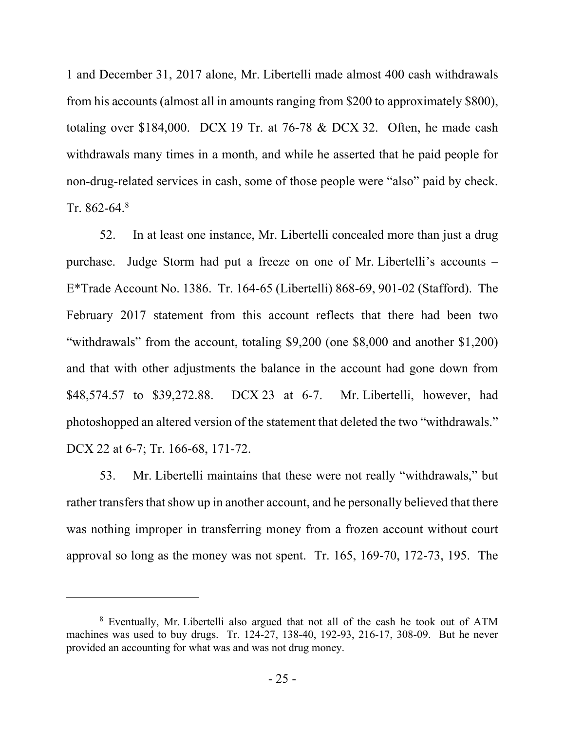1 and December 31, 2017 alone, Mr. Libertelli made almost 400 cash withdrawals from his accounts (almost all in amounts ranging from \$200 to approximately \$800), totaling over \$184,000. DCX 19 Tr. at 76-78 & DCX 32. Often, he made cash withdrawals many times in a month, and while he asserted that he paid people for non-drug-related services in cash, some of those people were "also" paid by check. Tr. 862-64. $8$ 

52. In at least one instance, Mr. Libertelli concealed more than just a drug purchase. Judge Storm had put a freeze on one of Mr. Libertelli's accounts – E\*Trade Account No. 1386. Tr. 164-65 (Libertelli) 868-69, 901-02 (Stafford). The February 2017 statement from this account reflects that there had been two "withdrawals" from the account, totaling \$9,200 (one \$8,000 and another \$1,200) and that with other adjustments the balance in the account had gone down from \$48,574.57 to \$39,272.88. DCX 23 at 6-7. Mr. Libertelli, however, had photoshopped an altered version of the statement that deleted the two "withdrawals." DCX 22 at 6-7; Tr. 166-68, 171-72.

53. Mr. Libertelli maintains that these were not really "withdrawals," but rather transfers that show up in another account, and he personally believed that there was nothing improper in transferring money from a frozen account without court approval so long as the money was not spent. Tr. 165, 169-70, 172-73, 195. The

<sup>&</sup>lt;sup>8</sup> Eventually, Mr. Libertelli also argued that not all of the cash he took out of ATM machines was used to buy drugs. Tr. 124-27, 138-40, 192-93, 216-17, 308-09. But he never provided an accounting for what was and was not drug money.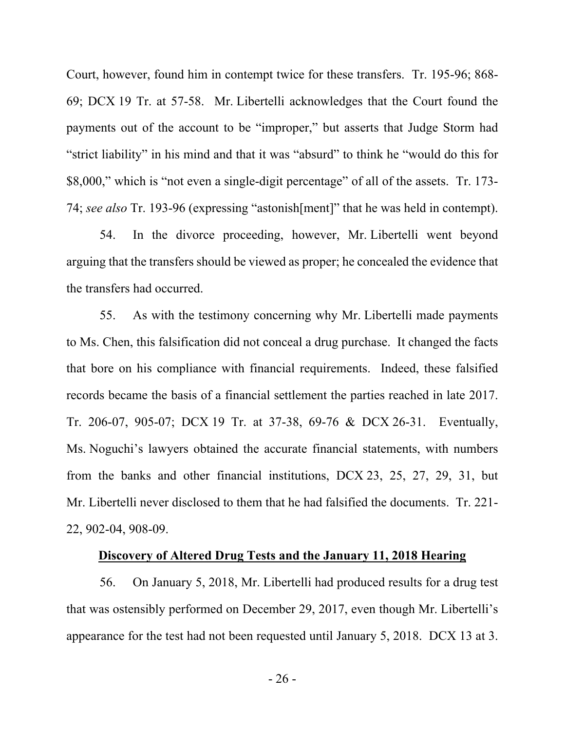Court, however, found him in contempt twice for these transfers. Tr. 195-96; 868- 69; DCX 19 Tr. at 57-58. Mr. Libertelli acknowledges that the Court found the payments out of the account to be "improper," but asserts that Judge Storm had "strict liability" in his mind and that it was "absurd" to think he "would do this for \$8,000," which is "not even a single-digit percentage" of all of the assets. Tr. 173- 74; *see also* Tr. 193-96 (expressing "astonish[ment]" that he was held in contempt).

54. In the divorce proceeding, however, Mr. Libertelli went beyond arguing that the transfers should be viewed as proper; he concealed the evidence that the transfers had occurred.

55. As with the testimony concerning why Mr. Libertelli made payments to Ms. Chen, this falsification did not conceal a drug purchase. It changed the facts that bore on his compliance with financial requirements. Indeed, these falsified records became the basis of a financial settlement the parties reached in late 2017. Tr. 206-07, 905-07; DCX 19 Tr. at 37-38, 69-76 & DCX 26-31. Eventually, Ms. Noguchi's lawyers obtained the accurate financial statements, with numbers from the banks and other financial institutions, DCX 23, 25, 27, 29, 31, but Mr. Libertelli never disclosed to them that he had falsified the documents. Tr. 221- 22, 902-04, 908-09.

### **Discovery of Altered Drug Tests and the January 11, 2018 Hearing**

56. On January 5, 2018, Mr. Libertelli had produced results for a drug test that was ostensibly performed on December 29, 2017, even though Mr. Libertelli's appearance for the test had not been requested until January 5, 2018. DCX 13 at 3.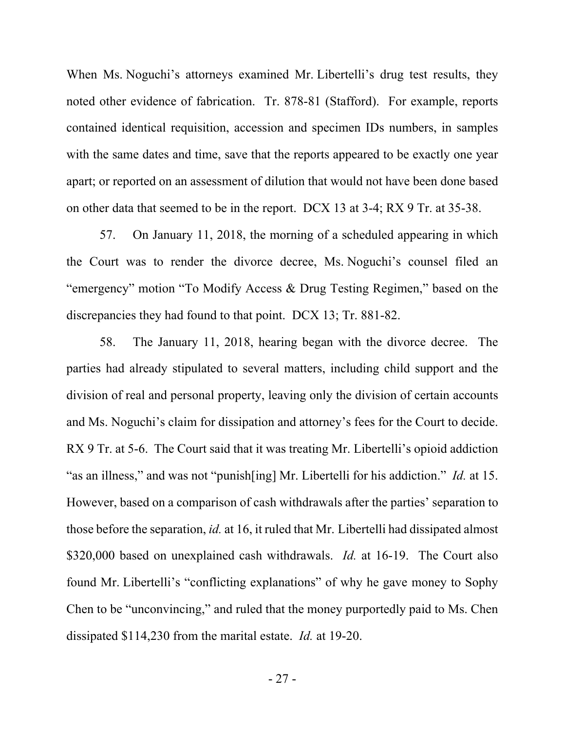When Ms. Noguchi's attorneys examined Mr. Libertelli's drug test results, they noted other evidence of fabrication. Tr. 878-81 (Stafford). For example, reports contained identical requisition, accession and specimen IDs numbers, in samples with the same dates and time, save that the reports appeared to be exactly one year apart; or reported on an assessment of dilution that would not have been done based on other data that seemed to be in the report. DCX 13 at 3-4; RX 9 Tr. at 35-38.

57. On January 11, 2018, the morning of a scheduled appearing in which the Court was to render the divorce decree, Ms. Noguchi's counsel filed an "emergency" motion "To Modify Access & Drug Testing Regimen," based on the discrepancies they had found to that point. DCX 13; Tr. 881-82.

58. The January 11, 2018, hearing began with the divorce decree. The parties had already stipulated to several matters, including child support and the division of real and personal property, leaving only the division of certain accounts and Ms. Noguchi's claim for dissipation and attorney's fees for the Court to decide. RX 9 Tr. at 5-6. The Court said that it was treating Mr. Libertelli's opioid addiction "as an illness," and was not "punish[ing] Mr. Libertelli for his addiction." *Id.* at 15. However, based on a comparison of cash withdrawals after the parties' separation to those before the separation, *id.* at 16, it ruled that Mr. Libertelli had dissipated almost \$320,000 based on unexplained cash withdrawals. *Id.* at 16-19. The Court also found Mr. Libertelli's "conflicting explanations" of why he gave money to Sophy Chen to be "unconvincing," and ruled that the money purportedly paid to Ms. Chen dissipated \$114,230 from the marital estate. *Id.* at 19-20.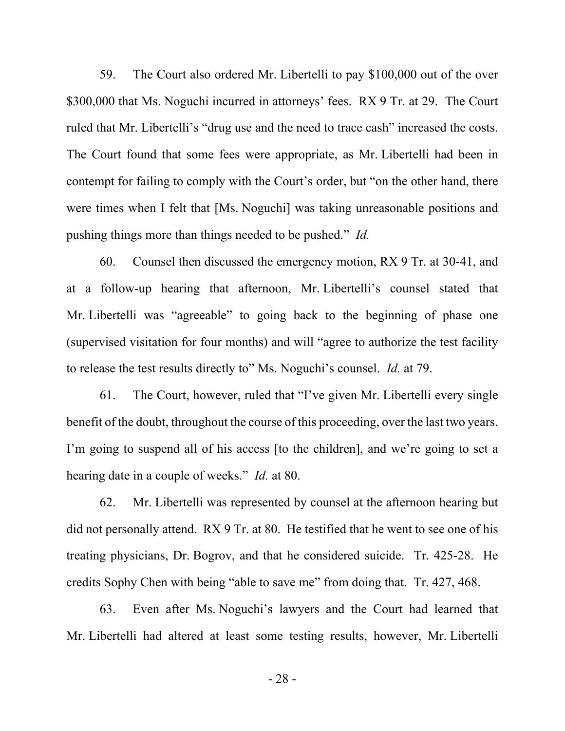59. The Court also ordered Mr. Libertelli to pay \$100,000 out of the over \$300,000 that Ms. Noguchi incurred in attorneys' fees. RX 9 Tr. at 29. The Court ruled that Mr. Libertelli's "drug use and the need to trace cash" increased the costs. The Court found that some fees were appropriate, as Mr. Libertelli had been in contempt for failing to comply with the Court's order, but "on the other hand, there were times when I felt that [Ms. Noguchi] was taking unreasonable positions and pushing things more than things needed to be pushed." *Id.*

60. Counsel then discussed the emergency motion, RX 9 Tr. at 30-41, and at a follow-up hearing that afternoon, Mr. Libertelli's counsel stated that Mr. Libertelli was "agreeable" to going back to the beginning of phase one (supervised visitation for four months) and will "agree to authorize the test facility to release the test results directly to" Ms. Noguchi's counsel. *Id.* at 79.

61. The Court, however, ruled that "I've given Mr. Libertelli every single benefit of the doubt, throughout the course of this proceeding, over the last two years. I'm going to suspend all of his access [to the children], and we're going to set a hearing date in a couple of weeks." *Id.* at 80.

62. Mr. Libertelli was represented by counsel at the afternoon hearing but did not personally attend. RX 9 Tr. at 80. He testified that he went to see one of his treating physicians, Dr. Bogrov, and that he considered suicide. Tr. 425-28. He credits Sophy Chen with being "able to save me" from doing that. Tr. 427, 468.

63. Even after Ms. Noguchi's lawyers and the Court had learned that Mr. Libertelli had altered at least some testing results, however, Mr. Libertelli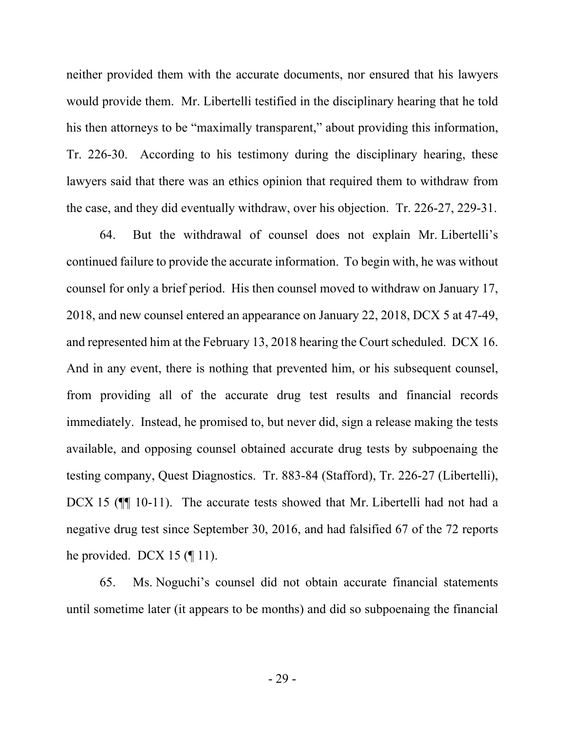neither provided them with the accurate documents, nor ensured that his lawyers would provide them. Mr. Libertelli testified in the disciplinary hearing that he told his then attorneys to be "maximally transparent," about providing this information, Tr. 226-30. According to his testimony during the disciplinary hearing, these lawyers said that there was an ethics opinion that required them to withdraw from the case, and they did eventually withdraw, over his objection. Tr. 226-27, 229-31.

64. But the withdrawal of counsel does not explain Mr. Libertelli's continued failure to provide the accurate information. To begin with, he was without counsel for only a brief period. His then counsel moved to withdraw on January 17, 2018, and new counsel entered an appearance on January 22, 2018, DCX 5 at 47-49, and represented him at the February 13, 2018 hearing the Court scheduled. DCX 16. And in any event, there is nothing that prevented him, or his subsequent counsel, from providing all of the accurate drug test results and financial records immediately. Instead, he promised to, but never did, sign a release making the tests available, and opposing counsel obtained accurate drug tests by subpoenaing the testing company, Quest Diagnostics. Tr. 883-84 (Stafford), Tr. 226-27 (Libertelli), DCX 15 (¶¶ 10-11). The accurate tests showed that Mr. Libertelli had not had a negative drug test since September 30, 2016, and had falsified 67 of the 72 reports he provided. DCX 15  $(\P 11)$ .

65. Ms. Noguchi's counsel did not obtain accurate financial statements until sometime later (it appears to be months) and did so subpoenaing the financial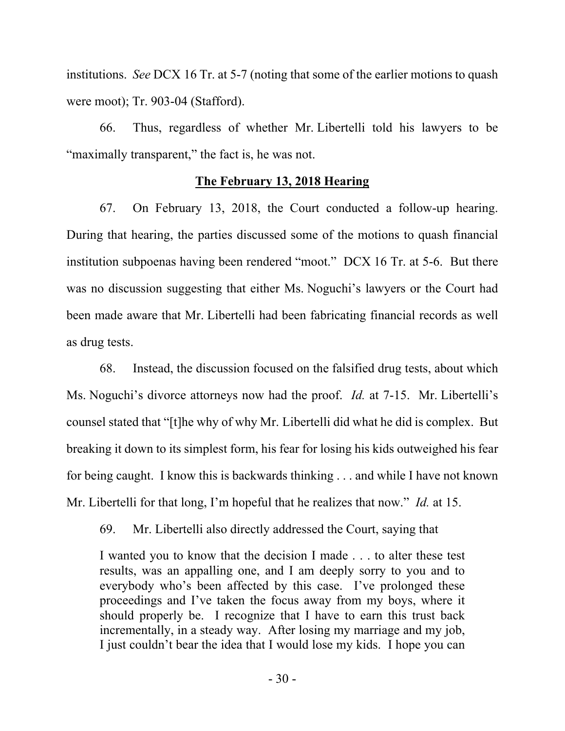institutions. *See* DCX 16 Tr. at 5-7 (noting that some of the earlier motions to quash were moot); Tr. 903-04 (Stafford).

66. Thus, regardless of whether Mr. Libertelli told his lawyers to be "maximally transparent," the fact is, he was not.

# **The February 13, 2018 Hearing**

67. On February 13, 2018, the Court conducted a follow-up hearing. During that hearing, the parties discussed some of the motions to quash financial institution subpoenas having been rendered "moot." DCX 16 Tr. at 5-6. But there was no discussion suggesting that either Ms. Noguchi's lawyers or the Court had been made aware that Mr. Libertelli had been fabricating financial records as well as drug tests.

68. Instead, the discussion focused on the falsified drug tests, about which Ms. Noguchi's divorce attorneys now had the proof. *Id.* at 7-15. Mr. Libertelli's counsel stated that "[t]he why of why Mr. Libertelli did what he did is complex. But breaking it down to its simplest form, his fear for losing his kids outweighed his fear for being caught. I know this is backwards thinking . . . and while I have not known Mr. Libertelli for that long, I'm hopeful that he realizes that now." *Id.* at 15.

69. Mr. Libertelli also directly addressed the Court, saying that

I wanted you to know that the decision I made . . . to alter these test results, was an appalling one, and I am deeply sorry to you and to everybody who's been affected by this case. I've prolonged these proceedings and I've taken the focus away from my boys, where it should properly be. I recognize that I have to earn this trust back incrementally, in a steady way. After losing my marriage and my job, I just couldn't bear the idea that I would lose my kids. I hope you can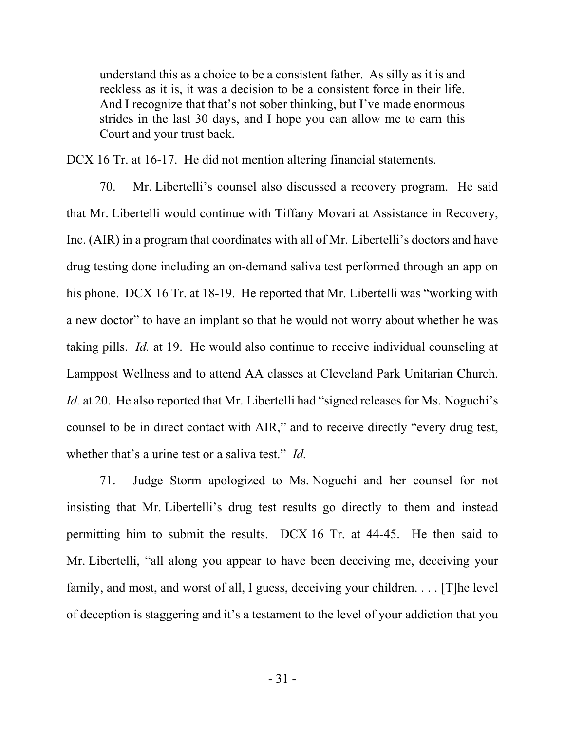understand this as a choice to be a consistent father. As silly as it is and reckless as it is, it was a decision to be a consistent force in their life. And I recognize that that's not sober thinking, but I've made enormous strides in the last 30 days, and I hope you can allow me to earn this Court and your trust back.

DCX 16 Tr. at 16-17. He did not mention altering financial statements.

70. Mr. Libertelli's counsel also discussed a recovery program. He said that Mr. Libertelli would continue with Tiffany Movari at Assistance in Recovery, Inc. (AIR) in a program that coordinates with all of Mr. Libertelli's doctors and have drug testing done including an on-demand saliva test performed through an app on his phone. DCX 16 Tr. at 18-19. He reported that Mr. Libertelli was "working with a new doctor" to have an implant so that he would not worry about whether he was taking pills. *Id.* at 19. He would also continue to receive individual counseling at Lamppost Wellness and to attend AA classes at Cleveland Park Unitarian Church. *Id.* at 20. He also reported that Mr. Libertelli had "signed releases for Ms. Noguchi's counsel to be in direct contact with AIR," and to receive directly "every drug test, whether that's a urine test or a saliva test." *Id.*

71. Judge Storm apologized to Ms. Noguchi and her counsel for not insisting that Mr. Libertelli's drug test results go directly to them and instead permitting him to submit the results. DCX 16 Tr. at 44-45. He then said to Mr. Libertelli, "all along you appear to have been deceiving me, deceiving your family, and most, and worst of all, I guess, deceiving your children. . . . [T]he level of deception is staggering and it's a testament to the level of your addiction that you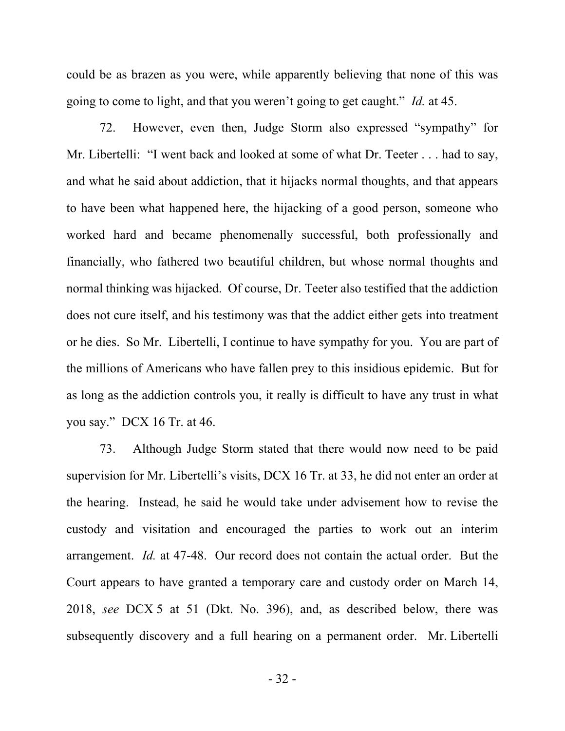could be as brazen as you were, while apparently believing that none of this was going to come to light, and that you weren't going to get caught." *Id.* at 45.

72. However, even then, Judge Storm also expressed "sympathy" for Mr. Libertelli: "I went back and looked at some of what Dr. Teeter . . . had to say, and what he said about addiction, that it hijacks normal thoughts, and that appears to have been what happened here, the hijacking of a good person, someone who worked hard and became phenomenally successful, both professionally and financially, who fathered two beautiful children, but whose normal thoughts and normal thinking was hijacked. Of course, Dr. Teeter also testified that the addiction does not cure itself, and his testimony was that the addict either gets into treatment or he dies. So Mr. Libertelli, I continue to have sympathy for you. You are part of the millions of Americans who have fallen prey to this insidious epidemic. But for as long as the addiction controls you, it really is difficult to have any trust in what you say." DCX 16 Tr. at 46.

73. Although Judge Storm stated that there would now need to be paid supervision for Mr. Libertelli's visits, DCX 16 Tr. at 33, he did not enter an order at the hearing. Instead, he said he would take under advisement how to revise the custody and visitation and encouraged the parties to work out an interim arrangement. *Id.* at 47-48. Our record does not contain the actual order. But the Court appears to have granted a temporary care and custody order on March 14, 2018, *see* DCX 5 at 51 (Dkt. No. 396), and, as described below, there was subsequently discovery and a full hearing on a permanent order. Mr. Libertelli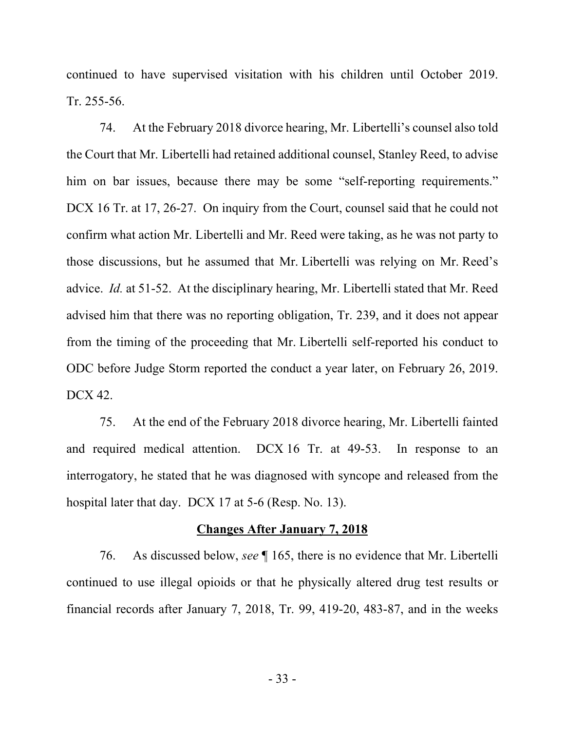continued to have supervised visitation with his children until October 2019. Tr. 255-56.

74. At the February 2018 divorce hearing, Mr. Libertelli's counsel also told the Court that Mr. Libertelli had retained additional counsel, Stanley Reed, to advise him on bar issues, because there may be some "self-reporting requirements." DCX 16 Tr. at 17, 26-27. On inquiry from the Court, counsel said that he could not confirm what action Mr. Libertelli and Mr. Reed were taking, as he was not party to those discussions, but he assumed that Mr. Libertelli was relying on Mr. Reed's advice. *Id.* at 51-52. At the disciplinary hearing, Mr. Libertelli stated that Mr. Reed advised him that there was no reporting obligation, Tr. 239, and it does not appear from the timing of the proceeding that Mr. Libertelli self-reported his conduct to ODC before Judge Storm reported the conduct a year later, on February 26, 2019. DCX 42.

75. At the end of the February 2018 divorce hearing, Mr. Libertelli fainted and required medical attention. DCX 16 Tr. at 49-53. In response to an interrogatory, he stated that he was diagnosed with syncope and released from the hospital later that day. DCX 17 at 5-6 (Resp. No. 13).

### **Changes After January 7, 2018**

76. As discussed below, *see* ¶ 165, there is no evidence that Mr. Libertelli continued to use illegal opioids or that he physically altered drug test results or financial records after January 7, 2018, Tr. 99, 419-20, 483-87, and in the weeks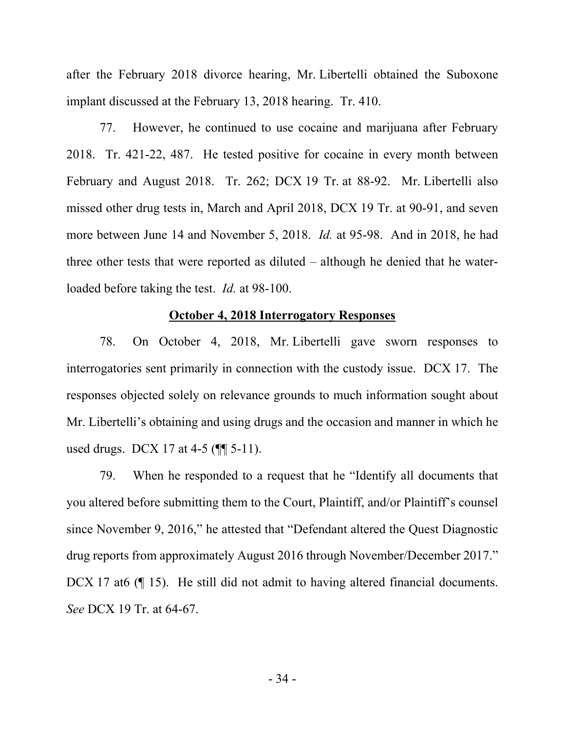after the February 2018 divorce hearing, Mr. Libertelli obtained the Suboxone implant discussed at the February 13, 2018 hearing. Tr. 410.

77. However, he continued to use cocaine and marijuana after February 2018. Tr. 421-22, 487. He tested positive for cocaine in every month between February and August 2018. Tr. 262; DCX 19 Tr. at 88-92. Mr. Libertelli also missed other drug tests in, March and April 2018, DCX 19 Tr. at 90-91, and seven more between June 14 and November 5, 2018. *Id.* at 95-98. And in 2018, he had three other tests that were reported as diluted – although he denied that he waterloaded before taking the test. *Id.* at 98-100.

#### **October 4, 2018 Interrogatory Responses**

78. On October 4, 2018, Mr. Libertelli gave sworn responses to interrogatories sent primarily in connection with the custody issue. DCX 17. The responses objected solely on relevance grounds to much information sought about Mr. Libertelli's obtaining and using drugs and the occasion and manner in which he used drugs. DCX 17 at 4-5 ( $\P$ [ 5-11).

79. When he responded to a request that he "Identify all documents that you altered before submitting them to the Court, Plaintiff, and/or Plaintiff's counsel since November 9, 2016," he attested that "Defendant altered the Quest Diagnostic drug reports from approximately August 2016 through November/December 2017." DCX 17 at6 (¶ 15). He still did not admit to having altered financial documents. *See* DCX 19 Tr. at 64-67.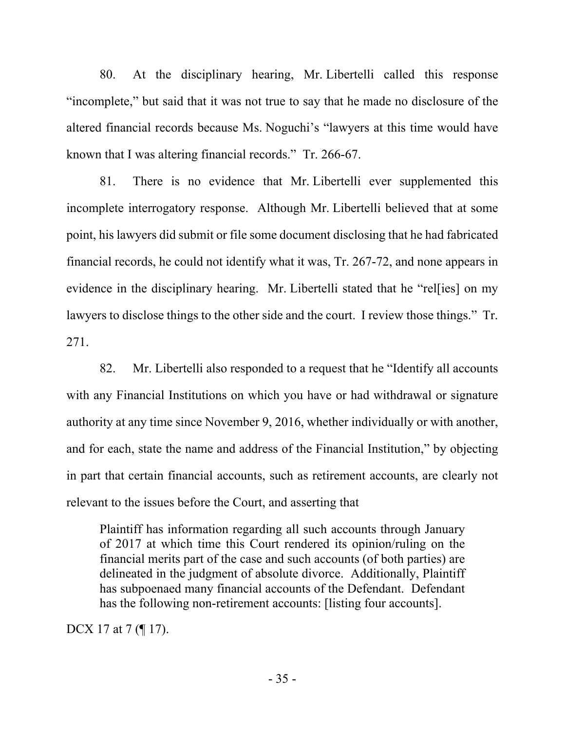80. At the disciplinary hearing, Mr. Libertelli called this response "incomplete," but said that it was not true to say that he made no disclosure of the altered financial records because Ms. Noguchi's "lawyers at this time would have known that I was altering financial records." Tr. 266-67.

81. There is no evidence that Mr. Libertelli ever supplemented this incomplete interrogatory response. Although Mr. Libertelli believed that at some point, his lawyers did submit or file some document disclosing that he had fabricated financial records, he could not identify what it was, Tr. 267-72, and none appears in evidence in the disciplinary hearing. Mr. Libertelli stated that he "rel[ies] on my lawyers to disclose things to the other side and the court. I review those things." Tr. 271.

82. Mr. Libertelli also responded to a request that he "Identify all accounts with any Financial Institutions on which you have or had withdrawal or signature authority at any time since November 9, 2016, whether individually or with another, and for each, state the name and address of the Financial Institution," by objecting in part that certain financial accounts, such as retirement accounts, are clearly not relevant to the issues before the Court, and asserting that

Plaintiff has information regarding all such accounts through January of 2017 at which time this Court rendered its opinion/ruling on the financial merits part of the case and such accounts (of both parties) are delineated in the judgment of absolute divorce. Additionally, Plaintiff has subpoenaed many financial accounts of the Defendant. Defendant has the following non-retirement accounts: [listing four accounts].

DCX 17 at 7 (¶ 17).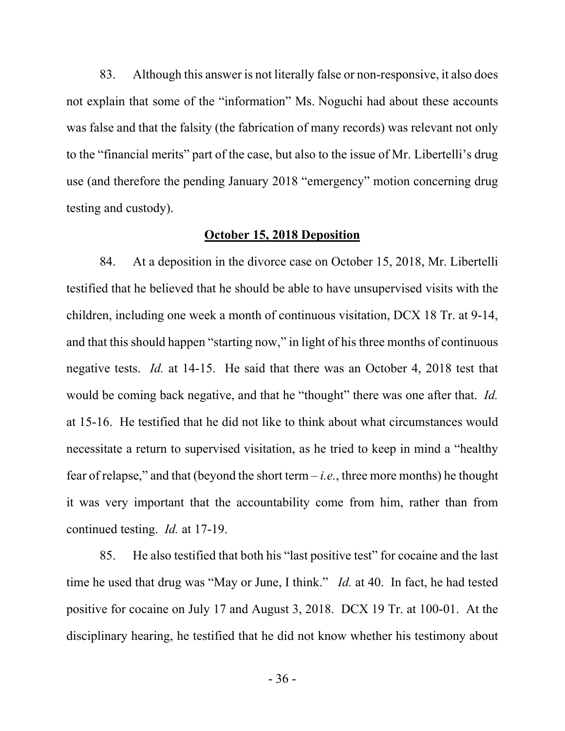83. Although this answer is not literally false or non-responsive, it also does not explain that some of the "information" Ms. Noguchi had about these accounts was false and that the falsity (the fabrication of many records) was relevant not only to the "financial merits" part of the case, but also to the issue of Mr. Libertelli's drug use (and therefore the pending January 2018 "emergency" motion concerning drug testing and custody).

## **October 15, 2018 Deposition**

84. At a deposition in the divorce case on October 15, 2018, Mr. Libertelli testified that he believed that he should be able to have unsupervised visits with the children, including one week a month of continuous visitation, DCX 18 Tr. at 9-14, and that this should happen "starting now," in light of his three months of continuous negative tests. *Id.* at 14-15. He said that there was an October 4, 2018 test that would be coming back negative, and that he "thought" there was one after that. *Id.*  at 15-16. He testified that he did not like to think about what circumstances would necessitate a return to supervised visitation, as he tried to keep in mind a "healthy fear of relapse," and that (beyond the short term – *i.e.*, three more months) he thought it was very important that the accountability come from him, rather than from continued testing. *Id.* at 17-19.

85. He also testified that both his "last positive test" for cocaine and the last time he used that drug was "May or June, I think." *Id.* at 40. In fact, he had tested positive for cocaine on July 17 and August 3, 2018. DCX 19 Tr. at 100-01. At the disciplinary hearing, he testified that he did not know whether his testimony about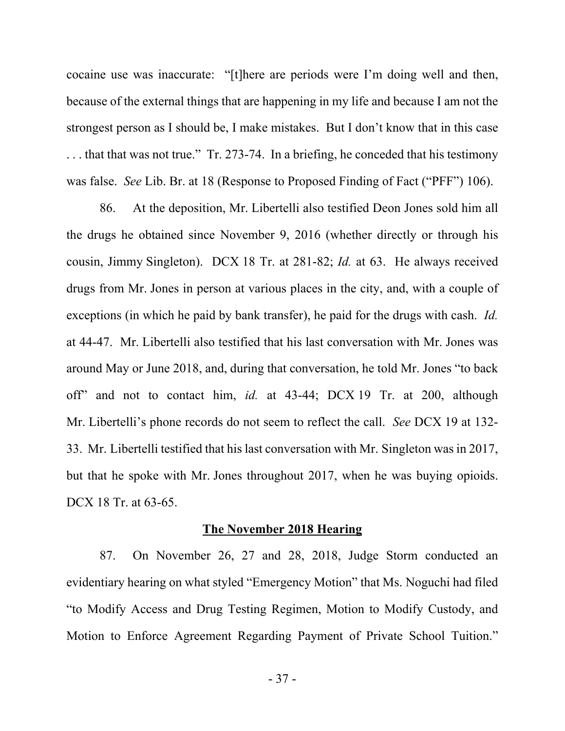cocaine use was inaccurate: "[t]here are periods were I'm doing well and then, because of the external things that are happening in my life and because I am not the strongest person as I should be, I make mistakes. But I don't know that in this case . . . that that was not true." Tr. 273-74. In a briefing, he conceded that his testimony was false. *See* Lib. Br. at 18 (Response to Proposed Finding of Fact ("PFF") 106).

86. At the deposition, Mr. Libertelli also testified Deon Jones sold him all the drugs he obtained since November 9, 2016 (whether directly or through his cousin, Jimmy Singleton). DCX 18 Tr. at 281-82; *Id.* at 63. He always received drugs from Mr. Jones in person at various places in the city, and, with a couple of exceptions (in which he paid by bank transfer), he paid for the drugs with cash. *Id.*  at 44-47. Mr. Libertelli also testified that his last conversation with Mr. Jones was around May or June 2018, and, during that conversation, he told Mr. Jones "to back off" and not to contact him, *id.* at 43-44; DCX 19 Tr. at 200, although Mr. Libertelli's phone records do not seem to reflect the call. *See* DCX 19 at 132- 33. Mr. Libertelli testified that his last conversation with Mr. Singleton was in 2017, but that he spoke with Mr. Jones throughout 2017, when he was buying opioids. DCX 18 Tr. at 63-65.

#### **The November 2018 Hearing**

87. On November 26, 27 and 28, 2018, Judge Storm conducted an evidentiary hearing on what styled "Emergency Motion" that Ms. Noguchi had filed "to Modify Access and Drug Testing Regimen, Motion to Modify Custody, and Motion to Enforce Agreement Regarding Payment of Private School Tuition."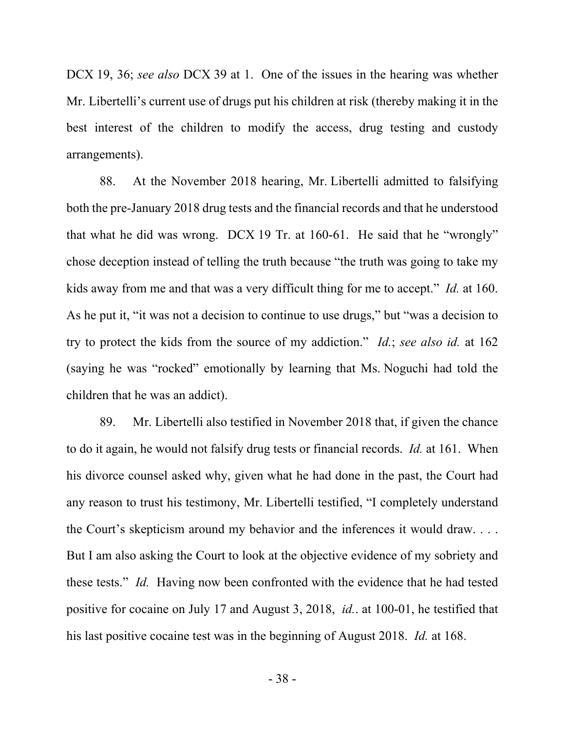DCX 19, 36; *see also* DCX 39 at 1. One of the issues in the hearing was whether Mr. Libertelli's current use of drugs put his children at risk (thereby making it in the best interest of the children to modify the access, drug testing and custody arrangements).

88. At the November 2018 hearing, Mr. Libertelli admitted to falsifying both the pre-January 2018 drug tests and the financial records and that he understood that what he did was wrong. DCX 19 Tr. at 160-61. He said that he "wrongly" chose deception instead of telling the truth because "the truth was going to take my kids away from me and that was a very difficult thing for me to accept." *Id.* at 160. As he put it, "it was not a decision to continue to use drugs," but "was a decision to try to protect the kids from the source of my addiction." *Id.*; *see also id.* at 162 (saying he was "rocked" emotionally by learning that Ms. Noguchi had told the children that he was an addict).

89. Mr. Libertelli also testified in November 2018 that, if given the chance to do it again, he would not falsify drug tests or financial records. *Id.* at 161. When his divorce counsel asked why, given what he had done in the past, the Court had any reason to trust his testimony, Mr. Libertelli testified, "I completely understand the Court's skepticism around my behavior and the inferences it would draw. . . . But I am also asking the Court to look at the objective evidence of my sobriety and these tests." *Id.* Having now been confronted with the evidence that he had tested positive for cocaine on July 17 and August 3, 2018, *id.*. at 100-01, he testified that his last positive cocaine test was in the beginning of August 2018. *Id.* at 168.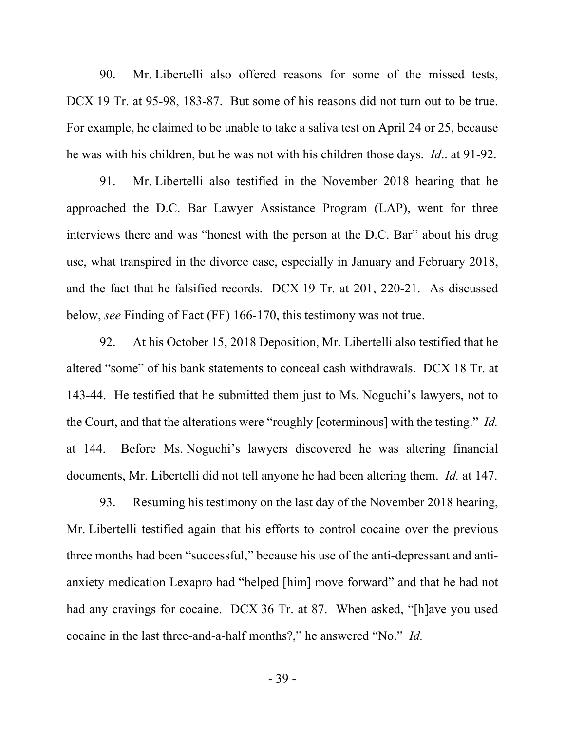90. Mr. Libertelli also offered reasons for some of the missed tests, DCX 19 Tr. at 95-98, 183-87. But some of his reasons did not turn out to be true. For example, he claimed to be unable to take a saliva test on April 24 or 25, because he was with his children, but he was not with his children those days. *Id*.. at 91-92.

91. Mr. Libertelli also testified in the November 2018 hearing that he approached the D.C. Bar Lawyer Assistance Program (LAP), went for three interviews there and was "honest with the person at the D.C. Bar" about his drug use, what transpired in the divorce case, especially in January and February 2018, and the fact that he falsified records. DCX 19 Tr. at 201, 220-21. As discussed below, *see* Finding of Fact (FF) 166-170, this testimony was not true.

92. At his October 15, 2018 Deposition, Mr. Libertelli also testified that he altered "some" of his bank statements to conceal cash withdrawals. DCX 18 Tr. at 143-44. He testified that he submitted them just to Ms. Noguchi's lawyers, not to the Court, and that the alterations were "roughly [coterminous] with the testing." *Id.*  at 144. Before Ms. Noguchi's lawyers discovered he was altering financial documents, Mr. Libertelli did not tell anyone he had been altering them. *Id.* at 147.

93. Resuming his testimony on the last day of the November 2018 hearing, Mr. Libertelli testified again that his efforts to control cocaine over the previous three months had been "successful," because his use of the anti-depressant and antianxiety medication Lexapro had "helped [him] move forward" and that he had not had any cravings for cocaine. DCX 36 Tr. at 87. When asked, "[h]ave you used cocaine in the last three-and-a-half months?," he answered "No." *Id.*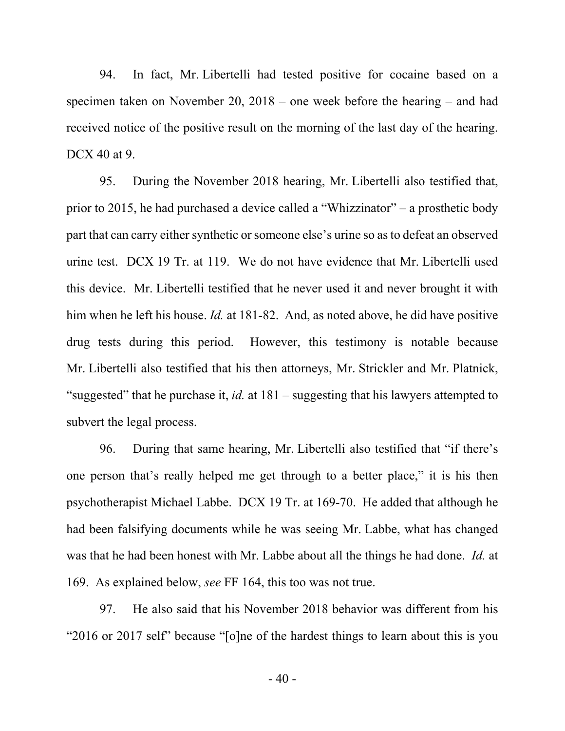94. In fact, Mr. Libertelli had tested positive for cocaine based on a specimen taken on November 20, 2018 – one week before the hearing – and had received notice of the positive result on the morning of the last day of the hearing. DCX 40 at 9.

95. During the November 2018 hearing, Mr. Libertelli also testified that, prior to 2015, he had purchased a device called a "Whizzinator" – a prosthetic body part that can carry either synthetic or someone else's urine so as to defeat an observed urine test. DCX 19 Tr. at 119. We do not have evidence that Mr. Libertelli used this device. Mr. Libertelli testified that he never used it and never brought it with him when he left his house. *Id.* at 181-82. And, as noted above, he did have positive drug tests during this period. However, this testimony is notable because Mr. Libertelli also testified that his then attorneys, Mr. Strickler and Mr. Platnick, "suggested" that he purchase it, *id.* at 181 – suggesting that his lawyers attempted to subvert the legal process.

96. During that same hearing, Mr. Libertelli also testified that "if there's one person that's really helped me get through to a better place," it is his then psychotherapist Michael Labbe. DCX 19 Tr. at 169-70. He added that although he had been falsifying documents while he was seeing Mr. Labbe, what has changed was that he had been honest with Mr. Labbe about all the things he had done. *Id.* at 169. As explained below, *see* FF 164, this too was not true.

97. He also said that his November 2018 behavior was different from his "2016 or 2017 self" because "[o]ne of the hardest things to learn about this is you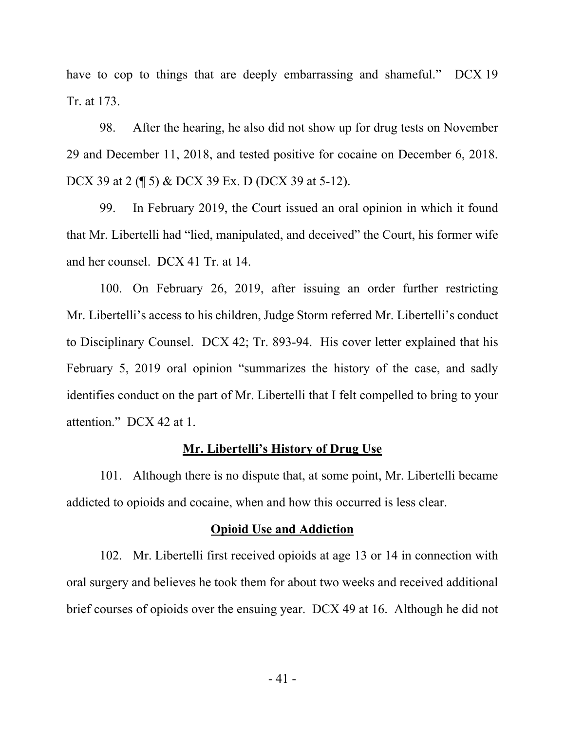have to cop to things that are deeply embarrassing and shameful." DCX 19 Tr. at 173.

98. After the hearing, he also did not show up for drug tests on November 29 and December 11, 2018, and tested positive for cocaine on December 6, 2018. DCX 39 at 2 (\eta 5) & DCX 39 Ex. D (DCX 39 at 5-12).

99. In February 2019, the Court issued an oral opinion in which it found that Mr. Libertelli had "lied, manipulated, and deceived" the Court, his former wife and her counsel. DCX 41 Tr. at 14.

100. On February 26, 2019, after issuing an order further restricting Mr. Libertelli's access to his children, Judge Storm referred Mr. Libertelli's conduct to Disciplinary Counsel. DCX 42; Tr. 893-94. His cover letter explained that his February 5, 2019 oral opinion "summarizes the history of the case, and sadly identifies conduct on the part of Mr. Libertelli that I felt compelled to bring to your attention." DCX 42 at 1.

#### **Mr. Libertelli's History of Drug Use**

101. Although there is no dispute that, at some point, Mr. Libertelli became addicted to opioids and cocaine, when and how this occurred is less clear.

### **Opioid Use and Addiction**

102. Mr. Libertelli first received opioids at age 13 or 14 in connection with oral surgery and believes he took them for about two weeks and received additional brief courses of opioids over the ensuing year. DCX 49 at 16. Although he did not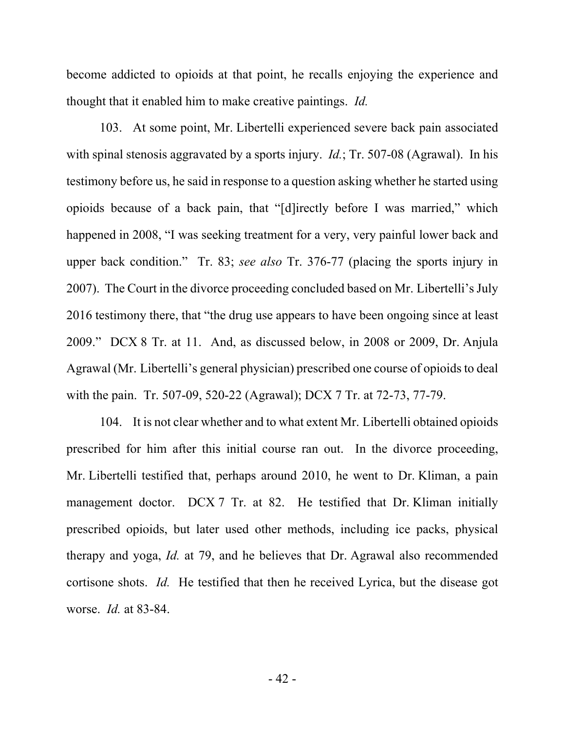become addicted to opioids at that point, he recalls enjoying the experience and thought that it enabled him to make creative paintings. *Id.* 

103. At some point, Mr. Libertelli experienced severe back pain associated with spinal stenosis aggravated by a sports injury. *Id.*; Tr. 507-08 (Agrawal). In his testimony before us, he said in response to a question asking whether he started using opioids because of a back pain, that "[d]irectly before I was married," which happened in 2008, "I was seeking treatment for a very, very painful lower back and upper back condition." Tr. 83; *see also* Tr. 376-77 (placing the sports injury in 2007). The Court in the divorce proceeding concluded based on Mr. Libertelli's July 2016 testimony there, that "the drug use appears to have been ongoing since at least 2009." DCX 8 Tr. at 11. And, as discussed below, in 2008 or 2009, Dr. Anjula Agrawal (Mr. Libertelli's general physician) prescribed one course of opioids to deal with the pain. Tr. 507-09, 520-22 (Agrawal); DCX 7 Tr. at 72-73, 77-79.

104. It is not clear whether and to what extent Mr. Libertelli obtained opioids prescribed for him after this initial course ran out. In the divorce proceeding, Mr. Libertelli testified that, perhaps around 2010, he went to Dr. Kliman, a pain management doctor. DCX 7 Tr. at 82. He testified that Dr. Kliman initially prescribed opioids, but later used other methods, including ice packs, physical therapy and yoga, *Id.* at 79, and he believes that Dr. Agrawal also recommended cortisone shots. *Id.* He testified that then he received Lyrica, but the disease got worse. *Id.* at 83-84.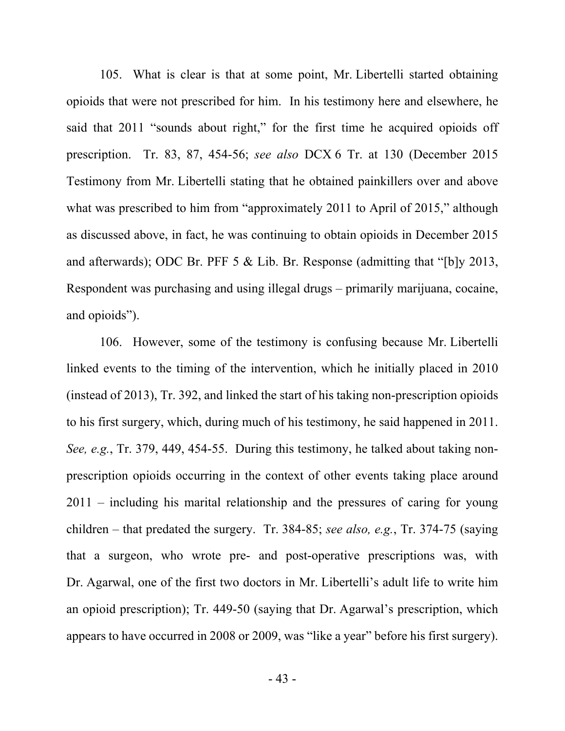105. What is clear is that at some point, Mr. Libertelli started obtaining opioids that were not prescribed for him. In his testimony here and elsewhere, he said that 2011 "sounds about right," for the first time he acquired opioids off prescription. Tr. 83, 87, 454-56; *see also* DCX 6 Tr. at 130 (December 2015 Testimony from Mr. Libertelli stating that he obtained painkillers over and above what was prescribed to him from "approximately 2011 to April of 2015," although as discussed above, in fact, he was continuing to obtain opioids in December 2015 and afterwards); ODC Br. PFF 5 & Lib. Br. Response (admitting that "[b]y 2013, Respondent was purchasing and using illegal drugs – primarily marijuana, cocaine, and opioids").

106. However, some of the testimony is confusing because Mr. Libertelli linked events to the timing of the intervention, which he initially placed in 2010 (instead of 2013), Tr. 392, and linked the start of his taking non-prescription opioids to his first surgery, which, during much of his testimony, he said happened in 2011. *See, e.g.*, Tr. 379, 449, 454-55. During this testimony, he talked about taking nonprescription opioids occurring in the context of other events taking place around 2011 – including his marital relationship and the pressures of caring for young children – that predated the surgery. Tr. 384-85; *see also, e.g.*, Tr. 374-75 (saying that a surgeon, who wrote pre- and post-operative prescriptions was, with Dr. Agarwal, one of the first two doctors in Mr. Libertelli's adult life to write him an opioid prescription); Tr. 449-50 (saying that Dr. Agarwal's prescription, which appears to have occurred in 2008 or 2009, was "like a year" before his first surgery).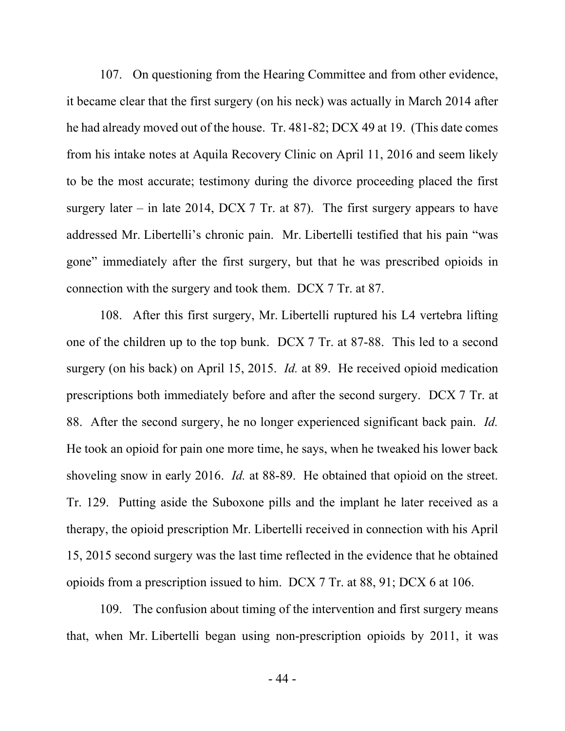107. On questioning from the Hearing Committee and from other evidence, it became clear that the first surgery (on his neck) was actually in March 2014 after he had already moved out of the house. Tr. 481-82; DCX 49 at 19. (This date comes from his intake notes at Aquila Recovery Clinic on April 11, 2016 and seem likely to be the most accurate; testimony during the divorce proceeding placed the first surgery later – in late 2014, DCX 7 Tr. at 87). The first surgery appears to have addressed Mr. Libertelli's chronic pain. Mr. Libertelli testified that his pain "was gone" immediately after the first surgery, but that he was prescribed opioids in connection with the surgery and took them. DCX 7 Tr. at 87.

108. After this first surgery, Mr. Libertelli ruptured his L4 vertebra lifting one of the children up to the top bunk. DCX 7 Tr. at 87-88. This led to a second surgery (on his back) on April 15, 2015. *Id.* at 89. He received opioid medication prescriptions both immediately before and after the second surgery. DCX 7 Tr. at 88. After the second surgery, he no longer experienced significant back pain. *Id.* He took an opioid for pain one more time, he says, when he tweaked his lower back shoveling snow in early 2016. *Id.* at 88-89. He obtained that opioid on the street. Tr. 129. Putting aside the Suboxone pills and the implant he later received as a therapy, the opioid prescription Mr. Libertelli received in connection with his April 15, 2015 second surgery was the last time reflected in the evidence that he obtained opioids from a prescription issued to him. DCX 7 Tr. at 88, 91; DCX 6 at 106.

109. The confusion about timing of the intervention and first surgery means that, when Mr. Libertelli began using non-prescription opioids by 2011, it was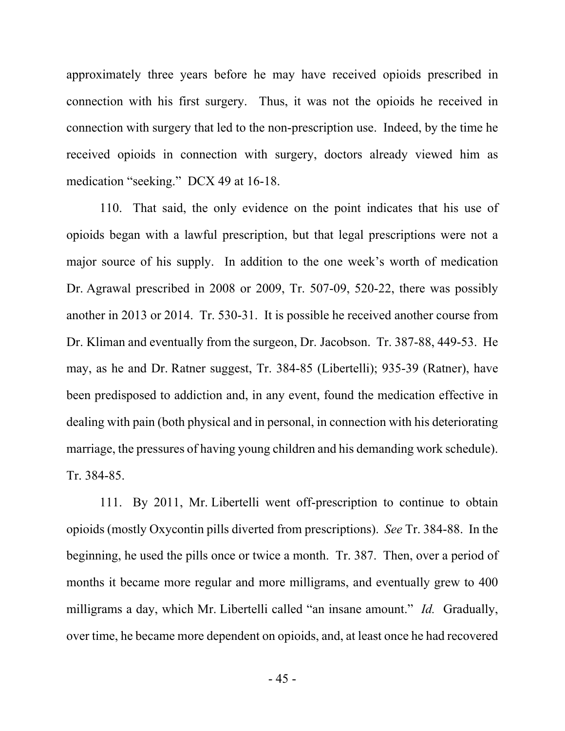approximately three years before he may have received opioids prescribed in connection with his first surgery. Thus, it was not the opioids he received in connection with surgery that led to the non-prescription use. Indeed, by the time he received opioids in connection with surgery, doctors already viewed him as medication "seeking." DCX 49 at 16-18.

110. That said, the only evidence on the point indicates that his use of opioids began with a lawful prescription, but that legal prescriptions were not a major source of his supply. In addition to the one week's worth of medication Dr. Agrawal prescribed in 2008 or 2009, Tr. 507-09, 520-22, there was possibly another in 2013 or 2014. Tr. 530-31. It is possible he received another course from Dr. Kliman and eventually from the surgeon, Dr. Jacobson. Tr. 387-88, 449-53. He may, as he and Dr. Ratner suggest, Tr. 384-85 (Libertelli); 935-39 (Ratner), have been predisposed to addiction and, in any event, found the medication effective in dealing with pain (both physical and in personal, in connection with his deteriorating marriage, the pressures of having young children and his demanding work schedule). Tr. 384-85.

111. By 2011, Mr. Libertelli went off-prescription to continue to obtain opioids (mostly Oxycontin pills diverted from prescriptions). *See* Tr. 384-88. In the beginning, he used the pills once or twice a month. Tr. 387. Then, over a period of months it became more regular and more milligrams, and eventually grew to 400 milligrams a day, which Mr. Libertelli called "an insane amount." *Id.* Gradually, over time, he became more dependent on opioids, and, at least once he had recovered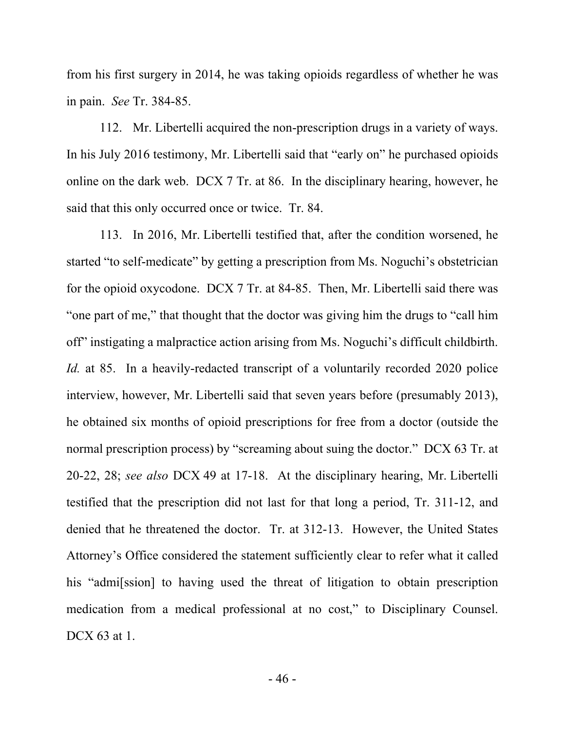from his first surgery in 2014, he was taking opioids regardless of whether he was in pain. *See* Tr. 384-85.

112. Mr. Libertelli acquired the non-prescription drugs in a variety of ways. In his July 2016 testimony, Mr. Libertelli said that "early on" he purchased opioids online on the dark web. DCX 7 Tr. at 86. In the disciplinary hearing, however, he said that this only occurred once or twice. Tr. 84.

113. In 2016, Mr. Libertelli testified that, after the condition worsened, he started "to self-medicate" by getting a prescription from Ms. Noguchi's obstetrician for the opioid oxycodone. DCX 7 Tr. at 84-85. Then, Mr. Libertelli said there was "one part of me," that thought that the doctor was giving him the drugs to "call him off" instigating a malpractice action arising from Ms. Noguchi's difficult childbirth. *Id.* at 85. In a heavily-redacted transcript of a voluntarily recorded 2020 police interview, however, Mr. Libertelli said that seven years before (presumably 2013), he obtained six months of opioid prescriptions for free from a doctor (outside the normal prescription process) by "screaming about suing the doctor." DCX 63 Tr. at 20-22, 28; *see also* DCX 49 at 17-18. At the disciplinary hearing, Mr. Libertelli testified that the prescription did not last for that long a period, Tr. 311-12, and denied that he threatened the doctor. Tr. at 312-13. However, the United States Attorney's Office considered the statement sufficiently clear to refer what it called his "admi<sup>[ssion]</sup> to having used the threat of litigation to obtain prescription medication from a medical professional at no cost," to Disciplinary Counsel. DCX 63 at 1.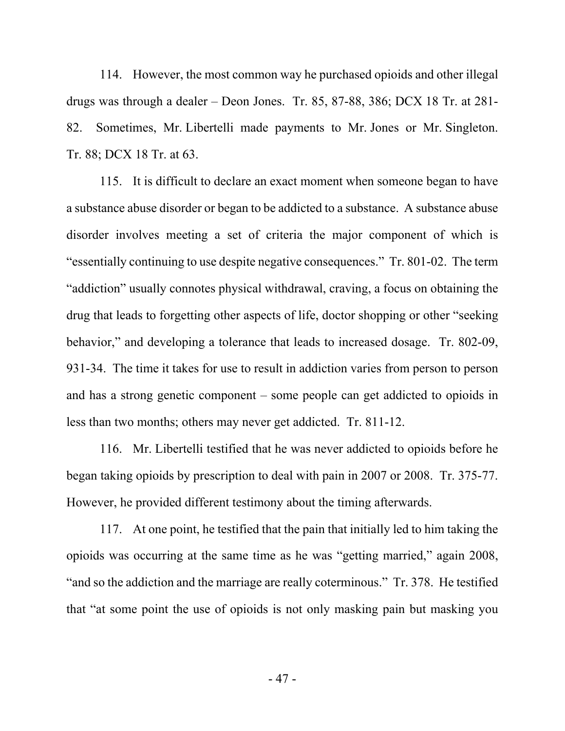114. However, the most common way he purchased opioids and other illegal drugs was through a dealer – Deon Jones. Tr. 85, 87-88, 386; DCX 18 Tr. at 281- 82. Sometimes, Mr. Libertelli made payments to Mr. Jones or Mr. Singleton. Tr. 88; DCX 18 Tr. at 63.

115. It is difficult to declare an exact moment when someone began to have a substance abuse disorder or began to be addicted to a substance. A substance abuse disorder involves meeting a set of criteria the major component of which is "essentially continuing to use despite negative consequences." Tr. 801-02. The term "addiction" usually connotes physical withdrawal, craving, a focus on obtaining the drug that leads to forgetting other aspects of life, doctor shopping or other "seeking behavior," and developing a tolerance that leads to increased dosage. Tr. 802-09, 931-34. The time it takes for use to result in addiction varies from person to person and has a strong genetic component – some people can get addicted to opioids in less than two months; others may never get addicted. Tr. 811-12.

116. Mr. Libertelli testified that he was never addicted to opioids before he began taking opioids by prescription to deal with pain in 2007 or 2008. Tr. 375-77. However, he provided different testimony about the timing afterwards.

117. At one point, he testified that the pain that initially led to him taking the opioids was occurring at the same time as he was "getting married," again 2008, "and so the addiction and the marriage are really coterminous." Tr. 378. He testified that "at some point the use of opioids is not only masking pain but masking you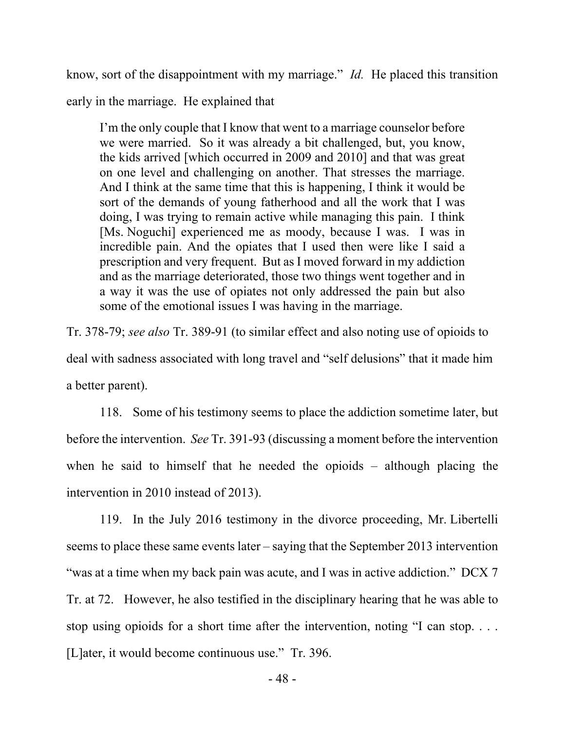know, sort of the disappointment with my marriage." *Id.* He placed this transition

early in the marriage. He explained that

I'm the only couple that I know that went to a marriage counselor before we were married. So it was already a bit challenged, but, you know, the kids arrived [which occurred in 2009 and 2010] and that was great on one level and challenging on another. That stresses the marriage. And I think at the same time that this is happening, I think it would be sort of the demands of young fatherhood and all the work that I was doing, I was trying to remain active while managing this pain. I think [Ms. Noguchi] experienced me as moody, because I was. I was in incredible pain. And the opiates that I used then were like I said a prescription and very frequent. But as I moved forward in my addiction and as the marriage deteriorated, those two things went together and in a way it was the use of opiates not only addressed the pain but also some of the emotional issues I was having in the marriage.

Tr. 378-79; *see also* Tr. 389-91 (to similar effect and also noting use of opioids to deal with sadness associated with long travel and "self delusions" that it made him a better parent).

118. Some of his testimony seems to place the addiction sometime later, but before the intervention. *See* Tr. 391-93 (discussing a moment before the intervention when he said to himself that he needed the opioids – although placing the intervention in 2010 instead of 2013).

119. In the July 2016 testimony in the divorce proceeding, Mr. Libertelli seems to place these same events later – saying that the September 2013 intervention "was at a time when my back pain was acute, and I was in active addiction." DCX 7 Tr. at 72. However, he also testified in the disciplinary hearing that he was able to stop using opioids for a short time after the intervention, noting "I can stop. . . . [L]ater, it would become continuous use." Tr. 396.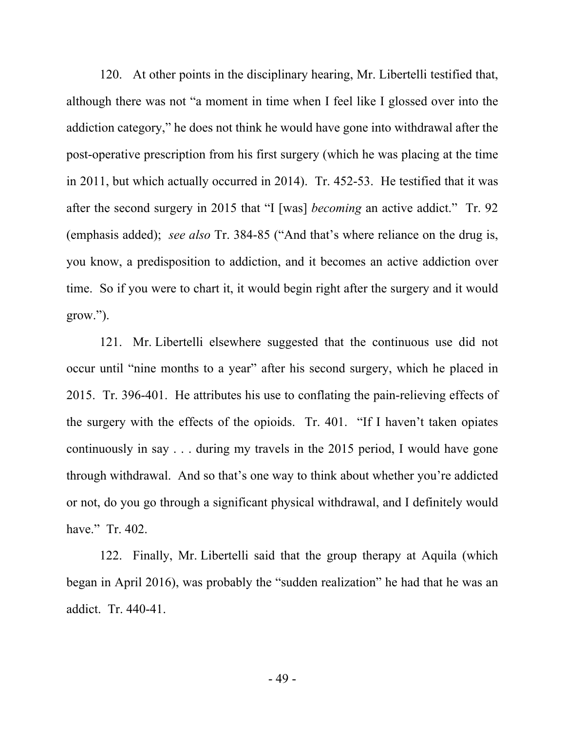120. At other points in the disciplinary hearing, Mr. Libertelli testified that, although there was not "a moment in time when I feel like I glossed over into the addiction category," he does not think he would have gone into withdrawal after the post-operative prescription from his first surgery (which he was placing at the time in 2011, but which actually occurred in 2014). Tr. 452-53. He testified that it was after the second surgery in 2015 that "I [was] *becoming* an active addict." Tr. 92 (emphasis added); *see also* Tr. 384-85 ("And that's where reliance on the drug is, you know, a predisposition to addiction, and it becomes an active addiction over time. So if you were to chart it, it would begin right after the surgery and it would grow.").

121. Mr. Libertelli elsewhere suggested that the continuous use did not occur until "nine months to a year" after his second surgery, which he placed in 2015. Tr. 396-401. He attributes his use to conflating the pain-relieving effects of the surgery with the effects of the opioids. Tr. 401. "If I haven't taken opiates continuously in say . . . during my travels in the 2015 period, I would have gone through withdrawal. And so that's one way to think about whether you're addicted or not, do you go through a significant physical withdrawal, and I definitely would have." Tr. 402.

122. Finally, Mr. Libertelli said that the group therapy at Aquila (which began in April 2016), was probably the "sudden realization" he had that he was an addict. Tr. 440-41.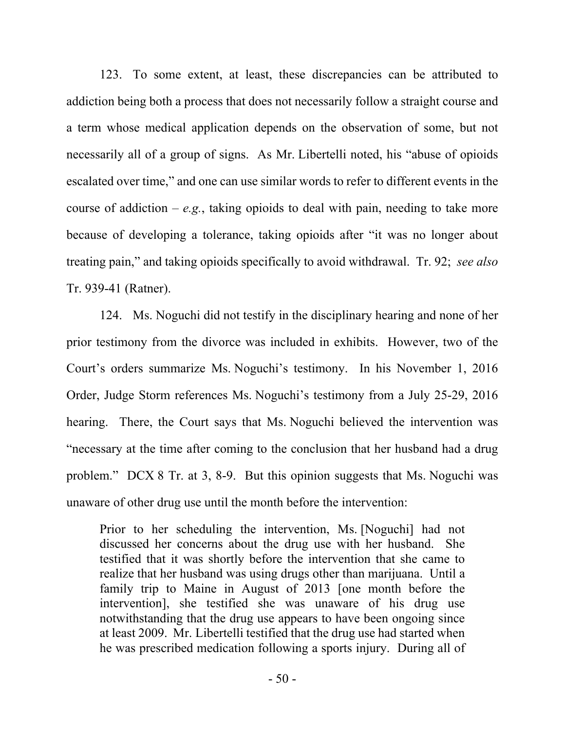123. To some extent, at least, these discrepancies can be attributed to addiction being both a process that does not necessarily follow a straight course and a term whose medical application depends on the observation of some, but not necessarily all of a group of signs. As Mr. Libertelli noted, his "abuse of opioids escalated over time," and one can use similar words to refer to different events in the course of addiction – *e.g.*, taking opioids to deal with pain, needing to take more because of developing a tolerance, taking opioids after "it was no longer about treating pain," and taking opioids specifically to avoid withdrawal. Tr. 92; *see also* Tr. 939-41 (Ratner).

124. Ms. Noguchi did not testify in the disciplinary hearing and none of her prior testimony from the divorce was included in exhibits. However, two of the Court's orders summarize Ms. Noguchi's testimony. In his November 1, 2016 Order, Judge Storm references Ms. Noguchi's testimony from a July 25-29, 2016 hearing. There, the Court says that Ms. Noguchi believed the intervention was "necessary at the time after coming to the conclusion that her husband had a drug problem." DCX 8 Tr. at 3, 8-9. But this opinion suggests that Ms. Noguchi was unaware of other drug use until the month before the intervention:

Prior to her scheduling the intervention, Ms. [Noguchi] had not discussed her concerns about the drug use with her husband. She testified that it was shortly before the intervention that she came to realize that her husband was using drugs other than marijuana. Until a family trip to Maine in August of 2013 [one month before the intervention], she testified she was unaware of his drug use notwithstanding that the drug use appears to have been ongoing since at least 2009. Mr. Libertelli testified that the drug use had started when he was prescribed medication following a sports injury. During all of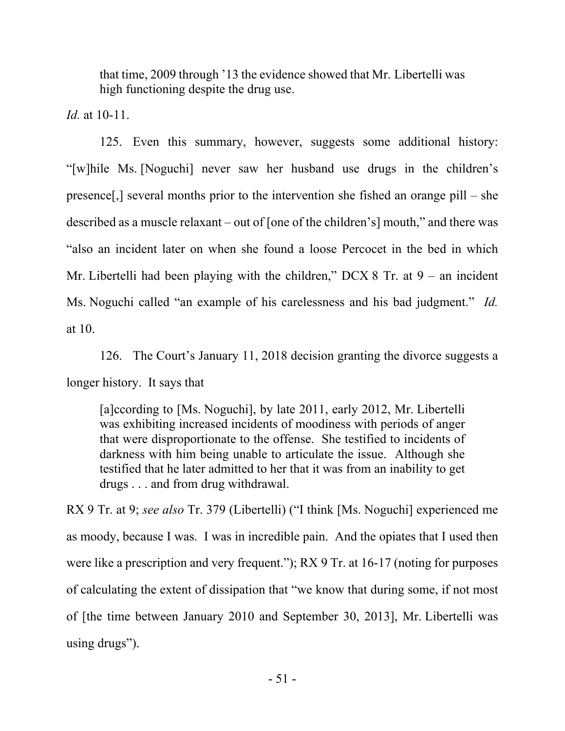that time, 2009 through '13 the evidence showed that Mr. Libertelli was high functioning despite the drug use.

*Id.* at 10-11.

125. Even this summary, however, suggests some additional history: "[w]hile Ms. [Noguchi] never saw her husband use drugs in the children's presence[,] several months prior to the intervention she fished an orange pill – she described as a muscle relaxant – out of [one of the children's] mouth," and there was "also an incident later on when she found a loose Percocet in the bed in which Mr. Libertelli had been playing with the children," DCX 8 Tr. at  $9 -$  an incident Ms. Noguchi called "an example of his carelessness and his bad judgment." *Id.* at 10.

126. The Court's January 11, 2018 decision granting the divorce suggests a longer history. It says that

[a]ccording to [Ms. Noguchi], by late 2011, early 2012, Mr. Libertelli was exhibiting increased incidents of moodiness with periods of anger that were disproportionate to the offense. She testified to incidents of darkness with him being unable to articulate the issue. Although she testified that he later admitted to her that it was from an inability to get drugs . . . and from drug withdrawal.

RX 9 Tr. at 9; *see also* Tr. 379 (Libertelli) ("I think [Ms. Noguchi] experienced me as moody, because I was. I was in incredible pain. And the opiates that I used then were like a prescription and very frequent."); RX 9 Tr. at 16-17 (noting for purposes of calculating the extent of dissipation that "we know that during some, if not most of [the time between January 2010 and September 30, 2013], Mr. Libertelli was using drugs").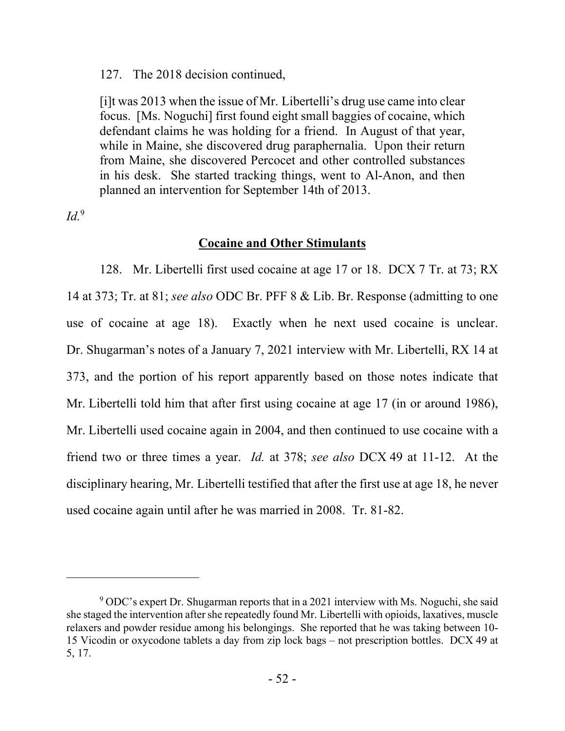127. The 2018 decision continued,

[i]t was 2013 when the issue of Mr. Libertelli's drug use came into clear focus. [Ms. Noguchi] first found eight small baggies of cocaine, which defendant claims he was holding for a friend. In August of that year, while in Maine, she discovered drug paraphernalia. Upon their return from Maine, she discovered Percocet and other controlled substances in his desk. She started tracking things, went to Al-Anon, and then planned an intervention for September 14th of 2013.

*Id.*<sup>9</sup>

# **Cocaine and Other Stimulants**

128. Mr. Libertelli first used cocaine at age 17 or 18. DCX 7 Tr. at 73; RX 14 at 373; Tr. at 81; *see also* ODC Br. PFF 8 & Lib. Br. Response (admitting to one use of cocaine at age 18). Exactly when he next used cocaine is unclear. Dr. Shugarman's notes of a January 7, 2021 interview with Mr. Libertelli, RX 14 at 373, and the portion of his report apparently based on those notes indicate that Mr. Libertelli told him that after first using cocaine at age 17 (in or around 1986), Mr. Libertelli used cocaine again in 2004, and then continued to use cocaine with a friend two or three times a year. *Id.* at 378; *see also* DCX 49 at 11-12. At the disciplinary hearing, Mr. Libertelli testified that after the first use at age 18, he never used cocaine again until after he was married in 2008. Tr. 81-82.

<sup>&</sup>lt;sup>9</sup> ODC's expert Dr. Shugarman reports that in a 2021 interview with Ms. Noguchi, she said she staged the intervention after she repeatedly found Mr. Libertelli with opioids, laxatives, muscle relaxers and powder residue among his belongings. She reported that he was taking between 10- 15 Vicodin or oxycodone tablets a day from zip lock bags – not prescription bottles. DCX 49 at 5, 17.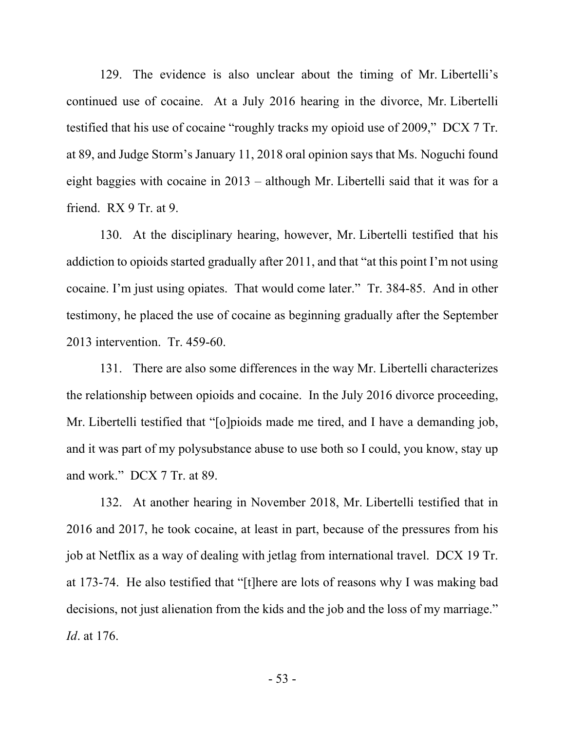129. The evidence is also unclear about the timing of Mr. Libertelli's continued use of cocaine. At a July 2016 hearing in the divorce, Mr. Libertelli testified that his use of cocaine "roughly tracks my opioid use of 2009," DCX 7 Tr. at 89, and Judge Storm's January 11, 2018 oral opinion says that Ms. Noguchi found eight baggies with cocaine in 2013 – although Mr. Libertelli said that it was for a friend. RX 9 Tr. at 9.

130. At the disciplinary hearing, however, Mr. Libertelli testified that his addiction to opioids started gradually after 2011, and that "at this point I'm not using cocaine. I'm just using opiates. That would come later." Tr. 384-85. And in other testimony, he placed the use of cocaine as beginning gradually after the September 2013 intervention. Tr. 459-60.

131. There are also some differences in the way Mr. Libertelli characterizes the relationship between opioids and cocaine. In the July 2016 divorce proceeding, Mr. Libertelli testified that "[o]pioids made me tired, and I have a demanding job, and it was part of my polysubstance abuse to use both so I could, you know, stay up and work." DCX 7 Tr. at 89.

132. At another hearing in November 2018, Mr. Libertelli testified that in 2016 and 2017, he took cocaine, at least in part, because of the pressures from his job at Netflix as a way of dealing with jetlag from international travel. DCX 19 Tr. at 173-74. He also testified that "[t]here are lots of reasons why I was making bad decisions, not just alienation from the kids and the job and the loss of my marriage." *Id*. at 176.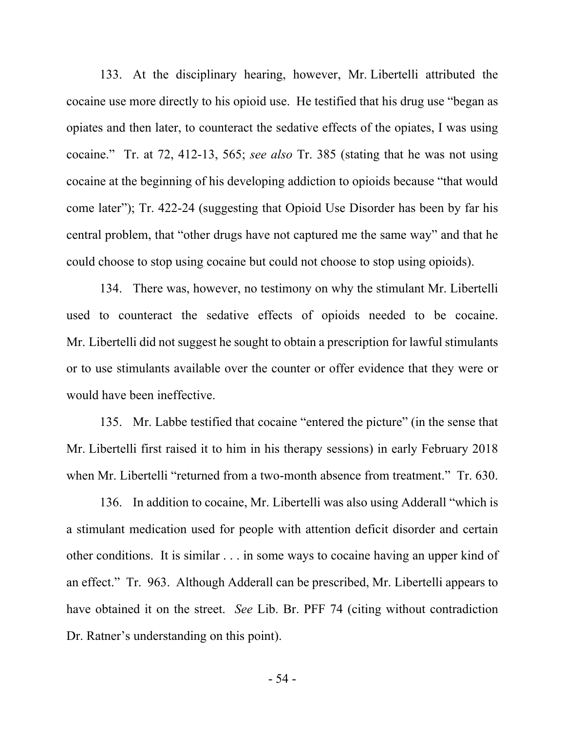133. At the disciplinary hearing, however, Mr. Libertelli attributed the cocaine use more directly to his opioid use. He testified that his drug use "began as opiates and then later, to counteract the sedative effects of the opiates, I was using cocaine." Tr. at 72, 412-13, 565; *see also* Tr. 385 (stating that he was not using cocaine at the beginning of his developing addiction to opioids because "that would come later"); Tr. 422-24 (suggesting that Opioid Use Disorder has been by far his central problem, that "other drugs have not captured me the same way" and that he could choose to stop using cocaine but could not choose to stop using opioids).

134. There was, however, no testimony on why the stimulant Mr. Libertelli used to counteract the sedative effects of opioids needed to be cocaine. Mr. Libertelli did not suggest he sought to obtain a prescription for lawful stimulants or to use stimulants available over the counter or offer evidence that they were or would have been ineffective.

135. Mr. Labbe testified that cocaine "entered the picture" (in the sense that Mr. Libertelli first raised it to him in his therapy sessions) in early February 2018 when Mr. Libertelli "returned from a two-month absence from treatment." Tr. 630.

136. In addition to cocaine, Mr. Libertelli was also using Adderall "which is a stimulant medication used for people with attention deficit disorder and certain other conditions. It is similar . . . in some ways to cocaine having an upper kind of an effect." Tr. 963. Although Adderall can be prescribed, Mr. Libertelli appears to have obtained it on the street. *See* Lib. Br. PFF 74 (citing without contradiction Dr. Ratner's understanding on this point).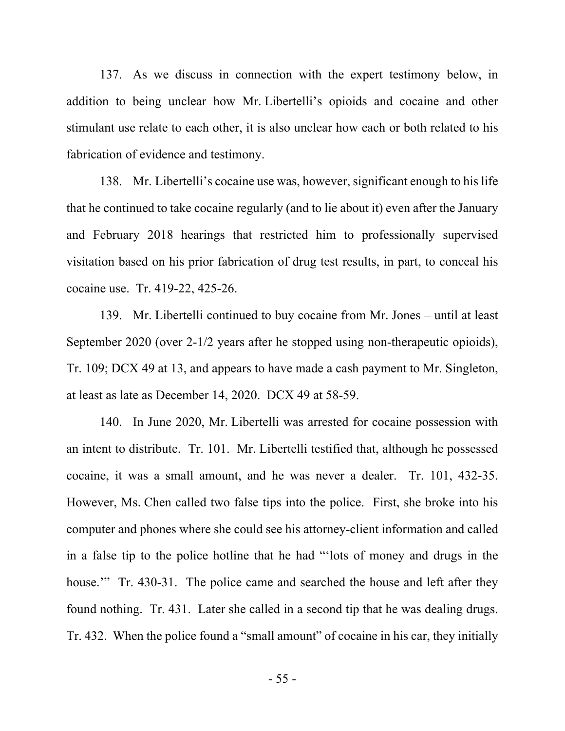137. As we discuss in connection with the expert testimony below, in addition to being unclear how Mr. Libertelli's opioids and cocaine and other stimulant use relate to each other, it is also unclear how each or both related to his fabrication of evidence and testimony.

138. Mr. Libertelli's cocaine use was, however, significant enough to his life that he continued to take cocaine regularly (and to lie about it) even after the January and February 2018 hearings that restricted him to professionally supervised visitation based on his prior fabrication of drug test results, in part, to conceal his cocaine use. Tr. 419-22, 425-26.

139. Mr. Libertelli continued to buy cocaine from Mr. Jones – until at least September 2020 (over 2-1/2 years after he stopped using non-therapeutic opioids), Tr. 109; DCX 49 at 13, and appears to have made a cash payment to Mr. Singleton, at least as late as December 14, 2020. DCX 49 at 58-59.

140. In June 2020, Mr. Libertelli was arrested for cocaine possession with an intent to distribute. Tr. 101. Mr. Libertelli testified that, although he possessed cocaine, it was a small amount, and he was never a dealer. Tr. 101, 432-35. However, Ms. Chen called two false tips into the police. First, she broke into his computer and phones where she could see his attorney-client information and called in a false tip to the police hotline that he had "'lots of money and drugs in the house." Tr. 430-31. The police came and searched the house and left after they found nothing. Tr. 431. Later she called in a second tip that he was dealing drugs. Tr. 432. When the police found a "small amount" of cocaine in his car, they initially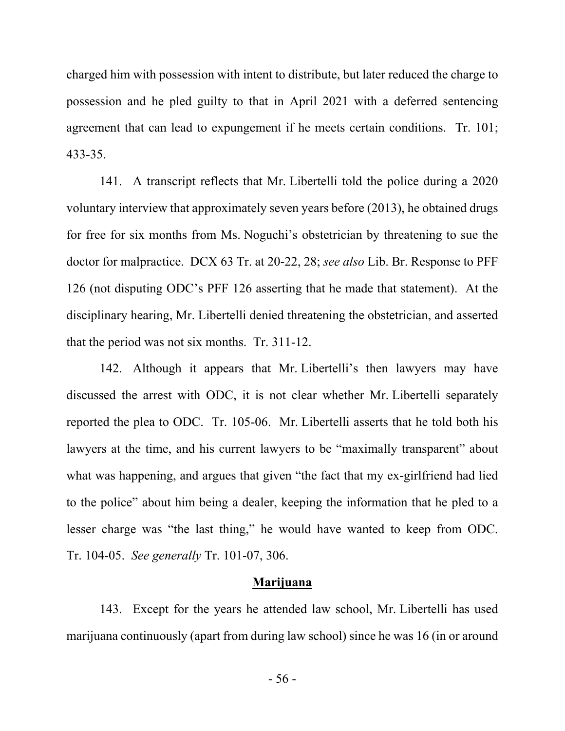charged him with possession with intent to distribute, but later reduced the charge to possession and he pled guilty to that in April 2021 with a deferred sentencing agreement that can lead to expungement if he meets certain conditions. Tr. 101; 433-35.

141. A transcript reflects that Mr. Libertelli told the police during a 2020 voluntary interview that approximately seven years before (2013), he obtained drugs for free for six months from Ms. Noguchi's obstetrician by threatening to sue the doctor for malpractice. DCX 63 Tr. at 20-22, 28; *see also* Lib. Br. Response to PFF 126 (not disputing ODC's PFF 126 asserting that he made that statement). At the disciplinary hearing, Mr. Libertelli denied threatening the obstetrician, and asserted that the period was not six months. Tr. 311-12.

142. Although it appears that Mr. Libertelli's then lawyers may have discussed the arrest with ODC, it is not clear whether Mr. Libertelli separately reported the plea to ODC. Tr. 105-06. Mr. Libertelli asserts that he told both his lawyers at the time, and his current lawyers to be "maximally transparent" about what was happening, and argues that given "the fact that my ex-girlfriend had lied to the police" about him being a dealer, keeping the information that he pled to a lesser charge was "the last thing," he would have wanted to keep from ODC. Tr. 104-05. *See generally* Tr. 101-07, 306.

## **Marijuana**

143. Except for the years he attended law school, Mr. Libertelli has used marijuana continuously (apart from during law school) since he was 16 (in or around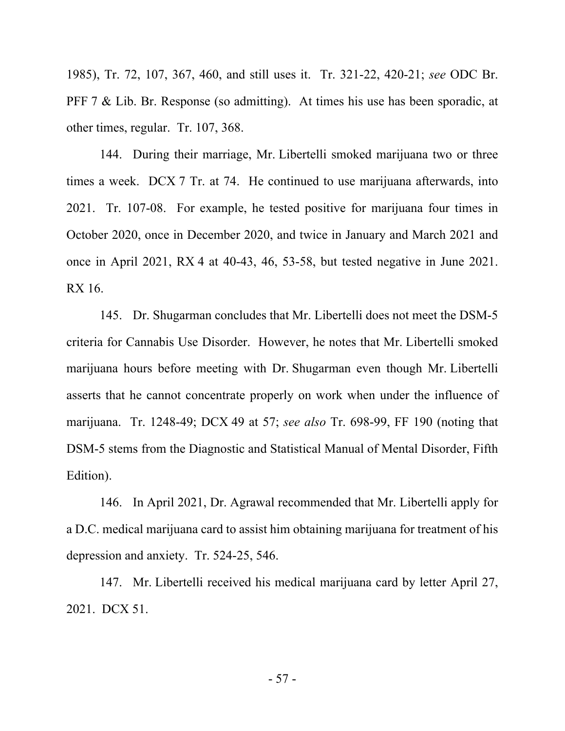1985), Tr. 72, 107, 367, 460, and still uses it. Tr. 321-22, 420-21; *see* ODC Br. PFF 7 & Lib. Br. Response (so admitting). At times his use has been sporadic, at other times, regular. Tr. 107, 368.

144. During their marriage, Mr. Libertelli smoked marijuana two or three times a week. DCX 7 Tr. at 74. He continued to use marijuana afterwards, into 2021. Tr. 107-08. For example, he tested positive for marijuana four times in October 2020, once in December 2020, and twice in January and March 2021 and once in April 2021, RX 4 at 40-43, 46, 53-58, but tested negative in June 2021. RX 16.

145. Dr. Shugarman concludes that Mr. Libertelli does not meet the DSM-5 criteria for Cannabis Use Disorder. However, he notes that Mr. Libertelli smoked marijuana hours before meeting with Dr. Shugarman even though Mr. Libertelli asserts that he cannot concentrate properly on work when under the influence of marijuana. Tr. 1248-49; DCX 49 at 57; *see also* Tr. 698-99, FF 190 (noting that DSM-5 stems from the Diagnostic and Statistical Manual of Mental Disorder, Fifth Edition).

146. In April 2021, Dr. Agrawal recommended that Mr. Libertelli apply for a D.C. medical marijuana card to assist him obtaining marijuana for treatment of his depression and anxiety. Tr. 524-25, 546.

147. Mr. Libertelli received his medical marijuana card by letter April 27, 2021. DCX 51.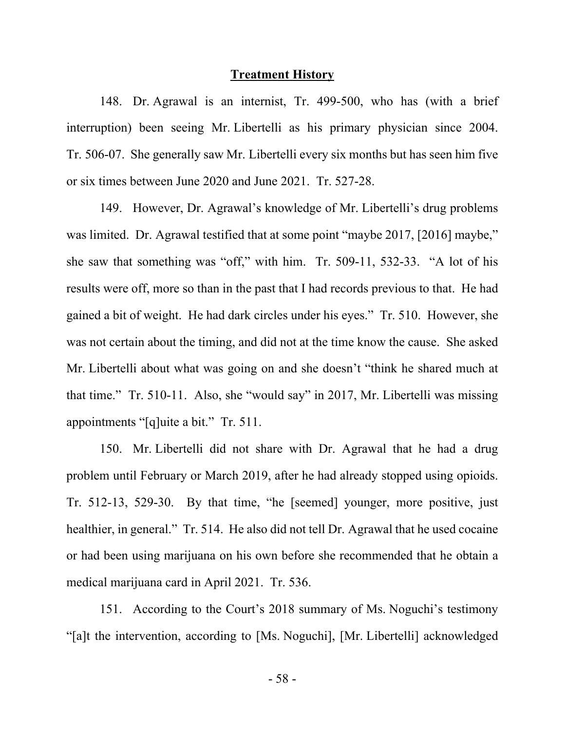#### **Treatment History**

148. Dr. Agrawal is an internist, Tr. 499-500, who has (with a brief interruption) been seeing Mr. Libertelli as his primary physician since 2004. Tr. 506-07. She generally saw Mr. Libertelli every six months but has seen him five or six times between June 2020 and June 2021. Tr. 527-28.

149. However, Dr. Agrawal's knowledge of Mr. Libertelli's drug problems was limited. Dr. Agrawal testified that at some point "maybe 2017, [2016] maybe," she saw that something was "off," with him. Tr. 509-11, 532-33. "A lot of his results were off, more so than in the past that I had records previous to that. He had gained a bit of weight. He had dark circles under his eyes." Tr. 510. However, she was not certain about the timing, and did not at the time know the cause. She asked Mr. Libertelli about what was going on and she doesn't "think he shared much at that time." Tr. 510-11. Also, she "would say" in 2017, Mr. Libertelli was missing appointments "[q]uite a bit." Tr. 511.

150. Mr. Libertelli did not share with Dr. Agrawal that he had a drug problem until February or March 2019, after he had already stopped using opioids. Tr. 512-13, 529-30. By that time, "he [seemed] younger, more positive, just healthier, in general." Tr. 514. He also did not tell Dr. Agrawal that he used cocaine or had been using marijuana on his own before she recommended that he obtain a medical marijuana card in April 2021. Tr. 536.

151. According to the Court's 2018 summary of Ms. Noguchi's testimony "[a]t the intervention, according to [Ms. Noguchi], [Mr. Libertelli] acknowledged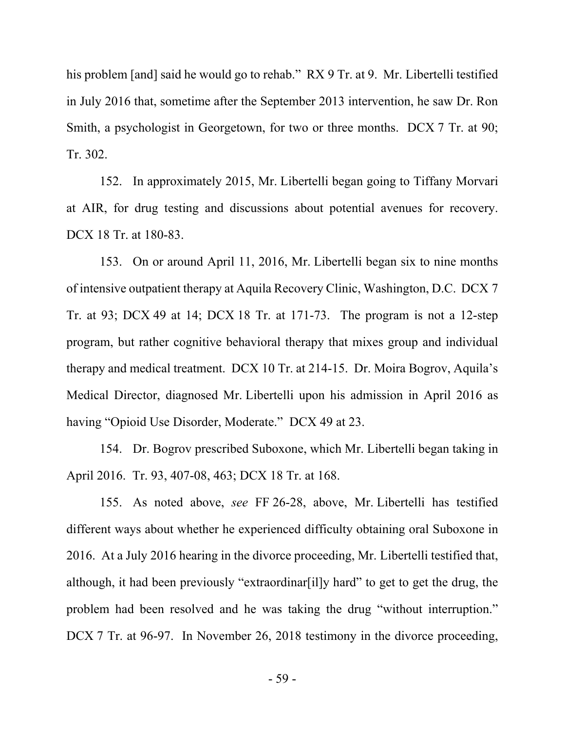his problem [and] said he would go to rehab." RX 9 Tr. at 9. Mr. Libertelli testified in July 2016 that, sometime after the September 2013 intervention, he saw Dr. Ron Smith, a psychologist in Georgetown, for two or three months. DCX 7 Tr. at 90; Tr. 302.

152. In approximately 2015, Mr. Libertelli began going to Tiffany Morvari at AIR, for drug testing and discussions about potential avenues for recovery. DCX 18 Tr. at 180-83.

153. On or around April 11, 2016, Mr. Libertelli began six to nine months of intensive outpatient therapy at Aquila Recovery Clinic, Washington, D.C. DCX 7 Tr. at 93; DCX 49 at 14; DCX 18 Tr. at 171-73. The program is not a 12-step program, but rather cognitive behavioral therapy that mixes group and individual therapy and medical treatment. DCX 10 Tr. at 214-15. Dr. Moira Bogrov, Aquila's Medical Director, diagnosed Mr. Libertelli upon his admission in April 2016 as having "Opioid Use Disorder, Moderate." DCX 49 at 23.

154. Dr. Bogrov prescribed Suboxone, which Mr. Libertelli began taking in April 2016. Tr. 93, 407-08, 463; DCX 18 Tr. at 168.

155. As noted above, *see* FF 26-28, above, Mr. Libertelli has testified different ways about whether he experienced difficulty obtaining oral Suboxone in 2016. At a July 2016 hearing in the divorce proceeding, Mr. Libertelli testified that, although, it had been previously "extraordinar[il]y hard" to get to get the drug, the problem had been resolved and he was taking the drug "without interruption." DCX 7 Tr. at 96-97. In November 26, 2018 testimony in the divorce proceeding,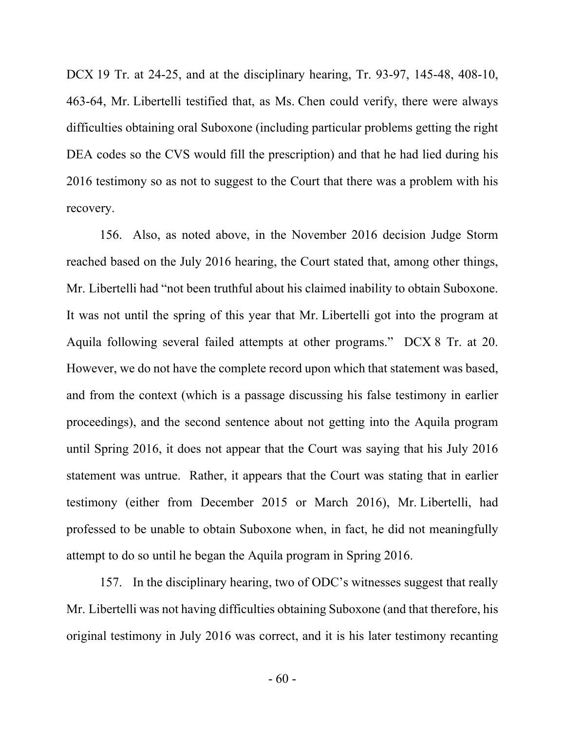DCX 19 Tr. at 24-25, and at the disciplinary hearing, Tr. 93-97, 145-48, 408-10, 463-64, Mr. Libertelli testified that, as Ms. Chen could verify, there were always difficulties obtaining oral Suboxone (including particular problems getting the right DEA codes so the CVS would fill the prescription) and that he had lied during his 2016 testimony so as not to suggest to the Court that there was a problem with his recovery.

156. Also, as noted above, in the November 2016 decision Judge Storm reached based on the July 2016 hearing, the Court stated that, among other things, Mr. Libertelli had "not been truthful about his claimed inability to obtain Suboxone. It was not until the spring of this year that Mr. Libertelli got into the program at Aquila following several failed attempts at other programs." DCX 8 Tr. at 20. However, we do not have the complete record upon which that statement was based, and from the context (which is a passage discussing his false testimony in earlier proceedings), and the second sentence about not getting into the Aquila program until Spring 2016, it does not appear that the Court was saying that his July 2016 statement was untrue. Rather, it appears that the Court was stating that in earlier testimony (either from December 2015 or March 2016), Mr. Libertelli, had professed to be unable to obtain Suboxone when, in fact, he did not meaningfully attempt to do so until he began the Aquila program in Spring 2016.

157. In the disciplinary hearing, two of ODC's witnesses suggest that really Mr. Libertelli was not having difficulties obtaining Suboxone (and that therefore, his original testimony in July 2016 was correct, and it is his later testimony recanting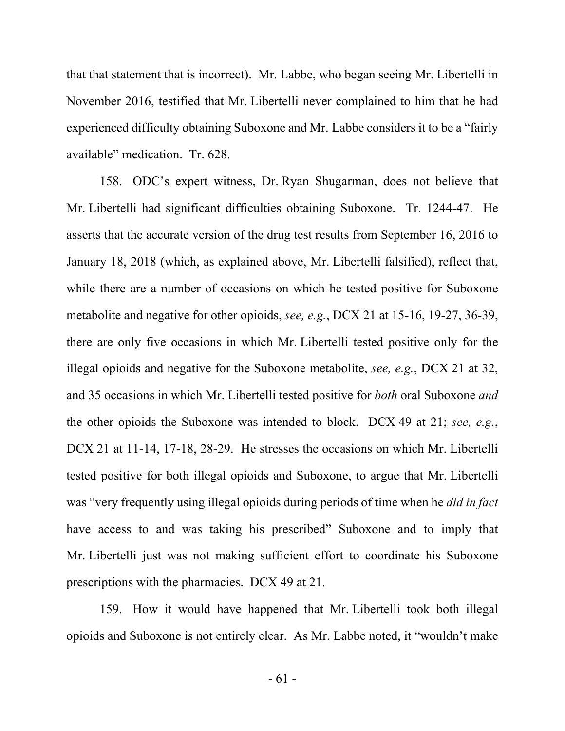that that statement that is incorrect). Mr. Labbe, who began seeing Mr. Libertelli in November 2016, testified that Mr. Libertelli never complained to him that he had experienced difficulty obtaining Suboxone and Mr. Labbe considers it to be a "fairly available" medication. Tr. 628.

158. ODC's expert witness, Dr. Ryan Shugarman, does not believe that Mr. Libertelli had significant difficulties obtaining Suboxone. Tr. 1244-47. He asserts that the accurate version of the drug test results from September 16, 2016 to January 18, 2018 (which, as explained above, Mr. Libertelli falsified), reflect that, while there are a number of occasions on which he tested positive for Suboxone metabolite and negative for other opioids, *see, e.g.*, DCX 21 at 15-16, 19-27, 36-39, there are only five occasions in which Mr. Libertelli tested positive only for the illegal opioids and negative for the Suboxone metabolite, *see, e.g.*, DCX 21 at 32, and 35 occasions in which Mr. Libertelli tested positive for *both* oral Suboxone *and* the other opioids the Suboxone was intended to block. DCX 49 at 21; *see, e.g.*, DCX 21 at 11-14, 17-18, 28-29. He stresses the occasions on which Mr. Libertelli tested positive for both illegal opioids and Suboxone, to argue that Mr. Libertelli was "very frequently using illegal opioids during periods of time when he *did in fact* have access to and was taking his prescribed" Suboxone and to imply that Mr. Libertelli just was not making sufficient effort to coordinate his Suboxone prescriptions with the pharmacies. DCX 49 at 21.

159. How it would have happened that Mr. Libertelli took both illegal opioids and Suboxone is not entirely clear. As Mr. Labbe noted, it "wouldn't make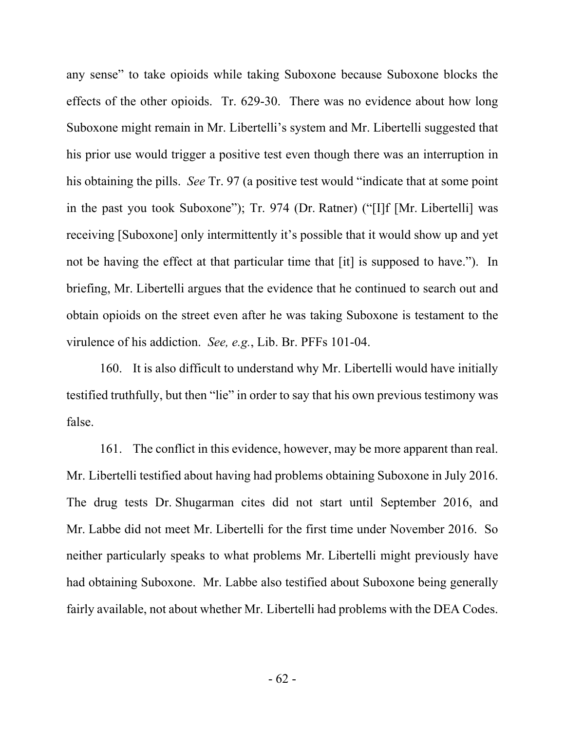any sense" to take opioids while taking Suboxone because Suboxone blocks the effects of the other opioids. Tr. 629-30. There was no evidence about how long Suboxone might remain in Mr. Libertelli's system and Mr. Libertelli suggested that his prior use would trigger a positive test even though there was an interruption in his obtaining the pills. *See* Tr. 97 (a positive test would "indicate that at some point in the past you took Suboxone"); Tr. 974 (Dr. Ratner) ("[I]f [Mr. Libertelli] was receiving [Suboxone] only intermittently it's possible that it would show up and yet not be having the effect at that particular time that [it] is supposed to have."). In briefing, Mr. Libertelli argues that the evidence that he continued to search out and obtain opioids on the street even after he was taking Suboxone is testament to the virulence of his addiction. *See, e.g.*, Lib. Br. PFFs 101-04.

160. It is also difficult to understand why Mr. Libertelli would have initially testified truthfully, but then "lie" in order to say that his own previous testimony was false.

161. The conflict in this evidence, however, may be more apparent than real. Mr. Libertelli testified about having had problems obtaining Suboxone in July 2016. The drug tests Dr. Shugarman cites did not start until September 2016, and Mr. Labbe did not meet Mr. Libertelli for the first time under November 2016. So neither particularly speaks to what problems Mr. Libertelli might previously have had obtaining Suboxone. Mr. Labbe also testified about Suboxone being generally fairly available, not about whether Mr. Libertelli had problems with the DEA Codes.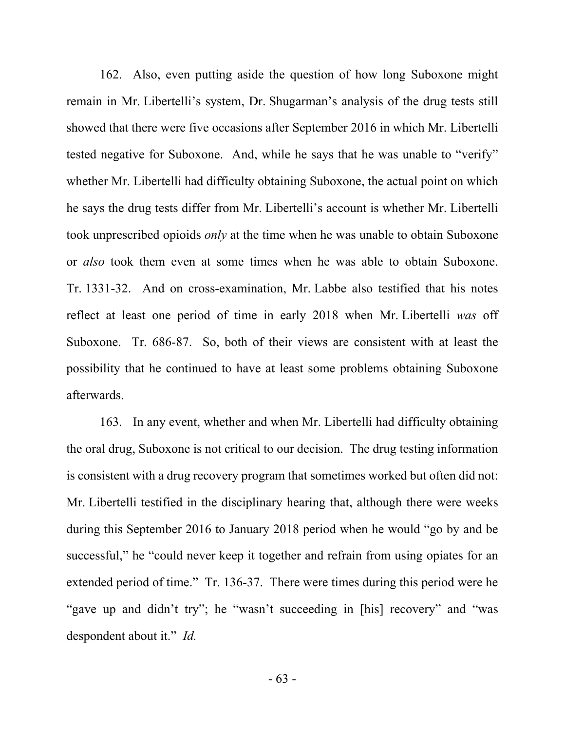162. Also, even putting aside the question of how long Suboxone might remain in Mr. Libertelli's system, Dr. Shugarman's analysis of the drug tests still showed that there were five occasions after September 2016 in which Mr. Libertelli tested negative for Suboxone. And, while he says that he was unable to "verify" whether Mr. Libertelli had difficulty obtaining Suboxone, the actual point on which he says the drug tests differ from Mr. Libertelli's account is whether Mr. Libertelli took unprescribed opioids *only* at the time when he was unable to obtain Suboxone or *also* took them even at some times when he was able to obtain Suboxone. Tr. 1331-32. And on cross-examination, Mr. Labbe also testified that his notes reflect at least one period of time in early 2018 when Mr. Libertelli *was* off Suboxone. Tr. 686-87. So, both of their views are consistent with at least the possibility that he continued to have at least some problems obtaining Suboxone afterwards.

163. In any event, whether and when Mr. Libertelli had difficulty obtaining the oral drug, Suboxone is not critical to our decision. The drug testing information is consistent with a drug recovery program that sometimes worked but often did not: Mr. Libertelli testified in the disciplinary hearing that, although there were weeks during this September 2016 to January 2018 period when he would "go by and be successful," he "could never keep it together and refrain from using opiates for an extended period of time." Tr. 136-37. There were times during this period were he "gave up and didn't try"; he "wasn't succeeding in [his] recovery" and "was despondent about it." *Id.*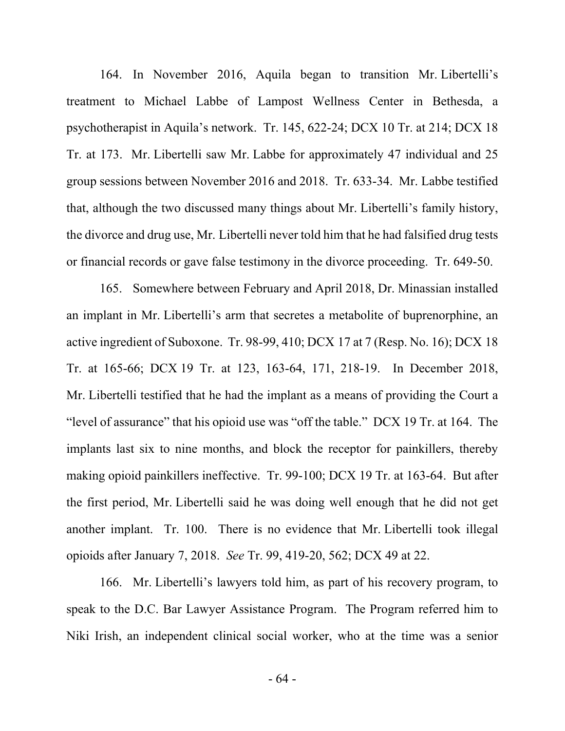164. In November 2016, Aquila began to transition Mr. Libertelli's treatment to Michael Labbe of Lampost Wellness Center in Bethesda, a psychotherapist in Aquila's network. Tr. 145, 622-24; DCX 10 Tr. at 214; DCX 18 Tr. at 173. Mr. Libertelli saw Mr. Labbe for approximately 47 individual and 25 group sessions between November 2016 and 2018. Tr. 633-34. Mr. Labbe testified that, although the two discussed many things about Mr. Libertelli's family history, the divorce and drug use, Mr. Libertelli never told him that he had falsified drug tests or financial records or gave false testimony in the divorce proceeding. Tr. 649-50.

165. Somewhere between February and April 2018, Dr. Minassian installed an implant in Mr. Libertelli's arm that secretes a metabolite of buprenorphine, an active ingredient of Suboxone. Tr. 98-99, 410; DCX 17 at 7 (Resp. No. 16); DCX 18 Tr. at 165-66; DCX 19 Tr. at 123, 163-64, 171, 218-19. In December 2018, Mr. Libertelli testified that he had the implant as a means of providing the Court a "level of assurance" that his opioid use was "off the table." DCX 19 Tr. at 164. The implants last six to nine months, and block the receptor for painkillers, thereby making opioid painkillers ineffective. Tr. 99-100; DCX 19 Tr. at 163-64. But after the first period, Mr. Libertelli said he was doing well enough that he did not get another implant. Tr. 100. There is no evidence that Mr. Libertelli took illegal opioids after January 7, 2018. *See* Tr. 99, 419-20, 562; DCX 49 at 22.

166. Mr. Libertelli's lawyers told him, as part of his recovery program, to speak to the D.C. Bar Lawyer Assistance Program. The Program referred him to Niki Irish, an independent clinical social worker, who at the time was a senior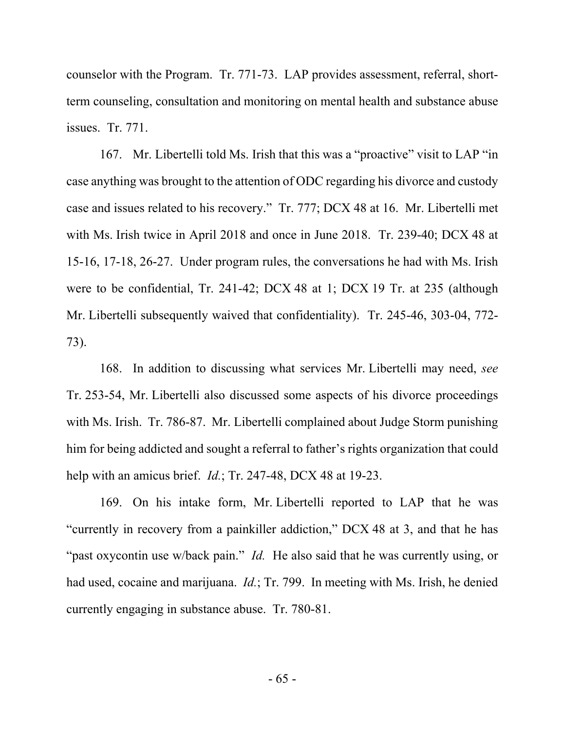counselor with the Program. Tr. 771-73. LAP provides assessment, referral, shortterm counseling, consultation and monitoring on mental health and substance abuse issues. Tr. 771.

167. Mr. Libertelli told Ms. Irish that this was a "proactive" visit to LAP "in case anything was brought to the attention of ODC regarding his divorce and custody case and issues related to his recovery." Tr. 777; DCX 48 at 16. Mr. Libertelli met with Ms. Irish twice in April 2018 and once in June 2018. Tr. 239-40; DCX 48 at 15-16, 17-18, 26-27. Under program rules, the conversations he had with Ms. Irish were to be confidential, Tr. 241-42; DCX 48 at 1; DCX 19 Tr. at 235 (although Mr. Libertelli subsequently waived that confidentiality). Tr. 245-46, 303-04, 772- 73).

168. In addition to discussing what services Mr. Libertelli may need, *see*  Tr. 253-54, Mr. Libertelli also discussed some aspects of his divorce proceedings with Ms. Irish. Tr. 786-87. Mr. Libertelli complained about Judge Storm punishing him for being addicted and sought a referral to father's rights organization that could help with an amicus brief. *Id.*; Tr. 247-48, DCX 48 at 19-23.

169. On his intake form, Mr. Libertelli reported to LAP that he was "currently in recovery from a painkiller addiction," DCX 48 at 3, and that he has "past oxycontin use w/back pain." *Id.* He also said that he was currently using, or had used, cocaine and marijuana. *Id.*; Tr. 799. In meeting with Ms. Irish, he denied currently engaging in substance abuse. Tr. 780-81.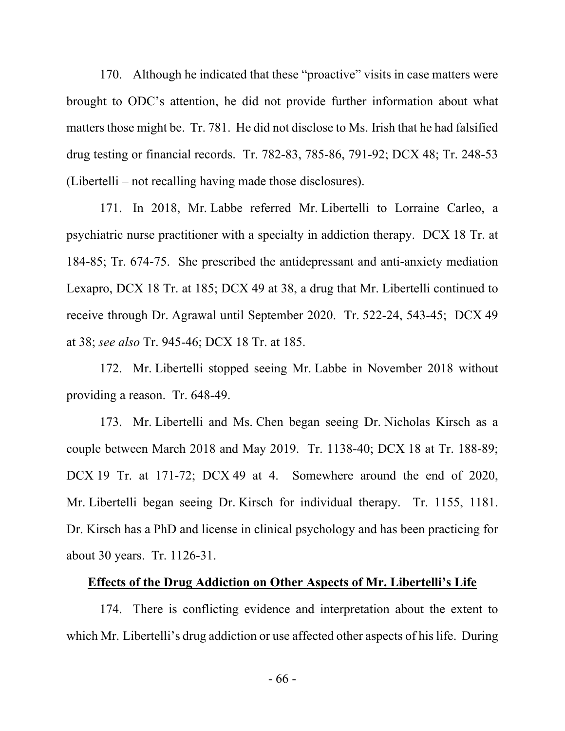170. Although he indicated that these "proactive" visits in case matters were brought to ODC's attention, he did not provide further information about what matters those might be. Tr. 781. He did not disclose to Ms. Irish that he had falsified drug testing or financial records. Tr. 782-83, 785-86, 791-92; DCX 48; Tr. 248-53 (Libertelli – not recalling having made those disclosures).

171. In 2018, Mr. Labbe referred Mr. Libertelli to Lorraine Carleo, a psychiatric nurse practitioner with a specialty in addiction therapy. DCX 18 Tr. at 184-85; Tr. 674-75. She prescribed the antidepressant and anti-anxiety mediation Lexapro, DCX 18 Tr. at 185; DCX 49 at 38, a drug that Mr. Libertelli continued to receive through Dr. Agrawal until September 2020. Tr. 522-24, 543-45; DCX 49 at 38; *see also* Tr. 945-46; DCX 18 Tr. at 185.

172. Mr. Libertelli stopped seeing Mr. Labbe in November 2018 without providing a reason. Tr. 648-49.

173. Mr. Libertelli and Ms. Chen began seeing Dr. Nicholas Kirsch as a couple between March 2018 and May 2019. Tr. 1138-40; DCX 18 at Tr. 188-89; DCX 19 Tr. at 171-72; DCX 49 at 4. Somewhere around the end of 2020, Mr. Libertelli began seeing Dr. Kirsch for individual therapy. Tr. 1155, 1181. Dr. Kirsch has a PhD and license in clinical psychology and has been practicing for about 30 years. Tr. 1126-31.

## **Effects of the Drug Addiction on Other Aspects of Mr. Libertelli's Life**

174. There is conflicting evidence and interpretation about the extent to which Mr. Libertelli's drug addiction or use affected other aspects of his life. During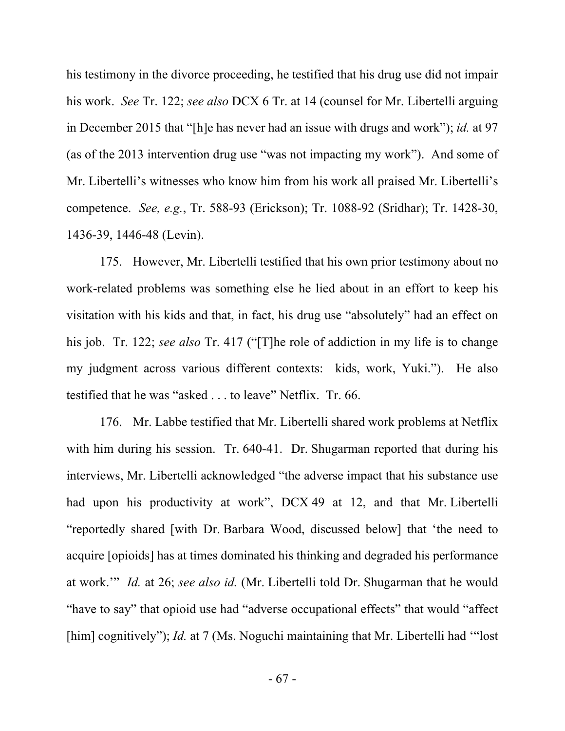his testimony in the divorce proceeding, he testified that his drug use did not impair his work. *See* Tr. 122; *see also* DCX 6 Tr. at 14 (counsel for Mr. Libertelli arguing in December 2015 that "[h]e has never had an issue with drugs and work"); *id.* at 97 (as of the 2013 intervention drug use "was not impacting my work"). And some of Mr. Libertelli's witnesses who know him from his work all praised Mr. Libertelli's competence. *See, e.g.*, Tr. 588-93 (Erickson); Tr. 1088-92 (Sridhar); Tr. 1428-30, 1436-39, 1446-48 (Levin).

175. However, Mr. Libertelli testified that his own prior testimony about no work-related problems was something else he lied about in an effort to keep his visitation with his kids and that, in fact, his drug use "absolutely" had an effect on his job. Tr. 122; *see also* Tr. 417 ("[T]he role of addiction in my life is to change my judgment across various different contexts: kids, work, Yuki."). He also testified that he was "asked . . . to leave" Netflix. Tr. 66.

176. Mr. Labbe testified that Mr. Libertelli shared work problems at Netflix with him during his session. Tr. 640-41. Dr. Shugarman reported that during his interviews, Mr. Libertelli acknowledged "the adverse impact that his substance use had upon his productivity at work", DCX 49 at 12, and that Mr. Libertelli "reportedly shared [with Dr. Barbara Wood, discussed below] that 'the need to acquire [opioids] has at times dominated his thinking and degraded his performance at work.'" *Id.* at 26; *see also id.* (Mr. Libertelli told Dr. Shugarman that he would "have to say" that opioid use had "adverse occupational effects" that would "affect [him] cognitively"); *Id.* at 7 (Ms. Noguchi maintaining that Mr. Libertelli had "lost"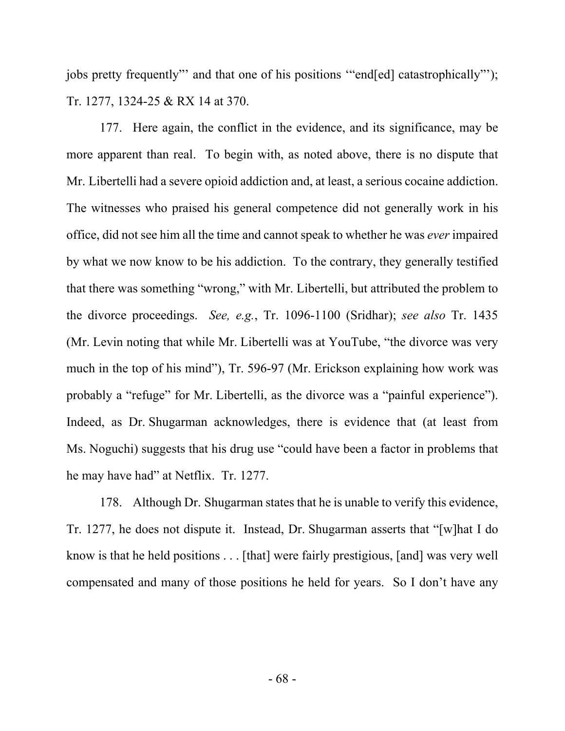jobs pretty frequently"' and that one of his positions '"end[ed] catastrophically"'); Tr. 1277, 1324-25 & RX 14 at 370.

177. Here again, the conflict in the evidence, and its significance, may be more apparent than real. To begin with, as noted above, there is no dispute that Mr. Libertelli had a severe opioid addiction and, at least, a serious cocaine addiction. The witnesses who praised his general competence did not generally work in his office, did not see him all the time and cannot speak to whether he was *ever* impaired by what we now know to be his addiction. To the contrary, they generally testified that there was something "wrong," with Mr. Libertelli, but attributed the problem to the divorce proceedings. *See, e.g.*, Tr. 1096-1100 (Sridhar); *see also* Tr. 1435 (Mr. Levin noting that while Mr. Libertelli was at YouTube, "the divorce was very much in the top of his mind"), Tr. 596-97 (Mr. Erickson explaining how work was probably a "refuge" for Mr. Libertelli, as the divorce was a "painful experience"). Indeed, as Dr. Shugarman acknowledges, there is evidence that (at least from Ms. Noguchi) suggests that his drug use "could have been a factor in problems that he may have had" at Netflix. Tr. 1277.

178. Although Dr. Shugarman states that he is unable to verify this evidence, Tr. 1277, he does not dispute it. Instead, Dr. Shugarman asserts that "[w]hat I do know is that he held positions . . . [that] were fairly prestigious, [and] was very well compensated and many of those positions he held for years. So I don't have any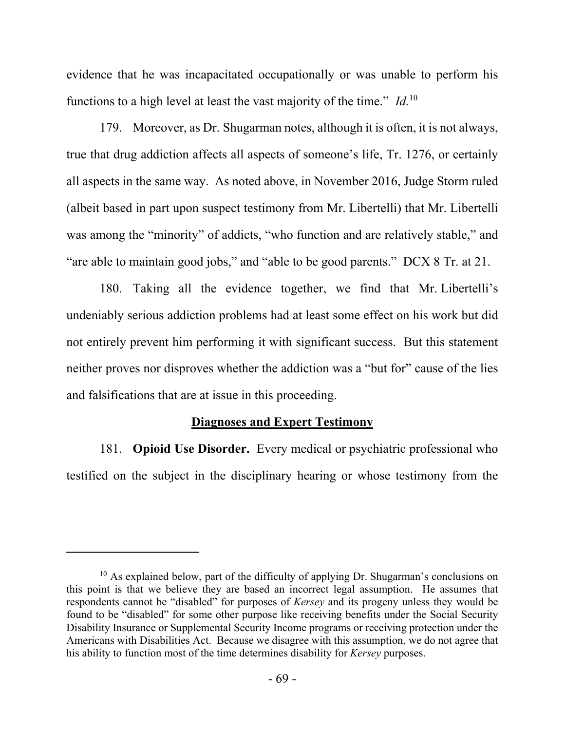evidence that he was incapacitated occupationally or was unable to perform his functions to a high level at least the vast majority of the time." *Id*.<sup>10</sup>

179. Moreover, as Dr. Shugarman notes, although it is often, it is not always, true that drug addiction affects all aspects of someone's life, Tr. 1276, or certainly all aspects in the same way. As noted above, in November 2016, Judge Storm ruled (albeit based in part upon suspect testimony from Mr. Libertelli) that Mr. Libertelli was among the "minority" of addicts, "who function and are relatively stable," and "are able to maintain good jobs," and "able to be good parents." DCX 8 Tr. at 21.

180. Taking all the evidence together, we find that Mr. Libertelli's undeniably serious addiction problems had at least some effect on his work but did not entirely prevent him performing it with significant success. But this statement neither proves nor disproves whether the addiction was a "but for" cause of the lies and falsifications that are at issue in this proceeding.

# **Diagnoses and Expert Testimony**

181. **Opioid Use Disorder.** Every medical or psychiatric professional who testified on the subject in the disciplinary hearing or whose testimony from the

<sup>&</sup>lt;sup>10</sup> As explained below, part of the difficulty of applying Dr. Shugarman's conclusions on this point is that we believe they are based an incorrect legal assumption. He assumes that respondents cannot be "disabled" for purposes of *Kersey* and its progeny unless they would be found to be "disabled" for some other purpose like receiving benefits under the Social Security Disability Insurance or Supplemental Security Income programs or receiving protection under the Americans with Disabilities Act. Because we disagree with this assumption, we do not agree that his ability to function most of the time determines disability for *Kersey* purposes.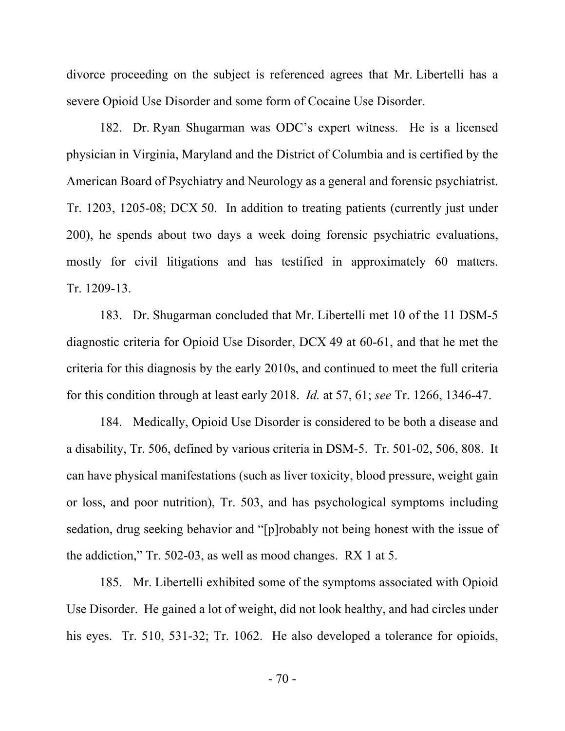divorce proceeding on the subject is referenced agrees that Mr. Libertelli has a severe Opioid Use Disorder and some form of Cocaine Use Disorder.

182. Dr. Ryan Shugarman was ODC's expert witness. He is a licensed physician in Virginia, Maryland and the District of Columbia and is certified by the American Board of Psychiatry and Neurology as a general and forensic psychiatrist. Tr. 1203, 1205-08; DCX 50. In addition to treating patients (currently just under 200), he spends about two days a week doing forensic psychiatric evaluations, mostly for civil litigations and has testified in approximately 60 matters. Tr. 1209-13.

183. Dr. Shugarman concluded that Mr. Libertelli met 10 of the 11 DSM-5 diagnostic criteria for Opioid Use Disorder, DCX 49 at 60-61, and that he met the criteria for this diagnosis by the early 2010s, and continued to meet the full criteria for this condition through at least early 2018. *Id.* at 57, 61; *see* Tr. 1266, 1346-47.

184. Medically, Opioid Use Disorder is considered to be both a disease and a disability, Tr. 506, defined by various criteria in DSM-5. Tr. 501-02, 506, 808. It can have physical manifestations (such as liver toxicity, blood pressure, weight gain or loss, and poor nutrition), Tr. 503, and has psychological symptoms including sedation, drug seeking behavior and "[p]robably not being honest with the issue of the addiction," Tr. 502-03, as well as mood changes. RX 1 at 5.

185. Mr. Libertelli exhibited some of the symptoms associated with Opioid Use Disorder. He gained a lot of weight, did not look healthy, and had circles under his eyes. Tr. 510, 531-32; Tr. 1062. He also developed a tolerance for opioids,

- 70 -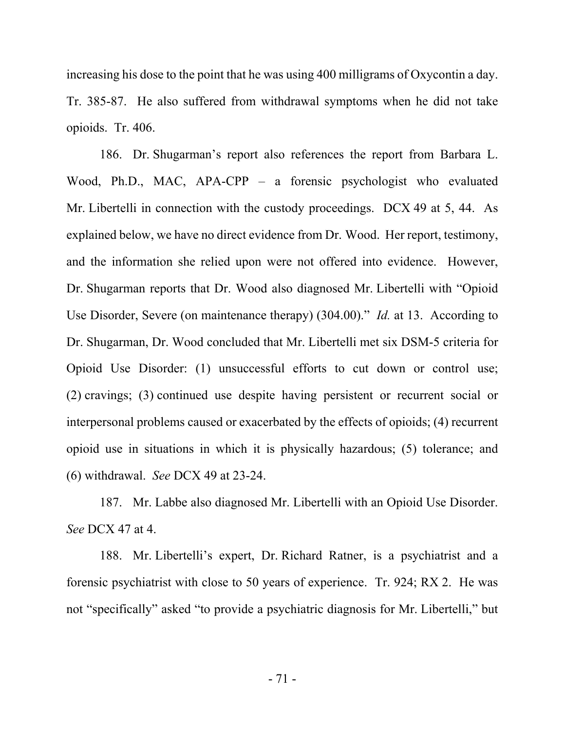increasing his dose to the point that he was using 400 milligrams of Oxycontin a day. Tr. 385-87. He also suffered from withdrawal symptoms when he did not take opioids. Tr. 406.

186. Dr. Shugarman's report also references the report from Barbara L. Wood, Ph.D., MAC, APA-CPP – a forensic psychologist who evaluated Mr. Libertelli in connection with the custody proceedings. DCX 49 at 5, 44. As explained below, we have no direct evidence from Dr. Wood. Her report, testimony, and the information she relied upon were not offered into evidence. However, Dr. Shugarman reports that Dr. Wood also diagnosed Mr. Libertelli with "Opioid Use Disorder, Severe (on maintenance therapy) (304.00)." *Id.* at 13. According to Dr. Shugarman, Dr. Wood concluded that Mr. Libertelli met six DSM-5 criteria for Opioid Use Disorder: (1) unsuccessful efforts to cut down or control use; (2) cravings; (3) continued use despite having persistent or recurrent social or interpersonal problems caused or exacerbated by the effects of opioids; (4) recurrent opioid use in situations in which it is physically hazardous; (5) tolerance; and (6) withdrawal. *See* DCX 49 at 23-24.

187. Mr. Labbe also diagnosed Mr. Libertelli with an Opioid Use Disorder. *See* DCX 47 at 4.

188. Mr. Libertelli's expert, Dr. Richard Ratner, is a psychiatrist and a forensic psychiatrist with close to 50 years of experience. Tr. 924; RX 2. He was not "specifically" asked "to provide a psychiatric diagnosis for Mr. Libertelli," but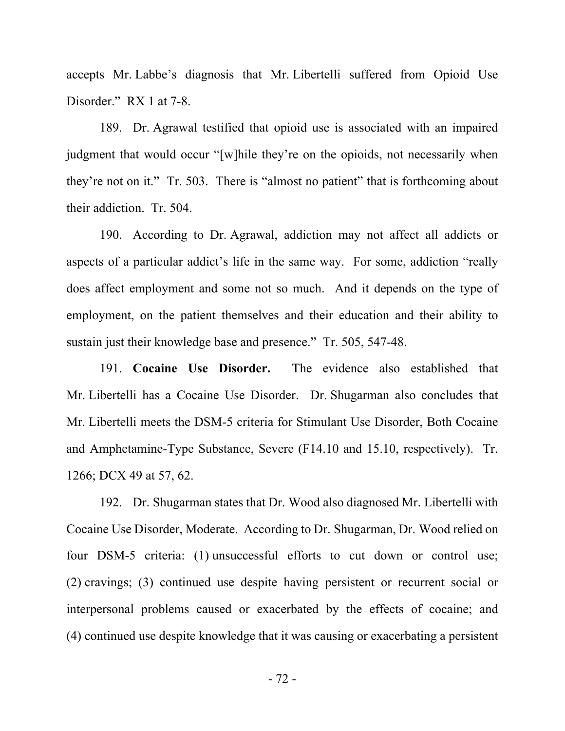accepts Mr. Labbe's diagnosis that Mr. Libertelli suffered from Opioid Use Disorder." RX 1 at 7-8.

189. Dr. Agrawal testified that opioid use is associated with an impaired judgment that would occur "[w]hile they're on the opioids, not necessarily when they're not on it." Tr. 503. There is "almost no patient" that is forthcoming about their addiction. Tr. 504.

190. According to Dr. Agrawal, addiction may not affect all addicts or aspects of a particular addict's life in the same way. For some, addiction "really does affect employment and some not so much. And it depends on the type of employment, on the patient themselves and their education and their ability to sustain just their knowledge base and presence." Tr. 505, 547-48.

191. **Cocaine Use Disorder.** The evidence also established that Mr. Libertelli has a Cocaine Use Disorder. Dr. Shugarman also concludes that Mr. Libertelli meets the DSM-5 criteria for Stimulant Use Disorder, Both Cocaine and Amphetamine-Type Substance, Severe (F14.10 and 15.10, respectively). Tr. 1266; DCX 49 at 57, 62.

192. Dr. Shugarman states that Dr. Wood also diagnosed Mr. Libertelli with Cocaine Use Disorder, Moderate. According to Dr. Shugarman, Dr. Wood relied on four DSM-5 criteria: (1) unsuccessful efforts to cut down or control use; (2) cravings; (3) continued use despite having persistent or recurrent social or interpersonal problems caused or exacerbated by the effects of cocaine; and (4) continued use despite knowledge that it was causing or exacerbating a persistent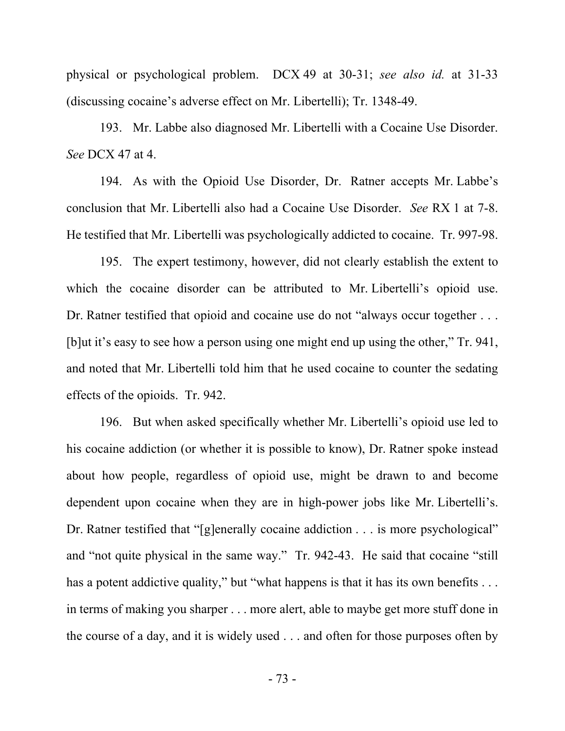physical or psychological problem. DCX 49 at 30-31; *see also id.* at 31-33 (discussing cocaine's adverse effect on Mr. Libertelli); Tr. 1348-49.

193. Mr. Labbe also diagnosed Mr. Libertelli with a Cocaine Use Disorder. *See* DCX 47 at 4.

194. As with the Opioid Use Disorder, Dr. Ratner accepts Mr. Labbe's conclusion that Mr. Libertelli also had a Cocaine Use Disorder. *See* RX 1 at 7-8. He testified that Mr. Libertelli was psychologically addicted to cocaine. Tr. 997-98.

195. The expert testimony, however, did not clearly establish the extent to which the cocaine disorder can be attributed to Mr. Libertelli's opioid use. Dr. Ratner testified that opioid and cocaine use do not "always occur together . . . [b]ut it's easy to see how a person using one might end up using the other," Tr. 941, and noted that Mr. Libertelli told him that he used cocaine to counter the sedating effects of the opioids. Tr. 942.

196. But when asked specifically whether Mr. Libertelli's opioid use led to his cocaine addiction (or whether it is possible to know), Dr. Ratner spoke instead about how people, regardless of opioid use, might be drawn to and become dependent upon cocaine when they are in high-power jobs like Mr. Libertelli's. Dr. Ratner testified that "[g]enerally cocaine addiction . . . is more psychological" and "not quite physical in the same way." Tr. 942-43. He said that cocaine "still has a potent addictive quality," but "what happens is that it has its own benefits . . . in terms of making you sharper . . . more alert, able to maybe get more stuff done in the course of a day, and it is widely used . . . and often for those purposes often by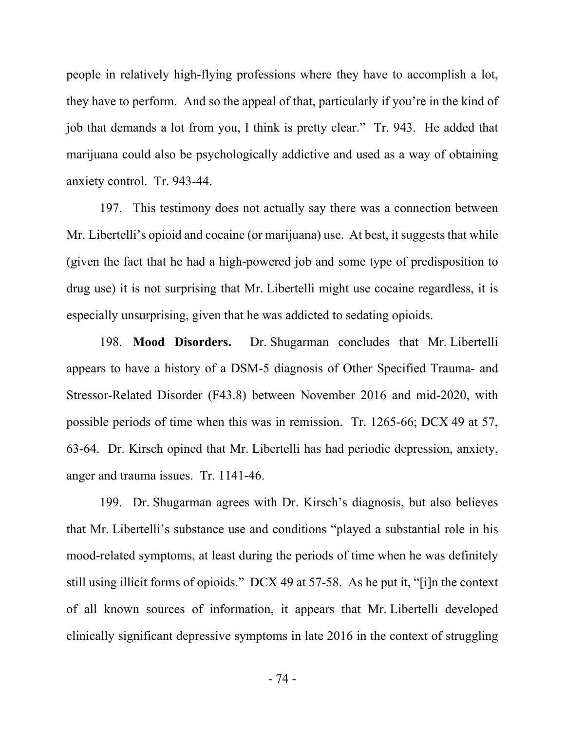people in relatively high-flying professions where they have to accomplish a lot, they have to perform. And so the appeal of that, particularly if you're in the kind of job that demands a lot from you, I think is pretty clear." Tr. 943. He added that marijuana could also be psychologically addictive and used as a way of obtaining anxiety control. Tr. 943-44.

197. This testimony does not actually say there was a connection between Mr. Libertelli's opioid and cocaine (or marijuana) use. At best, it suggests that while (given the fact that he had a high-powered job and some type of predisposition to drug use) it is not surprising that Mr. Libertelli might use cocaine regardless, it is especially unsurprising, given that he was addicted to sedating opioids.

198. **Mood Disorders.** Dr. Shugarman concludes that Mr. Libertelli appears to have a history of a DSM-5 diagnosis of Other Specified Trauma- and Stressor-Related Disorder (F43.8) between November 2016 and mid-2020, with possible periods of time when this was in remission. Tr. 1265-66; DCX 49 at 57, 63-64. Dr. Kirsch opined that Mr. Libertelli has had periodic depression, anxiety, anger and trauma issues. Tr. 1141-46.

199. Dr. Shugarman agrees with Dr. Kirsch's diagnosis, but also believes that Mr. Libertelli's substance use and conditions "played a substantial role in his mood-related symptoms, at least during the periods of time when he was definitely still using illicit forms of opioids." DCX 49 at 57-58. As he put it, "[i]n the context of all known sources of information, it appears that Mr. Libertelli developed clinically significant depressive symptoms in late 2016 in the context of struggling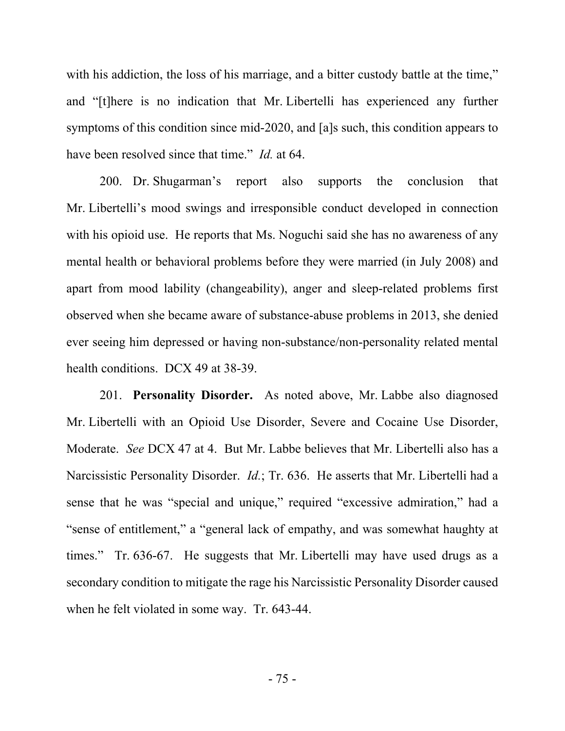with his addiction, the loss of his marriage, and a bitter custody battle at the time," and "[t]here is no indication that Mr. Libertelli has experienced any further symptoms of this condition since mid-2020, and [a]s such, this condition appears to have been resolved since that time." *Id.* at 64.

200. Dr. Shugarman's report also supports the conclusion that Mr. Libertelli's mood swings and irresponsible conduct developed in connection with his opioid use. He reports that Ms. Noguchi said she has no awareness of any mental health or behavioral problems before they were married (in July 2008) and apart from mood lability (changeability), anger and sleep-related problems first observed when she became aware of substance-abuse problems in 2013, she denied ever seeing him depressed or having non-substance/non-personality related mental health conditions. DCX 49 at 38-39.

201. **Personality Disorder.** As noted above, Mr. Labbe also diagnosed Mr. Libertelli with an Opioid Use Disorder, Severe and Cocaine Use Disorder, Moderate. *See* DCX 47 at 4. But Mr. Labbe believes that Mr. Libertelli also has a Narcissistic Personality Disorder. *Id.*; Tr. 636. He asserts that Mr. Libertelli had a sense that he was "special and unique," required "excessive admiration," had a "sense of entitlement," a "general lack of empathy, and was somewhat haughty at times." Tr. 636-67. He suggests that Mr. Libertelli may have used drugs as a secondary condition to mitigate the rage his Narcissistic Personality Disorder caused when he felt violated in some way. Tr. 643-44.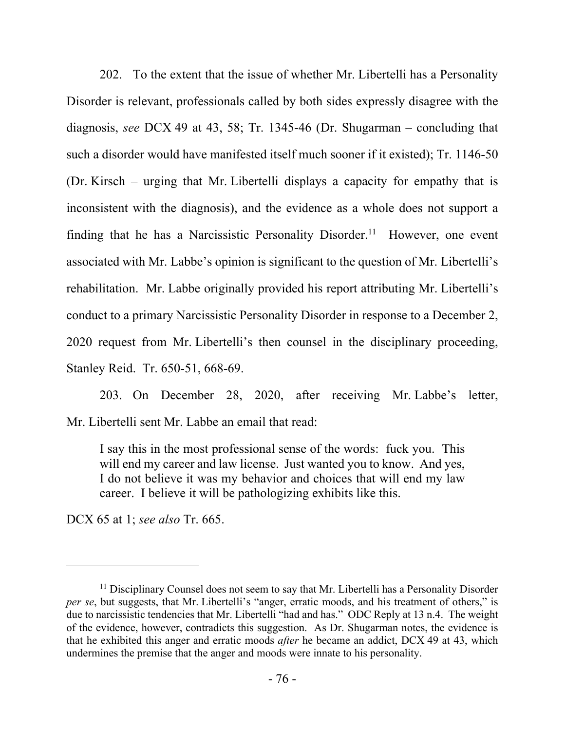202. To the extent that the issue of whether Mr. Libertelli has a Personality Disorder is relevant, professionals called by both sides expressly disagree with the diagnosis, *see* DCX 49 at 43, 58; Tr. 1345-46 (Dr. Shugarman – concluding that such a disorder would have manifested itself much sooner if it existed); Tr. 1146-50 (Dr. Kirsch – urging that Mr. Libertelli displays a capacity for empathy that is inconsistent with the diagnosis), and the evidence as a whole does not support a finding that he has a Narcissistic Personality Disorder.<sup>11</sup> However, one event associated with Mr. Labbe's opinion is significant to the question of Mr. Libertelli's rehabilitation. Mr. Labbe originally provided his report attributing Mr. Libertelli's conduct to a primary Narcissistic Personality Disorder in response to a December 2, 2020 request from Mr. Libertelli's then counsel in the disciplinary proceeding, Stanley Reid. Tr. 650-51, 668-69.

203. On December 28, 2020, after receiving Mr. Labbe's letter, Mr. Libertelli sent Mr. Labbe an email that read:

I say this in the most professional sense of the words: fuck you. This will end my career and law license. Just wanted you to know. And yes, I do not believe it was my behavior and choices that will end my law career. I believe it will be pathologizing exhibits like this.

DCX 65 at 1; *see also* Tr. 665.

<sup>&</sup>lt;sup>11</sup> Disciplinary Counsel does not seem to say that Mr. Libertelli has a Personality Disorder *per se*, but suggests, that Mr. Libertelli's "anger, erratic moods, and his treatment of others," is due to narcissistic tendencies that Mr. Libertelli "had and has." ODC Reply at 13 n.4. The weight of the evidence, however, contradicts this suggestion. As Dr. Shugarman notes, the evidence is that he exhibited this anger and erratic moods *after* he became an addict, DCX 49 at 43, which undermines the premise that the anger and moods were innate to his personality.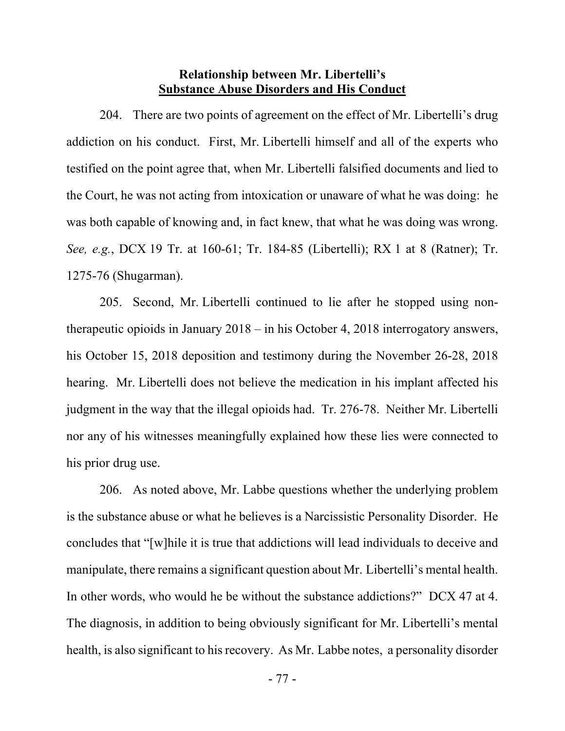#### **Relationship between Mr. Libertelli's Substance Abuse Disorders and His Conduct**

204. There are two points of agreement on the effect of Mr. Libertelli's drug addiction on his conduct. First, Mr. Libertelli himself and all of the experts who testified on the point agree that, when Mr. Libertelli falsified documents and lied to the Court, he was not acting from intoxication or unaware of what he was doing: he was both capable of knowing and, in fact knew, that what he was doing was wrong. *See, e.g.*, DCX 19 Tr. at 160-61; Tr. 184-85 (Libertelli); RX 1 at 8 (Ratner); Tr. 1275-76 (Shugarman).

205. Second, Mr. Libertelli continued to lie after he stopped using nontherapeutic opioids in January 2018 – in his October 4, 2018 interrogatory answers, his October 15, 2018 deposition and testimony during the November 26-28, 2018 hearing. Mr. Libertelli does not believe the medication in his implant affected his judgment in the way that the illegal opioids had. Tr. 276-78. Neither Mr. Libertelli nor any of his witnesses meaningfully explained how these lies were connected to his prior drug use.

206. As noted above, Mr. Labbe questions whether the underlying problem is the substance abuse or what he believes is a Narcissistic Personality Disorder. He concludes that "[w]hile it is true that addictions will lead individuals to deceive and manipulate, there remains a significant question about Mr. Libertelli's mental health. In other words, who would he be without the substance addictions?" DCX 47 at 4. The diagnosis, in addition to being obviously significant for Mr. Libertelli's mental health, is also significant to his recovery. As Mr. Labbe notes, a personality disorder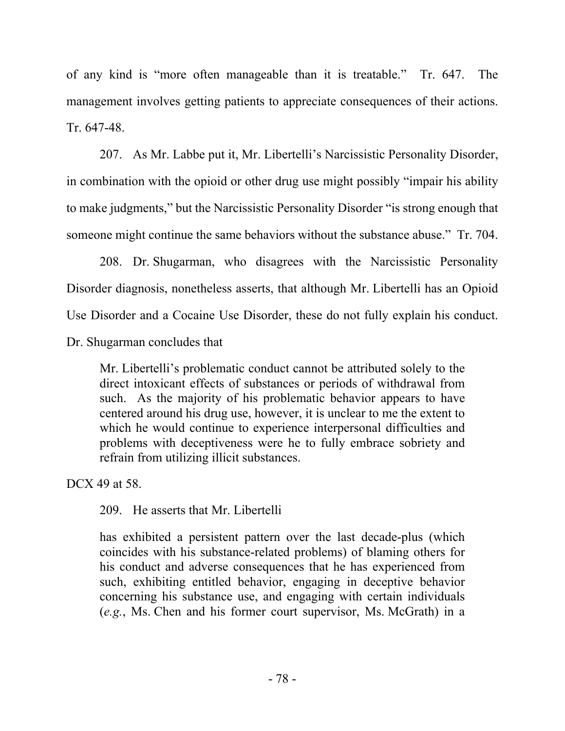of any kind is "more often manageable than it is treatable." Tr. 647. The management involves getting patients to appreciate consequences of their actions. Tr. 647-48.

207. As Mr. Labbe put it, Mr. Libertelli's Narcissistic Personality Disorder, in combination with the opioid or other drug use might possibly "impair his ability to make judgments," but the Narcissistic Personality Disorder "is strong enough that someone might continue the same behaviors without the substance abuse." Tr. 704.

208. Dr. Shugarman, who disagrees with the Narcissistic Personality Disorder diagnosis, nonetheless asserts, that although Mr. Libertelli has an Opioid Use Disorder and a Cocaine Use Disorder, these do not fully explain his conduct.

Dr. Shugarman concludes that

Mr. Libertelli's problematic conduct cannot be attributed solely to the direct intoxicant effects of substances or periods of withdrawal from such. As the majority of his problematic behavior appears to have centered around his drug use, however, it is unclear to me the extent to which he would continue to experience interpersonal difficulties and problems with deceptiveness were he to fully embrace sobriety and refrain from utilizing illicit substances.

DCX 49 at 58.

209. He asserts that Mr. Libertelli

has exhibited a persistent pattern over the last decade-plus (which coincides with his substance-related problems) of blaming others for his conduct and adverse consequences that he has experienced from such, exhibiting entitled behavior, engaging in deceptive behavior concerning his substance use, and engaging with certain individuals (*e.g.*, Ms. Chen and his former court supervisor, Ms. McGrath) in a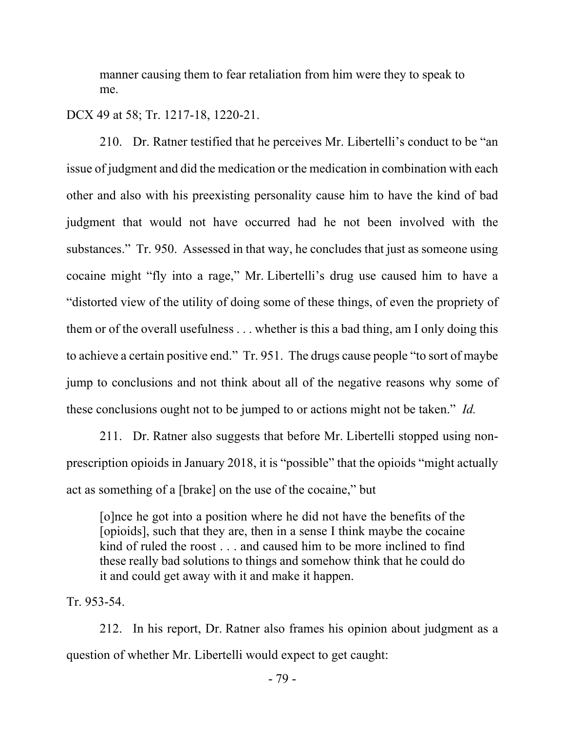manner causing them to fear retaliation from him were they to speak to me.

#### DCX 49 at 58; Tr. 1217-18, 1220-21.

210. Dr. Ratner testified that he perceives Mr. Libertelli's conduct to be "an issue of judgment and did the medication or the medication in combination with each other and also with his preexisting personality cause him to have the kind of bad judgment that would not have occurred had he not been involved with the substances." Tr. 950. Assessed in that way, he concludes that just as someone using cocaine might "fly into a rage," Mr. Libertelli's drug use caused him to have a "distorted view of the utility of doing some of these things, of even the propriety of them or of the overall usefulness . . . whether is this a bad thing, am I only doing this to achieve a certain positive end." Tr. 951. The drugs cause people "to sort of maybe jump to conclusions and not think about all of the negative reasons why some of these conclusions ought not to be jumped to or actions might not be taken." *Id.*

211. Dr. Ratner also suggests that before Mr. Libertelli stopped using nonprescription opioids in January 2018, it is "possible" that the opioids "might actually act as something of a [brake] on the use of the cocaine," but

[o]nce he got into a position where he did not have the benefits of the [opioids], such that they are, then in a sense I think maybe the cocaine kind of ruled the roost . . . and caused him to be more inclined to find these really bad solutions to things and somehow think that he could do it and could get away with it and make it happen.

Tr. 953-54.

212. In his report, Dr. Ratner also frames his opinion about judgment as a question of whether Mr. Libertelli would expect to get caught: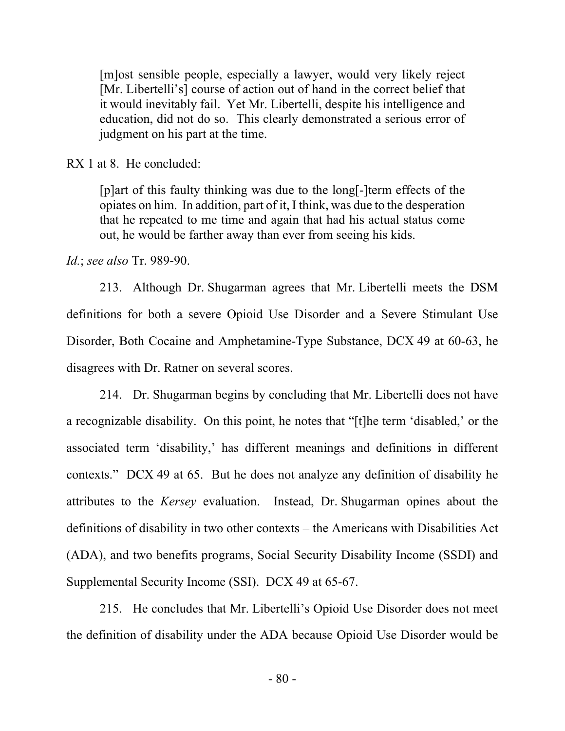[m]ost sensible people, especially a lawyer, would very likely reject [Mr. Libertelli's] course of action out of hand in the correct belief that it would inevitably fail. Yet Mr. Libertelli, despite his intelligence and education, did not do so. This clearly demonstrated a serious error of judgment on his part at the time.

RX 1 at 8. He concluded:

[p]art of this faulty thinking was due to the long[-]term effects of the opiates on him. In addition, part of it, I think, was due to the desperation that he repeated to me time and again that had his actual status come out, he would be farther away than ever from seeing his kids.

*Id.*; *see also* Tr. 989-90.

213. Although Dr. Shugarman agrees that Mr. Libertelli meets the DSM definitions for both a severe Opioid Use Disorder and a Severe Stimulant Use Disorder, Both Cocaine and Amphetamine-Type Substance, DCX 49 at 60-63, he disagrees with Dr. Ratner on several scores.

214. Dr. Shugarman begins by concluding that Mr. Libertelli does not have a recognizable disability. On this point, he notes that "[t]he term 'disabled,' or the associated term 'disability,' has different meanings and definitions in different contexts." DCX 49 at 65. But he does not analyze any definition of disability he attributes to the *Kersey* evaluation. Instead, Dr. Shugarman opines about the definitions of disability in two other contexts – the Americans with Disabilities Act (ADA), and two benefits programs, Social Security Disability Income (SSDI) and Supplemental Security Income (SSI). DCX 49 at 65-67.

215. He concludes that Mr. Libertelli's Opioid Use Disorder does not meet the definition of disability under the ADA because Opioid Use Disorder would be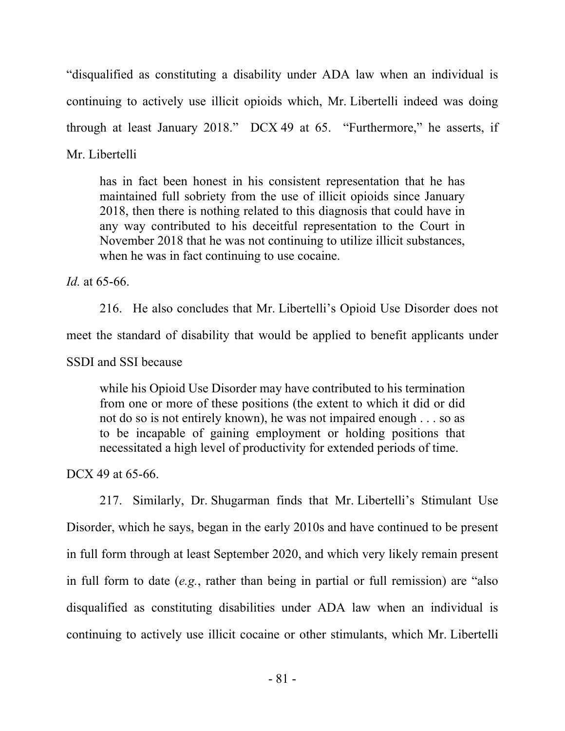"disqualified as constituting a disability under ADA law when an individual is continuing to actively use illicit opioids which, Mr. Libertelli indeed was doing through at least January 2018." DCX 49 at 65. "Furthermore," he asserts, if Mr. Libertelli

has in fact been honest in his consistent representation that he has maintained full sobriety from the use of illicit opioids since January 2018, then there is nothing related to this diagnosis that could have in any way contributed to his deceitful representation to the Court in November 2018 that he was not continuing to utilize illicit substances, when he was in fact continuing to use cocaine.

*Id.* at 65-66.

216. He also concludes that Mr. Libertelli's Opioid Use Disorder does not meet the standard of disability that would be applied to benefit applicants under SSDI and SSI because

while his Opioid Use Disorder may have contributed to his termination from one or more of these positions (the extent to which it did or did not do so is not entirely known), he was not impaired enough . . . so as to be incapable of gaining employment or holding positions that necessitated a high level of productivity for extended periods of time.

DCX 49 at 65-66.

217. Similarly, Dr. Shugarman finds that Mr. Libertelli's Stimulant Use Disorder, which he says, began in the early 2010s and have continued to be present in full form through at least September 2020, and which very likely remain present in full form to date (*e.g.*, rather than being in partial or full remission) are "also disqualified as constituting disabilities under ADA law when an individual is continuing to actively use illicit cocaine or other stimulants, which Mr. Libertelli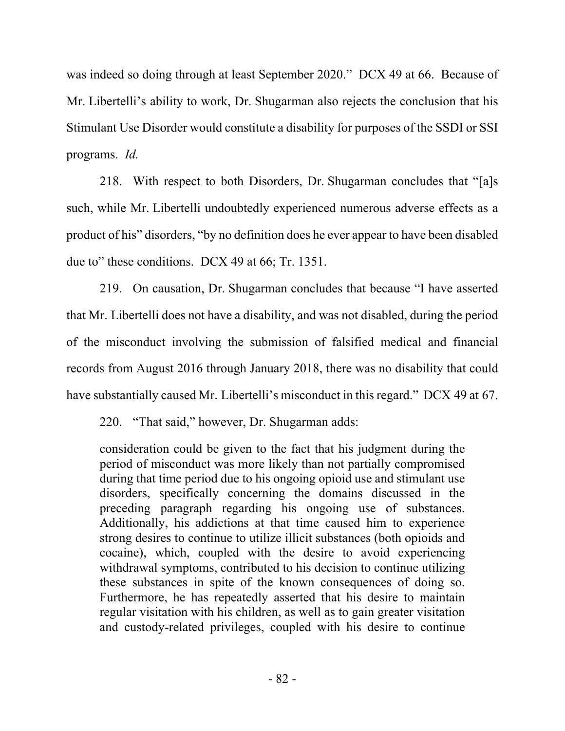was indeed so doing through at least September 2020." DCX 49 at 66. Because of Mr. Libertelli's ability to work, Dr. Shugarman also rejects the conclusion that his Stimulant Use Disorder would constitute a disability for purposes of the SSDI or SSI programs. *Id.* 

218. With respect to both Disorders, Dr. Shugarman concludes that "[a]s such, while Mr. Libertelli undoubtedly experienced numerous adverse effects as a product of his" disorders, "by no definition does he ever appear to have been disabled due to" these conditions. DCX 49 at 66; Tr. 1351.

219. On causation, Dr. Shugarman concludes that because "I have asserted that Mr. Libertelli does not have a disability, and was not disabled, during the period of the misconduct involving the submission of falsified medical and financial records from August 2016 through January 2018, there was no disability that could have substantially caused Mr. Libertelli's misconduct in this regard." DCX 49 at 67.

220. "That said," however, Dr. Shugarman adds:

consideration could be given to the fact that his judgment during the period of misconduct was more likely than not partially compromised during that time period due to his ongoing opioid use and stimulant use disorders, specifically concerning the domains discussed in the preceding paragraph regarding his ongoing use of substances. Additionally, his addictions at that time caused him to experience strong desires to continue to utilize illicit substances (both opioids and cocaine), which, coupled with the desire to avoid experiencing withdrawal symptoms, contributed to his decision to continue utilizing these substances in spite of the known consequences of doing so. Furthermore, he has repeatedly asserted that his desire to maintain regular visitation with his children, as well as to gain greater visitation and custody-related privileges, coupled with his desire to continue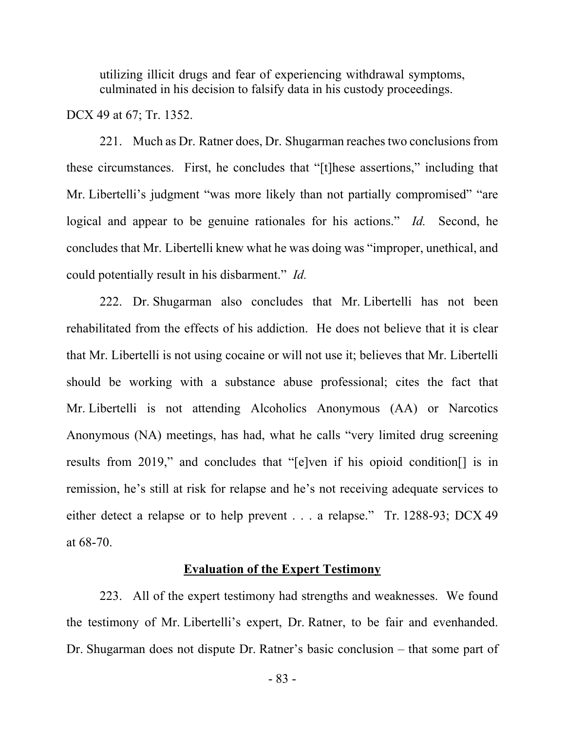utilizing illicit drugs and fear of experiencing withdrawal symptoms, culminated in his decision to falsify data in his custody proceedings.

DCX 49 at 67; Tr. 1352.

221. Much as Dr. Ratner does, Dr. Shugarman reaches two conclusions from these circumstances. First, he concludes that "[t]hese assertions," including that Mr. Libertelli's judgment "was more likely than not partially compromised" "are logical and appear to be genuine rationales for his actions." *Id.* Second, he concludes that Mr. Libertelli knew what he was doing was "improper, unethical, and could potentially result in his disbarment." *Id.*

222. Dr. Shugarman also concludes that Mr. Libertelli has not been rehabilitated from the effects of his addiction. He does not believe that it is clear that Mr. Libertelli is not using cocaine or will not use it; believes that Mr. Libertelli should be working with a substance abuse professional; cites the fact that Mr. Libertelli is not attending Alcoholics Anonymous (AA) or Narcotics Anonymous (NA) meetings, has had, what he calls "very limited drug screening results from 2019," and concludes that "[e]ven if his opioid condition[] is in remission, he's still at risk for relapse and he's not receiving adequate services to either detect a relapse or to help prevent . . . a relapse." Tr. 1288-93; DCX 49 at 68-70.

#### **Evaluation of the Expert Testimony**

223. All of the expert testimony had strengths and weaknesses. We found the testimony of Mr. Libertelli's expert, Dr. Ratner, to be fair and evenhanded. Dr. Shugarman does not dispute Dr. Ratner's basic conclusion – that some part of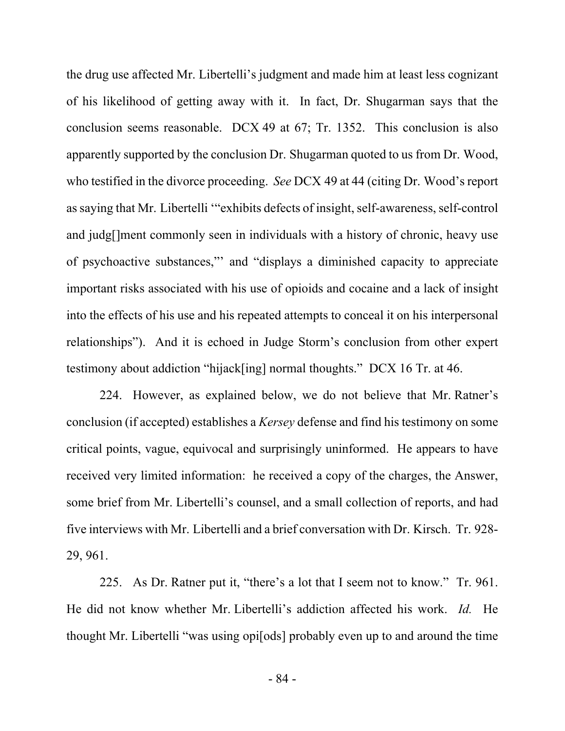the drug use affected Mr. Libertelli's judgment and made him at least less cognizant of his likelihood of getting away with it. In fact, Dr. Shugarman says that the conclusion seems reasonable. DCX 49 at 67; Tr. 1352. This conclusion is also apparently supported by the conclusion Dr. Shugarman quoted to us from Dr. Wood, who testified in the divorce proceeding. *See* DCX 49 at 44 (citing Dr. Wood's report as saying that Mr. Libertelli '"exhibits defects of insight, self-awareness, self-control and judg[]ment commonly seen in individuals with a history of chronic, heavy use of psychoactive substances,"' and "displays a diminished capacity to appreciate important risks associated with his use of opioids and cocaine and a lack of insight into the effects of his use and his repeated attempts to conceal it on his interpersonal relationships"). And it is echoed in Judge Storm's conclusion from other expert testimony about addiction "hijack[ing] normal thoughts." DCX 16 Tr. at 46.

224. However, as explained below, we do not believe that Mr. Ratner's conclusion (if accepted) establishes a *Kersey* defense and find his testimony on some critical points, vague, equivocal and surprisingly uninformed. He appears to have received very limited information: he received a copy of the charges, the Answer, some brief from Mr. Libertelli's counsel, and a small collection of reports, and had five interviews with Mr. Libertelli and a brief conversation with Dr. Kirsch. Tr. 928- 29, 961.

225. As Dr. Ratner put it, "there's a lot that I seem not to know." Tr. 961. He did not know whether Mr. Libertelli's addiction affected his work. *Id.* He thought Mr. Libertelli "was using opi[ods] probably even up to and around the time

- 84 -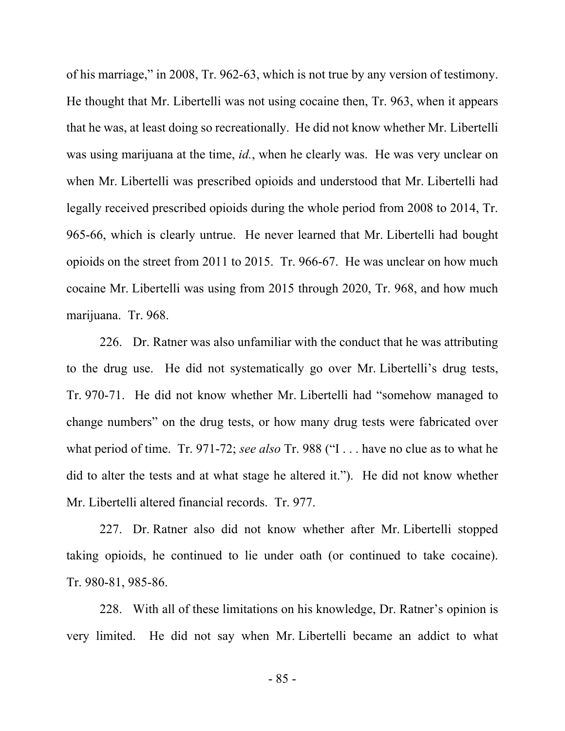of his marriage," in 2008, Tr. 962-63, which is not true by any version of testimony. He thought that Mr. Libertelli was not using cocaine then, Tr. 963, when it appears that he was, at least doing so recreationally. He did not know whether Mr. Libertelli was using marijuana at the time, *id.*, when he clearly was. He was very unclear on when Mr. Libertelli was prescribed opioids and understood that Mr. Libertelli had legally received prescribed opioids during the whole period from 2008 to 2014, Tr. 965-66, which is clearly untrue. He never learned that Mr. Libertelli had bought opioids on the street from 2011 to 2015. Tr. 966-67. He was unclear on how much cocaine Mr. Libertelli was using from 2015 through 2020, Tr. 968, and how much marijuana. Tr. 968.

226. Dr. Ratner was also unfamiliar with the conduct that he was attributing to the drug use. He did not systematically go over Mr. Libertelli's drug tests, Tr. 970-71. He did not know whether Mr. Libertelli had "somehow managed to change numbers" on the drug tests, or how many drug tests were fabricated over what period of time. Tr. 971-72; *see also* Tr. 988 ("I . . . have no clue as to what he did to alter the tests and at what stage he altered it."). He did not know whether Mr. Libertelli altered financial records. Tr. 977.

227. Dr. Ratner also did not know whether after Mr. Libertelli stopped taking opioids, he continued to lie under oath (or continued to take cocaine). Tr. 980-81, 985-86.

228. With all of these limitations on his knowledge, Dr. Ratner's opinion is very limited. He did not say when Mr. Libertelli became an addict to what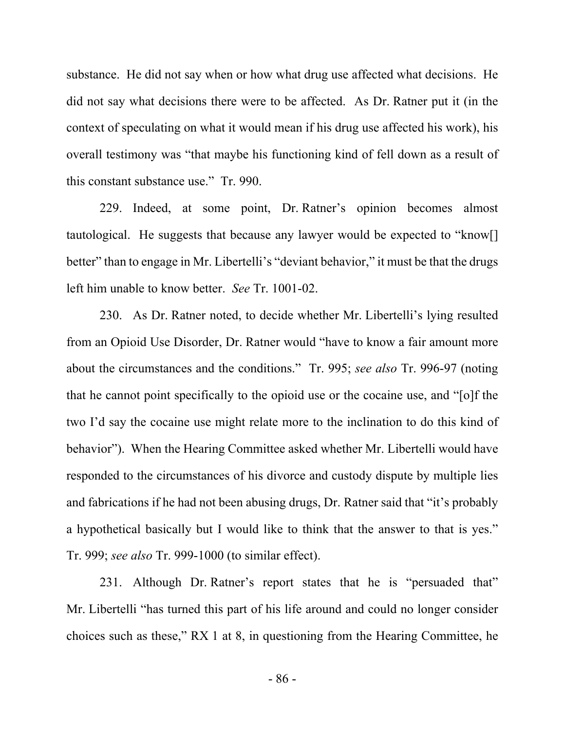substance. He did not say when or how what drug use affected what decisions. He did not say what decisions there were to be affected. As Dr. Ratner put it (in the context of speculating on what it would mean if his drug use affected his work), his overall testimony was "that maybe his functioning kind of fell down as a result of this constant substance use." Tr. 990.

229. Indeed, at some point, Dr. Ratner's opinion becomes almost tautological. He suggests that because any lawyer would be expected to "know[] better" than to engage in Mr. Libertelli's "deviant behavior," it must be that the drugs left him unable to know better. *See* Tr. 1001-02.

230. As Dr. Ratner noted, to decide whether Mr. Libertelli's lying resulted from an Opioid Use Disorder, Dr. Ratner would "have to know a fair amount more about the circumstances and the conditions." Tr. 995; *see also* Tr. 996-97 (noting that he cannot point specifically to the opioid use or the cocaine use, and "[o]f the two I'd say the cocaine use might relate more to the inclination to do this kind of behavior"). When the Hearing Committee asked whether Mr. Libertelli would have responded to the circumstances of his divorce and custody dispute by multiple lies and fabrications if he had not been abusing drugs, Dr. Ratner said that "it's probably a hypothetical basically but I would like to think that the answer to that is yes." Tr. 999; *see also* Tr. 999-1000 (to similar effect).

231. Although Dr. Ratner's report states that he is "persuaded that" Mr. Libertelli "has turned this part of his life around and could no longer consider choices such as these," RX 1 at 8, in questioning from the Hearing Committee, he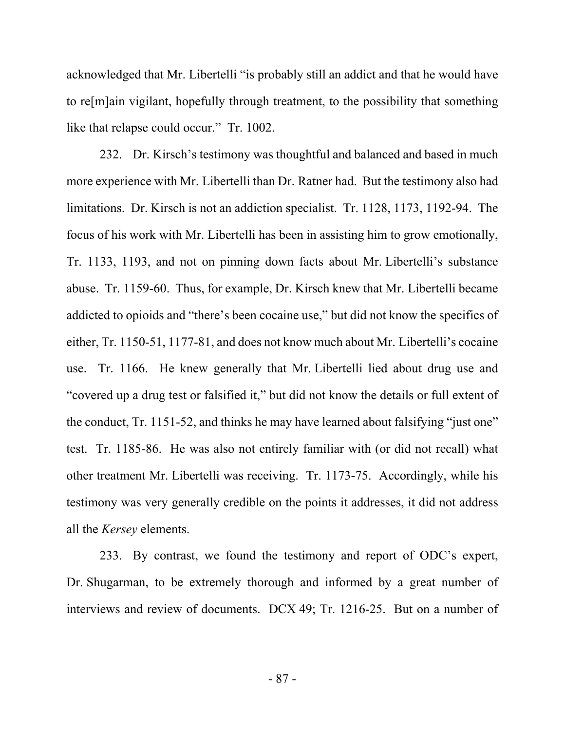acknowledged that Mr. Libertelli "is probably still an addict and that he would have to re[m]ain vigilant, hopefully through treatment, to the possibility that something like that relapse could occur." Tr. 1002.

232. Dr. Kirsch's testimony was thoughtful and balanced and based in much more experience with Mr. Libertelli than Dr. Ratner had. But the testimony also had limitations. Dr. Kirsch is not an addiction specialist. Tr. 1128, 1173, 1192-94. The focus of his work with Mr. Libertelli has been in assisting him to grow emotionally, Tr. 1133, 1193, and not on pinning down facts about Mr. Libertelli's substance abuse. Tr. 1159-60. Thus, for example, Dr. Kirsch knew that Mr. Libertelli became addicted to opioids and "there's been cocaine use," but did not know the specifics of either, Tr. 1150-51, 1177-81, and does not know much about Mr. Libertelli's cocaine use. Tr. 1166. He knew generally that Mr. Libertelli lied about drug use and "covered up a drug test or falsified it," but did not know the details or full extent of the conduct, Tr. 1151-52, and thinks he may have learned about falsifying "just one" test. Tr. 1185-86. He was also not entirely familiar with (or did not recall) what other treatment Mr. Libertelli was receiving. Tr. 1173-75. Accordingly, while his testimony was very generally credible on the points it addresses, it did not address all the *Kersey* elements.

233. By contrast, we found the testimony and report of ODC's expert, Dr. Shugarman, to be extremely thorough and informed by a great number of interviews and review of documents. DCX 49; Tr. 1216-25. But on a number of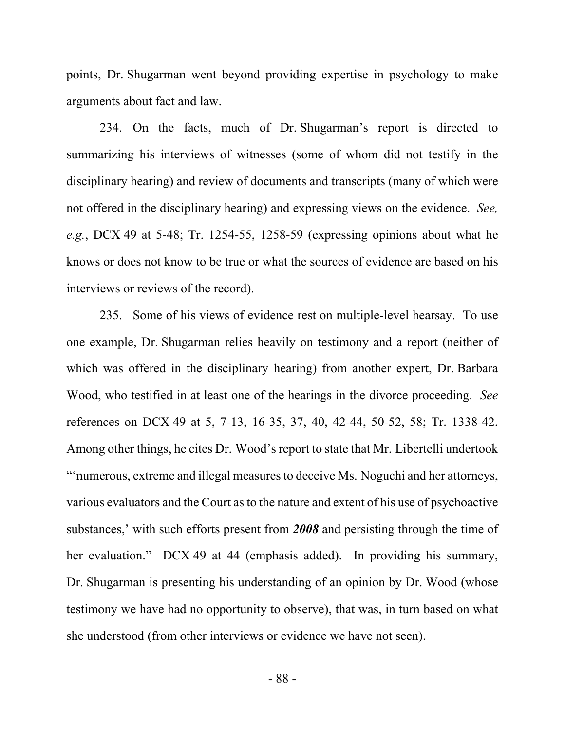points, Dr. Shugarman went beyond providing expertise in psychology to make arguments about fact and law.

234. On the facts, much of Dr. Shugarman's report is directed to summarizing his interviews of witnesses (some of whom did not testify in the disciplinary hearing) and review of documents and transcripts (many of which were not offered in the disciplinary hearing) and expressing views on the evidence. *See, e.g.*, DCX 49 at 5-48; Tr. 1254-55, 1258-59 (expressing opinions about what he knows or does not know to be true or what the sources of evidence are based on his interviews or reviews of the record).

235. Some of his views of evidence rest on multiple-level hearsay. To use one example, Dr. Shugarman relies heavily on testimony and a report (neither of which was offered in the disciplinary hearing) from another expert, Dr. Barbara Wood, who testified in at least one of the hearings in the divorce proceeding. *See*  references on DCX 49 at 5, 7-13, 16-35, 37, 40, 42-44, 50-52, 58; Tr. 1338-42. Among other things, he cites Dr. Wood's report to state that Mr. Libertelli undertook "'numerous, extreme and illegal measures to deceive Ms. Noguchi and her attorneys, various evaluators and the Court as to the nature and extent of his use of psychoactive substances,' with such efforts present from *2008* and persisting through the time of her evaluation." DCX 49 at 44 (emphasis added). In providing his summary, Dr. Shugarman is presenting his understanding of an opinion by Dr. Wood (whose testimony we have had no opportunity to observe), that was, in turn based on what she understood (from other interviews or evidence we have not seen).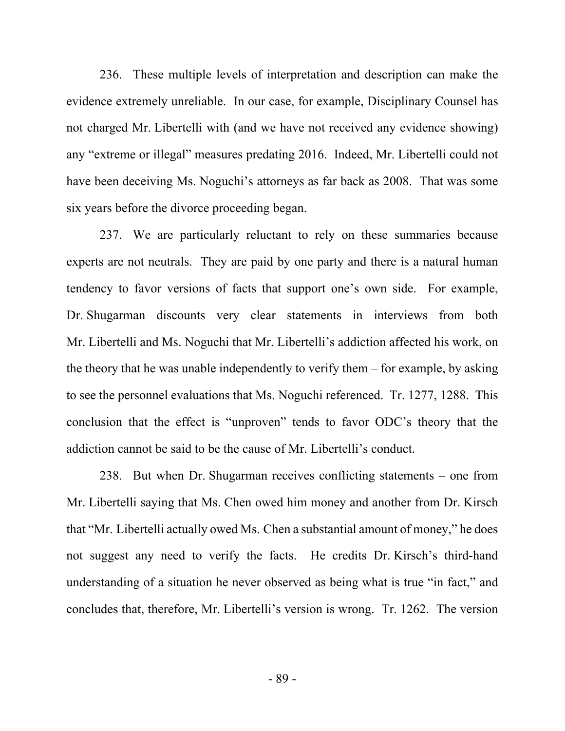236. These multiple levels of interpretation and description can make the evidence extremely unreliable. In our case, for example, Disciplinary Counsel has not charged Mr. Libertelli with (and we have not received any evidence showing) any "extreme or illegal" measures predating 2016. Indeed, Mr. Libertelli could not have been deceiving Ms. Noguchi's attorneys as far back as 2008. That was some six years before the divorce proceeding began.

237. We are particularly reluctant to rely on these summaries because experts are not neutrals. They are paid by one party and there is a natural human tendency to favor versions of facts that support one's own side. For example, Dr. Shugarman discounts very clear statements in interviews from both Mr. Libertelli and Ms. Noguchi that Mr. Libertelli's addiction affected his work, on the theory that he was unable independently to verify them – for example, by asking to see the personnel evaluations that Ms. Noguchi referenced. Tr. 1277, 1288. This conclusion that the effect is "unproven" tends to favor ODC's theory that the addiction cannot be said to be the cause of Mr. Libertelli's conduct.

238. But when Dr. Shugarman receives conflicting statements – one from Mr. Libertelli saying that Ms. Chen owed him money and another from Dr. Kirsch that "Mr. Libertelli actually owed Ms. Chen a substantial amount of money," he does not suggest any need to verify the facts. He credits Dr. Kirsch's third-hand understanding of a situation he never observed as being what is true "in fact," and concludes that, therefore, Mr. Libertelli's version is wrong. Tr. 1262. The version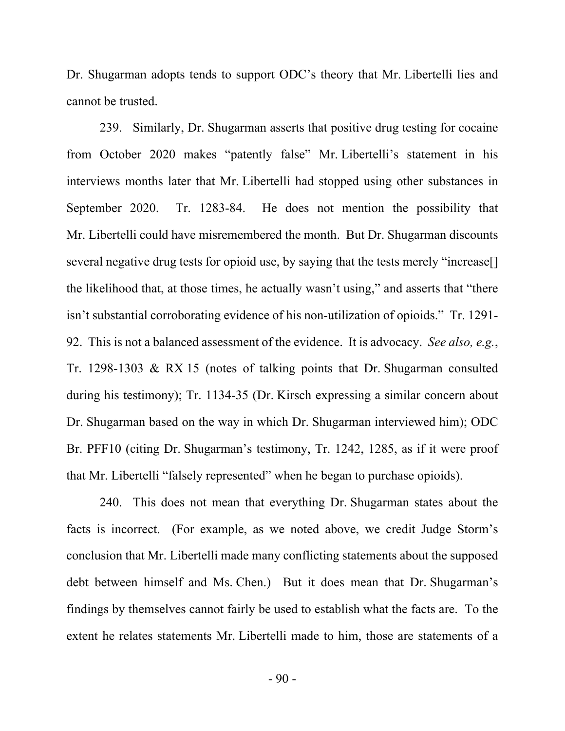Dr. Shugarman adopts tends to support ODC's theory that Mr. Libertelli lies and cannot be trusted.

239. Similarly, Dr. Shugarman asserts that positive drug testing for cocaine from October 2020 makes "patently false" Mr. Libertelli's statement in his interviews months later that Mr. Libertelli had stopped using other substances in September 2020. Tr. 1283-84. He does not mention the possibility that Mr. Libertelli could have misremembered the month. But Dr. Shugarman discounts several negative drug tests for opioid use, by saying that the tests merely "increase[] the likelihood that, at those times, he actually wasn't using," and asserts that "there isn't substantial corroborating evidence of his non-utilization of opioids." Tr. 1291- 92. This is not a balanced assessment of the evidence. It is advocacy. *See also, e.g.*, Tr. 1298-1303 & RX 15 (notes of talking points that Dr. Shugarman consulted during his testimony); Tr. 1134-35 (Dr. Kirsch expressing a similar concern about Dr. Shugarman based on the way in which Dr. Shugarman interviewed him); ODC Br. PFF10 (citing Dr. Shugarman's testimony, Tr. 1242, 1285, as if it were proof that Mr. Libertelli "falsely represented" when he began to purchase opioids).

240. This does not mean that everything Dr. Shugarman states about the facts is incorrect. (For example, as we noted above, we credit Judge Storm's conclusion that Mr. Libertelli made many conflicting statements about the supposed debt between himself and Ms. Chen.) But it does mean that Dr. Shugarman's findings by themselves cannot fairly be used to establish what the facts are. To the extent he relates statements Mr. Libertelli made to him, those are statements of a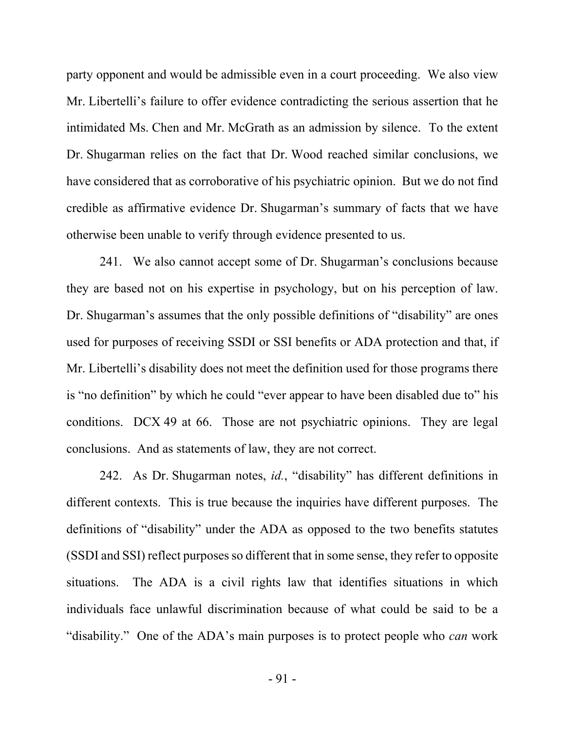party opponent and would be admissible even in a court proceeding. We also view Mr. Libertelli's failure to offer evidence contradicting the serious assertion that he intimidated Ms. Chen and Mr. McGrath as an admission by silence. To the extent Dr. Shugarman relies on the fact that Dr. Wood reached similar conclusions, we have considered that as corroborative of his psychiatric opinion. But we do not find credible as affirmative evidence Dr. Shugarman's summary of facts that we have otherwise been unable to verify through evidence presented to us.

241. We also cannot accept some of Dr. Shugarman's conclusions because they are based not on his expertise in psychology, but on his perception of law. Dr. Shugarman's assumes that the only possible definitions of "disability" are ones used for purposes of receiving SSDI or SSI benefits or ADA protection and that, if Mr. Libertelli's disability does not meet the definition used for those programs there is "no definition" by which he could "ever appear to have been disabled due to" his conditions. DCX 49 at 66. Those are not psychiatric opinions. They are legal conclusions. And as statements of law, they are not correct.

242. As Dr. Shugarman notes, *id.*, "disability" has different definitions in different contexts. This is true because the inquiries have different purposes. The definitions of "disability" under the ADA as opposed to the two benefits statutes (SSDI and SSI) reflect purposes so different that in some sense, they refer to opposite situations. The ADA is a civil rights law that identifies situations in which individuals face unlawful discrimination because of what could be said to be a "disability." One of the ADA's main purposes is to protect people who *can* work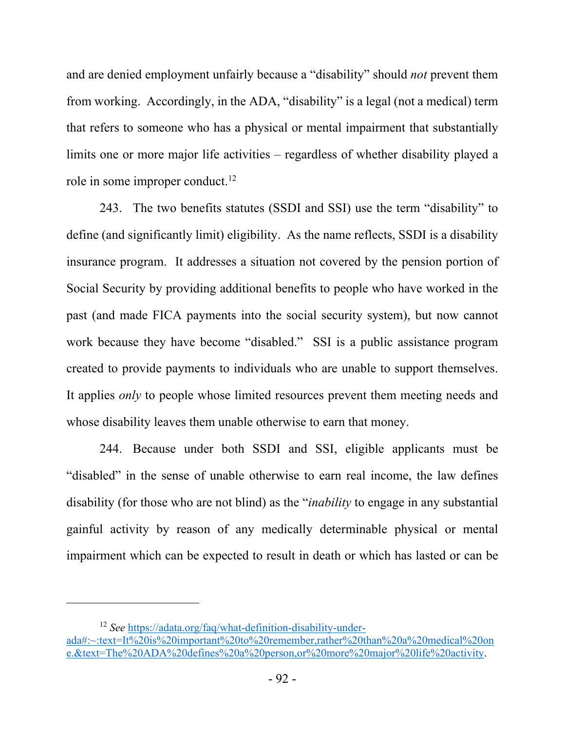and are denied employment unfairly because a "disability" should *not* prevent them from working. Accordingly, in the ADA, "disability" is a legal (not a medical) term that refers to someone who has a physical or mental impairment that substantially limits one or more major life activities – regardless of whether disability played a role in some improper conduct.<sup>12</sup>

243. The two benefits statutes (SSDI and SSI) use the term "disability" to define (and significantly limit) eligibility. As the name reflects, SSDI is a disability insurance program. It addresses a situation not covered by the pension portion of Social Security by providing additional benefits to people who have worked in the past (and made FICA payments into the social security system), but now cannot work because they have become "disabled." SSI is a public assistance program created to provide payments to individuals who are unable to support themselves. It applies *only* to people whose limited resources prevent them meeting needs and whose disability leaves them unable otherwise to earn that money.

244. Because under both SSDI and SSI, eligible applicants must be "disabled" in the sense of unable otherwise to earn real income, the law defines disability (for those who are not blind) as the "*inability* to engage in any substantial gainful activity by reason of any medically determinable physical or mental impairment which can be expected to result in death or which has lasted or can be

<sup>12</sup> *See* https://adata.org/faq/what-definition-disability-under-

ada#:~:text=It%20is%20important%20to%20remember,rather%20than%20a%20medical%20on e.&text=The%20ADA%20defines%20a%20person,or%20more%20major%20life%20activity.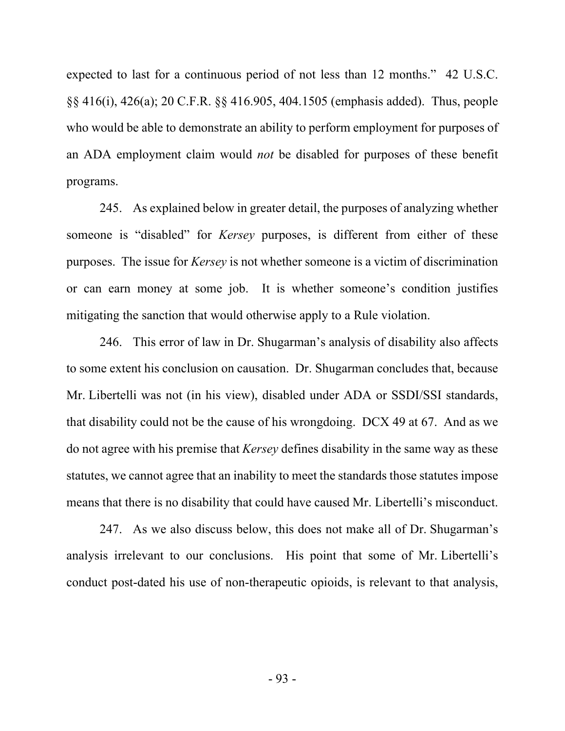expected to last for a continuous period of not less than 12 months." 42 U.S.C. §§ 416(i), 426(a); 20 C.F.R. §§ 416.905, 404.1505 (emphasis added). Thus, people who would be able to demonstrate an ability to perform employment for purposes of an ADA employment claim would *not* be disabled for purposes of these benefit programs.

245. As explained below in greater detail, the purposes of analyzing whether someone is "disabled" for *Kersey* purposes, is different from either of these purposes. The issue for *Kersey* is not whether someone is a victim of discrimination or can earn money at some job. It is whether someone's condition justifies mitigating the sanction that would otherwise apply to a Rule violation.

246. This error of law in Dr. Shugarman's analysis of disability also affects to some extent his conclusion on causation. Dr. Shugarman concludes that, because Mr. Libertelli was not (in his view), disabled under ADA or SSDI/SSI standards, that disability could not be the cause of his wrongdoing. DCX 49 at 67. And as we do not agree with his premise that *Kersey* defines disability in the same way as these statutes, we cannot agree that an inability to meet the standards those statutes impose means that there is no disability that could have caused Mr. Libertelli's misconduct.

247. As we also discuss below, this does not make all of Dr. Shugarman's analysis irrelevant to our conclusions. His point that some of Mr. Libertelli's conduct post-dated his use of non-therapeutic opioids, is relevant to that analysis,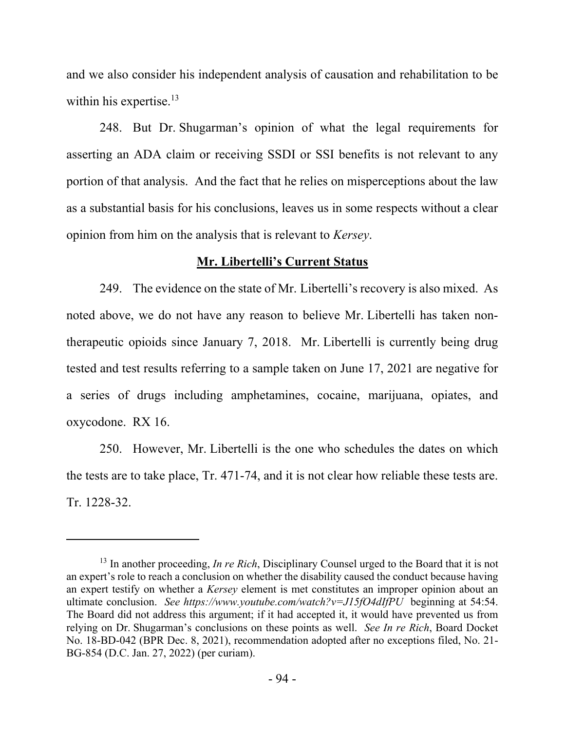and we also consider his independent analysis of causation and rehabilitation to be within his expertise.<sup>13</sup>

248. But Dr. Shugarman's opinion of what the legal requirements for asserting an ADA claim or receiving SSDI or SSI benefits is not relevant to any portion of that analysis. And the fact that he relies on misperceptions about the law as a substantial basis for his conclusions, leaves us in some respects without a clear opinion from him on the analysis that is relevant to *Kersey*.

#### **Mr. Libertelli's Current Status**

249. The evidence on the state of Mr. Libertelli's recovery is also mixed. As noted above, we do not have any reason to believe Mr. Libertelli has taken nontherapeutic opioids since January 7, 2018. Mr. Libertelli is currently being drug tested and test results referring to a sample taken on June 17, 2021 are negative for a series of drugs including amphetamines, cocaine, marijuana, opiates, and oxycodone. RX 16.

250. However, Mr. Libertelli is the one who schedules the dates on which the tests are to take place, Tr. 471-74, and it is not clear how reliable these tests are. Tr. 1228-32.

<sup>&</sup>lt;sup>13</sup> In another proceeding, *In re Rich*, Disciplinary Counsel urged to the Board that it is not an expert's role to reach a conclusion on whether the disability caused the conduct because having an expert testify on whether a *Kersey* element is met constitutes an improper opinion about an ultimate conclusion. *See https://www.youtube.com/watch?v=J15fO4dIfPU* beginning at 54:54. The Board did not address this argument; if it had accepted it, it would have prevented us from relying on Dr. Shugarman's conclusions on these points as well. *See In re Rich*, Board Docket No. 18-BD-042 (BPR Dec. 8, 2021), recommendation adopted after no exceptions filed, No. 21- BG-854 (D.C. Jan. 27, 2022) (per curiam).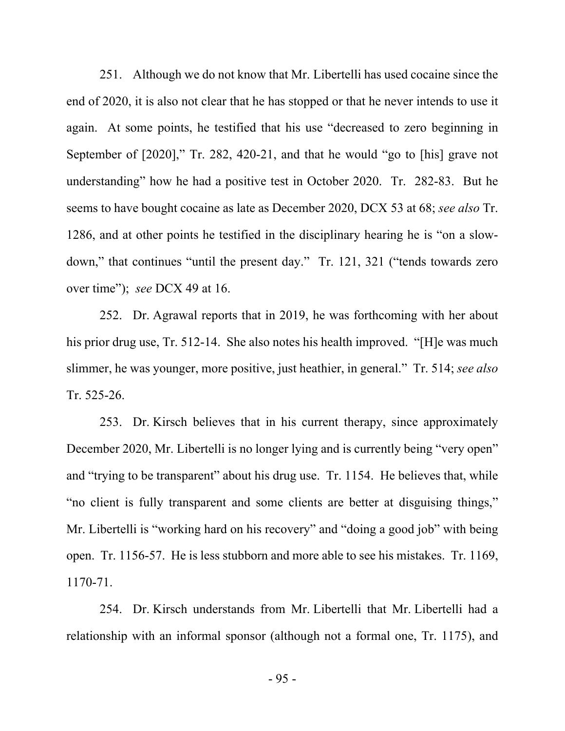251. Although we do not know that Mr. Libertelli has used cocaine since the end of 2020, it is also not clear that he has stopped or that he never intends to use it again. At some points, he testified that his use "decreased to zero beginning in September of [2020]," Tr. 282, 420-21, and that he would "go to [his] grave not understanding" how he had a positive test in October 2020. Tr. 282-83. But he seems to have bought cocaine as late as December 2020, DCX 53 at 68; *see also* Tr. 1286, and at other points he testified in the disciplinary hearing he is "on a slowdown," that continues "until the present day." Tr. 121, 321 ("tends towards zero over time"); *see* DCX 49 at 16.

252. Dr. Agrawal reports that in 2019, he was forthcoming with her about his prior drug use, Tr. 512-14. She also notes his health improved. "[H]e was much slimmer, he was younger, more positive, just heathier, in general." Tr. 514; *see also*  Tr. 525-26.

253. Dr. Kirsch believes that in his current therapy, since approximately December 2020, Mr. Libertelli is no longer lying and is currently being "very open" and "trying to be transparent" about his drug use. Tr. 1154. He believes that, while "no client is fully transparent and some clients are better at disguising things," Mr. Libertelli is "working hard on his recovery" and "doing a good job" with being open. Tr. 1156-57. He is less stubborn and more able to see his mistakes. Tr. 1169, 1170-71.

254. Dr. Kirsch understands from Mr. Libertelli that Mr. Libertelli had a relationship with an informal sponsor (although not a formal one, Tr. 1175), and

- 95 -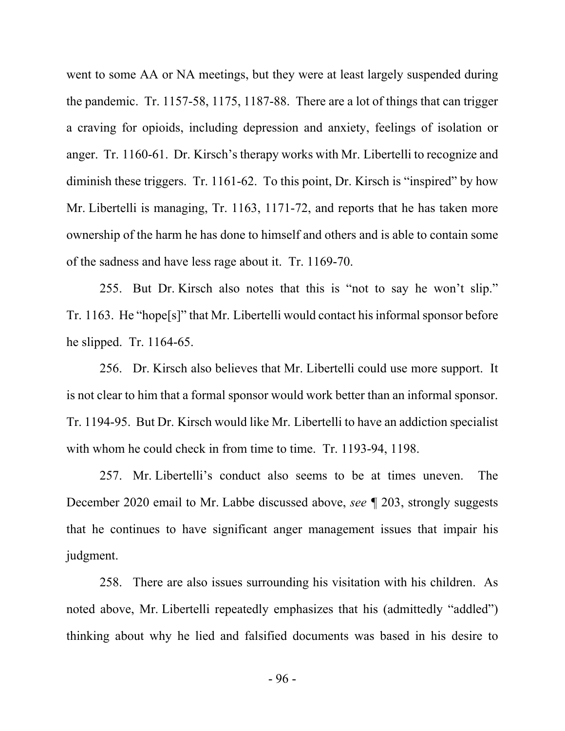went to some AA or NA meetings, but they were at least largely suspended during the pandemic. Tr. 1157-58, 1175, 1187-88. There are a lot of things that can trigger a craving for opioids, including depression and anxiety, feelings of isolation or anger. Tr. 1160-61. Dr. Kirsch's therapy works with Mr. Libertelli to recognize and diminish these triggers. Tr. 1161-62. To this point, Dr. Kirsch is "inspired" by how Mr. Libertelli is managing, Tr. 1163, 1171-72, and reports that he has taken more ownership of the harm he has done to himself and others and is able to contain some of the sadness and have less rage about it. Tr. 1169-70.

255. But Dr. Kirsch also notes that this is "not to say he won't slip." Tr. 1163. He "hope[s]" that Mr. Libertelli would contact his informal sponsor before he slipped. Tr. 1164-65.

256. Dr. Kirsch also believes that Mr. Libertelli could use more support. It is not clear to him that a formal sponsor would work better than an informal sponsor. Tr. 1194-95. But Dr. Kirsch would like Mr. Libertelli to have an addiction specialist with whom he could check in from time to time. Tr. 1193-94, 1198.

257. Mr. Libertelli's conduct also seems to be at times uneven. The December 2020 email to Mr. Labbe discussed above, *see ¶* 203, strongly suggests that he continues to have significant anger management issues that impair his judgment.

258. There are also issues surrounding his visitation with his children. As noted above, Mr. Libertelli repeatedly emphasizes that his (admittedly "addled") thinking about why he lied and falsified documents was based in his desire to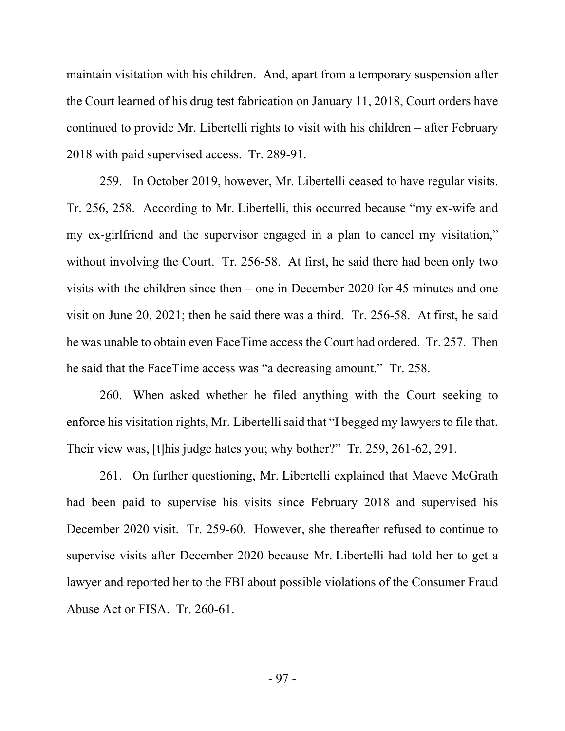maintain visitation with his children. And, apart from a temporary suspension after the Court learned of his drug test fabrication on January 11, 2018, Court orders have continued to provide Mr. Libertelli rights to visit with his children – after February 2018 with paid supervised access. Tr. 289-91.

259. In October 2019, however, Mr. Libertelli ceased to have regular visits. Tr. 256, 258. According to Mr. Libertelli, this occurred because "my ex-wife and my ex-girlfriend and the supervisor engaged in a plan to cancel my visitation," without involving the Court. Tr. 256-58. At first, he said there had been only two visits with the children since then – one in December 2020 for 45 minutes and one visit on June 20, 2021; then he said there was a third. Tr. 256-58. At first, he said he was unable to obtain even FaceTime access the Court had ordered. Tr. 257. Then he said that the FaceTime access was "a decreasing amount." Tr. 258.

260. When asked whether he filed anything with the Court seeking to enforce his visitation rights, Mr. Libertelli said that "I begged my lawyers to file that. Their view was, [t]his judge hates you; why bother?" Tr. 259, 261-62, 291.

261. On further questioning, Mr. Libertelli explained that Maeve McGrath had been paid to supervise his visits since February 2018 and supervised his December 2020 visit. Tr. 259-60. However, she thereafter refused to continue to supervise visits after December 2020 because Mr. Libertelli had told her to get a lawyer and reported her to the FBI about possible violations of the Consumer Fraud Abuse Act or FISA. Tr. 260-61.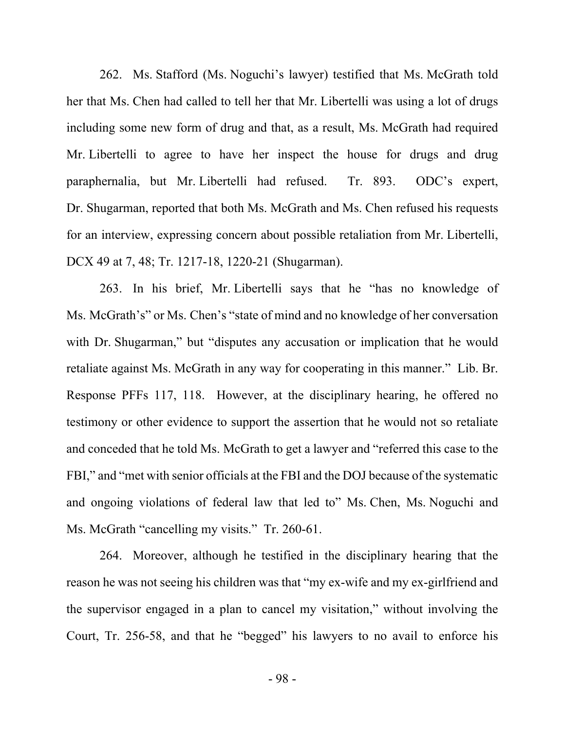262. Ms. Stafford (Ms. Noguchi's lawyer) testified that Ms. McGrath told her that Ms. Chen had called to tell her that Mr. Libertelli was using a lot of drugs including some new form of drug and that, as a result, Ms. McGrath had required Mr. Libertelli to agree to have her inspect the house for drugs and drug paraphernalia, but Mr. Libertelli had refused. Tr. 893. ODC's expert, Dr. Shugarman, reported that both Ms. McGrath and Ms. Chen refused his requests for an interview, expressing concern about possible retaliation from Mr. Libertelli, DCX 49 at 7, 48; Tr. 1217-18, 1220-21 (Shugarman).

263. In his brief, Mr. Libertelli says that he "has no knowledge of Ms. McGrath's" or Ms. Chen's "state of mind and no knowledge of her conversation with Dr. Shugarman," but "disputes any accusation or implication that he would retaliate against Ms. McGrath in any way for cooperating in this manner." Lib. Br. Response PFFs 117, 118. However, at the disciplinary hearing, he offered no testimony or other evidence to support the assertion that he would not so retaliate and conceded that he told Ms. McGrath to get a lawyer and "referred this case to the FBI," and "met with senior officials at the FBI and the DOJ because of the systematic and ongoing violations of federal law that led to" Ms. Chen, Ms. Noguchi and Ms. McGrath "cancelling my visits." Tr. 260-61.

264. Moreover, although he testified in the disciplinary hearing that the reason he was not seeing his children was that "my ex-wife and my ex-girlfriend and the supervisor engaged in a plan to cancel my visitation," without involving the Court, Tr. 256-58, and that he "begged" his lawyers to no avail to enforce his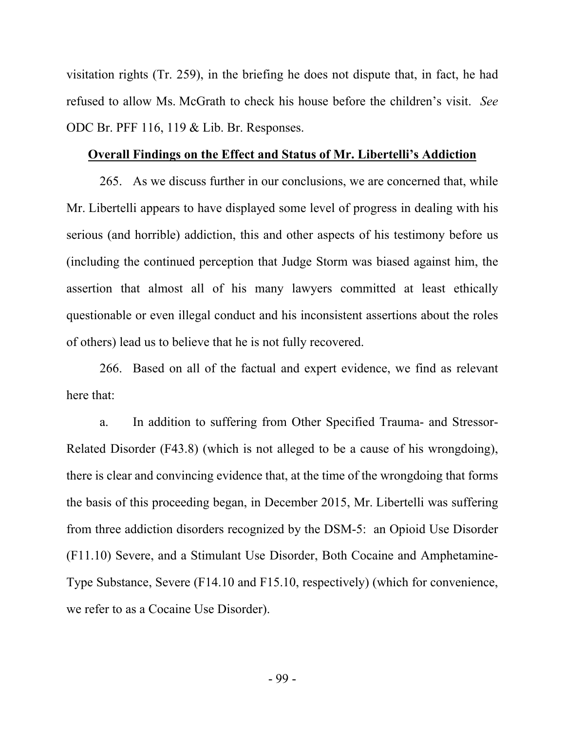visitation rights (Tr. 259), in the briefing he does not dispute that, in fact, he had refused to allow Ms. McGrath to check his house before the children's visit. *See*  ODC Br. PFF 116, 119 & Lib. Br. Responses.

#### **Overall Findings on the Effect and Status of Mr. Libertelli's Addiction**

265. As we discuss further in our conclusions, we are concerned that, while Mr. Libertelli appears to have displayed some level of progress in dealing with his serious (and horrible) addiction, this and other aspects of his testimony before us (including the continued perception that Judge Storm was biased against him, the assertion that almost all of his many lawyers committed at least ethically questionable or even illegal conduct and his inconsistent assertions about the roles of others) lead us to believe that he is not fully recovered.

266. Based on all of the factual and expert evidence, we find as relevant here that:

a. In addition to suffering from Other Specified Trauma- and Stressor-Related Disorder (F43.8) (which is not alleged to be a cause of his wrongdoing), there is clear and convincing evidence that, at the time of the wrongdoing that forms the basis of this proceeding began, in December 2015, Mr. Libertelli was suffering from three addiction disorders recognized by the DSM-5: an Opioid Use Disorder (F11.10) Severe, and a Stimulant Use Disorder, Both Cocaine and Amphetamine-Type Substance, Severe (F14.10 and F15.10, respectively) (which for convenience, we refer to as a Cocaine Use Disorder).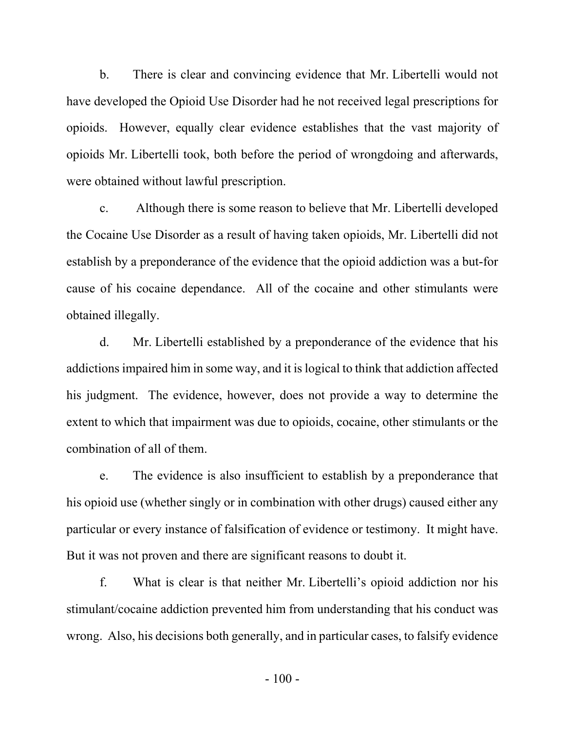b. There is clear and convincing evidence that Mr. Libertelli would not have developed the Opioid Use Disorder had he not received legal prescriptions for opioids. However, equally clear evidence establishes that the vast majority of opioids Mr. Libertelli took, both before the period of wrongdoing and afterwards, were obtained without lawful prescription.

c. Although there is some reason to believe that Mr. Libertelli developed the Cocaine Use Disorder as a result of having taken opioids, Mr. Libertelli did not establish by a preponderance of the evidence that the opioid addiction was a but-for cause of his cocaine dependance. All of the cocaine and other stimulants were obtained illegally.

d. Mr. Libertelli established by a preponderance of the evidence that his addictions impaired him in some way, and it is logical to think that addiction affected his judgment. The evidence, however, does not provide a way to determine the extent to which that impairment was due to opioids, cocaine, other stimulants or the combination of all of them.

e. The evidence is also insufficient to establish by a preponderance that his opioid use (whether singly or in combination with other drugs) caused either any particular or every instance of falsification of evidence or testimony. It might have. But it was not proven and there are significant reasons to doubt it.

f. What is clear is that neither Mr. Libertelli's opioid addiction nor his stimulant/cocaine addiction prevented him from understanding that his conduct was wrong. Also, his decisions both generally, and in particular cases, to falsify evidence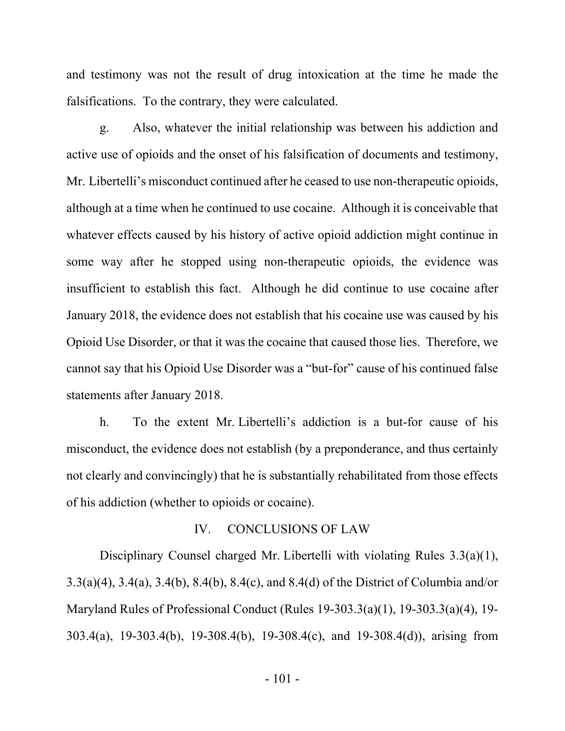and testimony was not the result of drug intoxication at the time he made the falsifications. To the contrary, they were calculated.

g. Also, whatever the initial relationship was between his addiction and active use of opioids and the onset of his falsification of documents and testimony, Mr. Libertelli's misconduct continued after he ceased to use non-therapeutic opioids, although at a time when he continued to use cocaine. Although it is conceivable that whatever effects caused by his history of active opioid addiction might continue in some way after he stopped using non-therapeutic opioids, the evidence was insufficient to establish this fact. Although he did continue to use cocaine after January 2018, the evidence does not establish that his cocaine use was caused by his Opioid Use Disorder, or that it was the cocaine that caused those lies. Therefore, we cannot say that his Opioid Use Disorder was a "but-for" cause of his continued false statements after January 2018.

h. To the extent Mr. Libertelli's addiction is a but-for cause of his misconduct, the evidence does not establish (by a preponderance, and thus certainly not clearly and convincingly) that he is substantially rehabilitated from those effects of his addiction (whether to opioids or cocaine).

#### IV. CONCLUSIONS OF LAW

Disciplinary Counsel charged Mr. Libertelli with violating Rules 3.3(a)(1), 3.3(a)(4), 3.4(a), 3.4(b), 8.4(b), 8.4(c), and 8.4(d) of the District of Columbia and/or Maryland Rules of Professional Conduct (Rules 19-303.3(a)(1), 19-303.3(a)(4), 19- 303.4(a), 19-303.4(b), 19-308.4(b), 19-308.4(c), and 19-308.4(d)), arising from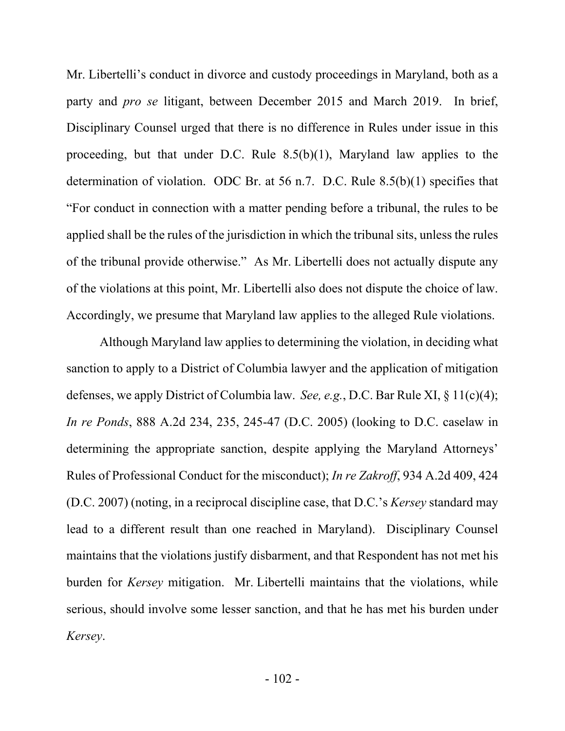Mr. Libertelli's conduct in divorce and custody proceedings in Maryland, both as a party and *pro se* litigant, between December 2015 and March 2019. In brief, Disciplinary Counsel urged that there is no difference in Rules under issue in this proceeding, but that under D.C. Rule 8.5(b)(1), Maryland law applies to the determination of violation. ODC Br. at 56 n.7. D.C. Rule 8.5(b)(1) specifies that "For conduct in connection with a matter pending before a tribunal, the rules to be applied shall be the rules of the jurisdiction in which the tribunal sits, unless the rules of the tribunal provide otherwise." As Mr. Libertelli does not actually dispute any of the violations at this point, Mr. Libertelli also does not dispute the choice of law. Accordingly, we presume that Maryland law applies to the alleged Rule violations.

Although Maryland law applies to determining the violation, in deciding what sanction to apply to a District of Columbia lawyer and the application of mitigation defenses, we apply District of Columbia law. *See, e.g.*, D.C. Bar Rule XI, § 11(c)(4); *In re Ponds*, 888 A.2d 234, 235, 245-47 (D.C. 2005) (looking to D.C. caselaw in determining the appropriate sanction, despite applying the Maryland Attorneys' Rules of Professional Conduct for the misconduct); *In re Zakroff*, 934 A.2d 409, 424 (D.C. 2007) (noting, in a reciprocal discipline case, that D.C.'s *Kersey* standard may lead to a different result than one reached in Maryland). Disciplinary Counsel maintains that the violations justify disbarment, and that Respondent has not met his burden for *Kersey* mitigation. Mr. Libertelli maintains that the violations, while serious, should involve some lesser sanction, and that he has met his burden under *Kersey*.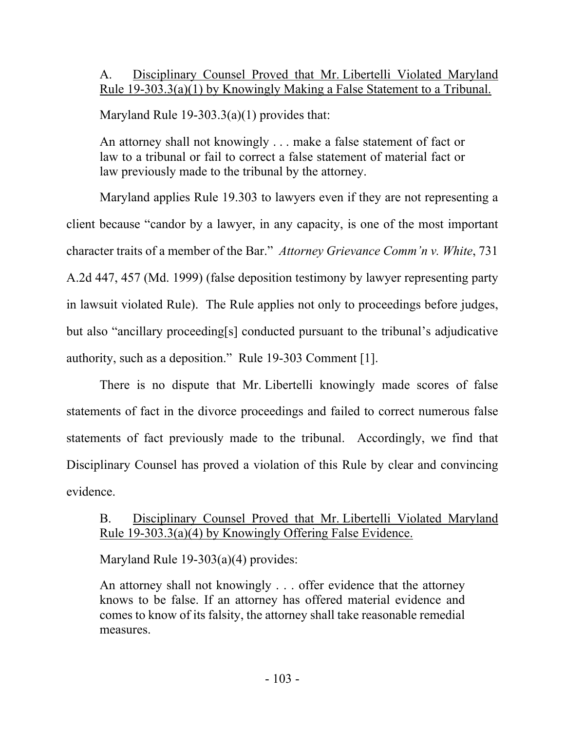# A. Disciplinary Counsel Proved that Mr. Libertelli Violated Maryland Rule 19-303.3(a)(1) by Knowingly Making a False Statement to a Tribunal.

Maryland Rule  $19-303.3(a)(1)$  provides that:

An attorney shall not knowingly . . . make a false statement of fact or law to a tribunal or fail to correct a false statement of material fact or law previously made to the tribunal by the attorney.

Maryland applies Rule 19.303 to lawyers even if they are not representing a client because "candor by a lawyer, in any capacity, is one of the most important character traits of a member of the Bar." *Attorney Grievance Comm'n v. White*, 731 A.2d 447, 457 (Md. 1999) (false deposition testimony by lawyer representing party in lawsuit violated Rule). The Rule applies not only to proceedings before judges, but also "ancillary proceeding[s] conducted pursuant to the tribunal's adjudicative authority, such as a deposition." Rule 19-303 Comment [1].

There is no dispute that Mr. Libertelli knowingly made scores of false statements of fact in the divorce proceedings and failed to correct numerous false statements of fact previously made to the tribunal. Accordingly, we find that Disciplinary Counsel has proved a violation of this Rule by clear and convincing evidence.

# B. Disciplinary Counsel Proved that Mr. Libertelli Violated Maryland Rule 19-303.3(a)(4) by Knowingly Offering False Evidence.

Maryland Rule 19-303(a)(4) provides:

An attorney shall not knowingly . . . offer evidence that the attorney knows to be false. If an attorney has offered material evidence and comes to know of its falsity, the attorney shall take reasonable remedial measures.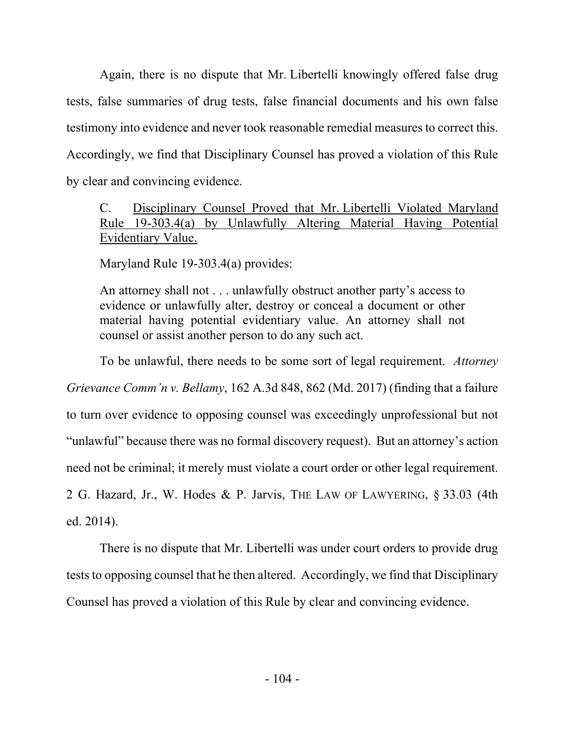Again, there is no dispute that Mr. Libertelli knowingly offered false drug tests, false summaries of drug tests, false financial documents and his own false testimony into evidence and never took reasonable remedial measures to correct this. Accordingly, we find that Disciplinary Counsel has proved a violation of this Rule by clear and convincing evidence.

# C. Disciplinary Counsel Proved that Mr. Libertelli Violated Maryland Rule 19-303.4(a) by Unlawfully Altering Material Having Potential Evidentiary Value.

Maryland Rule 19-303.4(a) provides:

An attorney shall not . . . unlawfully obstruct another party's access to evidence or unlawfully alter, destroy or conceal a document or other material having potential evidentiary value. An attorney shall not counsel or assist another person to do any such act.

To be unlawful, there needs to be some sort of legal requirement. *Attorney Grievance Comm'n v. Bellamy*, 162 A.3d 848, 862 (Md. 2017) (finding that a failure to turn over evidence to opposing counsel was exceedingly unprofessional but not "unlawful" because there was no formal discovery request). But an attorney's action need not be criminal; it merely must violate a court order or other legal requirement. 2 G. Hazard, Jr., W. Hodes & P. Jarvis, THE LAW OF LAWYERING, § 33.03 (4th ed. 2014).

There is no dispute that Mr. Libertelli was under court orders to provide drug tests to opposing counsel that he then altered. Accordingly, we find that Disciplinary Counsel has proved a violation of this Rule by clear and convincing evidence.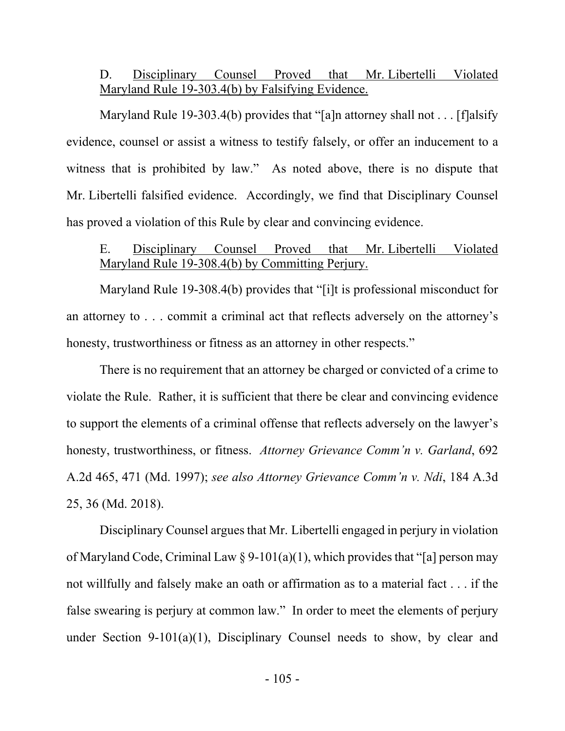### D. Disciplinary Counsel Proved that Mr. Libertelli Violated Maryland Rule 19-303.4(b) by Falsifying Evidence.

Maryland Rule 19-303.4(b) provides that "[a]n attorney shall not . . . [f]alsify evidence, counsel or assist a witness to testify falsely, or offer an inducement to a witness that is prohibited by law." As noted above, there is no dispute that Mr. Libertelli falsified evidence. Accordingly, we find that Disciplinary Counsel has proved a violation of this Rule by clear and convincing evidence.

## E. Disciplinary Counsel Proved that Mr. Libertelli Violated Maryland Rule 19-308.4(b) by Committing Perjury.

 Maryland Rule 19-308.4(b) provides that "[i]t is professional misconduct for an attorney to . . . commit a criminal act that reflects adversely on the attorney's honesty, trustworthiness or fitness as an attorney in other respects."

 There is no requirement that an attorney be charged or convicted of a crime to violate the Rule. Rather, it is sufficient that there be clear and convincing evidence to support the elements of a criminal offense that reflects adversely on the lawyer's honesty, trustworthiness, or fitness. *Attorney Grievance Comm'n v. Garland*, 692 A.2d 465, 471 (Md. 1997); *see also Attorney Grievance Comm'n v. Ndi*, 184 A.3d 25, 36 (Md. 2018).

Disciplinary Counsel argues that Mr. Libertelli engaged in perjury in violation of Maryland Code, Criminal Law  $\S 9-101(a)(1)$ , which provides that "[a] person may not willfully and falsely make an oath or affirmation as to a material fact . . . if the false swearing is perjury at common law." In order to meet the elements of perjury under Section 9-101(a)(1), Disciplinary Counsel needs to show, by clear and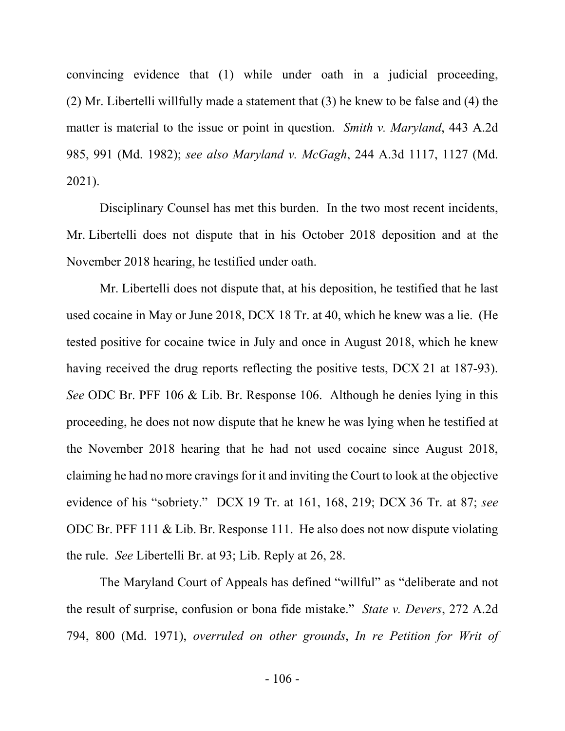convincing evidence that (1) while under oath in a judicial proceeding, (2) Mr. Libertelli willfully made a statement that (3) he knew to be false and (4) the matter is material to the issue or point in question. *Smith v. Maryland*, 443 A.2d 985, 991 (Md. 1982); *see also Maryland v. McGagh*, 244 A.3d 1117, 1127 (Md. 2021).

Disciplinary Counsel has met this burden. In the two most recent incidents, Mr. Libertelli does not dispute that in his October 2018 deposition and at the November 2018 hearing, he testified under oath.

Mr. Libertelli does not dispute that, at his deposition, he testified that he last used cocaine in May or June 2018, DCX 18 Tr. at 40, which he knew was a lie. (He tested positive for cocaine twice in July and once in August 2018, which he knew having received the drug reports reflecting the positive tests, DCX 21 at 187-93). *See* ODC Br. PFF 106 & Lib. Br. Response 106. Although he denies lying in this proceeding, he does not now dispute that he knew he was lying when he testified at the November 2018 hearing that he had not used cocaine since August 2018, claiming he had no more cravings for it and inviting the Court to look at the objective evidence of his "sobriety." DCX 19 Tr. at 161, 168, 219; DCX 36 Tr. at 87; *see*  ODC Br. PFF 111 & Lib. Br. Response 111. He also does not now dispute violating the rule. *See* Libertelli Br. at 93; Lib. Reply at 26, 28.

The Maryland Court of Appeals has defined "willful" as "deliberate and not the result of surprise, confusion or bona fide mistake." *State v. Devers*, 272 A.2d 794, 800 (Md. 1971), *overruled on other grounds*, *In re Petition for Writ of*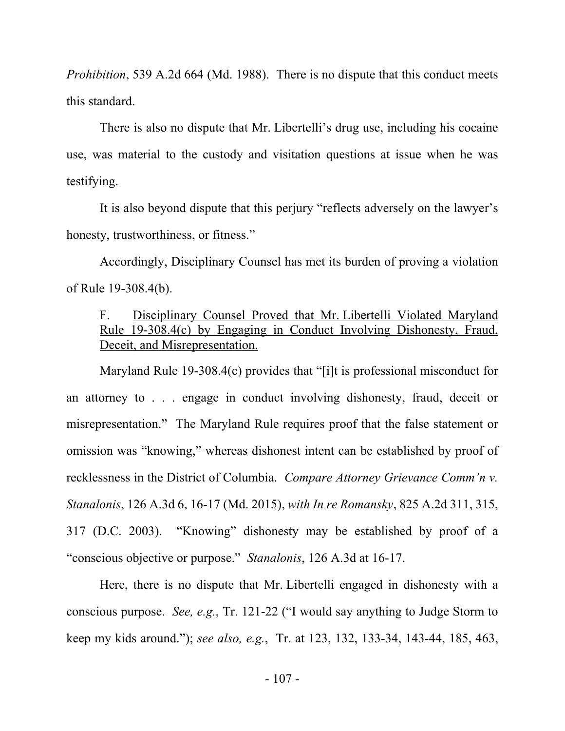*Prohibition*, 539 A.2d 664 (Md. 1988). There is no dispute that this conduct meets this standard.

There is also no dispute that Mr. Libertelli's drug use, including his cocaine use, was material to the custody and visitation questions at issue when he was testifying.

It is also beyond dispute that this perjury "reflects adversely on the lawyer's honesty, trustworthiness, or fitness."

Accordingly, Disciplinary Counsel has met its burden of proving a violation of Rule 19-308.4(b).

# F. Disciplinary Counsel Proved that Mr. Libertelli Violated Maryland Rule 19-308.4(c) by Engaging in Conduct Involving Dishonesty, Fraud, Deceit, and Misrepresentation.

Maryland Rule 19-308.4(c) provides that "[i]t is professional misconduct for an attorney to . . . engage in conduct involving dishonesty, fraud, deceit or misrepresentation." The Maryland Rule requires proof that the false statement or omission was "knowing," whereas dishonest intent can be established by proof of recklessness in the District of Columbia. *Compare Attorney Grievance Comm'n v. Stanalonis*, 126 A.3d 6, 16-17 (Md. 2015), *with In re Romansky*, 825 A.2d 311, 315, 317 (D.C. 2003). "Knowing" dishonesty may be established by proof of a "conscious objective or purpose." *Stanalonis*, 126 A.3d at 16-17.

Here, there is no dispute that Mr. Libertelli engaged in dishonesty with a conscious purpose. *See, e.g.*, Tr. 121-22 ("I would say anything to Judge Storm to keep my kids around."); *see also, e.g.*, Tr. at 123, 132, 133-34, 143-44, 185, 463,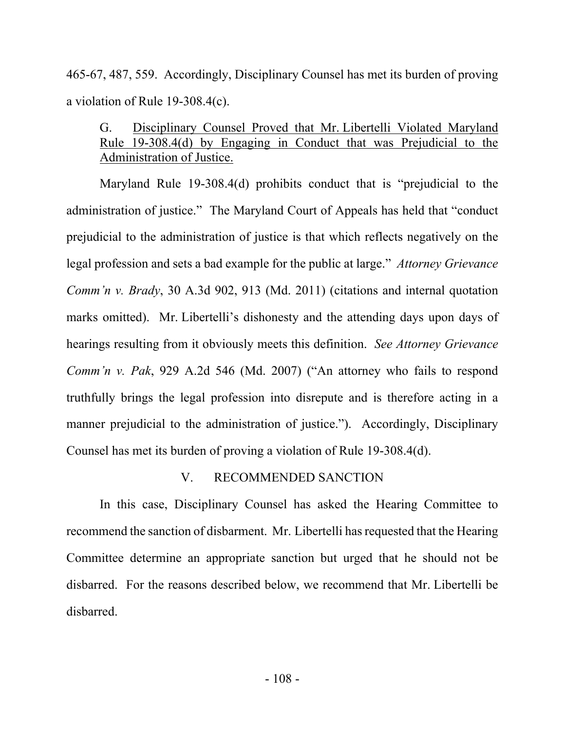465-67, 487, 559. Accordingly, Disciplinary Counsel has met its burden of proving a violation of Rule 19-308.4(c).

# G. Disciplinary Counsel Proved that Mr. Libertelli Violated Maryland Rule 19-308.4(d) by Engaging in Conduct that was Prejudicial to the Administration of Justice.

 Maryland Rule 19-308.4(d) prohibits conduct that is "prejudicial to the administration of justice." The Maryland Court of Appeals has held that "conduct prejudicial to the administration of justice is that which reflects negatively on the legal profession and sets a bad example for the public at large." *Attorney Grievance Comm'n v. Brady*, 30 A.3d 902, 913 (Md. 2011) (citations and internal quotation marks omitted). Mr. Libertelli's dishonesty and the attending days upon days of hearings resulting from it obviously meets this definition. *See Attorney Grievance Comm'n v. Pak*, 929 A.2d 546 (Md. 2007) ("An attorney who fails to respond truthfully brings the legal profession into disrepute and is therefore acting in a manner prejudicial to the administration of justice."). Accordingly, Disciplinary Counsel has met its burden of proving a violation of Rule 19-308.4(d).

#### V. RECOMMENDED SANCTION

In this case, Disciplinary Counsel has asked the Hearing Committee to recommend the sanction of disbarment. Mr. Libertelli has requested that the Hearing Committee determine an appropriate sanction but urged that he should not be disbarred. For the reasons described below, we recommend that Mr. Libertelli be disbarred.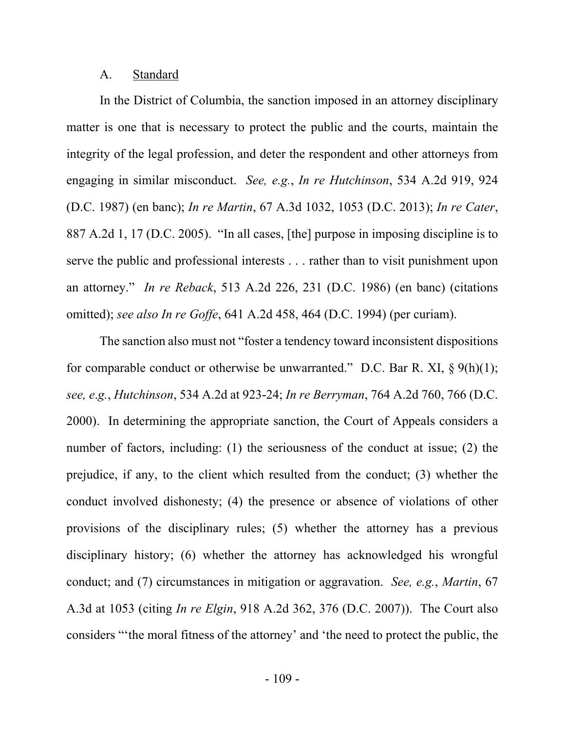## A. Standard

In the District of Columbia, the sanction imposed in an attorney disciplinary matter is one that is necessary to protect the public and the courts, maintain the integrity of the legal profession, and deter the respondent and other attorneys from engaging in similar misconduct. *See, e.g.*, *In re Hutchinson*, 534 A.2d 919, 924 (D.C. 1987) (en banc); *In re Martin*, 67 A.3d 1032, 1053 (D.C. 2013); *In re Cater*, 887 A.2d 1, 17 (D.C. 2005). "In all cases, [the] purpose in imposing discipline is to serve the public and professional interests . . . rather than to visit punishment upon an attorney." *In re Reback*, 513 A.2d 226, 231 (D.C. 1986) (en banc) (citations omitted); *see also In re Goffe*, 641 A.2d 458, 464 (D.C. 1994) (per curiam).

The sanction also must not "foster a tendency toward inconsistent dispositions for comparable conduct or otherwise be unwarranted." D.C. Bar R. XI,  $\S 9(h)(1)$ ; *see, e*.*g.*, *Hutchinson*, 534 A.2d at 923-24; *In re Berryman*, 764 A.2d 760, 766 (D.C. 2000). In determining the appropriate sanction, the Court of Appeals considers a number of factors, including: (1) the seriousness of the conduct at issue; (2) the prejudice, if any, to the client which resulted from the conduct; (3) whether the conduct involved dishonesty; (4) the presence or absence of violations of other provisions of the disciplinary rules; (5) whether the attorney has a previous disciplinary history; (6) whether the attorney has acknowledged his wrongful conduct; and (7) circumstances in mitigation or aggravation. *See, e.g.*, *Martin*, 67 A.3d at 1053 (citing *In re Elgin*, 918 A.2d 362, 376 (D.C. 2007)). The Court also considers "'the moral fitness of the attorney' and 'the need to protect the public, the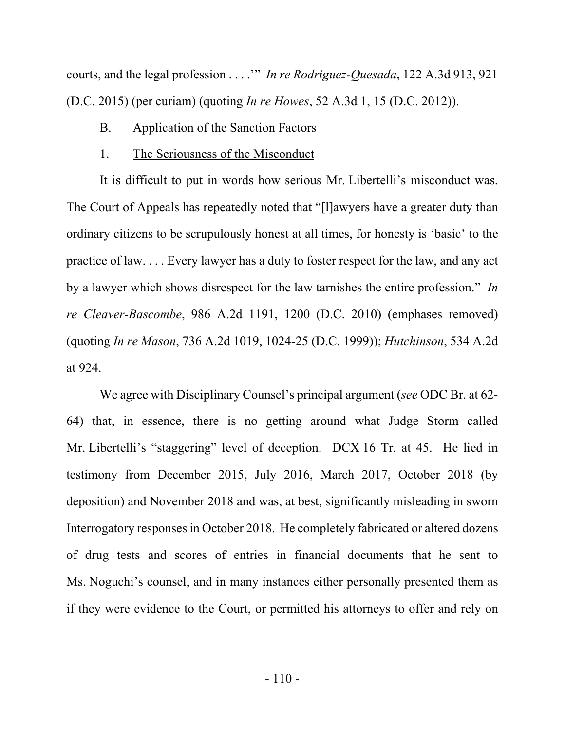courts, and the legal profession . . . .'" *In re Rodriguez-Quesada*, 122 A.3d 913, 921 (D.C. 2015) (per curiam) (quoting *In re Howes*, 52 A.3d 1, 15 (D.C. 2012)).

## B. Application of the Sanction Factors

#### 1. The Seriousness of the Misconduct

It is difficult to put in words how serious Mr. Libertelli's misconduct was. The Court of Appeals has repeatedly noted that "[l]awyers have a greater duty than ordinary citizens to be scrupulously honest at all times, for honesty is 'basic' to the practice of law. . . . Every lawyer has a duty to foster respect for the law, and any act by a lawyer which shows disrespect for the law tarnishes the entire profession." *In re Cleaver-Bascombe*, 986 A.2d 1191, 1200 (D.C. 2010) (emphases removed) (quoting *In re Mason*, 736 A.2d 1019, 1024-25 (D.C. 1999)); *Hutchinson*, 534 A.2d at 924.

We agree with Disciplinary Counsel's principal argument (*see* ODC Br. at 62- 64) that, in essence, there is no getting around what Judge Storm called Mr. Libertelli's "staggering" level of deception. DCX 16 Tr. at 45. He lied in testimony from December 2015, July 2016, March 2017, October 2018 (by deposition) and November 2018 and was, at best, significantly misleading in sworn Interrogatory responses in October 2018. He completely fabricated or altered dozens of drug tests and scores of entries in financial documents that he sent to Ms. Noguchi's counsel, and in many instances either personally presented them as if they were evidence to the Court, or permitted his attorneys to offer and rely on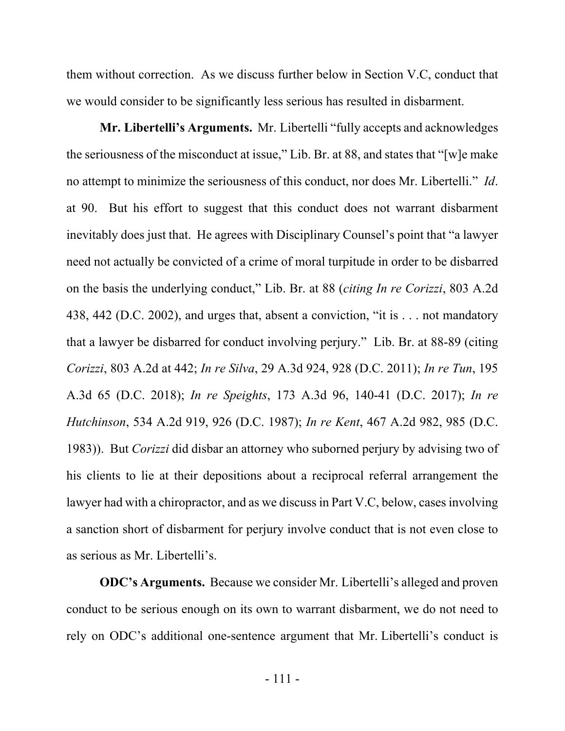them without correction. As we discuss further below in Section V.C, conduct that we would consider to be significantly less serious has resulted in disbarment.

**Mr. Libertelli's Arguments.** Mr. Libertelli "fully accepts and acknowledges the seriousness of the misconduct at issue," Lib. Br. at 88, and states that "[w]e make no attempt to minimize the seriousness of this conduct, nor does Mr. Libertelli." *Id*. at 90. But his effort to suggest that this conduct does not warrant disbarment inevitably does just that. He agrees with Disciplinary Counsel's point that "a lawyer need not actually be convicted of a crime of moral turpitude in order to be disbarred on the basis the underlying conduct," Lib. Br. at 88 (*citing In re Corizzi*, 803 A.2d 438, 442 (D.C. 2002), and urges that, absent a conviction, "it is . . . not mandatory that a lawyer be disbarred for conduct involving perjury." Lib. Br. at 88-89 (citing *Corizzi*, 803 A.2d at 442; *In re Silva*, 29 A.3d 924, 928 (D.C. 2011); *In re Tun*, 195 A.3d 65 (D.C. 2018); *In re Speights*, 173 A.3d 96, 140-41 (D.C. 2017); *In re Hutchinson*, 534 A.2d 919, 926 (D.C. 1987); *In re Kent*, 467 A.2d 982, 985 (D.C. 1983)). But *Corizzi* did disbar an attorney who suborned perjury by advising two of his clients to lie at their depositions about a reciprocal referral arrangement the lawyer had with a chiropractor, and as we discuss in Part V.C, below, cases involving a sanction short of disbarment for perjury involve conduct that is not even close to as serious as Mr. Libertelli's.

**ODC's Arguments.** Because we consider Mr. Libertelli's alleged and proven conduct to be serious enough on its own to warrant disbarment, we do not need to rely on ODC's additional one-sentence argument that Mr. Libertelli's conduct is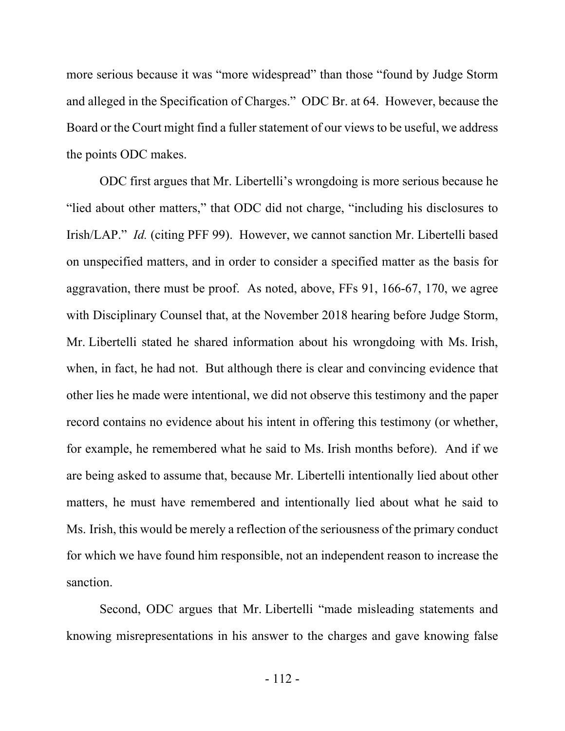more serious because it was "more widespread" than those "found by Judge Storm and alleged in the Specification of Charges." ODC Br. at 64. However, because the Board or the Court might find a fuller statement of our views to be useful, we address the points ODC makes.

ODC first argues that Mr. Libertelli's wrongdoing is more serious because he "lied about other matters," that ODC did not charge, "including his disclosures to Irish/LAP." *Id.* (citing PFF 99). However, we cannot sanction Mr. Libertelli based on unspecified matters, and in order to consider a specified matter as the basis for aggravation, there must be proof. As noted, above, FFs 91, 166-67, 170, we agree with Disciplinary Counsel that, at the November 2018 hearing before Judge Storm, Mr. Libertelli stated he shared information about his wrongdoing with Ms. Irish, when, in fact, he had not. But although there is clear and convincing evidence that other lies he made were intentional, we did not observe this testimony and the paper record contains no evidence about his intent in offering this testimony (or whether, for example, he remembered what he said to Ms. Irish months before). And if we are being asked to assume that, because Mr. Libertelli intentionally lied about other matters, he must have remembered and intentionally lied about what he said to Ms. Irish, this would be merely a reflection of the seriousness of the primary conduct for which we have found him responsible, not an independent reason to increase the sanction.

Second, ODC argues that Mr. Libertelli "made misleading statements and knowing misrepresentations in his answer to the charges and gave knowing false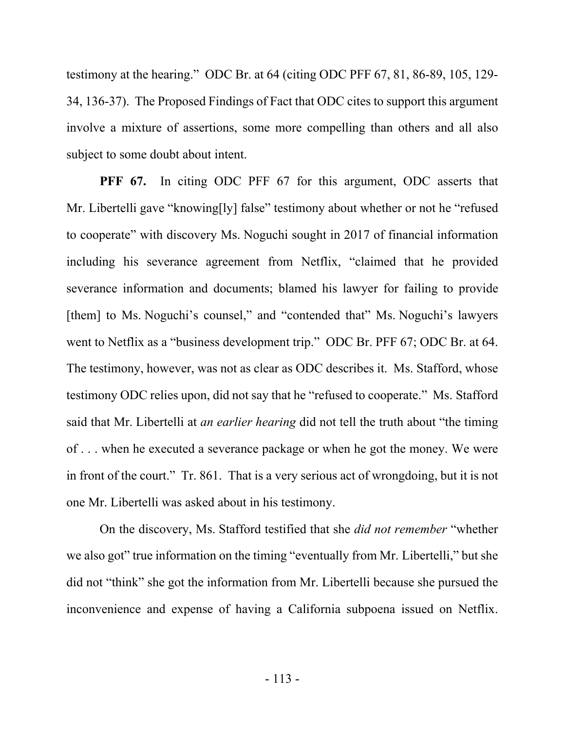testimony at the hearing." ODC Br. at 64 (citing ODC PFF 67, 81, 86-89, 105, 129- 34, 136-37). The Proposed Findings of Fact that ODC cites to support this argument involve a mixture of assertions, some more compelling than others and all also subject to some doubt about intent.

**PFF 67.** In citing ODC PFF 67 for this argument, ODC asserts that Mr. Libertelli gave "knowing[ly] false" testimony about whether or not he "refused to cooperate" with discovery Ms. Noguchi sought in 2017 of financial information including his severance agreement from Netflix, "claimed that he provided severance information and documents; blamed his lawyer for failing to provide [them] to Ms. Noguchi's counsel," and "contended that" Ms. Noguchi's lawyers went to Netflix as a "business development trip." ODC Br. PFF 67; ODC Br. at 64. The testimony, however, was not as clear as ODC describes it. Ms. Stafford, whose testimony ODC relies upon, did not say that he "refused to cooperate." Ms. Stafford said that Mr. Libertelli at *an earlier hearing* did not tell the truth about "the timing of . . . when he executed a severance package or when he got the money. We were in front of the court." Tr. 861. That is a very serious act of wrongdoing, but it is not one Mr. Libertelli was asked about in his testimony.

On the discovery, Ms. Stafford testified that she *did not remember* "whether we also got" true information on the timing "eventually from Mr. Libertelli," but she did not "think" she got the information from Mr. Libertelli because she pursued the inconvenience and expense of having a California subpoena issued on Netflix.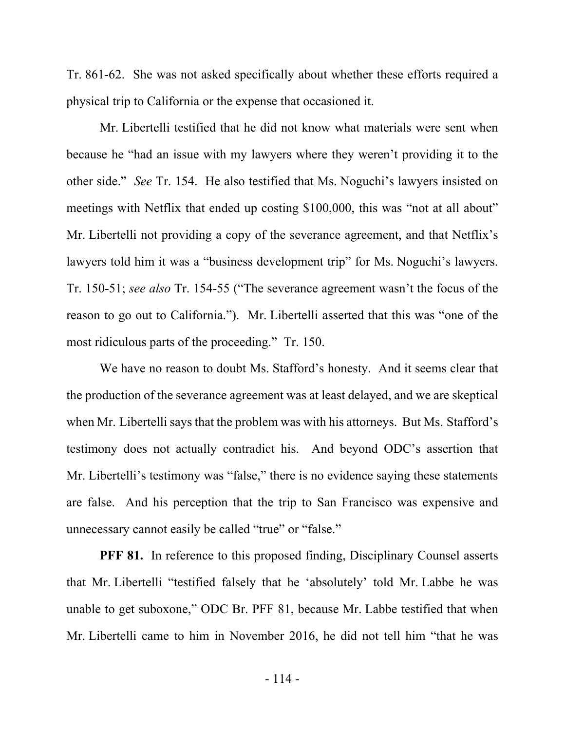Tr. 861-62. She was not asked specifically about whether these efforts required a physical trip to California or the expense that occasioned it.

Mr. Libertelli testified that he did not know what materials were sent when because he "had an issue with my lawyers where they weren't providing it to the other side." *See* Tr. 154. He also testified that Ms. Noguchi's lawyers insisted on meetings with Netflix that ended up costing \$100,000, this was "not at all about" Mr. Libertelli not providing a copy of the severance agreement, and that Netflix's lawyers told him it was a "business development trip" for Ms. Noguchi's lawyers. Tr. 150-51; *see also* Tr. 154-55 ("The severance agreement wasn't the focus of the reason to go out to California."). Mr. Libertelli asserted that this was "one of the most ridiculous parts of the proceeding." Tr. 150.

We have no reason to doubt Ms. Stafford's honesty. And it seems clear that the production of the severance agreement was at least delayed, and we are skeptical when Mr. Libertelli says that the problem was with his attorneys. But Ms. Stafford's testimony does not actually contradict his. And beyond ODC's assertion that Mr. Libertelli's testimony was "false," there is no evidence saying these statements are false. And his perception that the trip to San Francisco was expensive and unnecessary cannot easily be called "true" or "false."

**PFF 81.** In reference to this proposed finding, Disciplinary Counsel asserts that Mr. Libertelli "testified falsely that he 'absolutely' told Mr. Labbe he was unable to get suboxone," ODC Br. PFF 81, because Mr. Labbe testified that when Mr. Libertelli came to him in November 2016, he did not tell him "that he was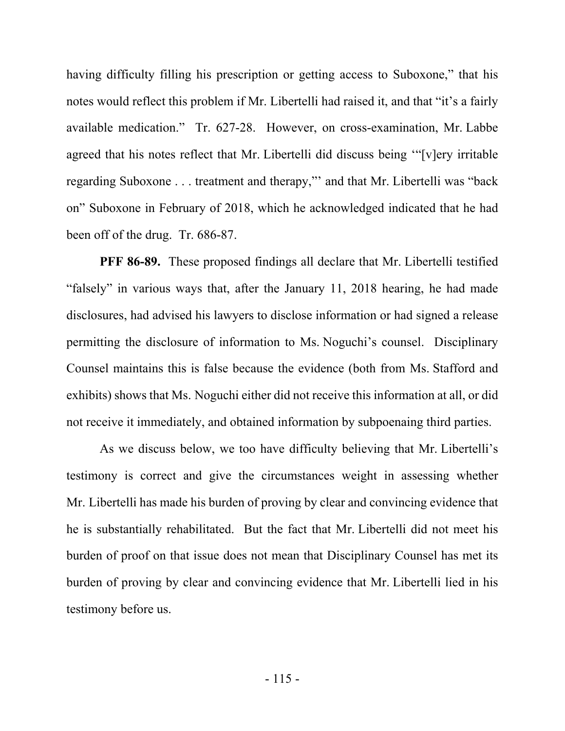having difficulty filling his prescription or getting access to Suboxone," that his notes would reflect this problem if Mr. Libertelli had raised it, and that "it's a fairly available medication." Tr. 627-28. However, on cross-examination, Mr. Labbe agreed that his notes reflect that Mr. Libertelli did discuss being '"[v]ery irritable regarding Suboxone . . . treatment and therapy,"' and that Mr. Libertelli was "back on" Suboxone in February of 2018, which he acknowledged indicated that he had been off of the drug. Tr. 686-87.

**PFF 86-89.** These proposed findings all declare that Mr. Libertelli testified "falsely" in various ways that, after the January 11, 2018 hearing, he had made disclosures, had advised his lawyers to disclose information or had signed a release permitting the disclosure of information to Ms. Noguchi's counsel. Disciplinary Counsel maintains this is false because the evidence (both from Ms. Stafford and exhibits) shows that Ms. Noguchi either did not receive this information at all, or did not receive it immediately, and obtained information by subpoenaing third parties.

As we discuss below, we too have difficulty believing that Mr. Libertelli's testimony is correct and give the circumstances weight in assessing whether Mr. Libertelli has made his burden of proving by clear and convincing evidence that he is substantially rehabilitated. But the fact that Mr. Libertelli did not meet his burden of proof on that issue does not mean that Disciplinary Counsel has met its burden of proving by clear and convincing evidence that Mr. Libertelli lied in his testimony before us.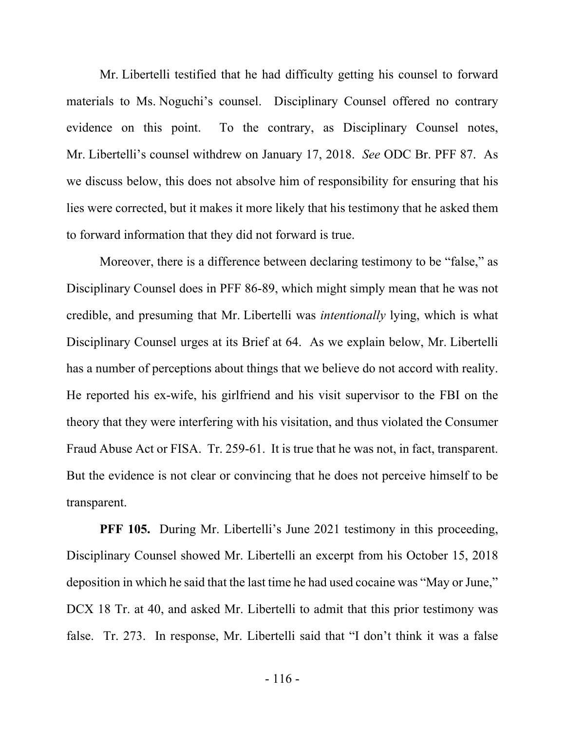Mr. Libertelli testified that he had difficulty getting his counsel to forward materials to Ms. Noguchi's counsel. Disciplinary Counsel offered no contrary evidence on this point. To the contrary, as Disciplinary Counsel notes, Mr. Libertelli's counsel withdrew on January 17, 2018. *See* ODC Br. PFF 87. As we discuss below, this does not absolve him of responsibility for ensuring that his lies were corrected, but it makes it more likely that his testimony that he asked them to forward information that they did not forward is true.

Moreover, there is a difference between declaring testimony to be "false," as Disciplinary Counsel does in PFF 86-89, which might simply mean that he was not credible, and presuming that Mr. Libertelli was *intentionally* lying, which is what Disciplinary Counsel urges at its Brief at 64. As we explain below, Mr. Libertelli has a number of perceptions about things that we believe do not accord with reality. He reported his ex-wife, his girlfriend and his visit supervisor to the FBI on the theory that they were interfering with his visitation, and thus violated the Consumer Fraud Abuse Act or FISA. Tr. 259-61. It is true that he was not, in fact, transparent. But the evidence is not clear or convincing that he does not perceive himself to be transparent.

**PFF 105.** During Mr. Libertelli's June 2021 testimony in this proceeding, Disciplinary Counsel showed Mr. Libertelli an excerpt from his October 15, 2018 deposition in which he said that the last time he had used cocaine was "May or June," DCX 18 Tr. at 40, and asked Mr. Libertelli to admit that this prior testimony was false. Tr. 273. In response, Mr. Libertelli said that "I don't think it was a false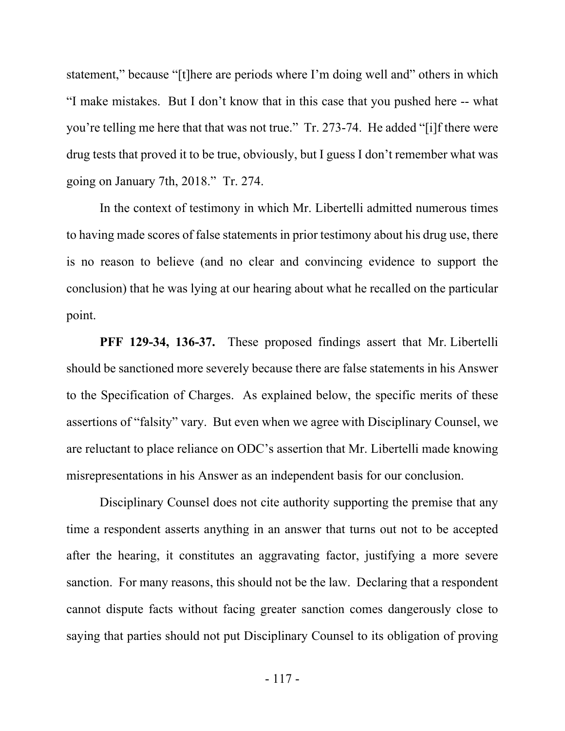statement," because "[t]here are periods where I'm doing well and" others in which "I make mistakes. But I don't know that in this case that you pushed here -- what you're telling me here that that was not true." Tr. 273-74. He added "[i]f there were drug tests that proved it to be true, obviously, but I guess I don't remember what was going on January 7th, 2018." Tr. 274.

In the context of testimony in which Mr. Libertelli admitted numerous times to having made scores of false statements in prior testimony about his drug use, there is no reason to believe (and no clear and convincing evidence to support the conclusion) that he was lying at our hearing about what he recalled on the particular point.

**PFF 129-34, 136-37.** These proposed findings assert that Mr. Libertelli should be sanctioned more severely because there are false statements in his Answer to the Specification of Charges. As explained below, the specific merits of these assertions of "falsity" vary. But even when we agree with Disciplinary Counsel, we are reluctant to place reliance on ODC's assertion that Mr. Libertelli made knowing misrepresentations in his Answer as an independent basis for our conclusion.

Disciplinary Counsel does not cite authority supporting the premise that any time a respondent asserts anything in an answer that turns out not to be accepted after the hearing, it constitutes an aggravating factor, justifying a more severe sanction. For many reasons, this should not be the law. Declaring that a respondent cannot dispute facts without facing greater sanction comes dangerously close to saying that parties should not put Disciplinary Counsel to its obligation of proving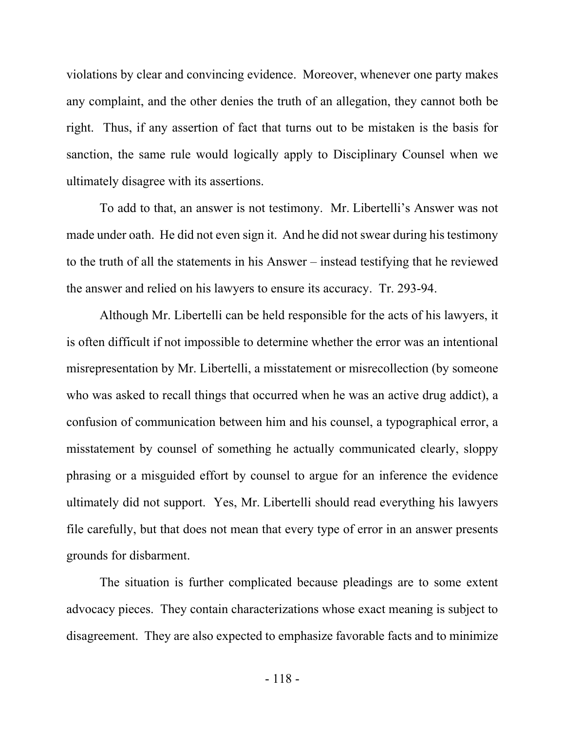violations by clear and convincing evidence. Moreover, whenever one party makes any complaint, and the other denies the truth of an allegation, they cannot both be right. Thus, if any assertion of fact that turns out to be mistaken is the basis for sanction, the same rule would logically apply to Disciplinary Counsel when we ultimately disagree with its assertions.

To add to that, an answer is not testimony. Mr. Libertelli's Answer was not made under oath. He did not even sign it. And he did not swear during his testimony to the truth of all the statements in his Answer – instead testifying that he reviewed the answer and relied on his lawyers to ensure its accuracy. Tr. 293-94.

Although Mr. Libertelli can be held responsible for the acts of his lawyers, it is often difficult if not impossible to determine whether the error was an intentional misrepresentation by Mr. Libertelli, a misstatement or misrecollection (by someone who was asked to recall things that occurred when he was an active drug addict), a confusion of communication between him and his counsel, a typographical error, a misstatement by counsel of something he actually communicated clearly, sloppy phrasing or a misguided effort by counsel to argue for an inference the evidence ultimately did not support. Yes, Mr. Libertelli should read everything his lawyers file carefully, but that does not mean that every type of error in an answer presents grounds for disbarment.

The situation is further complicated because pleadings are to some extent advocacy pieces. They contain characterizations whose exact meaning is subject to disagreement. They are also expected to emphasize favorable facts and to minimize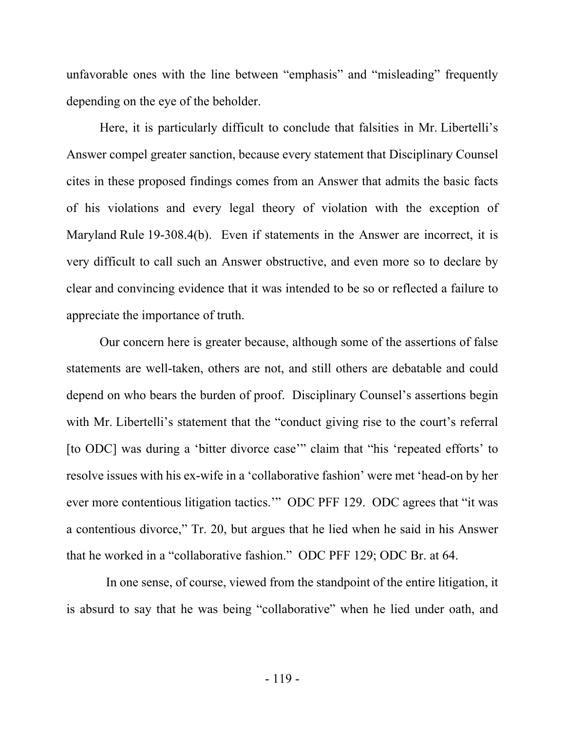unfavorable ones with the line between "emphasis" and "misleading" frequently depending on the eye of the beholder.

Here, it is particularly difficult to conclude that falsities in Mr. Libertelli's Answer compel greater sanction, because every statement that Disciplinary Counsel cites in these proposed findings comes from an Answer that admits the basic facts of his violations and every legal theory of violation with the exception of Maryland Rule 19-308.4(b). Even if statements in the Answer are incorrect, it is very difficult to call such an Answer obstructive, and even more so to declare by clear and convincing evidence that it was intended to be so or reflected a failure to appreciate the importance of truth.

Our concern here is greater because, although some of the assertions of false statements are well-taken, others are not, and still others are debatable and could depend on who bears the burden of proof. Disciplinary Counsel's assertions begin with Mr. Libertelli's statement that the "conduct giving rise to the court's referral [to ODC] was during a 'bitter divorce case'" claim that "his 'repeated efforts' to resolve issues with his ex-wife in a 'collaborative fashion' were met 'head-on by her ever more contentious litigation tactics.'" ODC PFF 129. ODC agrees that "it was a contentious divorce," Tr. 20, but argues that he lied when he said in his Answer that he worked in a "collaborative fashion." ODC PFF 129; ODC Br. at 64.

 In one sense, of course, viewed from the standpoint of the entire litigation, it is absurd to say that he was being "collaborative" when he lied under oath, and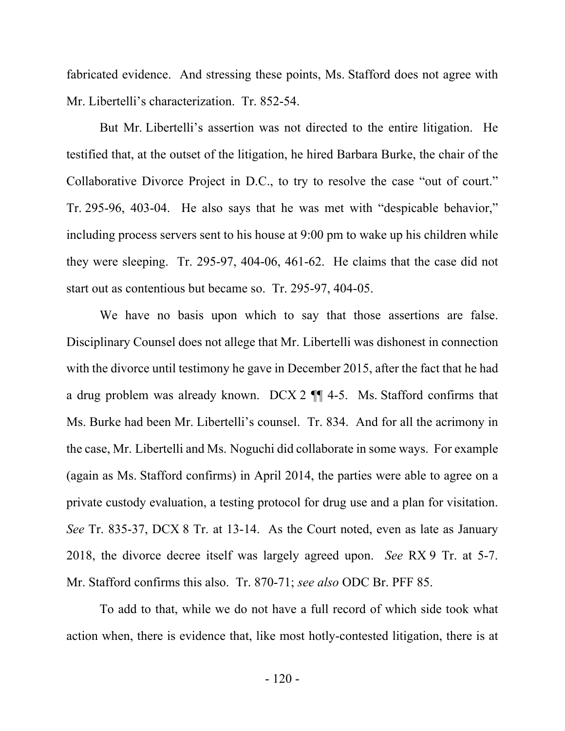fabricated evidence. And stressing these points, Ms. Stafford does not agree with Mr. Libertelli's characterization. Tr. 852-54.

But Mr. Libertelli's assertion was not directed to the entire litigation. He testified that, at the outset of the litigation, he hired Barbara Burke, the chair of the Collaborative Divorce Project in D.C., to try to resolve the case "out of court." Tr. 295-96, 403-04. He also says that he was met with "despicable behavior," including process servers sent to his house at 9:00 pm to wake up his children while they were sleeping. Tr. 295-97, 404-06, 461-62. He claims that the case did not start out as contentious but became so. Tr. 295-97, 404-05.

We have no basis upon which to say that those assertions are false. Disciplinary Counsel does not allege that Mr. Libertelli was dishonest in connection with the divorce until testimony he gave in December 2015, after the fact that he had a drug problem was already known. DCX 2 ¶¶ 4-5. Ms. Stafford confirms that Ms. Burke had been Mr. Libertelli's counsel. Tr. 834. And for all the acrimony in the case, Mr. Libertelli and Ms. Noguchi did collaborate in some ways. For example (again as Ms. Stafford confirms) in April 2014, the parties were able to agree on a private custody evaluation, a testing protocol for drug use and a plan for visitation. *See* Tr. 835-37, DCX 8 Tr. at 13-14. As the Court noted, even as late as January 2018, the divorce decree itself was largely agreed upon. *See* RX 9 Tr. at 5-7. Mr. Stafford confirms this also. Tr. 870-71; *see also* ODC Br. PFF 85.

To add to that, while we do not have a full record of which side took what action when, there is evidence that, like most hotly-contested litigation, there is at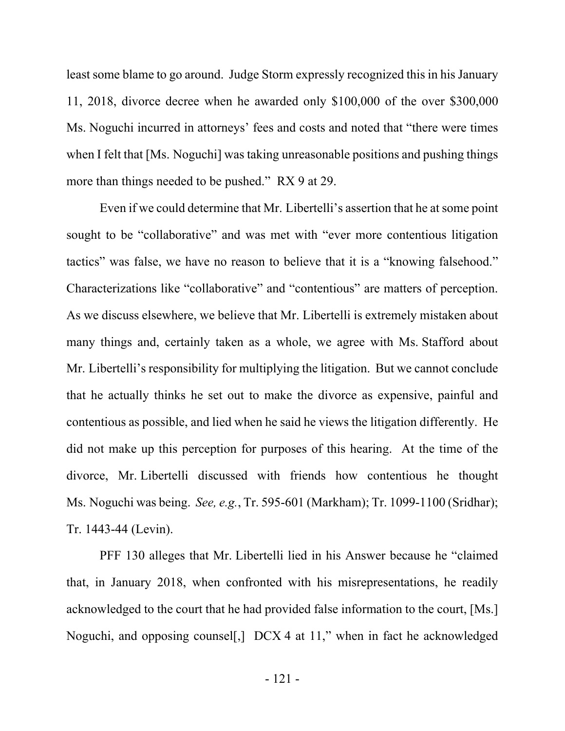least some blame to go around. Judge Storm expressly recognized this in his January 11, 2018, divorce decree when he awarded only \$100,000 of the over \$300,000 Ms. Noguchi incurred in attorneys' fees and costs and noted that "there were times when I felt that [Ms. Noguchi] was taking unreasonable positions and pushing things more than things needed to be pushed." RX 9 at 29.

Even if we could determine that Mr. Libertelli's assertion that he at some point sought to be "collaborative" and was met with "ever more contentious litigation tactics" was false, we have no reason to believe that it is a "knowing falsehood." Characterizations like "collaborative" and "contentious" are matters of perception. As we discuss elsewhere, we believe that Mr. Libertelli is extremely mistaken about many things and, certainly taken as a whole, we agree with Ms. Stafford about Mr. Libertelli's responsibility for multiplying the litigation. But we cannot conclude that he actually thinks he set out to make the divorce as expensive, painful and contentious as possible, and lied when he said he views the litigation differently. He did not make up this perception for purposes of this hearing. At the time of the divorce, Mr. Libertelli discussed with friends how contentious he thought Ms. Noguchi was being. *See, e.g.*, Tr. 595-601 (Markham); Tr. 1099-1100 (Sridhar); Tr. 1443-44 (Levin).

PFF 130 alleges that Mr. Libertelli lied in his Answer because he "claimed that, in January 2018, when confronted with his misrepresentations, he readily acknowledged to the court that he had provided false information to the court, [Ms.] Noguchi, and opposing counsel[,] DCX 4 at 11," when in fact he acknowledged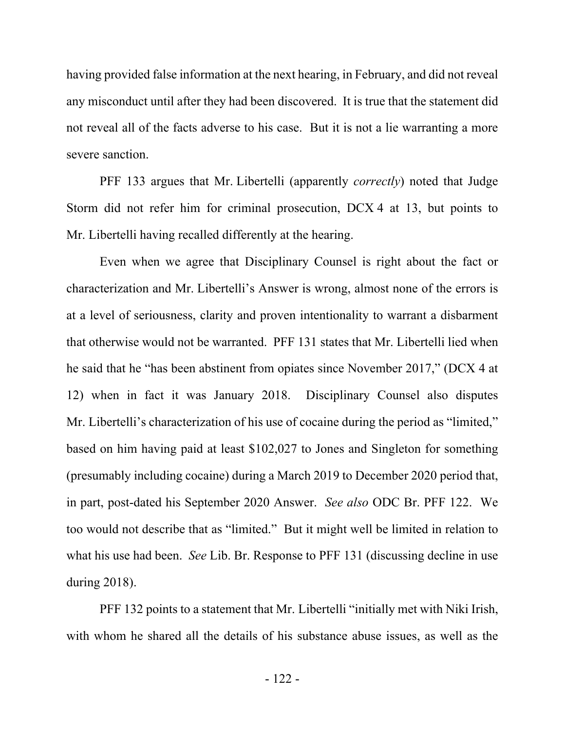having provided false information at the next hearing, in February, and did not reveal any misconduct until after they had been discovered. It is true that the statement did not reveal all of the facts adverse to his case. But it is not a lie warranting a more severe sanction.

PFF 133 argues that Mr. Libertelli (apparently *correctly*) noted that Judge Storm did not refer him for criminal prosecution, DCX 4 at 13, but points to Mr. Libertelli having recalled differently at the hearing.

Even when we agree that Disciplinary Counsel is right about the fact or characterization and Mr. Libertelli's Answer is wrong, almost none of the errors is at a level of seriousness, clarity and proven intentionality to warrant a disbarment that otherwise would not be warranted. PFF 131 states that Mr. Libertelli lied when he said that he "has been abstinent from opiates since November 2017," (DCX 4 at 12) when in fact it was January 2018. Disciplinary Counsel also disputes Mr. Libertelli's characterization of his use of cocaine during the period as "limited," based on him having paid at least \$102,027 to Jones and Singleton for something (presumably including cocaine) during a March 2019 to December 2020 period that, in part, post-dated his September 2020 Answer. *See also* ODC Br. PFF 122. We too would not describe that as "limited." But it might well be limited in relation to what his use had been. *See* Lib. Br. Response to PFF 131 (discussing decline in use during 2018).

PFF 132 points to a statement that Mr. Libertelli "initially met with Niki Irish, with whom he shared all the details of his substance abuse issues, as well as the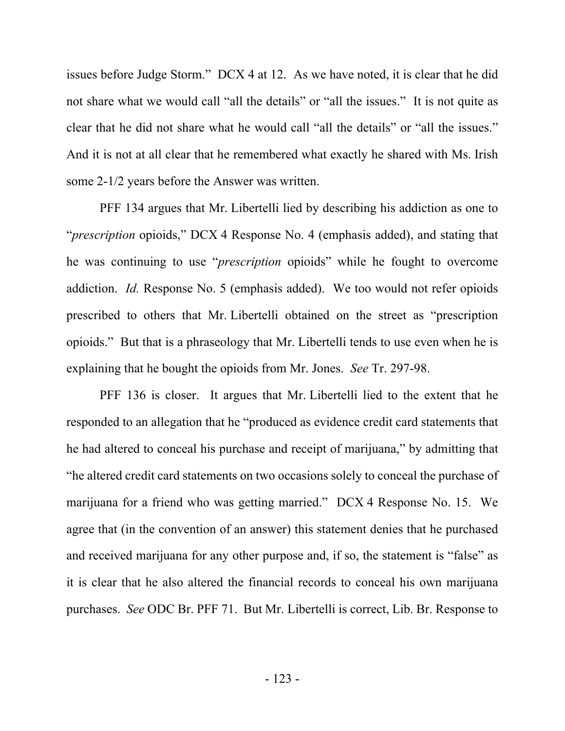issues before Judge Storm." DCX 4 at 12. As we have noted, it is clear that he did not share what we would call "all the details" or "all the issues." It is not quite as clear that he did not share what he would call "all the details" or "all the issues." And it is not at all clear that he remembered what exactly he shared with Ms. Irish some 2-1/2 years before the Answer was written.

PFF 134 argues that Mr. Libertelli lied by describing his addiction as one to "*prescription* opioids," DCX 4 Response No. 4 (emphasis added), and stating that he was continuing to use "*prescription* opioids" while he fought to overcome addiction. *Id.* Response No. 5 (emphasis added). We too would not refer opioids prescribed to others that Mr. Libertelli obtained on the street as "prescription opioids." But that is a phraseology that Mr. Libertelli tends to use even when he is explaining that he bought the opioids from Mr. Jones. *See* Tr. 297-98.

PFF 136 is closer. It argues that Mr. Libertelli lied to the extent that he responded to an allegation that he "produced as evidence credit card statements that he had altered to conceal his purchase and receipt of marijuana," by admitting that "he altered credit card statements on two occasions solely to conceal the purchase of marijuana for a friend who was getting married." DCX 4 Response No. 15. We agree that (in the convention of an answer) this statement denies that he purchased and received marijuana for any other purpose and, if so, the statement is "false" as it is clear that he also altered the financial records to conceal his own marijuana purchases. *See* ODC Br. PFF 71. But Mr. Libertelli is correct, Lib. Br. Response to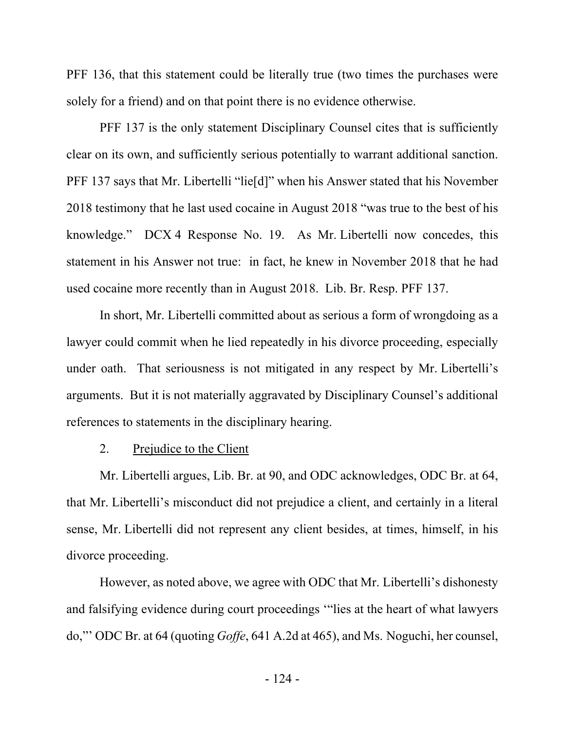PFF 136, that this statement could be literally true (two times the purchases were solely for a friend) and on that point there is no evidence otherwise.

PFF 137 is the only statement Disciplinary Counsel cites that is sufficiently clear on its own, and sufficiently serious potentially to warrant additional sanction. PFF 137 says that Mr. Libertelli "lie[d]" when his Answer stated that his November 2018 testimony that he last used cocaine in August 2018 "was true to the best of his knowledge." DCX 4 Response No. 19. As Mr. Libertelli now concedes, this statement in his Answer not true: in fact, he knew in November 2018 that he had used cocaine more recently than in August 2018. Lib. Br. Resp. PFF 137.

In short, Mr. Libertelli committed about as serious a form of wrongdoing as a lawyer could commit when he lied repeatedly in his divorce proceeding, especially under oath. That seriousness is not mitigated in any respect by Mr. Libertelli's arguments. But it is not materially aggravated by Disciplinary Counsel's additional references to statements in the disciplinary hearing.

# 2. Prejudice to the Client

Mr. Libertelli argues, Lib. Br. at 90, and ODC acknowledges, ODC Br. at 64, that Mr. Libertelli's misconduct did not prejudice a client, and certainly in a literal sense, Mr. Libertelli did not represent any client besides, at times, himself, in his divorce proceeding.

However, as noted above, we agree with ODC that Mr. Libertelli's dishonesty and falsifying evidence during court proceedings '"lies at the heart of what lawyers do,"' ODC Br. at 64 (quoting *Goffe*, 641 A.2d at 465), and Ms. Noguchi, her counsel,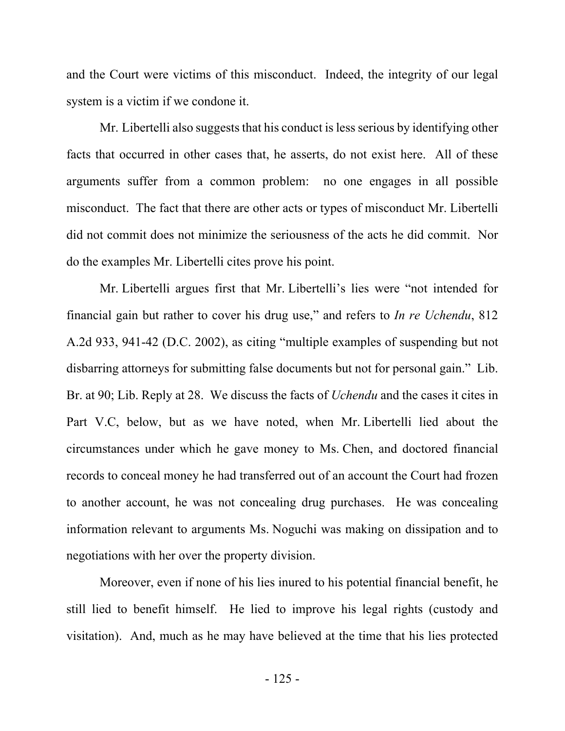and the Court were victims of this misconduct. Indeed, the integrity of our legal system is a victim if we condone it.

Mr. Libertelli also suggests that his conduct is less serious by identifying other facts that occurred in other cases that, he asserts, do not exist here. All of these arguments suffer from a common problem: no one engages in all possible misconduct. The fact that there are other acts or types of misconduct Mr. Libertelli did not commit does not minimize the seriousness of the acts he did commit. Nor do the examples Mr. Libertelli cites prove his point.

Mr. Libertelli argues first that Mr. Libertelli's lies were "not intended for financial gain but rather to cover his drug use," and refers to *In re Uchendu*, 812 A.2d 933, 941-42 (D.C. 2002), as citing "multiple examples of suspending but not disbarring attorneys for submitting false documents but not for personal gain." Lib. Br. at 90; Lib. Reply at 28. We discuss the facts of *Uchendu* and the cases it cites in Part V.C, below, but as we have noted, when Mr. Libertelli lied about the circumstances under which he gave money to Ms. Chen, and doctored financial records to conceal money he had transferred out of an account the Court had frozen to another account, he was not concealing drug purchases. He was concealing information relevant to arguments Ms. Noguchi was making on dissipation and to negotiations with her over the property division.

Moreover, even if none of his lies inured to his potential financial benefit, he still lied to benefit himself. He lied to improve his legal rights (custody and visitation). And, much as he may have believed at the time that his lies protected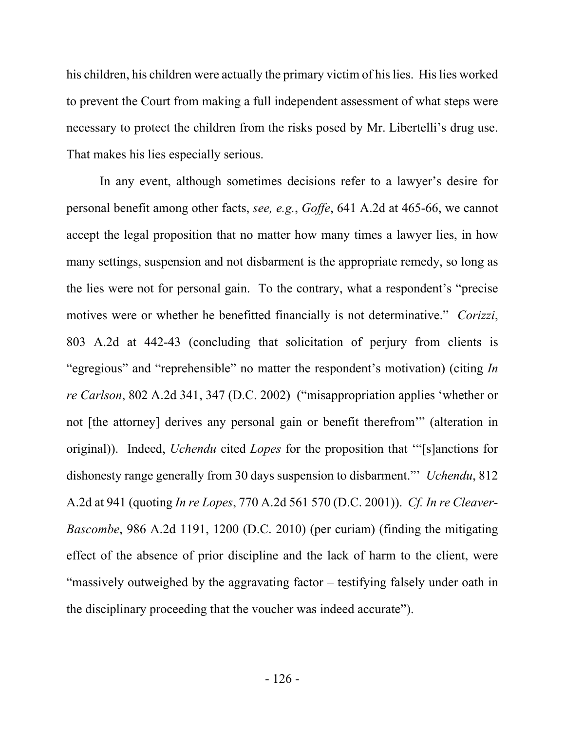his children, his children were actually the primary victim of his lies. His lies worked to prevent the Court from making a full independent assessment of what steps were necessary to protect the children from the risks posed by Mr. Libertelli's drug use. That makes his lies especially serious.

In any event, although sometimes decisions refer to a lawyer's desire for personal benefit among other facts, *see, e.g.*, *Goffe*, 641 A.2d at 465-66, we cannot accept the legal proposition that no matter how many times a lawyer lies, in how many settings, suspension and not disbarment is the appropriate remedy, so long as the lies were not for personal gain. To the contrary, what a respondent's "precise motives were or whether he benefitted financially is not determinative." *Corizzi*, 803 A.2d at 442-43 (concluding that solicitation of perjury from clients is "egregious" and "reprehensible" no matter the respondent's motivation) (citing *In re Carlson*, 802 A.2d 341, 347 (D.C. 2002) ("misappropriation applies 'whether or not [the attorney] derives any personal gain or benefit therefrom'" (alteration in original)). Indeed, *Uchendu* cited *Lopes* for the proposition that '"[s]anctions for dishonesty range generally from 30 days suspension to disbarment."' *Uchendu*, 812 A.2d at 941 (quoting *In re Lopes*, 770 A.2d 561 570 (D.C. 2001)). *Cf. In re Cleaver-Bascombe*, 986 A.2d 1191, 1200 (D.C. 2010) (per curiam) (finding the mitigating effect of the absence of prior discipline and the lack of harm to the client, were "massively outweighed by the aggravating factor – testifying falsely under oath in the disciplinary proceeding that the voucher was indeed accurate").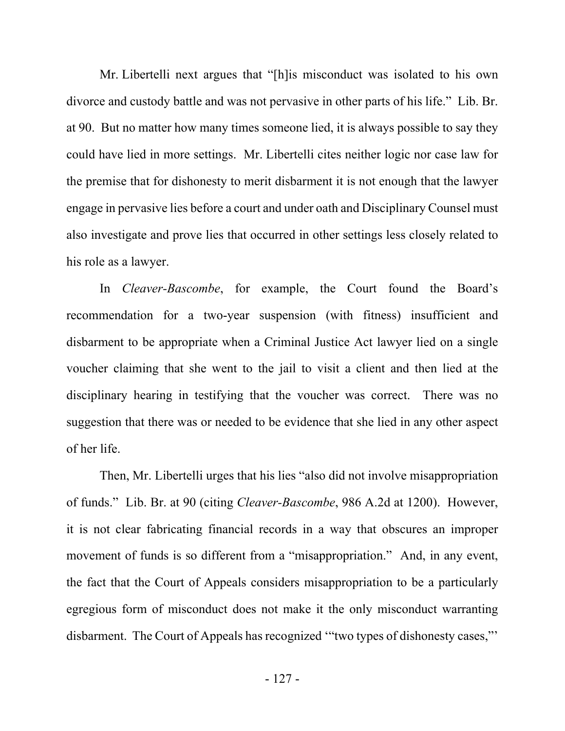Mr. Libertelli next argues that "[h]is misconduct was isolated to his own divorce and custody battle and was not pervasive in other parts of his life." Lib. Br. at 90. But no matter how many times someone lied, it is always possible to say they could have lied in more settings. Mr. Libertelli cites neither logic nor case law for the premise that for dishonesty to merit disbarment it is not enough that the lawyer engage in pervasive lies before a court and under oath and Disciplinary Counsel must also investigate and prove lies that occurred in other settings less closely related to his role as a lawyer.

In *Cleaver-Bascombe*, for example, the Court found the Board's recommendation for a two-year suspension (with fitness) insufficient and disbarment to be appropriate when a Criminal Justice Act lawyer lied on a single voucher claiming that she went to the jail to visit a client and then lied at the disciplinary hearing in testifying that the voucher was correct. There was no suggestion that there was or needed to be evidence that she lied in any other aspect of her life.

Then, Mr. Libertelli urges that his lies "also did not involve misappropriation of funds." Lib. Br. at 90 (citing *Cleaver-Bascombe*, 986 A.2d at 1200). However, it is not clear fabricating financial records in a way that obscures an improper movement of funds is so different from a "misappropriation." And, in any event, the fact that the Court of Appeals considers misappropriation to be a particularly egregious form of misconduct does not make it the only misconduct warranting disbarment. The Court of Appeals has recognized '"two types of dishonesty cases,"'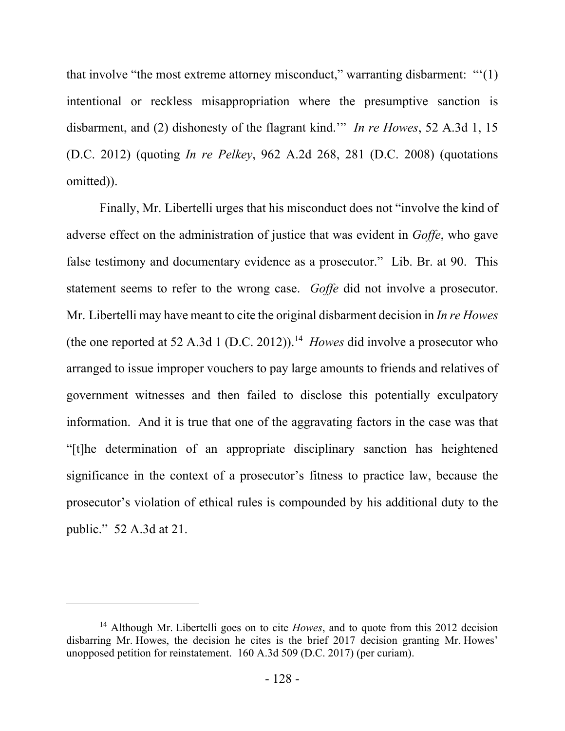that involve "the most extreme attorney misconduct," warranting disbarment: "'(1) intentional or reckless misappropriation where the presumptive sanction is disbarment, and (2) dishonesty of the flagrant kind.'" *In re Howes*, 52 A.3d 1, 15 (D.C. 2012) (quoting *In re Pelkey*, 962 A.2d 268, 281 (D.C. 2008) (quotations omitted)).

Finally, Mr. Libertelli urges that his misconduct does not "involve the kind of adverse effect on the administration of justice that was evident in *Goffe*, who gave false testimony and documentary evidence as a prosecutor." Lib. Br. at 90. This statement seems to refer to the wrong case. *Goffe* did not involve a prosecutor. Mr. Libertelli may have meant to cite the original disbarment decision in *In re Howes* (the one reported at 52 A.3d 1 (D.C. 2012)).<sup>14</sup> *Howes* did involve a prosecutor who arranged to issue improper vouchers to pay large amounts to friends and relatives of government witnesses and then failed to disclose this potentially exculpatory information. And it is true that one of the aggravating factors in the case was that "[t]he determination of an appropriate disciplinary sanction has heightened significance in the context of a prosecutor's fitness to practice law, because the prosecutor's violation of ethical rules is compounded by his additional duty to the public." 52 A.3d at 21.

<sup>&</sup>lt;sup>14</sup> Although Mr. Libertelli goes on to cite *Howes*, and to quote from this 2012 decision disbarring Mr. Howes, the decision he cites is the brief 2017 decision granting Mr. Howes' unopposed petition for reinstatement. 160 A.3d 509 (D.C. 2017) (per curiam).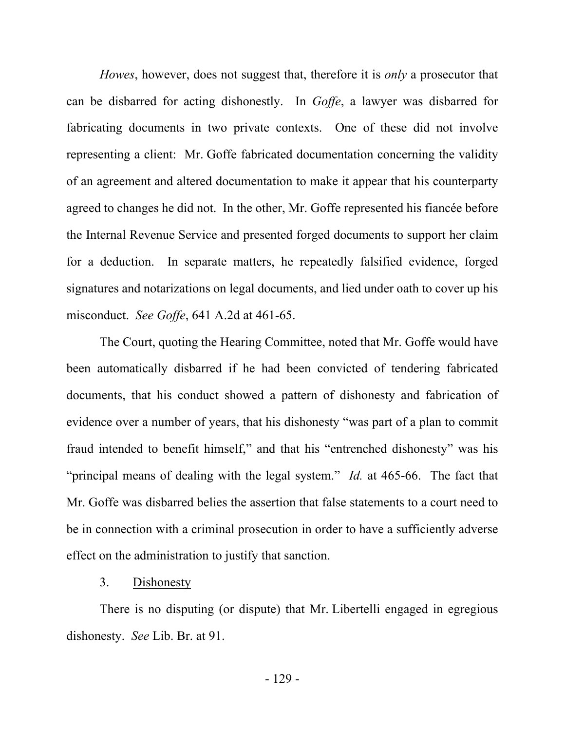*Howes*, however, does not suggest that, therefore it is *only* a prosecutor that can be disbarred for acting dishonestly. In *Goffe*, a lawyer was disbarred for fabricating documents in two private contexts. One of these did not involve representing a client: Mr. Goffe fabricated documentation concerning the validity of an agreement and altered documentation to make it appear that his counterparty agreed to changes he did not. In the other, Mr. Goffe represented his fiancée before the Internal Revenue Service and presented forged documents to support her claim for a deduction. In separate matters, he repeatedly falsified evidence, forged signatures and notarizations on legal documents, and lied under oath to cover up his misconduct. *See Goffe*, 641 A.2d at 461-65.

The Court, quoting the Hearing Committee, noted that Mr. Goffe would have been automatically disbarred if he had been convicted of tendering fabricated documents, that his conduct showed a pattern of dishonesty and fabrication of evidence over a number of years, that his dishonesty "was part of a plan to commit fraud intended to benefit himself," and that his "entrenched dishonesty" was his "principal means of dealing with the legal system." *Id.* at 465-66. The fact that Mr. Goffe was disbarred belies the assertion that false statements to a court need to be in connection with a criminal prosecution in order to have a sufficiently adverse effect on the administration to justify that sanction.

### 3. Dishonesty

There is no disputing (or dispute) that Mr. Libertelli engaged in egregious dishonesty. *See* Lib. Br. at 91.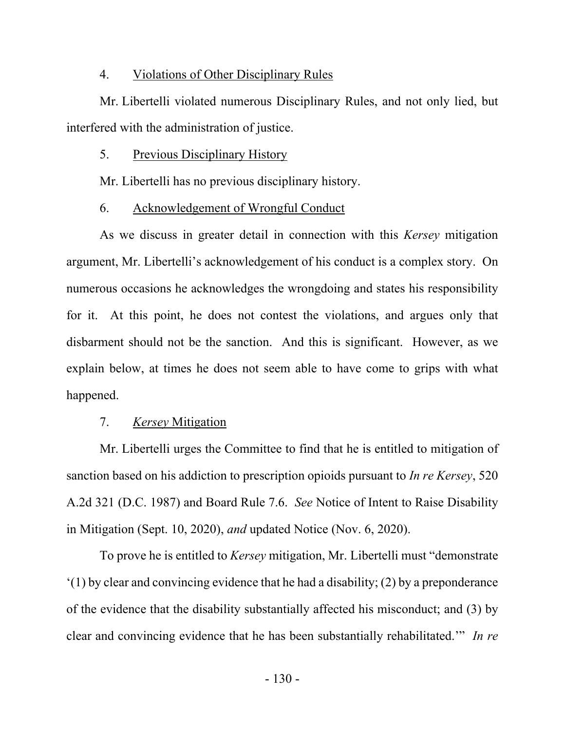#### 4. Violations of Other Disciplinary Rules

Mr. Libertelli violated numerous Disciplinary Rules, and not only lied, but interfered with the administration of justice.

#### 5. Previous Disciplinary History

Mr. Libertelli has no previous disciplinary history.

### 6. Acknowledgement of Wrongful Conduct

As we discuss in greater detail in connection with this *Kersey* mitigation argument, Mr. Libertelli's acknowledgement of his conduct is a complex story. On numerous occasions he acknowledges the wrongdoing and states his responsibility for it. At this point, he does not contest the violations, and argues only that disbarment should not be the sanction. And this is significant. However, as we explain below, at times he does not seem able to have come to grips with what happened.

### 7. *Kersey* Mitigation

Mr. Libertelli urges the Committee to find that he is entitled to mitigation of sanction based on his addiction to prescription opioids pursuant to *In re Kersey*, 520 A.2d 321 (D.C. 1987) and Board Rule 7.6. *See* Notice of Intent to Raise Disability in Mitigation (Sept. 10, 2020), *and* updated Notice (Nov. 6, 2020).

To prove he is entitled to *Kersey* mitigation, Mr. Libertelli must "demonstrate '(1) by clear and convincing evidence that he had a disability; (2) by a preponderance of the evidence that the disability substantially affected his misconduct; and (3) by clear and convincing evidence that he has been substantially rehabilitated.'" *In re*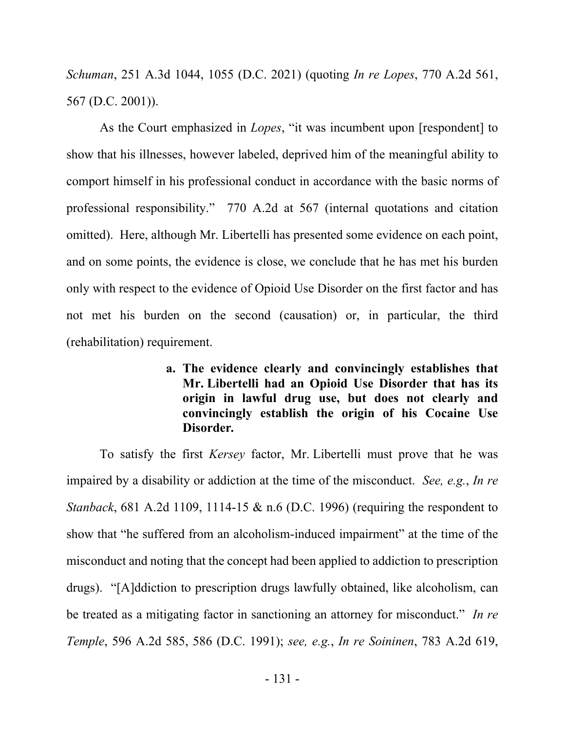*Schuman*, 251 A.3d 1044, 1055 (D.C. 2021) (quoting *In re Lopes*, 770 A.2d 561, 567 (D.C. 2001)).

As the Court emphasized in *Lopes*, "it was incumbent upon [respondent] to show that his illnesses, however labeled, deprived him of the meaningful ability to comport himself in his professional conduct in accordance with the basic norms of professional responsibility." 770 A.2d at 567 (internal quotations and citation omitted). Here, although Mr. Libertelli has presented some evidence on each point, and on some points, the evidence is close, we conclude that he has met his burden only with respect to the evidence of Opioid Use Disorder on the first factor and has not met his burden on the second (causation) or, in particular, the third (rehabilitation) requirement.

> **a. The evidence clearly and convincingly establishes that Mr. Libertelli had an Opioid Use Disorder that has its origin in lawful drug use, but does not clearly and convincingly establish the origin of his Cocaine Use Disorder***.*

To satisfy the first *Kersey* factor, Mr. Libertelli must prove that he was impaired by a disability or addiction at the time of the misconduct. *See, e.g.*, *In re Stanback*, 681 A.2d 1109, 1114-15 & n.6 (D.C. 1996) (requiring the respondent to show that "he suffered from an alcoholism-induced impairment" at the time of the misconduct and noting that the concept had been applied to addiction to prescription drugs). "[A]ddiction to prescription drugs lawfully obtained, like alcoholism, can be treated as a mitigating factor in sanctioning an attorney for misconduct." *In re Temple*, 596 A.2d 585, 586 (D.C. 1991); *see, e.g.*, *In re Soininen*, 783 A.2d 619,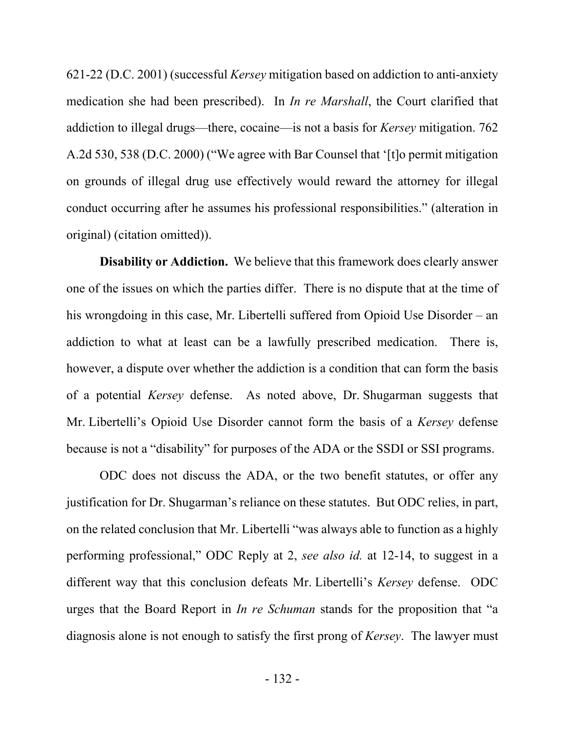621-22 (D.C. 2001) (successful *Kersey* mitigation based on addiction to anti-anxiety medication she had been prescribed). In *In re Marshall*, the Court clarified that addiction to illegal drugs—there, cocaine—is not a basis for *Kersey* mitigation. 762 A.2d 530, 538 (D.C. 2000) ("We agree with Bar Counsel that '[t]o permit mitigation on grounds of illegal drug use effectively would reward the attorney for illegal conduct occurring after he assumes his professional responsibilities." (alteration in original) (citation omitted)).

**Disability or Addiction.** We believe that this framework does clearly answer one of the issues on which the parties differ. There is no dispute that at the time of his wrongdoing in this case, Mr. Libertelli suffered from Opioid Use Disorder – an addiction to what at least can be a lawfully prescribed medication. There is, however, a dispute over whether the addiction is a condition that can form the basis of a potential *Kersey* defense. As noted above, Dr. Shugarman suggests that Mr. Libertelli's Opioid Use Disorder cannot form the basis of a *Kersey* defense because is not a "disability" for purposes of the ADA or the SSDI or SSI programs.

ODC does not discuss the ADA, or the two benefit statutes, or offer any justification for Dr. Shugarman's reliance on these statutes. But ODC relies, in part, on the related conclusion that Mr. Libertelli "was always able to function as a highly performing professional," ODC Reply at 2, *see also id.* at 12-14, to suggest in a different way that this conclusion defeats Mr. Libertelli's *Kersey* defense. ODC urges that the Board Report in *In re Schuman* stands for the proposition that "a diagnosis alone is not enough to satisfy the first prong of *Kersey*. The lawyer must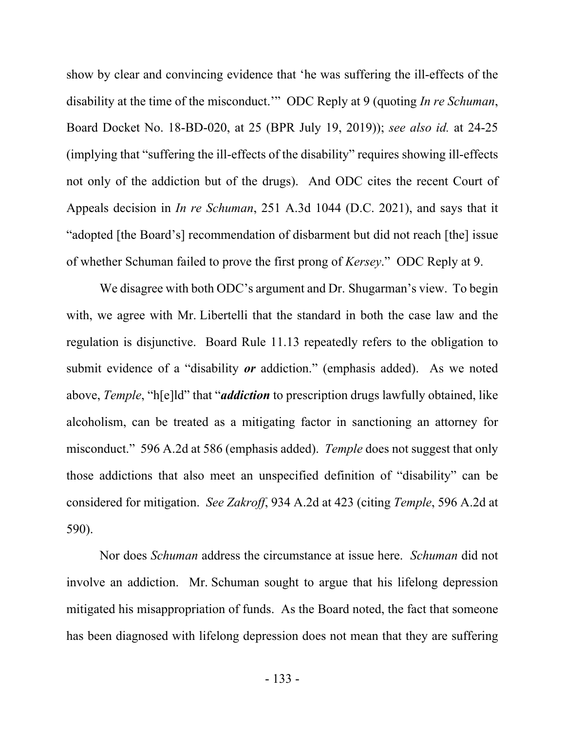show by clear and convincing evidence that 'he was suffering the ill-effects of the disability at the time of the misconduct.'" ODC Reply at 9 (quoting *In re Schuman*, Board Docket No. 18-BD-020, at 25 (BPR July 19, 2019)); *see also id.* at 24-25 (implying that "suffering the ill-effects of the disability" requires showing ill-effects not only of the addiction but of the drugs). And ODC cites the recent Court of Appeals decision in *In re Schuman*, 251 A.3d 1044 (D.C. 2021), and says that it "adopted [the Board's] recommendation of disbarment but did not reach [the] issue of whether Schuman failed to prove the first prong of *Kersey*." ODC Reply at 9.

We disagree with both ODC's argument and Dr. Shugarman's view. To begin with, we agree with Mr. Libertelli that the standard in both the case law and the regulation is disjunctive. Board Rule 11.13 repeatedly refers to the obligation to submit evidence of a "disability *or* addiction." (emphasis added). As we noted above, *Temple*, "h[e]ld" that "*addiction* to prescription drugs lawfully obtained, like alcoholism, can be treated as a mitigating factor in sanctioning an attorney for misconduct." 596 A.2d at 586 (emphasis added). *Temple* does not suggest that only those addictions that also meet an unspecified definition of "disability" can be considered for mitigation. *See Zakroff*, 934 A.2d at 423 (citing *Temple*, 596 A.2d at 590).

Nor does *Schuman* address the circumstance at issue here. *Schuman* did not involve an addiction. Mr. Schuman sought to argue that his lifelong depression mitigated his misappropriation of funds. As the Board noted, the fact that someone has been diagnosed with lifelong depression does not mean that they are suffering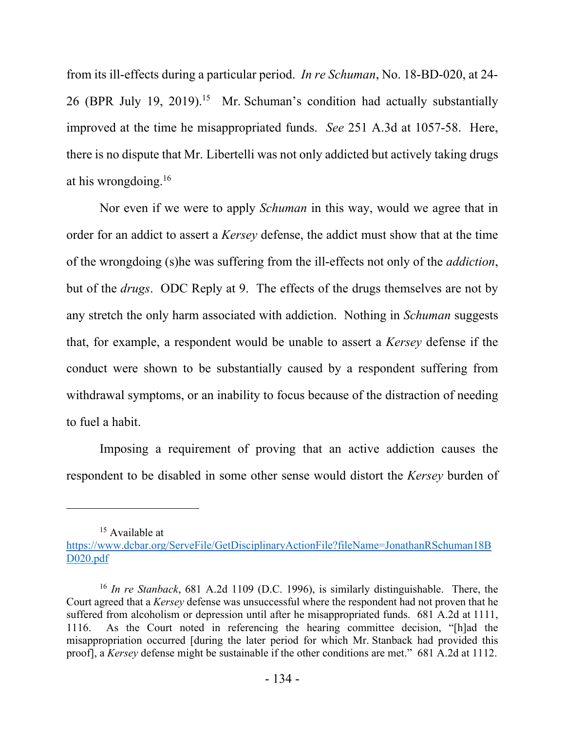from its ill-effects during a particular period. *In re Schuman*, No. 18-BD-020, at 24- 26 (BPR July 19, 2019).<sup>15</sup> Mr. Schuman's condition had actually substantially improved at the time he misappropriated funds. *See* 251 A.3d at 1057-58. Here, there is no dispute that Mr. Libertelli was not only addicted but actively taking drugs at his wrongdoing.<sup>16</sup>

Nor even if we were to apply *Schuman* in this way, would we agree that in order for an addict to assert a *Kersey* defense, the addict must show that at the time of the wrongdoing (s)he was suffering from the ill-effects not only of the *addiction*, but of the *drugs*. ODC Reply at 9. The effects of the drugs themselves are not by any stretch the only harm associated with addiction. Nothing in *Schuman* suggests that, for example, a respondent would be unable to assert a *Kersey* defense if the conduct were shown to be substantially caused by a respondent suffering from withdrawal symptoms, or an inability to focus because of the distraction of needing to fuel a habit.

Imposing a requirement of proving that an active addiction causes the respondent to be disabled in some other sense would distort the *Kersey* burden of

<sup>&</sup>lt;sup>15</sup> Available at

https://www.dcbar.org/ServeFile/GetDisciplinaryActionFile?fileName=JonathanRSchuman18B D020.pdf

<sup>16</sup> *In re Stanback*, 681 A.2d 1109 (D.C. 1996), is similarly distinguishable. There, the Court agreed that a *Kersey* defense was unsuccessful where the respondent had not proven that he suffered from alcoholism or depression until after he misappropriated funds. 681 A.2d at 1111, 1116. As the Court noted in referencing the hearing committee decision, "[h]ad the misappropriation occurred [during the later period for which Mr. Stanback had provided this proof], a *Kersey* defense might be sustainable if the other conditions are met." 681 A.2d at 1112.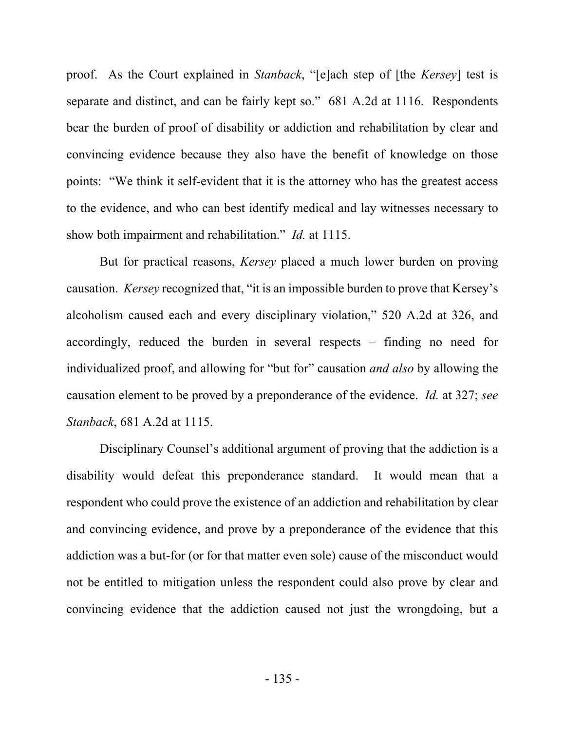proof. As the Court explained in *Stanback*, "[e]ach step of [the *Kersey*] test is separate and distinct, and can be fairly kept so." 681 A.2d at 1116. Respondents bear the burden of proof of disability or addiction and rehabilitation by clear and convincing evidence because they also have the benefit of knowledge on those points: "We think it self-evident that it is the attorney who has the greatest access to the evidence, and who can best identify medical and lay witnesses necessary to show both impairment and rehabilitation." *Id.* at 1115.

But for practical reasons, *Kersey* placed a much lower burden on proving causation. *Kersey* recognized that, "it is an impossible burden to prove that Kersey's alcoholism caused each and every disciplinary violation," 520 A.2d at 326, and accordingly, reduced the burden in several respects – finding no need for individualized proof, and allowing for "but for" causation *and also* by allowing the causation element to be proved by a preponderance of the evidence. *Id.* at 327; *see Stanback*, 681 A.2d at 1115.

Disciplinary Counsel's additional argument of proving that the addiction is a disability would defeat this preponderance standard. It would mean that a respondent who could prove the existence of an addiction and rehabilitation by clear and convincing evidence, and prove by a preponderance of the evidence that this addiction was a but-for (or for that matter even sole) cause of the misconduct would not be entitled to mitigation unless the respondent could also prove by clear and convincing evidence that the addiction caused not just the wrongdoing, but a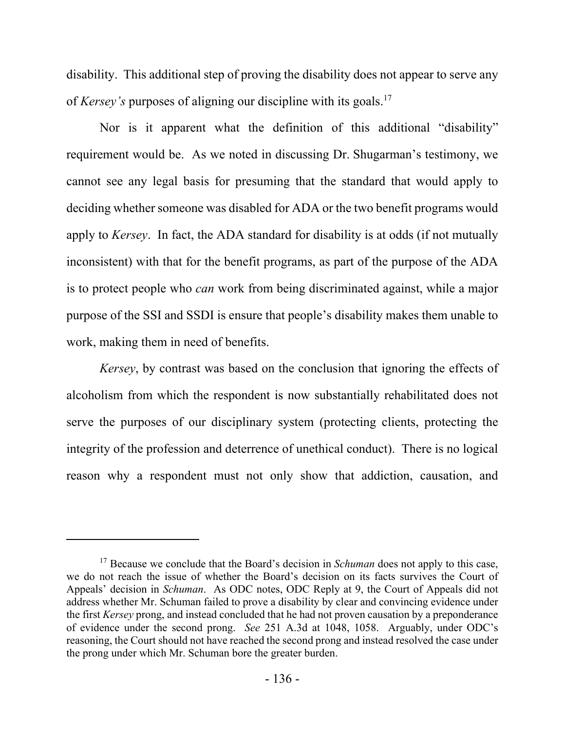disability. This additional step of proving the disability does not appear to serve any of *Kersey's* purposes of aligning our discipline with its goals.<sup>17</sup>

Nor is it apparent what the definition of this additional "disability" requirement would be. As we noted in discussing Dr. Shugarman's testimony, we cannot see any legal basis for presuming that the standard that would apply to deciding whether someone was disabled for ADA or the two benefit programs would apply to *Kersey*. In fact, the ADA standard for disability is at odds (if not mutually inconsistent) with that for the benefit programs, as part of the purpose of the ADA is to protect people who *can* work from being discriminated against, while a major purpose of the SSI and SSDI is ensure that people's disability makes them unable to work, making them in need of benefits.

*Kersey*, by contrast was based on the conclusion that ignoring the effects of alcoholism from which the respondent is now substantially rehabilitated does not serve the purposes of our disciplinary system (protecting clients, protecting the integrity of the profession and deterrence of unethical conduct). There is no logical reason why a respondent must not only show that addiction, causation, and

<sup>&</sup>lt;sup>17</sup> Because we conclude that the Board's decision in *Schuman* does not apply to this case, we do not reach the issue of whether the Board's decision on its facts survives the Court of Appeals' decision in *Schuman*.As ODC notes, ODC Reply at 9, the Court of Appeals did not address whether Mr. Schuman failed to prove a disability by clear and convincing evidence under the first *Kersey* prong, and instead concluded that he had not proven causation by a preponderance of evidence under the second prong. *See* 251 A.3d at 1048, 1058. Arguably, under ODC's reasoning, the Court should not have reached the second prong and instead resolved the case under the prong under which Mr. Schuman bore the greater burden.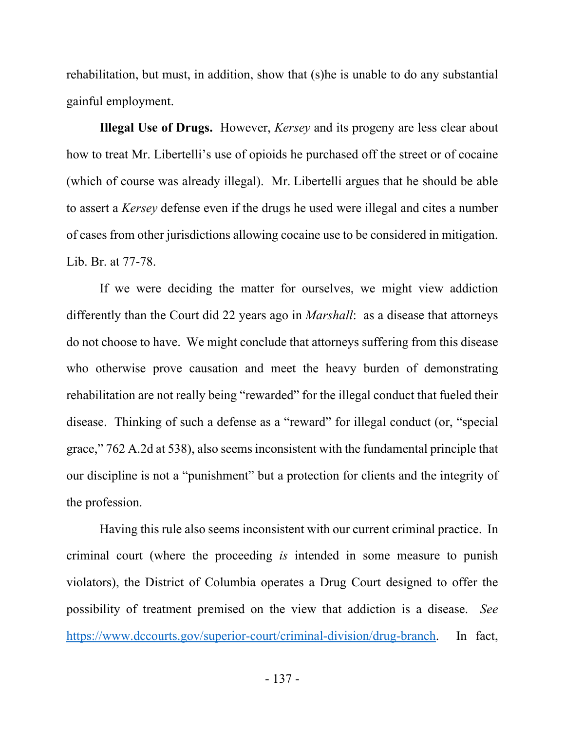rehabilitation, but must, in addition, show that (s)he is unable to do any substantial gainful employment.

**Illegal Use of Drugs.** However, *Kersey* and its progeny are less clear about how to treat Mr. Libertelli's use of opioids he purchased off the street or of cocaine (which of course was already illegal). Mr. Libertelli argues that he should be able to assert a *Kersey* defense even if the drugs he used were illegal and cites a number of cases from other jurisdictions allowing cocaine use to be considered in mitigation. Lib. Br. at 77-78.

If we were deciding the matter for ourselves, we might view addiction differently than the Court did 22 years ago in *Marshall*: as a disease that attorneys do not choose to have. We might conclude that attorneys suffering from this disease who otherwise prove causation and meet the heavy burden of demonstrating rehabilitation are not really being "rewarded" for the illegal conduct that fueled their disease. Thinking of such a defense as a "reward" for illegal conduct (or, "special grace," 762 A.2d at 538), also seems inconsistent with the fundamental principle that our discipline is not a "punishment" but a protection for clients and the integrity of the profession.

Having this rule also seems inconsistent with our current criminal practice. In criminal court (where the proceeding *is* intended in some measure to punish violators), the District of Columbia operates a Drug Court designed to offer the possibility of treatment premised on the view that addiction is a disease. *See*  https://www.dccourts.gov/superior-court/criminal-division/drug-branch. In fact,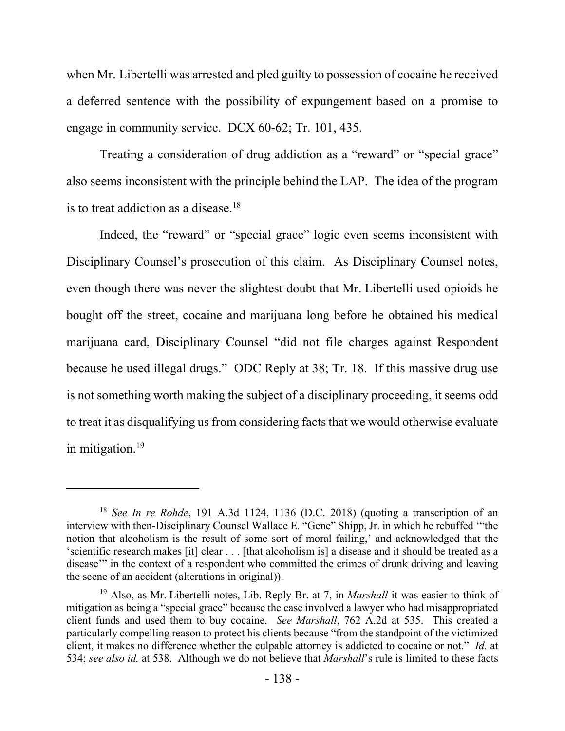when Mr. Libertelli was arrested and pled guilty to possession of cocaine he received a deferred sentence with the possibility of expungement based on a promise to engage in community service. DCX 60-62; Tr. 101, 435.

Treating a consideration of drug addiction as a "reward" or "special grace" also seems inconsistent with the principle behind the LAP. The idea of the program is to treat addiction as a disease.<sup>18</sup>

Indeed, the "reward" or "special grace" logic even seems inconsistent with Disciplinary Counsel's prosecution of this claim. As Disciplinary Counsel notes, even though there was never the slightest doubt that Mr. Libertelli used opioids he bought off the street, cocaine and marijuana long before he obtained his medical marijuana card, Disciplinary Counsel "did not file charges against Respondent because he used illegal drugs." ODC Reply at 38; Tr. 18. If this massive drug use is not something worth making the subject of a disciplinary proceeding, it seems odd to treat it as disqualifying us from considering facts that we would otherwise evaluate in mitigation.<sup>19</sup>

<sup>18</sup> *See In re Rohde*, 191 A.3d 1124, 1136 (D.C. 2018) (quoting a transcription of an interview with then-Disciplinary Counsel Wallace E. "Gene" Shipp, Jr. in which he rebuffed '"the notion that alcoholism is the result of some sort of moral failing,' and acknowledged that the 'scientific research makes [it] clear . . . [that alcoholism is] a disease and it should be treated as a disease" in the context of a respondent who committed the crimes of drunk driving and leaving the scene of an accident (alterations in original)).

<sup>19</sup> Also, as Mr. Libertelli notes, Lib. Reply Br. at 7, in *Marshall* it was easier to think of mitigation as being a "special grace" because the case involved a lawyer who had misappropriated client funds and used them to buy cocaine. *See Marshall*, 762 A.2d at 535. This created a particularly compelling reason to protect his clients because "from the standpoint of the victimized client, it makes no difference whether the culpable attorney is addicted to cocaine or not." *Id.* at 534; *see also id.* at 538. Although we do not believe that *Marshall*'s rule is limited to these facts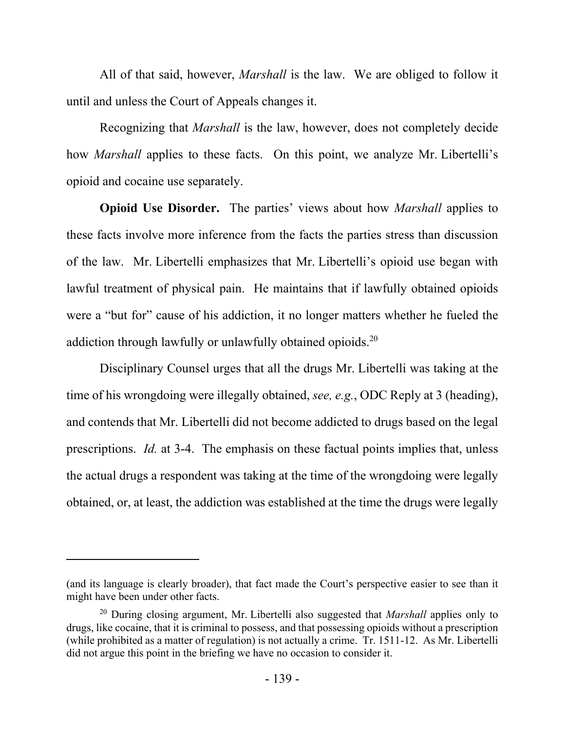All of that said, however, *Marshall* is the law. We are obliged to follow it until and unless the Court of Appeals changes it.

Recognizing that *Marshall* is the law, however, does not completely decide how *Marshall* applies to these facts. On this point, we analyze Mr. Libertelli's opioid and cocaine use separately.

**Opioid Use Disorder.** The parties' views about how *Marshall* applies to these facts involve more inference from the facts the parties stress than discussion of the law. Mr. Libertelli emphasizes that Mr. Libertelli's opioid use began with lawful treatment of physical pain. He maintains that if lawfully obtained opioids were a "but for" cause of his addiction, it no longer matters whether he fueled the addiction through lawfully or unlawfully obtained opioids.<sup>20</sup>

Disciplinary Counsel urges that all the drugs Mr. Libertelli was taking at the time of his wrongdoing were illegally obtained, *see, e.g.*, ODC Reply at 3 (heading), and contends that Mr. Libertelli did not become addicted to drugs based on the legal prescriptions. *Id.* at 3-4. The emphasis on these factual points implies that, unless the actual drugs a respondent was taking at the time of the wrongdoing were legally obtained, or, at least, the addiction was established at the time the drugs were legally

<sup>(</sup>and its language is clearly broader), that fact made the Court's perspective easier to see than it might have been under other facts.

<sup>20</sup> During closing argument, Mr. Libertelli also suggested that *Marshall* applies only to drugs, like cocaine, that it is criminal to possess, and that possessing opioids without a prescription (while prohibited as a matter of regulation) is not actually a crime. Tr. 1511-12. As Mr. Libertelli did not argue this point in the briefing we have no occasion to consider it.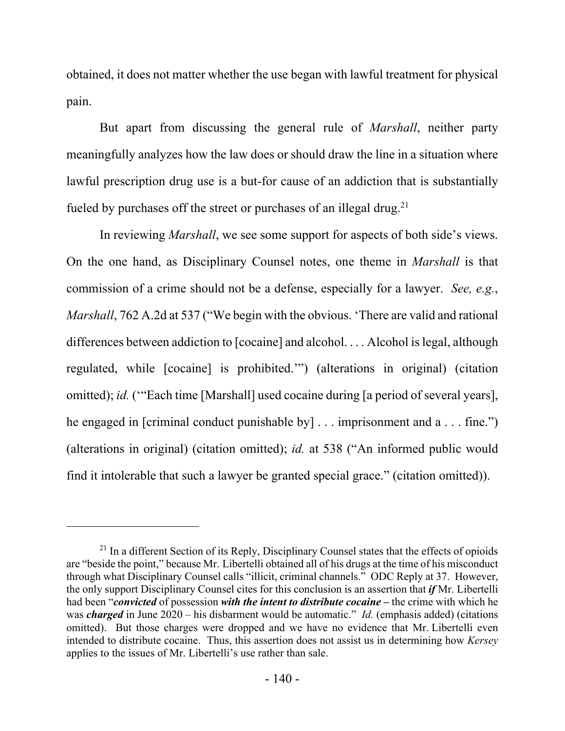obtained, it does not matter whether the use began with lawful treatment for physical pain.

But apart from discussing the general rule of *Marshall*, neither party meaningfully analyzes how the law does or should draw the line in a situation where lawful prescription drug use is a but-for cause of an addiction that is substantially fueled by purchases off the street or purchases of an illegal drug.<sup>21</sup>

In reviewing *Marshall*, we see some support for aspects of both side's views. On the one hand, as Disciplinary Counsel notes, one theme in *Marshall* is that commission of a crime should not be a defense, especially for a lawyer. *See, e.g.*, *Marshall*, 762 A.2d at 537 ("We begin with the obvious. 'There are valid and rational differences between addiction to [cocaine] and alcohol. . . . Alcohol is legal, although regulated, while [cocaine] is prohibited.'") (alterations in original) (citation omitted); *id.* ('"Each time [Marshall] used cocaine during [a period of several years], he engaged in [criminal conduct punishable by] . . . imprisonment and a . . . fine.") (alterations in original) (citation omitted); *id.* at 538 ("An informed public would find it intolerable that such a lawyer be granted special grace." (citation omitted)).

<sup>&</sup>lt;sup>21</sup> In a different Section of its Reply, Disciplinary Counsel states that the effects of opioids are "beside the point," because Mr. Libertelli obtained all of his drugs at the time of his misconduct through what Disciplinary Counsel calls "illicit, criminal channels." ODC Reply at 37. However, the only support Disciplinary Counsel cites for this conclusion is an assertion that *if* Mr. Libertelli had been "*convicted* of possession *with the intent to distribute cocaine* **–** the crime with which he was *charged* in June 2020 – his disbarment would be automatic." *Id.* (emphasis added) (citations omitted). But those charges were dropped and we have no evidence that Mr. Libertelli even intended to distribute cocaine. Thus, this assertion does not assist us in determining how *Kersey* applies to the issues of Mr. Libertelli's use rather than sale.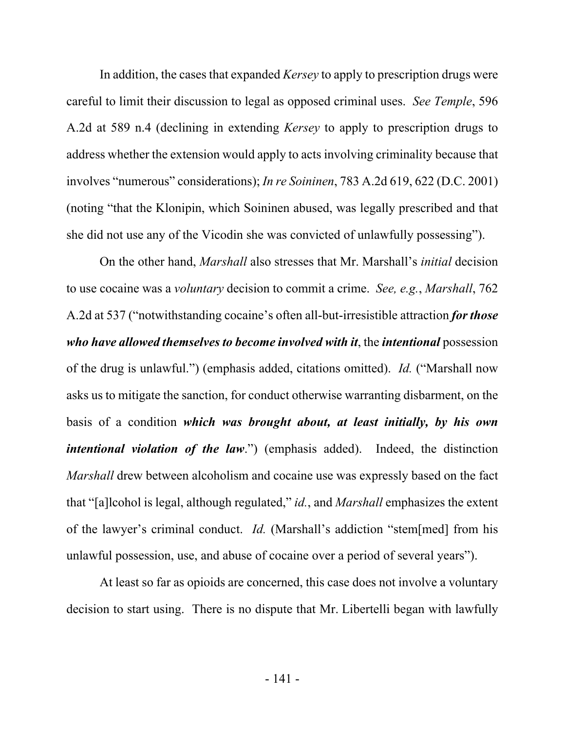In addition, the cases that expanded *Kersey* to apply to prescription drugs were careful to limit their discussion to legal as opposed criminal uses. *See Temple*, 596 A.2d at 589 n.4 (declining in extending *Kersey* to apply to prescription drugs to address whether the extension would apply to acts involving criminality because that involves "numerous" considerations); *In re Soininen*, 783 A.2d 619, 622 (D.C. 2001) (noting "that the Klonipin, which Soininen abused, was legally prescribed and that she did not use any of the Vicodin she was convicted of unlawfully possessing").

On the other hand, *Marshall* also stresses that Mr. Marshall's *initial* decision to use cocaine was a *voluntary* decision to commit a crime. *See, e.g.*, *Marshall*, 762 A.2d at 537 ("notwithstanding cocaine's often all-but-irresistible attraction *for those who have allowed themselves to become involved with it*, the *intentional* possession of the drug is unlawful.") (emphasis added, citations omitted). *Id.* ("Marshall now asks us to mitigate the sanction, for conduct otherwise warranting disbarment, on the basis of a condition *which was brought about, at least initially, by his own intentional violation of the law*.") (emphasis added). Indeed, the distinction *Marshall* drew between alcoholism and cocaine use was expressly based on the fact that "[a]lcohol is legal, although regulated," *id.*, and *Marshall* emphasizes the extent of the lawyer's criminal conduct. *Id.* (Marshall's addiction "stem[med] from his unlawful possession, use, and abuse of cocaine over a period of several years").

At least so far as opioids are concerned, this case does not involve a voluntary decision to start using. There is no dispute that Mr. Libertelli began with lawfully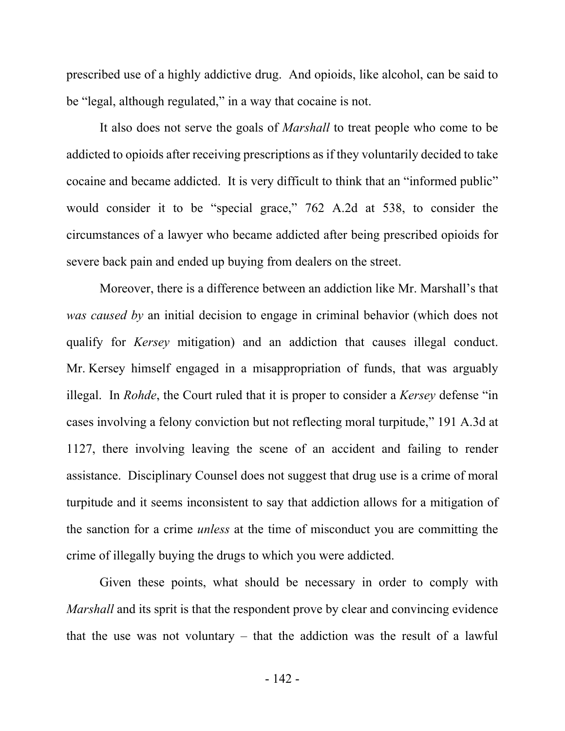prescribed use of a highly addictive drug. And opioids, like alcohol, can be said to be "legal, although regulated," in a way that cocaine is not.

It also does not serve the goals of *Marshall* to treat people who come to be addicted to opioids after receiving prescriptions as if they voluntarily decided to take cocaine and became addicted. It is very difficult to think that an "informed public" would consider it to be "special grace," 762 A.2d at 538, to consider the circumstances of a lawyer who became addicted after being prescribed opioids for severe back pain and ended up buying from dealers on the street.

Moreover, there is a difference between an addiction like Mr. Marshall's that *was caused by* an initial decision to engage in criminal behavior (which does not qualify for *Kersey* mitigation) and an addiction that causes illegal conduct. Mr. Kersey himself engaged in a misappropriation of funds, that was arguably illegal. In *Rohde*, the Court ruled that it is proper to consider a *Kersey* defense "in cases involving a felony conviction but not reflecting moral turpitude," 191 A.3d at 1127, there involving leaving the scene of an accident and failing to render assistance. Disciplinary Counsel does not suggest that drug use is a crime of moral turpitude and it seems inconsistent to say that addiction allows for a mitigation of the sanction for a crime *unless* at the time of misconduct you are committing the crime of illegally buying the drugs to which you were addicted.

Given these points, what should be necessary in order to comply with *Marshall* and its sprit is that the respondent prove by clear and convincing evidence that the use was not voluntary – that the addiction was the result of a lawful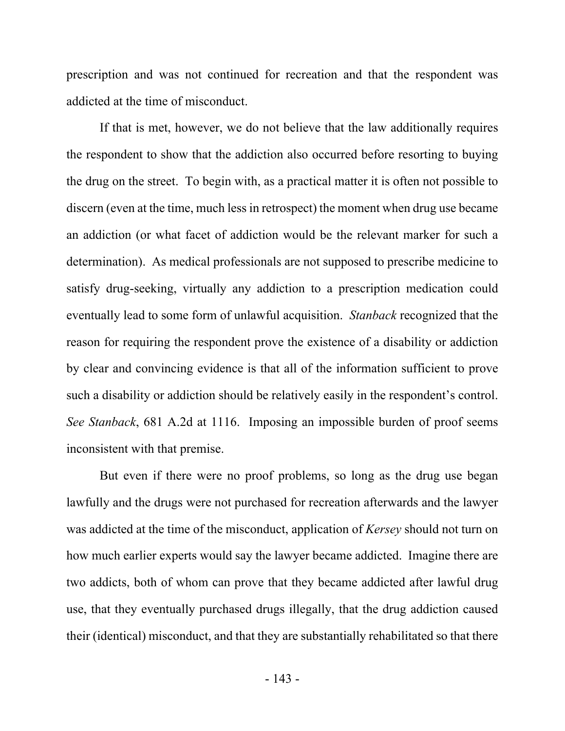prescription and was not continued for recreation and that the respondent was addicted at the time of misconduct.

If that is met, however, we do not believe that the law additionally requires the respondent to show that the addiction also occurred before resorting to buying the drug on the street. To begin with, as a practical matter it is often not possible to discern (even at the time, much less in retrospect) the moment when drug use became an addiction (or what facet of addiction would be the relevant marker for such a determination). As medical professionals are not supposed to prescribe medicine to satisfy drug-seeking, virtually any addiction to a prescription medication could eventually lead to some form of unlawful acquisition. *Stanback* recognized that the reason for requiring the respondent prove the existence of a disability or addiction by clear and convincing evidence is that all of the information sufficient to prove such a disability or addiction should be relatively easily in the respondent's control. *See Stanback*, 681 A.2d at 1116. Imposing an impossible burden of proof seems inconsistent with that premise.

But even if there were no proof problems, so long as the drug use began lawfully and the drugs were not purchased for recreation afterwards and the lawyer was addicted at the time of the misconduct, application of *Kersey* should not turn on how much earlier experts would say the lawyer became addicted. Imagine there are two addicts, both of whom can prove that they became addicted after lawful drug use, that they eventually purchased drugs illegally, that the drug addiction caused their (identical) misconduct, and that they are substantially rehabilitated so that there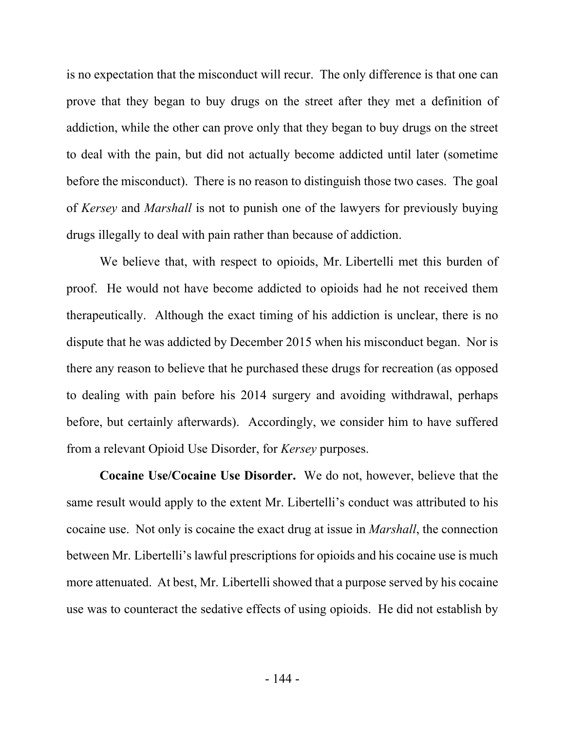is no expectation that the misconduct will recur. The only difference is that one can prove that they began to buy drugs on the street after they met a definition of addiction, while the other can prove only that they began to buy drugs on the street to deal with the pain, but did not actually become addicted until later (sometime before the misconduct). There is no reason to distinguish those two cases. The goal of *Kersey* and *Marshall* is not to punish one of the lawyers for previously buying drugs illegally to deal with pain rather than because of addiction.

We believe that, with respect to opioids, Mr. Libertelli met this burden of proof. He would not have become addicted to opioids had he not received them therapeutically. Although the exact timing of his addiction is unclear, there is no dispute that he was addicted by December 2015 when his misconduct began. Nor is there any reason to believe that he purchased these drugs for recreation (as opposed to dealing with pain before his 2014 surgery and avoiding withdrawal, perhaps before, but certainly afterwards). Accordingly, we consider him to have suffered from a relevant Opioid Use Disorder, for *Kersey* purposes.

**Cocaine Use/Cocaine Use Disorder.** We do not, however, believe that the same result would apply to the extent Mr. Libertelli's conduct was attributed to his cocaine use. Not only is cocaine the exact drug at issue in *Marshall*, the connection between Mr. Libertelli's lawful prescriptions for opioids and his cocaine use is much more attenuated. At best, Mr. Libertelli showed that a purpose served by his cocaine use was to counteract the sedative effects of using opioids. He did not establish by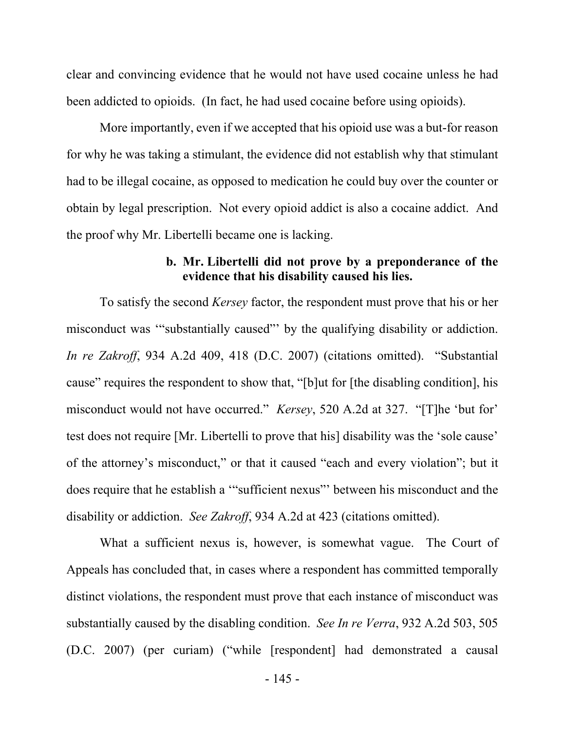clear and convincing evidence that he would not have used cocaine unless he had been addicted to opioids. (In fact, he had used cocaine before using opioids).

More importantly, even if we accepted that his opioid use was a but-for reason for why he was taking a stimulant, the evidence did not establish why that stimulant had to be illegal cocaine, as opposed to medication he could buy over the counter or obtain by legal prescription. Not every opioid addict is also a cocaine addict. And the proof why Mr. Libertelli became one is lacking.

### **b. Mr. Libertelli did not prove by a preponderance of the evidence that his disability caused his lies.**

To satisfy the second *Kersey* factor, the respondent must prove that his or her misconduct was '"substantially caused"' by the qualifying disability or addiction. *In re Zakroff*, 934 A.2d 409, 418 (D.C. 2007) (citations omitted). "Substantial cause" requires the respondent to show that, "[b]ut for [the disabling condition], his misconduct would not have occurred." *Kersey*, 520 A.2d at 327. "[T]he 'but for' test does not require [Mr. Libertelli to prove that his] disability was the 'sole cause' of the attorney's misconduct," or that it caused "each and every violation"; but it does require that he establish a '"sufficient nexus"' between his misconduct and the disability or addiction. *See Zakroff*, 934 A.2d at 423 (citations omitted).

What a sufficient nexus is, however, is somewhat vague. The Court of Appeals has concluded that, in cases where a respondent has committed temporally distinct violations, the respondent must prove that each instance of misconduct was substantially caused by the disabling condition. *See In re Verra*, 932 A.2d 503, 505 (D.C. 2007) (per curiam) ("while [respondent] had demonstrated a causal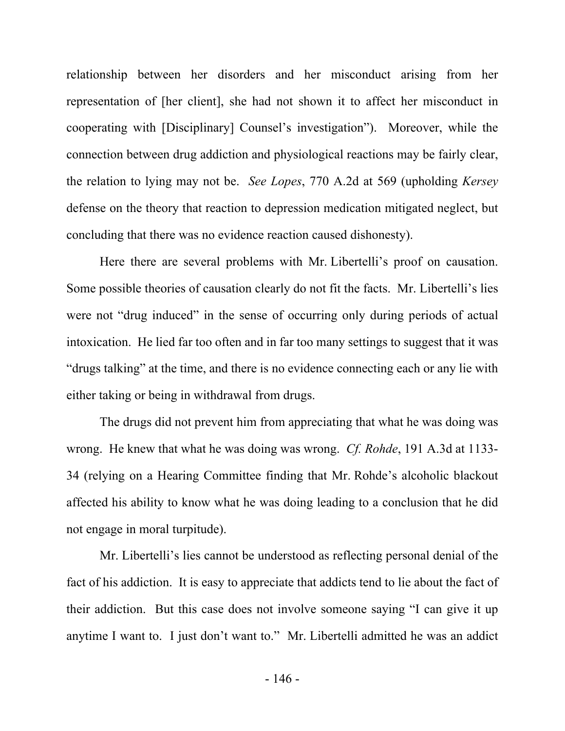relationship between her disorders and her misconduct arising from her representation of [her client], she had not shown it to affect her misconduct in cooperating with [Disciplinary] Counsel's investigation"). Moreover, while the connection between drug addiction and physiological reactions may be fairly clear, the relation to lying may not be. *See Lopes*, 770 A.2d at 569 (upholding *Kersey*  defense on the theory that reaction to depression medication mitigated neglect, but concluding that there was no evidence reaction caused dishonesty).

Here there are several problems with Mr. Libertelli's proof on causation. Some possible theories of causation clearly do not fit the facts. Mr. Libertelli's lies were not "drug induced" in the sense of occurring only during periods of actual intoxication. He lied far too often and in far too many settings to suggest that it was "drugs talking" at the time, and there is no evidence connecting each or any lie with either taking or being in withdrawal from drugs.

The drugs did not prevent him from appreciating that what he was doing was wrong. He knew that what he was doing was wrong. *Cf. Rohde*, 191 A.3d at 1133- 34 (relying on a Hearing Committee finding that Mr. Rohde's alcoholic blackout affected his ability to know what he was doing leading to a conclusion that he did not engage in moral turpitude).

Mr. Libertelli's lies cannot be understood as reflecting personal denial of the fact of his addiction. It is easy to appreciate that addicts tend to lie about the fact of their addiction. But this case does not involve someone saying "I can give it up anytime I want to. I just don't want to." Mr. Libertelli admitted he was an addict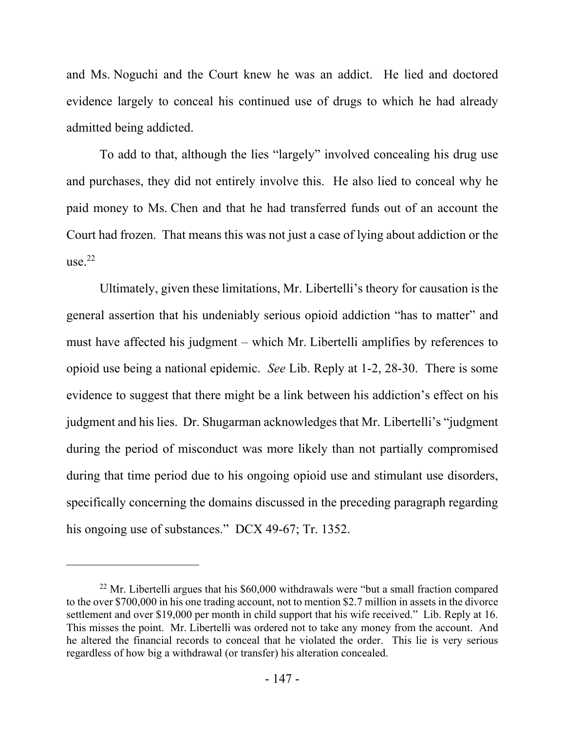and Ms. Noguchi and the Court knew he was an addict. He lied and doctored evidence largely to conceal his continued use of drugs to which he had already admitted being addicted.

To add to that, although the lies "largely" involved concealing his drug use and purchases, they did not entirely involve this. He also lied to conceal why he paid money to Ms. Chen and that he had transferred funds out of an account the Court had frozen. That means this was not just a case of lying about addiction or the use. $22$ 

Ultimately, given these limitations, Mr. Libertelli's theory for causation is the general assertion that his undeniably serious opioid addiction "has to matter" and must have affected his judgment – which Mr. Libertelli amplifies by references to opioid use being a national epidemic. *See* Lib. Reply at 1-2, 28-30. There is some evidence to suggest that there might be a link between his addiction's effect on his judgment and his lies. Dr. Shugarman acknowledges that Mr. Libertelli's "judgment during the period of misconduct was more likely than not partially compromised during that time period due to his ongoing opioid use and stimulant use disorders, specifically concerning the domains discussed in the preceding paragraph regarding his ongoing use of substances." DCX 49-67; Tr. 1352.

 $22$  Mr. Libertelli argues that his \$60,000 withdrawals were "but a small fraction compared to the over \$700,000 in his one trading account, not to mention \$2.7 million in assets in the divorce settlement and over \$19,000 per month in child support that his wife received." Lib. Reply at 16. This misses the point. Mr. Libertelli was ordered not to take any money from the account. And he altered the financial records to conceal that he violated the order. This lie is very serious regardless of how big a withdrawal (or transfer) his alteration concealed.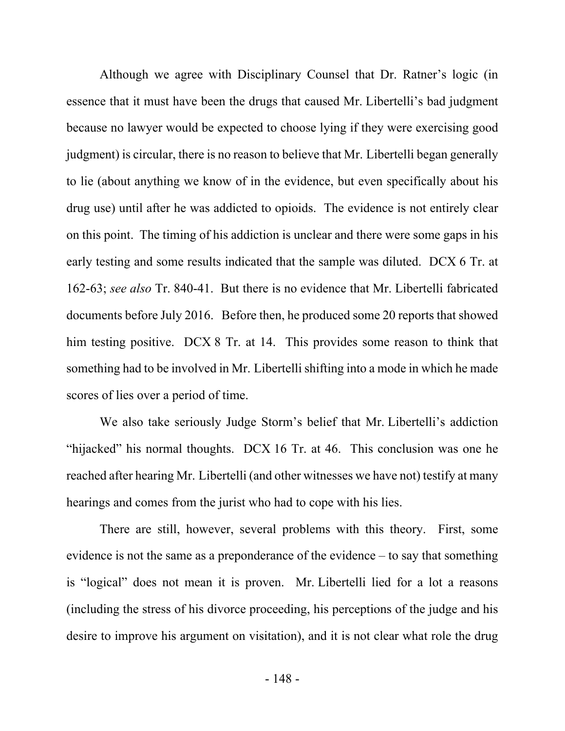Although we agree with Disciplinary Counsel that Dr. Ratner's logic (in essence that it must have been the drugs that caused Mr. Libertelli's bad judgment because no lawyer would be expected to choose lying if they were exercising good judgment) is circular, there is no reason to believe that Mr. Libertelli began generally to lie (about anything we know of in the evidence, but even specifically about his drug use) until after he was addicted to opioids. The evidence is not entirely clear on this point. The timing of his addiction is unclear and there were some gaps in his early testing and some results indicated that the sample was diluted. DCX 6 Tr. at 162-63; *see also* Tr. 840-41. But there is no evidence that Mr. Libertelli fabricated documents before July 2016. Before then, he produced some 20 reports that showed him testing positive. DCX 8 Tr. at 14. This provides some reason to think that something had to be involved in Mr. Libertelli shifting into a mode in which he made scores of lies over a period of time.

We also take seriously Judge Storm's belief that Mr. Libertelli's addiction "hijacked" his normal thoughts. DCX 16 Tr. at 46. This conclusion was one he reached after hearing Mr. Libertelli (and other witnesses we have not) testify at many hearings and comes from the jurist who had to cope with his lies.

There are still, however, several problems with this theory. First, some evidence is not the same as a preponderance of the evidence – to say that something is "logical" does not mean it is proven. Mr. Libertelli lied for a lot a reasons (including the stress of his divorce proceeding, his perceptions of the judge and his desire to improve his argument on visitation), and it is not clear what role the drug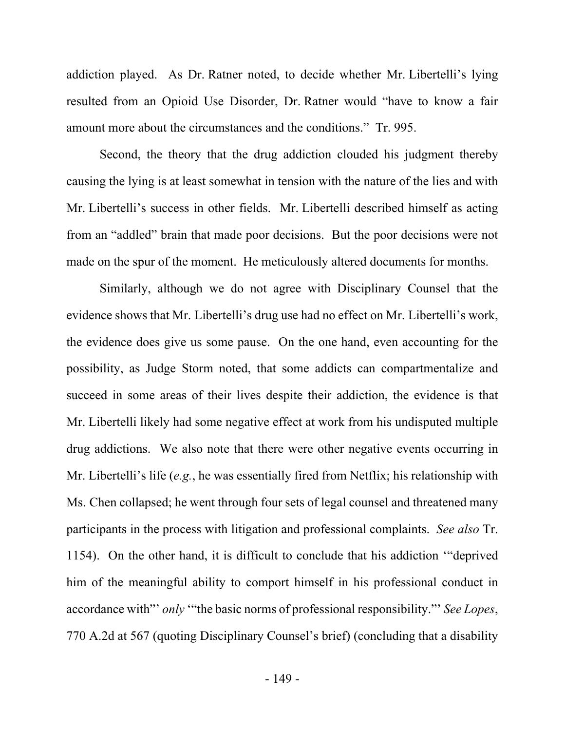addiction played. As Dr. Ratner noted, to decide whether Mr. Libertelli's lying resulted from an Opioid Use Disorder, Dr. Ratner would "have to know a fair amount more about the circumstances and the conditions." Tr. 995.

Second, the theory that the drug addiction clouded his judgment thereby causing the lying is at least somewhat in tension with the nature of the lies and with Mr. Libertelli's success in other fields. Mr. Libertelli described himself as acting from an "addled" brain that made poor decisions. But the poor decisions were not made on the spur of the moment. He meticulously altered documents for months.

Similarly, although we do not agree with Disciplinary Counsel that the evidence shows that Mr. Libertelli's drug use had no effect on Mr. Libertelli's work, the evidence does give us some pause. On the one hand, even accounting for the possibility, as Judge Storm noted, that some addicts can compartmentalize and succeed in some areas of their lives despite their addiction, the evidence is that Mr. Libertelli likely had some negative effect at work from his undisputed multiple drug addictions. We also note that there were other negative events occurring in Mr. Libertelli's life (*e.g.*, he was essentially fired from Netflix; his relationship with Ms. Chen collapsed; he went through four sets of legal counsel and threatened many participants in the process with litigation and professional complaints. *See also* Tr. 1154). On the other hand, it is difficult to conclude that his addiction '"deprived him of the meaningful ability to comport himself in his professional conduct in accordance with"' *only* '"the basic norms of professional responsibility."' *See Lopes*, 770 A.2d at 567 (quoting Disciplinary Counsel's brief) (concluding that a disability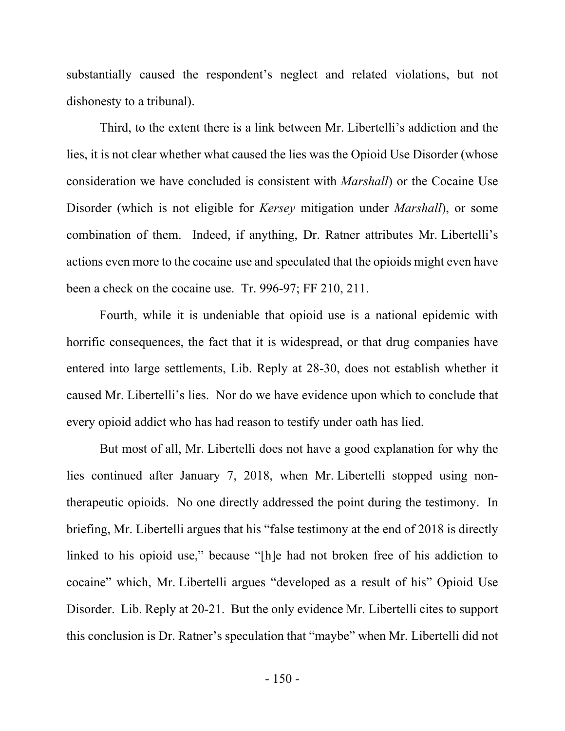substantially caused the respondent's neglect and related violations, but not dishonesty to a tribunal).

Third, to the extent there is a link between Mr. Libertelli's addiction and the lies, it is not clear whether what caused the lies was the Opioid Use Disorder (whose consideration we have concluded is consistent with *Marshall*) or the Cocaine Use Disorder (which is not eligible for *Kersey* mitigation under *Marshall*), or some combination of them. Indeed, if anything, Dr. Ratner attributes Mr. Libertelli's actions even more to the cocaine use and speculated that the opioids might even have been a check on the cocaine use. Tr. 996-97; FF 210, 211.

Fourth, while it is undeniable that opioid use is a national epidemic with horrific consequences, the fact that it is widespread, or that drug companies have entered into large settlements, Lib. Reply at 28-30, does not establish whether it caused Mr. Libertelli's lies. Nor do we have evidence upon which to conclude that every opioid addict who has had reason to testify under oath has lied.

But most of all, Mr. Libertelli does not have a good explanation for why the lies continued after January 7, 2018, when Mr. Libertelli stopped using nontherapeutic opioids. No one directly addressed the point during the testimony. In briefing, Mr. Libertelli argues that his "false testimony at the end of 2018 is directly linked to his opioid use," because "[h]e had not broken free of his addiction to cocaine" which, Mr. Libertelli argues "developed as a result of his" Opioid Use Disorder. Lib. Reply at 20-21. But the only evidence Mr. Libertelli cites to support this conclusion is Dr. Ratner's speculation that "maybe" when Mr. Libertelli did not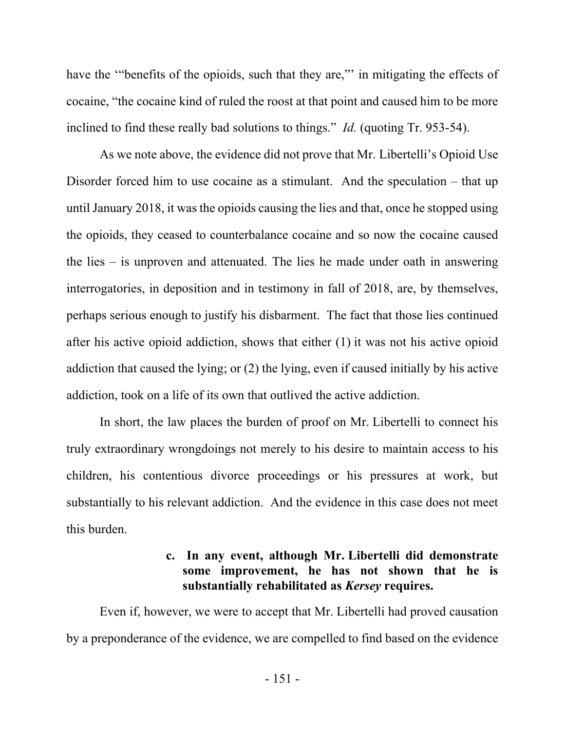have the "benefits of the opioids, such that they are," in mitigating the effects of cocaine, "the cocaine kind of ruled the roost at that point and caused him to be more inclined to find these really bad solutions to things." *Id.* (quoting Tr. 953-54).

As we note above, the evidence did not prove that Mr. Libertelli's Opioid Use Disorder forced him to use cocaine as a stimulant. And the speculation – that up until January 2018, it was the opioids causing the lies and that, once he stopped using the opioids, they ceased to counterbalance cocaine and so now the cocaine caused the lies – is unproven and attenuated. The lies he made under oath in answering interrogatories, in deposition and in testimony in fall of 2018, are, by themselves, perhaps serious enough to justify his disbarment. The fact that those lies continued after his active opioid addiction, shows that either (1) it was not his active opioid addiction that caused the lying; or (2) the lying, even if caused initially by his active addiction, took on a life of its own that outlived the active addiction.

In short, the law places the burden of proof on Mr. Libertelli to connect his truly extraordinary wrongdoings not merely to his desire to maintain access to his children, his contentious divorce proceedings or his pressures at work, but substantially to his relevant addiction. And the evidence in this case does not meet this burden.

## **c. In any event, although Mr. Libertelli did demonstrate some improvement, he has not shown that he is substantially rehabilitated as** *Kersey* **requires.**

Even if, however, we were to accept that Mr. Libertelli had proved causation by a preponderance of the evidence, we are compelled to find based on the evidence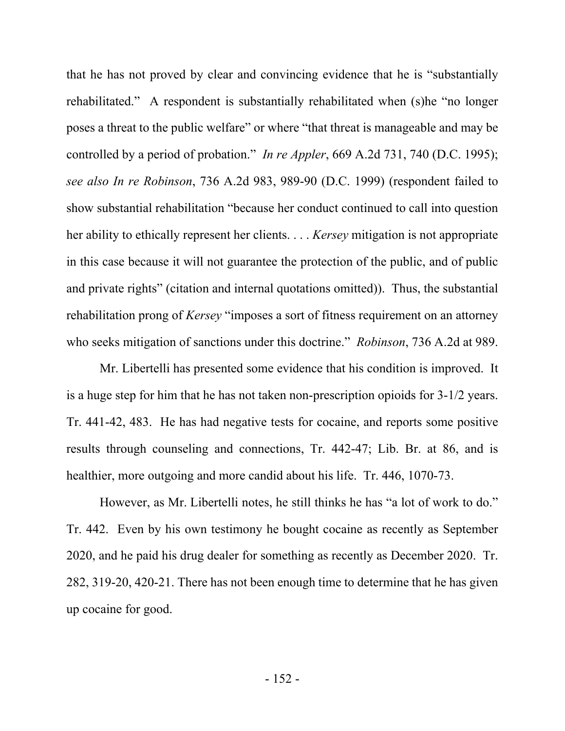that he has not proved by clear and convincing evidence that he is "substantially rehabilitated." A respondent is substantially rehabilitated when (s)he "no longer poses a threat to the public welfare" or where "that threat is manageable and may be controlled by a period of probation." *In re Appler*, 669 A.2d 731, 740 (D.C. 1995); *see also In re Robinson*, 736 A.2d 983, 989-90 (D.C. 1999) (respondent failed to show substantial rehabilitation "because her conduct continued to call into question her ability to ethically represent her clients. . . . *Kersey* mitigation is not appropriate in this case because it will not guarantee the protection of the public, and of public and private rights" (citation and internal quotations omitted)). Thus, the substantial rehabilitation prong of *Kersey* "imposes a sort of fitness requirement on an attorney who seeks mitigation of sanctions under this doctrine." *Robinson*, 736 A.2d at 989.

Mr. Libertelli has presented some evidence that his condition is improved. It is a huge step for him that he has not taken non-prescription opioids for 3-1/2 years. Tr. 441-42, 483. He has had negative tests for cocaine, and reports some positive results through counseling and connections, Tr. 442-47; Lib. Br. at 86, and is healthier, more outgoing and more candid about his life. Tr. 446, 1070-73.

However, as Mr. Libertelli notes, he still thinks he has "a lot of work to do." Tr. 442. Even by his own testimony he bought cocaine as recently as September 2020, and he paid his drug dealer for something as recently as December 2020. Tr. 282, 319-20, 420-21. There has not been enough time to determine that he has given up cocaine for good.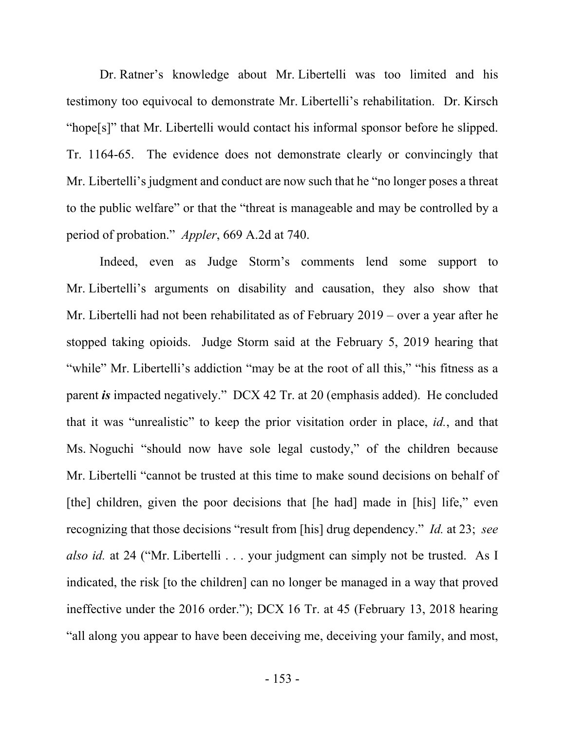Dr. Ratner's knowledge about Mr. Libertelli was too limited and his testimony too equivocal to demonstrate Mr. Libertelli's rehabilitation. Dr. Kirsch "hope[s]" that Mr. Libertelli would contact his informal sponsor before he slipped. Tr. 1164-65. The evidence does not demonstrate clearly or convincingly that Mr. Libertelli's judgment and conduct are now such that he "no longer poses a threat to the public welfare" or that the "threat is manageable and may be controlled by a period of probation." *Appler*, 669 A.2d at 740.

Indeed, even as Judge Storm's comments lend some support to Mr. Libertelli's arguments on disability and causation, they also show that Mr. Libertelli had not been rehabilitated as of February 2019 – over a year after he stopped taking opioids. Judge Storm said at the February 5, 2019 hearing that "while" Mr. Libertelli's addiction "may be at the root of all this," "his fitness as a parent *is* impacted negatively." DCX 42 Tr. at 20 (emphasis added). He concluded that it was "unrealistic" to keep the prior visitation order in place, *id.*, and that Ms. Noguchi "should now have sole legal custody," of the children because Mr. Libertelli "cannot be trusted at this time to make sound decisions on behalf of [the] children, given the poor decisions that [he had] made in [his] life," even recognizing that those decisions "result from [his] drug dependency." *Id.* at 23; *see also id.* at 24 ("Mr. Libertelli . . . your judgment can simply not be trusted. As I indicated, the risk [to the children] can no longer be managed in a way that proved ineffective under the 2016 order."); DCX 16 Tr. at 45 (February 13, 2018 hearing "all along you appear to have been deceiving me, deceiving your family, and most,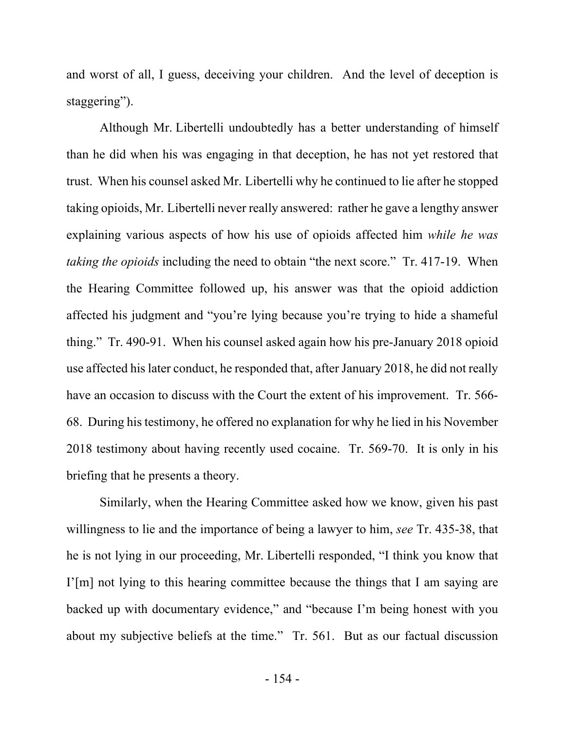and worst of all, I guess, deceiving your children. And the level of deception is staggering").

Although Mr. Libertelli undoubtedly has a better understanding of himself than he did when his was engaging in that deception, he has not yet restored that trust. When his counsel asked Mr. Libertelli why he continued to lie after he stopped taking opioids, Mr. Libertelli never really answered: rather he gave a lengthy answer explaining various aspects of how his use of opioids affected him *while he was taking the opioids* including the need to obtain "the next score." Tr. 417-19. When the Hearing Committee followed up, his answer was that the opioid addiction affected his judgment and "you're lying because you're trying to hide a shameful thing." Tr. 490-91. When his counsel asked again how his pre-January 2018 opioid use affected his later conduct, he responded that, after January 2018, he did not really have an occasion to discuss with the Court the extent of his improvement. Tr. 566- 68. During his testimony, he offered no explanation for why he lied in his November 2018 testimony about having recently used cocaine. Tr. 569-70. It is only in his briefing that he presents a theory.

Similarly, when the Hearing Committee asked how we know, given his past willingness to lie and the importance of being a lawyer to him, *see* Tr. 435-38, that he is not lying in our proceeding, Mr. Libertelli responded, "I think you know that I'[m] not lying to this hearing committee because the things that I am saying are backed up with documentary evidence," and "because I'm being honest with you about my subjective beliefs at the time." Tr. 561. But as our factual discussion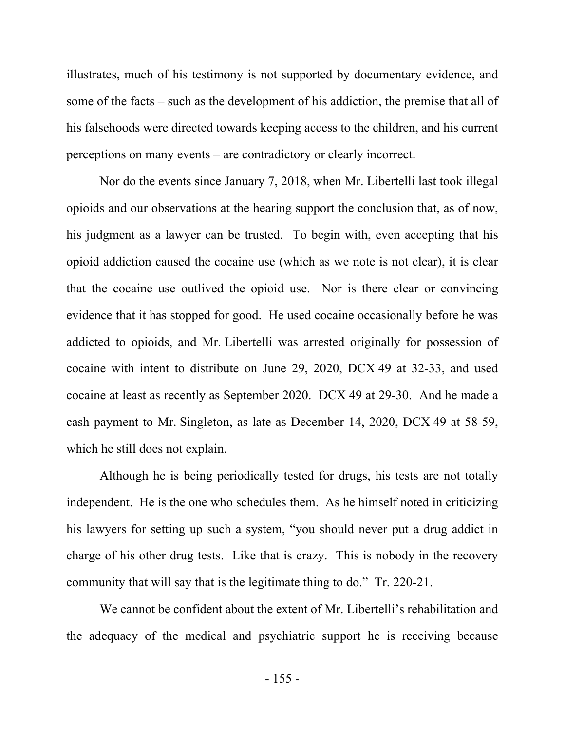illustrates, much of his testimony is not supported by documentary evidence, and some of the facts – such as the development of his addiction, the premise that all of his falsehoods were directed towards keeping access to the children, and his current perceptions on many events – are contradictory or clearly incorrect.

Nor do the events since January 7, 2018, when Mr. Libertelli last took illegal opioids and our observations at the hearing support the conclusion that, as of now, his judgment as a lawyer can be trusted. To begin with, even accepting that his opioid addiction caused the cocaine use (which as we note is not clear), it is clear that the cocaine use outlived the opioid use. Nor is there clear or convincing evidence that it has stopped for good. He used cocaine occasionally before he was addicted to opioids, and Mr. Libertelli was arrested originally for possession of cocaine with intent to distribute on June 29, 2020, DCX 49 at 32-33, and used cocaine at least as recently as September 2020. DCX 49 at 29-30. And he made a cash payment to Mr. Singleton, as late as December 14, 2020, DCX 49 at 58-59, which he still does not explain.

Although he is being periodically tested for drugs, his tests are not totally independent. He is the one who schedules them. As he himself noted in criticizing his lawyers for setting up such a system, "you should never put a drug addict in charge of his other drug tests. Like that is crazy. This is nobody in the recovery community that will say that is the legitimate thing to do." Tr. 220-21.

We cannot be confident about the extent of Mr. Libertelli's rehabilitation and the adequacy of the medical and psychiatric support he is receiving because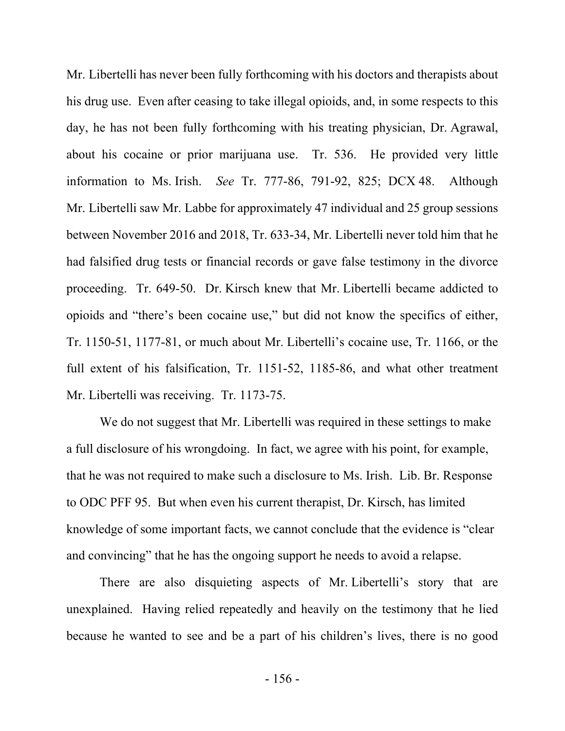Mr. Libertelli has never been fully forthcoming with his doctors and therapists about his drug use. Even after ceasing to take illegal opioids, and, in some respects to this day, he has not been fully forthcoming with his treating physician, Dr. Agrawal, about his cocaine or prior marijuana use. Tr. 536. He provided very little information to Ms. Irish. *See* Tr. 777-86, 791-92, 825; DCX 48. Although Mr. Libertelli saw Mr. Labbe for approximately 47 individual and 25 group sessions between November 2016 and 2018, Tr. 633-34, Mr. Libertelli never told him that he had falsified drug tests or financial records or gave false testimony in the divorce proceeding. Tr. 649-50. Dr. Kirsch knew that Mr. Libertelli became addicted to opioids and "there's been cocaine use," but did not know the specifics of either, Tr. 1150-51, 1177-81, or much about Mr. Libertelli's cocaine use, Tr. 1166, or the full extent of his falsification, Tr. 1151-52, 1185-86, and what other treatment Mr. Libertelli was receiving. Tr. 1173-75.

We do not suggest that Mr. Libertelli was required in these settings to make a full disclosure of his wrongdoing. In fact, we agree with his point, for example, that he was not required to make such a disclosure to Ms. Irish. Lib. Br. Response to ODC PFF 95. But when even his current therapist, Dr. Kirsch, has limited knowledge of some important facts, we cannot conclude that the evidence is "clear and convincing" that he has the ongoing support he needs to avoid a relapse.

There are also disquieting aspects of Mr. Libertelli's story that are unexplained. Having relied repeatedly and heavily on the testimony that he lied because he wanted to see and be a part of his children's lives, there is no good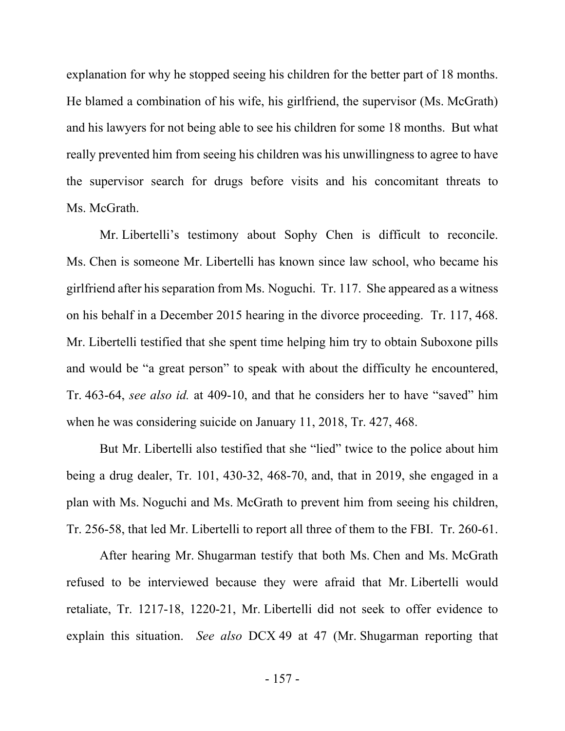explanation for why he stopped seeing his children for the better part of 18 months. He blamed a combination of his wife, his girlfriend, the supervisor (Ms. McGrath) and his lawyers for not being able to see his children for some 18 months. But what really prevented him from seeing his children was his unwillingness to agree to have the supervisor search for drugs before visits and his concomitant threats to Ms. McGrath.

Mr. Libertelli's testimony about Sophy Chen is difficult to reconcile. Ms. Chen is someone Mr. Libertelli has known since law school, who became his girlfriend after his separation from Ms. Noguchi. Tr. 117. She appeared as a witness on his behalf in a December 2015 hearing in the divorce proceeding. Tr. 117, 468. Mr. Libertelli testified that she spent time helping him try to obtain Suboxone pills and would be "a great person" to speak with about the difficulty he encountered, Tr. 463-64, *see also id.* at 409-10, and that he considers her to have "saved" him when he was considering suicide on January 11, 2018, Tr. 427, 468.

But Mr. Libertelli also testified that she "lied" twice to the police about him being a drug dealer, Tr. 101, 430-32, 468-70, and, that in 2019, she engaged in a plan with Ms. Noguchi and Ms. McGrath to prevent him from seeing his children, Tr. 256-58, that led Mr. Libertelli to report all three of them to the FBI. Tr. 260-61.

After hearing Mr. Shugarman testify that both Ms. Chen and Ms. McGrath refused to be interviewed because they were afraid that Mr. Libertelli would retaliate, Tr. 1217-18, 1220-21, Mr. Libertelli did not seek to offer evidence to explain this situation. *See also* DCX 49 at 47 (Mr. Shugarman reporting that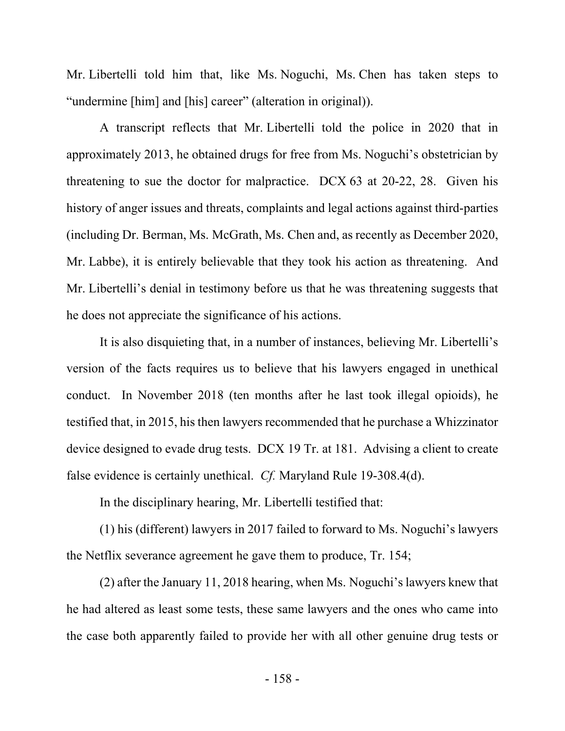Mr. Libertelli told him that, like Ms. Noguchi, Ms. Chen has taken steps to "undermine [him] and [his] career" (alteration in original)).

A transcript reflects that Mr. Libertelli told the police in 2020 that in approximately 2013, he obtained drugs for free from Ms. Noguchi's obstetrician by threatening to sue the doctor for malpractice. DCX 63 at 20-22, 28. Given his history of anger issues and threats, complaints and legal actions against third-parties (including Dr. Berman, Ms. McGrath, Ms. Chen and, as recently as December 2020, Mr. Labbe), it is entirely believable that they took his action as threatening. And Mr. Libertelli's denial in testimony before us that he was threatening suggests that he does not appreciate the significance of his actions.

It is also disquieting that, in a number of instances, believing Mr. Libertelli's version of the facts requires us to believe that his lawyers engaged in unethical conduct. In November 2018 (ten months after he last took illegal opioids), he testified that, in 2015, his then lawyers recommended that he purchase a Whizzinator device designed to evade drug tests. DCX 19 Tr. at 181. Advising a client to create false evidence is certainly unethical. *Cf.* Maryland Rule 19-308.4(d).

In the disciplinary hearing, Mr. Libertelli testified that:

(1) his (different) lawyers in 2017 failed to forward to Ms. Noguchi's lawyers the Netflix severance agreement he gave them to produce, Tr. 154;

(2) after the January 11, 2018 hearing, when Ms. Noguchi's lawyers knew that he had altered as least some tests, these same lawyers and the ones who came into the case both apparently failed to provide her with all other genuine drug tests or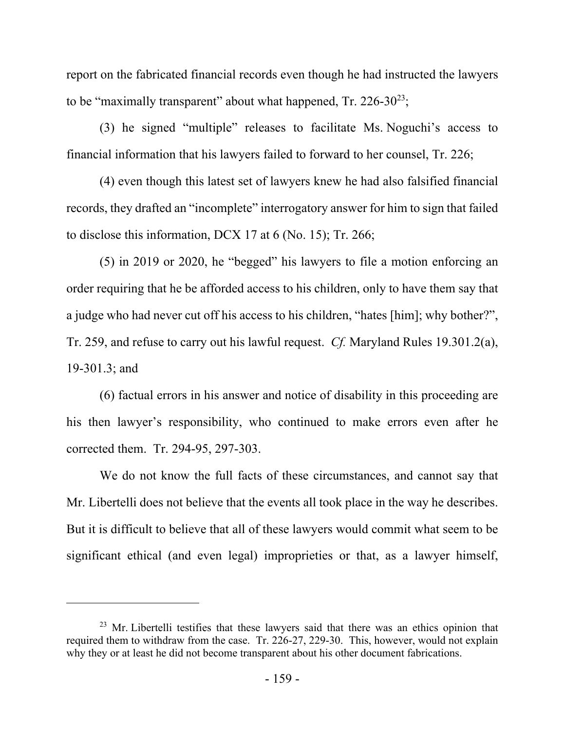report on the fabricated financial records even though he had instructed the lawyers to be "maximally transparent" about what happened,  $Tr. 226-30^{23}$ ;

(3) he signed "multiple" releases to facilitate Ms. Noguchi's access to financial information that his lawyers failed to forward to her counsel, Tr. 226;

(4) even though this latest set of lawyers knew he had also falsified financial records, they drafted an "incomplete" interrogatory answer for him to sign that failed to disclose this information, DCX 17 at 6 (No. 15); Tr. 266;

(5) in 2019 or 2020, he "begged" his lawyers to file a motion enforcing an order requiring that he be afforded access to his children, only to have them say that a judge who had never cut off his access to his children, "hates [him]; why bother?", Tr. 259, and refuse to carry out his lawful request. *Cf.* Maryland Rules 19.301.2(a), 19-301.3; and

(6) factual errors in his answer and notice of disability in this proceeding are his then lawyer's responsibility, who continued to make errors even after he corrected them. Tr. 294-95, 297-303.

We do not know the full facts of these circumstances, and cannot say that Mr. Libertelli does not believe that the events all took place in the way he describes. But it is difficult to believe that all of these lawyers would commit what seem to be significant ethical (and even legal) improprieties or that, as a lawyer himself,

 $23$  Mr. Libertelli testifies that these lawyers said that there was an ethics opinion that required them to withdraw from the case. Tr. 226-27, 229-30. This, however, would not explain why they or at least he did not become transparent about his other document fabrications.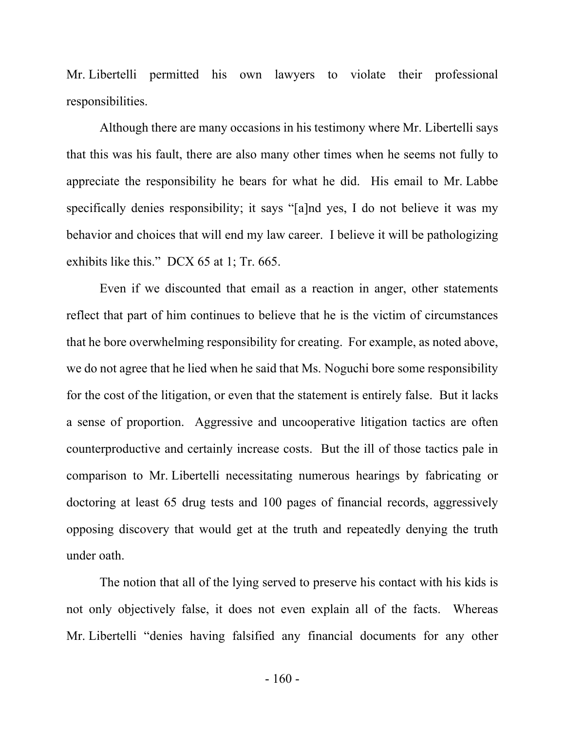Mr. Libertelli permitted his own lawyers to violate their professional responsibilities.

Although there are many occasions in his testimony where Mr. Libertelli says that this was his fault, there are also many other times when he seems not fully to appreciate the responsibility he bears for what he did. His email to Mr. Labbe specifically denies responsibility; it says "[a]nd yes, I do not believe it was my behavior and choices that will end my law career. I believe it will be pathologizing exhibits like this." DCX 65 at 1; Tr. 665.

Even if we discounted that email as a reaction in anger, other statements reflect that part of him continues to believe that he is the victim of circumstances that he bore overwhelming responsibility for creating. For example, as noted above, we do not agree that he lied when he said that Ms. Noguchi bore some responsibility for the cost of the litigation, or even that the statement is entirely false. But it lacks a sense of proportion. Aggressive and uncooperative litigation tactics are often counterproductive and certainly increase costs. But the ill of those tactics pale in comparison to Mr. Libertelli necessitating numerous hearings by fabricating or doctoring at least 65 drug tests and 100 pages of financial records, aggressively opposing discovery that would get at the truth and repeatedly denying the truth under oath.

The notion that all of the lying served to preserve his contact with his kids is not only objectively false, it does not even explain all of the facts. Whereas Mr. Libertelli "denies having falsified any financial documents for any other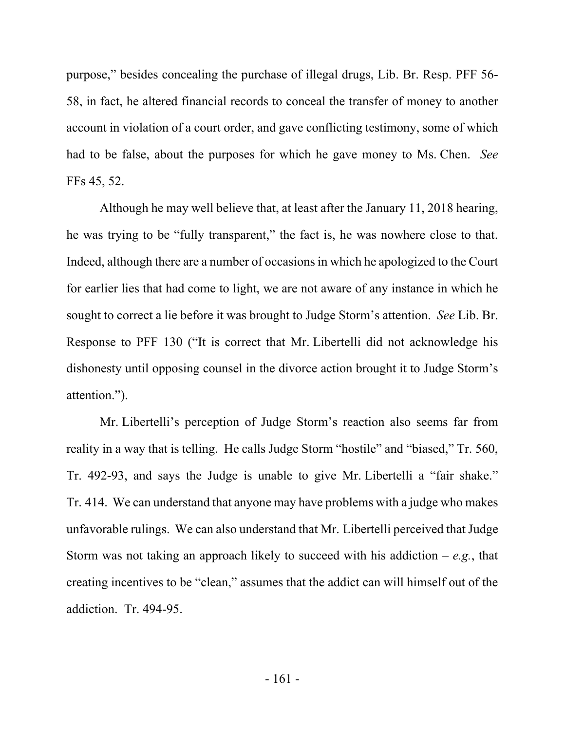purpose," besides concealing the purchase of illegal drugs, Lib. Br. Resp. PFF 56- 58, in fact, he altered financial records to conceal the transfer of money to another account in violation of a court order, and gave conflicting testimony, some of which had to be false, about the purposes for which he gave money to Ms. Chen. *See*  FFs 45, 52.

Although he may well believe that, at least after the January 11, 2018 hearing, he was trying to be "fully transparent," the fact is, he was nowhere close to that. Indeed, although there are a number of occasions in which he apologized to the Court for earlier lies that had come to light, we are not aware of any instance in which he sought to correct a lie before it was brought to Judge Storm's attention. *See* Lib. Br. Response to PFF 130 ("It is correct that Mr. Libertelli did not acknowledge his dishonesty until opposing counsel in the divorce action brought it to Judge Storm's attention.").

Mr. Libertelli's perception of Judge Storm's reaction also seems far from reality in a way that is telling. He calls Judge Storm "hostile" and "biased," Tr. 560, Tr. 492-93, and says the Judge is unable to give Mr. Libertelli a "fair shake." Tr. 414. We can understand that anyone may have problems with a judge who makes unfavorable rulings. We can also understand that Mr. Libertelli perceived that Judge Storm was not taking an approach likely to succeed with his addiction – *e.g.*, that creating incentives to be "clean," assumes that the addict can will himself out of the addiction. Tr. 494-95.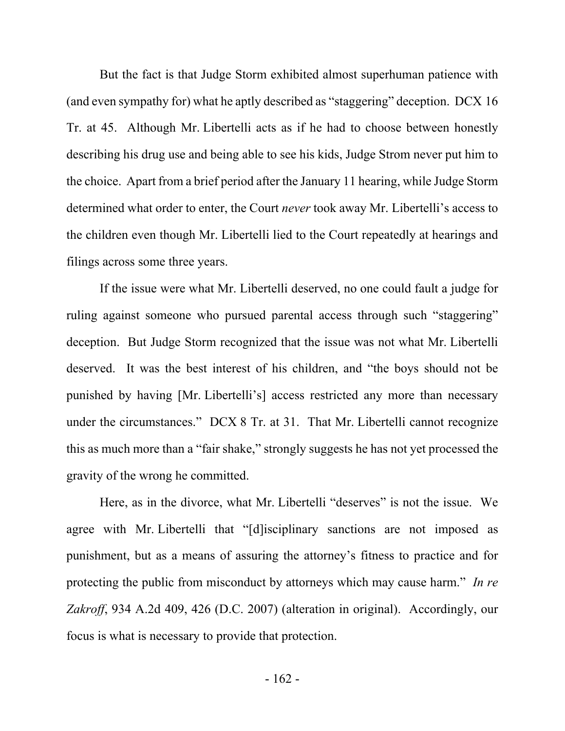But the fact is that Judge Storm exhibited almost superhuman patience with (and even sympathy for) what he aptly described as "staggering" deception. DCX 16 Tr. at 45. Although Mr. Libertelli acts as if he had to choose between honestly describing his drug use and being able to see his kids, Judge Strom never put him to the choice. Apart from a brief period after the January 11 hearing, while Judge Storm determined what order to enter, the Court *never* took away Mr. Libertelli's access to the children even though Mr. Libertelli lied to the Court repeatedly at hearings and filings across some three years.

If the issue were what Mr. Libertelli deserved, no one could fault a judge for ruling against someone who pursued parental access through such "staggering" deception. But Judge Storm recognized that the issue was not what Mr. Libertelli deserved. It was the best interest of his children, and "the boys should not be punished by having [Mr. Libertelli's] access restricted any more than necessary under the circumstances." DCX 8 Tr. at 31. That Mr. Libertelli cannot recognize this as much more than a "fair shake," strongly suggests he has not yet processed the gravity of the wrong he committed.

Here, as in the divorce, what Mr. Libertelli "deserves" is not the issue. We agree with Mr. Libertelli that "[d]isciplinary sanctions are not imposed as punishment, but as a means of assuring the attorney's fitness to practice and for protecting the public from misconduct by attorneys which may cause harm." *In re Zakroff*, 934 A.2d 409, 426 (D.C. 2007) (alteration in original). Accordingly, our focus is what is necessary to provide that protection.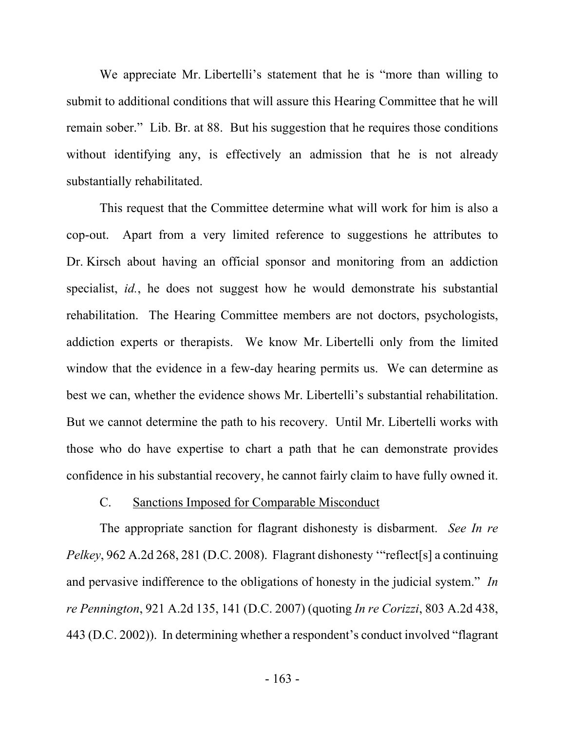We appreciate Mr. Libertelli's statement that he is "more than willing to submit to additional conditions that will assure this Hearing Committee that he will remain sober." Lib. Br. at 88. But his suggestion that he requires those conditions without identifying any, is effectively an admission that he is not already substantially rehabilitated.

This request that the Committee determine what will work for him is also a cop-out. Apart from a very limited reference to suggestions he attributes to Dr. Kirsch about having an official sponsor and monitoring from an addiction specialist, *id.*, he does not suggest how he would demonstrate his substantial rehabilitation. The Hearing Committee members are not doctors, psychologists, addiction experts or therapists. We know Mr. Libertelli only from the limited window that the evidence in a few-day hearing permits us. We can determine as best we can, whether the evidence shows Mr. Libertelli's substantial rehabilitation. But we cannot determine the path to his recovery. Until Mr. Libertelli works with those who do have expertise to chart a path that he can demonstrate provides confidence in his substantial recovery, he cannot fairly claim to have fully owned it.

#### C. Sanctions Imposed for Comparable Misconduct

The appropriate sanction for flagrant dishonesty is disbarment. *See In re Pelkey*, 962 A.2d 268, 281 (D.C. 2008). Flagrant dishonesty "reflect<sup>[s]</sup> a continuing and pervasive indifference to the obligations of honesty in the judicial system." *In re Pennington*, 921 A.2d 135, 141 (D.C. 2007) (quoting *In re Corizzi*, 803 A.2d 438, 443 (D.C. 2002)). In determining whether a respondent's conduct involved "flagrant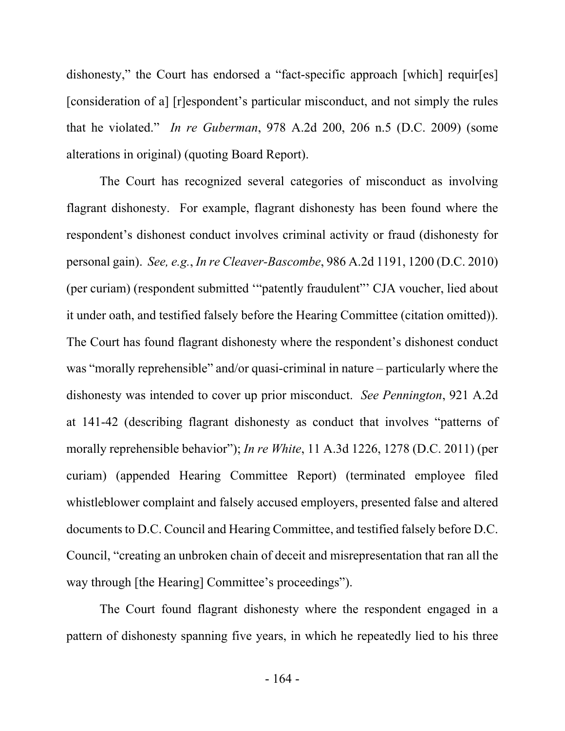dishonesty," the Court has endorsed a "fact-specific approach [which] requir[es] [consideration of a] [r]espondent's particular misconduct, and not simply the rules that he violated." *In re Guberman*, 978 A.2d 200, 206 n.5 (D.C. 2009) (some alterations in original) (quoting Board Report).

The Court has recognized several categories of misconduct as involving flagrant dishonesty. For example, flagrant dishonesty has been found where the respondent's dishonest conduct involves criminal activity or fraud (dishonesty for personal gain). *See, e.g.*, *In re Cleaver-Bascombe*, 986 A.2d 1191, 1200 (D.C. 2010) (per curiam) (respondent submitted '"patently fraudulent"' CJA voucher, lied about it under oath, and testified falsely before the Hearing Committee (citation omitted)). The Court has found flagrant dishonesty where the respondent's dishonest conduct was "morally reprehensible" and/or quasi-criminal in nature – particularly where the dishonesty was intended to cover up prior misconduct. *See Pennington*, 921 A.2d at 141-42 (describing flagrant dishonesty as conduct that involves "patterns of morally reprehensible behavior"); *In re White*, 11 A.3d 1226, 1278 (D.C. 2011) (per curiam) (appended Hearing Committee Report) (terminated employee filed whistleblower complaint and falsely accused employers, presented false and altered documents to D.C. Council and Hearing Committee, and testified falsely before D.C. Council, "creating an unbroken chain of deceit and misrepresentation that ran all the way through [the Hearing] Committee's proceedings").

The Court found flagrant dishonesty where the respondent engaged in a pattern of dishonesty spanning five years, in which he repeatedly lied to his three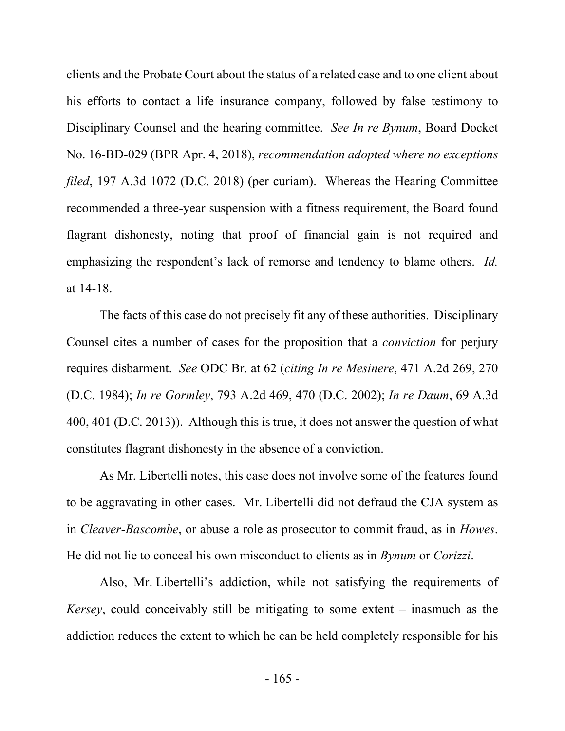clients and the Probate Court about the status of a related case and to one client about his efforts to contact a life insurance company, followed by false testimony to Disciplinary Counsel and the hearing committee. *See In re Bynum*, Board Docket No. 16-BD-029 (BPR Apr. 4, 2018), *recommendation adopted where no exceptions filed*, 197 A.3d 1072 (D.C. 2018) (per curiam). Whereas the Hearing Committee recommended a three-year suspension with a fitness requirement, the Board found flagrant dishonesty, noting that proof of financial gain is not required and emphasizing the respondent's lack of remorse and tendency to blame others. *Id.*  at 14-18.

The facts of this case do not precisely fit any of these authorities. Disciplinary Counsel cites a number of cases for the proposition that a *conviction* for perjury requires disbarment. *See* ODC Br. at 62 (*citing In re Mesinere*, 471 A.2d 269, 270 (D.C. 1984); *In re Gormley*, 793 A.2d 469, 470 (D.C. 2002); *In re Daum*, 69 A.3d 400, 401 (D.C. 2013)). Although this is true, it does not answer the question of what constitutes flagrant dishonesty in the absence of a conviction.

As Mr. Libertelli notes, this case does not involve some of the features found to be aggravating in other cases. Mr. Libertelli did not defraud the CJA system as in *Cleaver-Bascombe*, or abuse a role as prosecutor to commit fraud, as in *Howes*. He did not lie to conceal his own misconduct to clients as in *Bynum* or *Corizzi*.

Also, Mr. Libertelli's addiction, while not satisfying the requirements of *Kersey*, could conceivably still be mitigating to some extent – inasmuch as the addiction reduces the extent to which he can be held completely responsible for his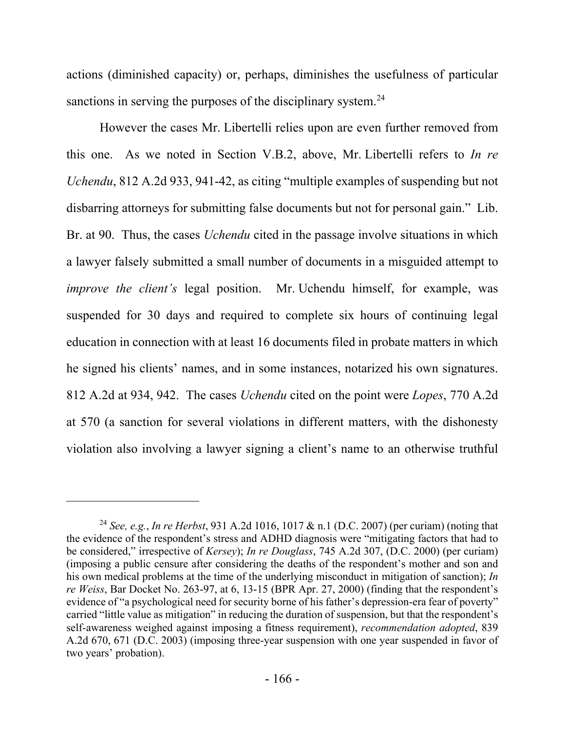actions (diminished capacity) or, perhaps, diminishes the usefulness of particular sanctions in serving the purposes of the disciplinary system.<sup>24</sup>

However the cases Mr. Libertelli relies upon are even further removed from this one. As we noted in Section V.B.2, above, Mr. Libertelli refers to *In re Uchendu*, 812 A.2d 933, 941-42, as citing "multiple examples of suspending but not disbarring attorneys for submitting false documents but not for personal gain." Lib. Br. at 90. Thus, the cases *Uchendu* cited in the passage involve situations in which a lawyer falsely submitted a small number of documents in a misguided attempt to *improve the client's* legal position. Mr. Uchendu himself, for example, was suspended for 30 days and required to complete six hours of continuing legal education in connection with at least 16 documents filed in probate matters in which he signed his clients' names, and in some instances, notarized his own signatures. 812 A.2d at 934, 942. The cases *Uchendu* cited on the point were *Lopes*, 770 A.2d at 570 (a sanction for several violations in different matters, with the dishonesty violation also involving a lawyer signing a client's name to an otherwise truthful

<sup>24</sup> *See, e.g.*, *In re Herbst*, 931 A.2d 1016, 1017 & n.1 (D.C. 2007) (per curiam) (noting that the evidence of the respondent's stress and ADHD diagnosis were "mitigating factors that had to be considered," irrespective of *Kersey*); *In re Douglass*, 745 A.2d 307, (D.C. 2000) (per curiam) (imposing a public censure after considering the deaths of the respondent's mother and son and his own medical problems at the time of the underlying misconduct in mitigation of sanction); *In re Weiss*, Bar Docket No. 263-97, at 6, 13-15 (BPR Apr. 27, 2000) (finding that the respondent's evidence of "a psychological need for security borne of his father's depression-era fear of poverty" carried "little value as mitigation" in reducing the duration of suspension, but that the respondent's self-awareness weighed against imposing a fitness requirement), *recommendation adopted*, 839 A.2d 670, 671 (D.C. 2003) (imposing three-year suspension with one year suspended in favor of two years' probation).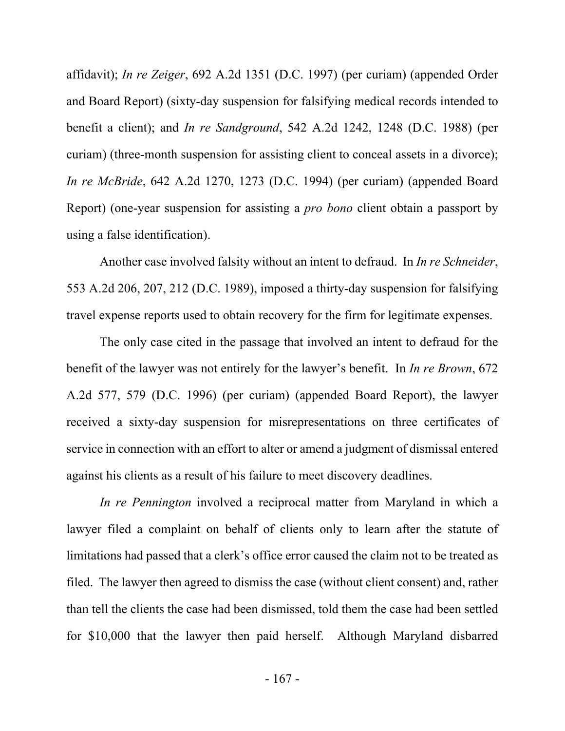affidavit); *In re Zeiger*, 692 A.2d 1351 (D.C. 1997) (per curiam) (appended Order and Board Report) (sixty-day suspension for falsifying medical records intended to benefit a client); and *In re Sandground*, 542 A.2d 1242, 1248 (D.C. 1988) (per curiam) (three-month suspension for assisting client to conceal assets in a divorce); *In re McBride*, 642 A.2d 1270, 1273 (D.C. 1994) (per curiam) (appended Board Report) (one-year suspension for assisting a *pro bono* client obtain a passport by using a false identification).

Another case involved falsity without an intent to defraud. In *In re Schneider*, 553 A.2d 206, 207, 212 (D.C. 1989), imposed a thirty-day suspension for falsifying travel expense reports used to obtain recovery for the firm for legitimate expenses.

The only case cited in the passage that involved an intent to defraud for the benefit of the lawyer was not entirely for the lawyer's benefit. In *In re Brown*, 672 A.2d 577, 579 (D.C. 1996) (per curiam) (appended Board Report), the lawyer received a sixty-day suspension for misrepresentations on three certificates of service in connection with an effort to alter or amend a judgment of dismissal entered against his clients as a result of his failure to meet discovery deadlines.

*In re Pennington* involved a reciprocal matter from Maryland in which a lawyer filed a complaint on behalf of clients only to learn after the statute of limitations had passed that a clerk's office error caused the claim not to be treated as filed. The lawyer then agreed to dismiss the case (without client consent) and, rather than tell the clients the case had been dismissed, told them the case had been settled for \$10,000 that the lawyer then paid herself. Although Maryland disbarred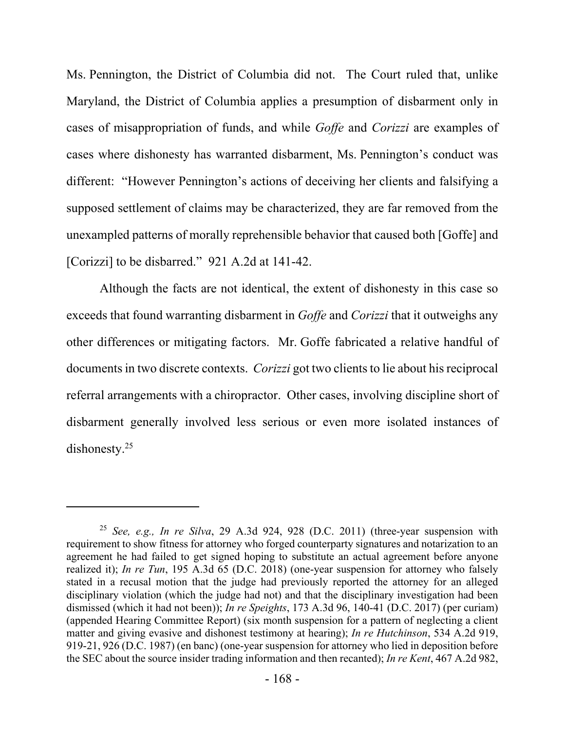Ms. Pennington, the District of Columbia did not. The Court ruled that, unlike Maryland, the District of Columbia applies a presumption of disbarment only in cases of misappropriation of funds, and while *Goffe* and *Corizzi* are examples of cases where dishonesty has warranted disbarment, Ms. Pennington's conduct was different: "However Pennington's actions of deceiving her clients and falsifying a supposed settlement of claims may be characterized, they are far removed from the unexampled patterns of morally reprehensible behavior that caused both [Goffe] and [Corizzi] to be disbarred." 921 A.2d at 141-42.

Although the facts are not identical, the extent of dishonesty in this case so exceeds that found warranting disbarment in *Goffe* and *Corizzi* that it outweighs any other differences or mitigating factors. Mr. Goffe fabricated a relative handful of documents in two discrete contexts. *Corizzi* got two clients to lie about his reciprocal referral arrangements with a chiropractor. Other cases, involving discipline short of disbarment generally involved less serious or even more isolated instances of dishonesty.<sup>25</sup>

<sup>25</sup> *See, e.g., In re Silva*, 29 A.3d 924, 928 (D.C. 2011) (three-year suspension with requirement to show fitness for attorney who forged counterparty signatures and notarization to an agreement he had failed to get signed hoping to substitute an actual agreement before anyone realized it); *In re Tun*, 195 A.3d 65 (D.C. 2018) (one-year suspension for attorney who falsely stated in a recusal motion that the judge had previously reported the attorney for an alleged disciplinary violation (which the judge had not) and that the disciplinary investigation had been dismissed (which it had not been)); *In re Speights*, 173 A.3d 96, 140-41 (D.C. 2017) (per curiam) (appended Hearing Committee Report) (six month suspension for a pattern of neglecting a client matter and giving evasive and dishonest testimony at hearing); *In re Hutchinson*, 534 A.2d 919, 919-21, 926 (D.C. 1987) (en banc) (one-year suspension for attorney who lied in deposition before the SEC about the source insider trading information and then recanted); *In re Kent*, 467 A.2d 982,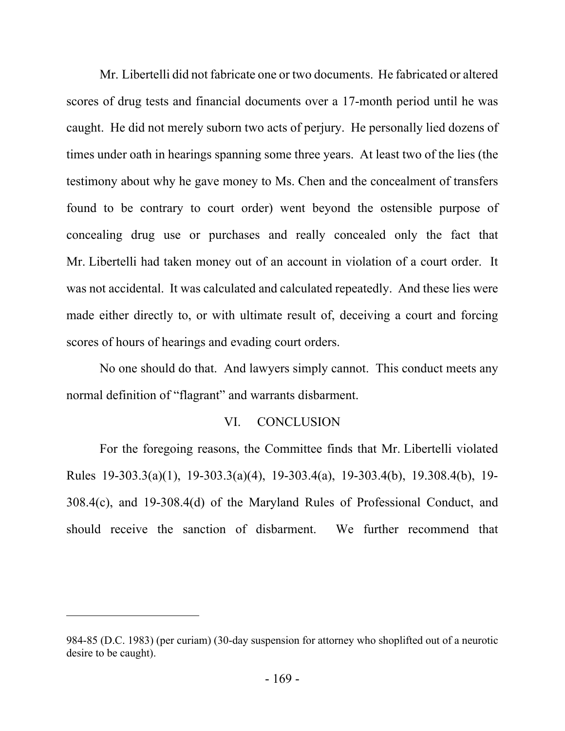Mr. Libertelli did not fabricate one or two documents. He fabricated or altered scores of drug tests and financial documents over a 17-month period until he was caught. He did not merely suborn two acts of perjury. He personally lied dozens of times under oath in hearings spanning some three years. At least two of the lies (the testimony about why he gave money to Ms. Chen and the concealment of transfers found to be contrary to court order) went beyond the ostensible purpose of concealing drug use or purchases and really concealed only the fact that Mr. Libertelli had taken money out of an account in violation of a court order. It was not accidental. It was calculated and calculated repeatedly. And these lies were made either directly to, or with ultimate result of, deceiving a court and forcing scores of hours of hearings and evading court orders.

No one should do that. And lawyers simply cannot. This conduct meets any normal definition of "flagrant" and warrants disbarment.

#### VI. CONCLUSION

For the foregoing reasons, the Committee finds that Mr. Libertelli violated Rules 19-303.3(a)(1), 19-303.3(a)(4), 19-303.4(a), 19-303.4(b), 19.308.4(b), 19- 308.4(c), and 19-308.4(d) of the Maryland Rules of Professional Conduct, and should receive the sanction of disbarment. We further recommend that

<sup>984-85 (</sup>D.C. 1983) (per curiam) (30-day suspension for attorney who shoplifted out of a neurotic desire to be caught).